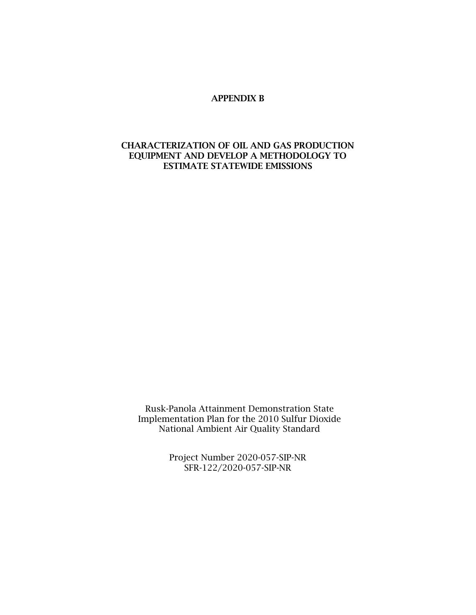#### APPENDIX B

### CHARACTERIZATION OF OIL AND GAS PRODUCTION EQUIPMENT AND DEVELOP A METHODOLOGY TO ESTIMATE STATEWIDE EMISSIONS

Rusk-Panola Attainment Demonstration State Implementation Plan for the 2010 Sulfur Dioxide National Ambient Air Quality Standard

> Project Number 2020-057-SIP-NR SFR-122/2020-057-SIP-NR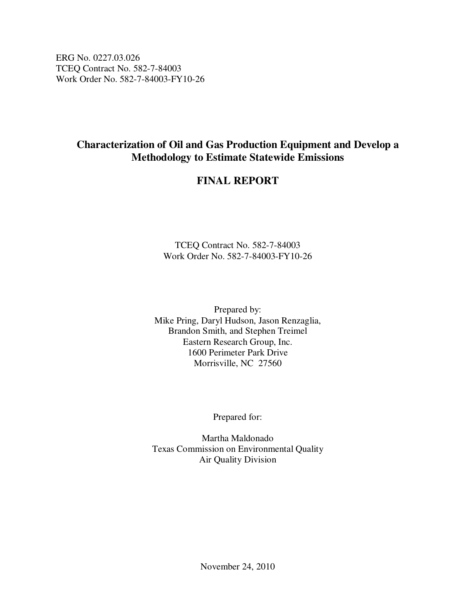ERG No. 0227.03.026 TCEQ Contract No. 582-7-84003 Work Order No. 582-7-84003-FY10-26

# **Characterization of Oil and Gas Production Equipment and Develop a Methodology to Estimate Statewide Emissions**

# **FINAL REPORT**

TCEQ Contract No. 582-7-84003 Work Order No. 582-7-84003-FY10-26

Prepared by: Mike Pring, Daryl Hudson, Jason Renzaglia, Brandon Smith, and Stephen Treimel Eastern Research Group, Inc. 1600 Perimeter Park Drive Morrisville, NC 27560

Prepared for:

Martha Maldonado Texas Commission on Environmental Quality Air Quality Division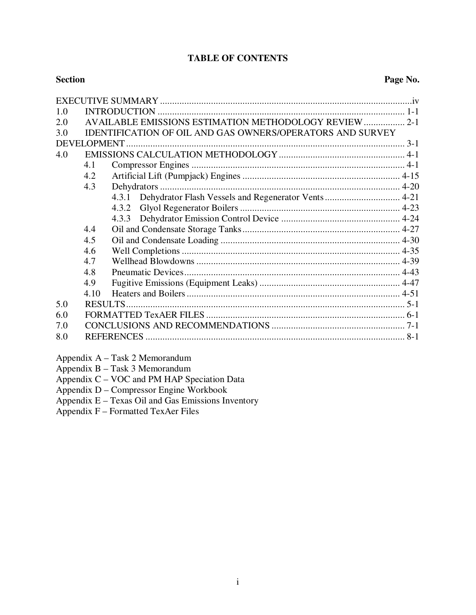## **TABLE OF CONTENTS**

| 1.0 |      |                                                              |  |  |  |  |  |
|-----|------|--------------------------------------------------------------|--|--|--|--|--|
| 2.0 |      |                                                              |  |  |  |  |  |
| 3.0 |      | IDENTIFICATION OF OIL AND GAS OWNERS/OPERATORS AND SURVEY    |  |  |  |  |  |
|     |      |                                                              |  |  |  |  |  |
| 4.0 |      |                                                              |  |  |  |  |  |
|     | 4.1  |                                                              |  |  |  |  |  |
|     | 4.2  |                                                              |  |  |  |  |  |
|     | 4.3  |                                                              |  |  |  |  |  |
|     |      | Dehydrator Flash Vessels and Regenerator Vents 4-21<br>4.3.1 |  |  |  |  |  |
|     |      | 4.3.2                                                        |  |  |  |  |  |
|     |      |                                                              |  |  |  |  |  |
|     | 4.4  |                                                              |  |  |  |  |  |
|     | 4.5  |                                                              |  |  |  |  |  |
|     | 4.6  |                                                              |  |  |  |  |  |
|     | 4.7  |                                                              |  |  |  |  |  |
|     | 4.8  |                                                              |  |  |  |  |  |
|     | 4.9  |                                                              |  |  |  |  |  |
|     | 4.10 |                                                              |  |  |  |  |  |
| 5.0 |      |                                                              |  |  |  |  |  |
| 6.0 |      |                                                              |  |  |  |  |  |
| 7.0 |      |                                                              |  |  |  |  |  |
| 8.0 |      |                                                              |  |  |  |  |  |

Appendix A – Task 2 Memorandum

Appendix B – Task 3 Memorandum

Appendix C – VOC and PM HAP Speciation Data

Appendix D – Compressor Engine Workbook

Appendix  $E - T$ exas Oil and Gas Emissions Inventory

Appendix  $F -$  Formatted TexAer Files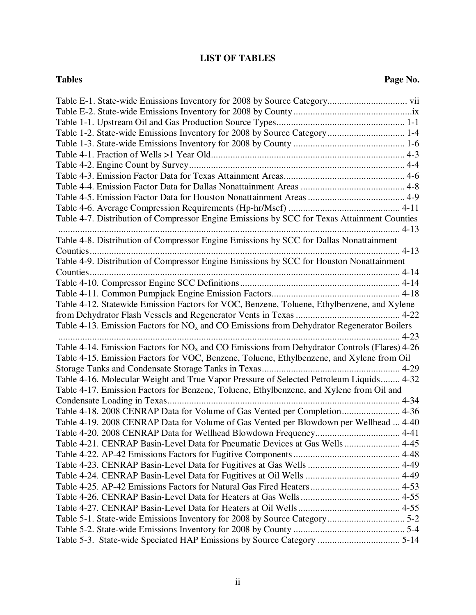## **LIST OF TABLES**

| Table 1-2. State-wide Emissions Inventory for 2008 by Source Category 1-4                      |
|------------------------------------------------------------------------------------------------|
|                                                                                                |
|                                                                                                |
|                                                                                                |
|                                                                                                |
|                                                                                                |
|                                                                                                |
|                                                                                                |
| Table 4-7. Distribution of Compressor Engine Emissions by SCC for Texas Attainment Counties    |
| Table 4-8. Distribution of Compressor Engine Emissions by SCC for Dallas Nonattainment         |
|                                                                                                |
| Table 4-9. Distribution of Compressor Engine Emissions by SCC for Houston Nonattainment        |
|                                                                                                |
|                                                                                                |
|                                                                                                |
| Table 4-12. Statewide Emission Factors for VOC, Benzene, Toluene, Ethylbenzene, and Xylene     |
|                                                                                                |
| Table 4-13. Emission Factors for $NOx$ and CO Emissions from Dehydrator Regenerator Boilers    |
|                                                                                                |
| Table 4-14. Emission Factors for $NOx$ and CO Emissions from Dehydrator Controls (Flares) 4-26 |
| Table 4-15. Emission Factors for VOC, Benzene, Toluene, Ethylbenzene, and Xylene from Oil      |
|                                                                                                |
| Table 4-16. Molecular Weight and True Vapor Pressure of Selected Petroleum Liquids 4-32        |
|                                                                                                |
| Table 4-17. Emission Factors for Benzene, Toluene, Ethylbenzene, and Xylene from Oil and       |
|                                                                                                |
| Table 4-18. 2008 CENRAP Data for Volume of Gas Vented per Completion 4-36                      |
| Table 4-19. 2008 CENRAP Data for Volume of Gas Vented per Blowdown per Wellhead  4-40          |
|                                                                                                |
| Table 4-21. CENRAP Basin-Level Data for Pneumatic Devices at Gas Wells  4-45                   |
|                                                                                                |
|                                                                                                |
|                                                                                                |
|                                                                                                |
|                                                                                                |
|                                                                                                |
|                                                                                                |
| Table 5-3. State-wide Speciated HAP Emissions by Source Category  5-14                         |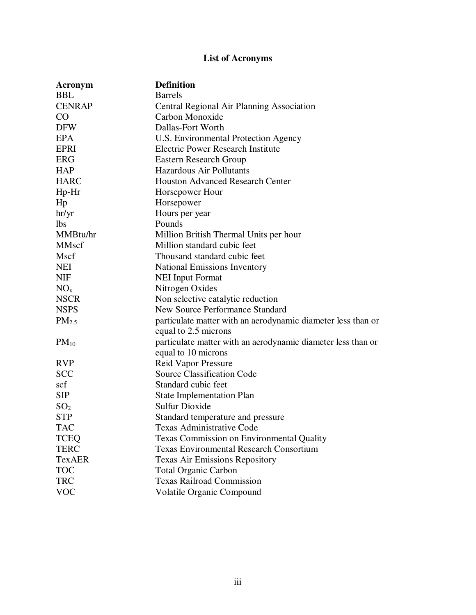# **List of Acronyms**

| Acronym         | <b>Definition</b>                                            |
|-----------------|--------------------------------------------------------------|
| <b>BBL</b>      | <b>Barrels</b>                                               |
| <b>CENRAP</b>   | Central Regional Air Planning Association                    |
| CO              | Carbon Monoxide                                              |
| <b>DFW</b>      | Dallas-Fort Worth                                            |
| <b>EPA</b>      | U.S. Environmental Protection Agency                         |
| <b>EPRI</b>     | <b>Electric Power Research Institute</b>                     |
| <b>ERG</b>      | <b>Eastern Research Group</b>                                |
| <b>HAP</b>      | <b>Hazardous Air Pollutants</b>                              |
| <b>HARC</b>     | <b>Houston Advanced Research Center</b>                      |
| Hp-Hr           | Horsepower Hour                                              |
| Hp              | Horsepower                                                   |
| hr/yr           | Hours per year                                               |
| <b>lbs</b>      | Pounds                                                       |
| MMBtu/hr        | Million British Thermal Units per hour                       |
| <b>MMscf</b>    | Million standard cubic feet                                  |
| Mscf            | Thousand standard cubic feet                                 |
| <b>NEI</b>      | <b>National Emissions Inventory</b>                          |
| <b>NIF</b>      | <b>NEI Input Format</b>                                      |
| NO <sub>x</sub> | Nitrogen Oxides                                              |
| <b>NSCR</b>     | Non selective catalytic reduction                            |
| <b>NSPS</b>     | <b>New Source Performance Standard</b>                       |
| $PM_{2.5}$      | particulate matter with an aerodynamic diameter less than or |
|                 | equal to 2.5 microns                                         |
| $PM_{10}$       | particulate matter with an aerodynamic diameter less than or |
|                 | equal to 10 microns                                          |
| <b>RVP</b>      | Reid Vapor Pressure                                          |
| <b>SCC</b>      | <b>Source Classification Code</b>                            |
| scf             | Standard cubic feet                                          |
| <b>SIP</b>      | <b>State Implementation Plan</b>                             |
| SO <sub>2</sub> | <b>Sulfur Dioxide</b>                                        |
| <b>STP</b>      | Standard temperature and pressure                            |
| TAC             | Texas Administrative Code                                    |
| <b>TCEQ</b>     | <b>Texas Commission on Environmental Quality</b>             |
| <b>TERC</b>     | <b>Texas Environmental Research Consortium</b>               |
| <b>TexAER</b>   | <b>Texas Air Emissions Repository</b>                        |
| <b>TOC</b>      | <b>Total Organic Carbon</b>                                  |
| <b>TRC</b>      | <b>Texas Railroad Commission</b>                             |
| <b>VOC</b>      | Volatile Organic Compound                                    |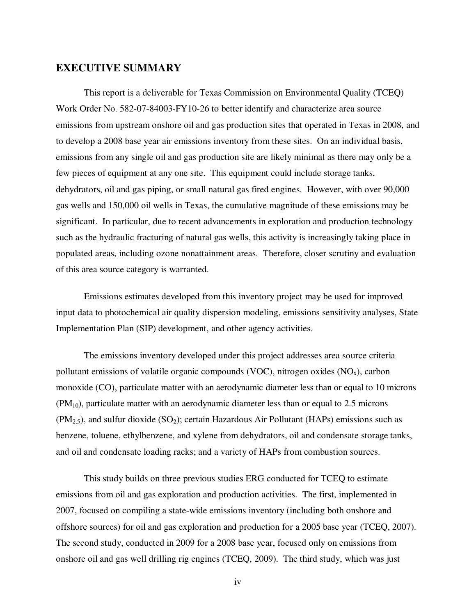#### **EXECUTIVE SUMMARY**

 This report is a deliverable for Texas Commission on Environmental Quality (TCEQ) Work Order No. 582-07-84003-FY10-26 to better identify and characterize area source emissions from upstream onshore oil and gas production sites that operated in Texas in 2008, and to develop a 2008 base year air emissions inventory from these sites. On an individual basis, emissions from any single oil and gas production site are likely minimal as there may only be a few pieces of equipment at any one site. This equipment could include storage tanks, dehydrators, oil and gas piping, or small natural gas fired engines. However, with over 90,000 gas wells and 150,000 oil wells in Texas, the cumulative magnitude of these emissions may be significant. In particular, due to recent advancements in exploration and production technology such as the hydraulic fracturing of natural gas wells, this activity is increasingly taking place in populated areas, including ozone nonattainment areas. Therefore, closer scrutiny and evaluation of this area source category is warranted.

 Emissions estimates developed from this inventory project may be used for improved input data to photochemical air quality dispersion modeling, emissions sensitivity analyses, State Implementation Plan (SIP) development, and other agency activities.

 The emissions inventory developed under this project addresses area source criteria pollutant emissions of volatile organic compounds (VOC), nitrogen oxides  $(NO_x)$ , carbon monoxide (CO), particulate matter with an aerodynamic diameter less than or equal to 10 microns  $(PM_{10})$ , particulate matter with an aerodynamic diameter less than or equal to 2.5 microns  $(PM<sub>2.5</sub>)$ , and sulfur dioxide  $(SO<sub>2</sub>)$ ; certain Hazardous Air Pollutant (HAPs) emissions such as benzene, toluene, ethylbenzene, and xylene from dehydrators, oil and condensate storage tanks, and oil and condensate loading racks; and a variety of HAPs from combustion sources.

 This study builds on three previous studies ERG conducted for TCEQ to estimate emissions from oil and gas exploration and production activities. The first, implemented in 2007, focused on compiling a state-wide emissions inventory (including both onshore and offshore sources) for oil and gas exploration and production for a 2005 base year (TCEQ, 2007). The second study, conducted in 2009 for a 2008 base year, focused only on emissions from onshore oil and gas well drilling rig engines (TCEQ, 2009). The third study, which was just

iv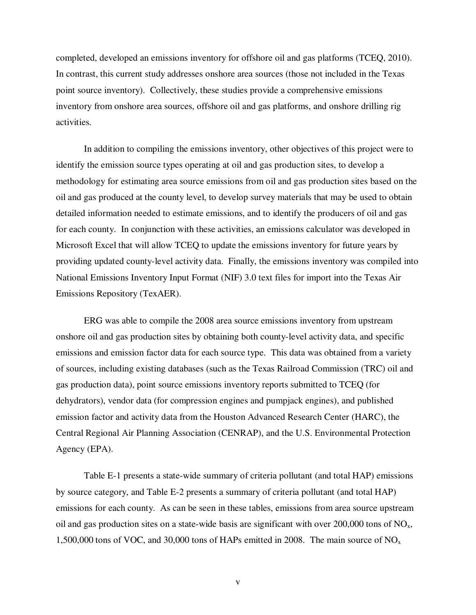completed, developed an emissions inventory for offshore oil and gas platforms (TCEQ, 2010). In contrast, this current study addresses onshore area sources (those not included in the Texas point source inventory). Collectively, these studies provide a comprehensive emissions inventory from onshore area sources, offshore oil and gas platforms, and onshore drilling rig activities.

 In addition to compiling the emissions inventory, other objectives of this project were to identify the emission source types operating at oil and gas production sites, to develop a methodology for estimating area source emissions from oil and gas production sites based on the oil and gas produced at the county level, to develop survey materials that may be used to obtain detailed information needed to estimate emissions, and to identify the producers of oil and gas for each county. In conjunction with these activities, an emissions calculator was developed in Microsoft Excel that will allow TCEQ to update the emissions inventory for future years by providing updated county-level activity data. Finally, the emissions inventory was compiled into National Emissions Inventory Input Format (NIF) 3.0 text files for import into the Texas Air Emissions Repository (TexAER).

 ERG was able to compile the 2008 area source emissions inventory from upstream onshore oil and gas production sites by obtaining both county-level activity data, and specific emissions and emission factor data for each source type. This data was obtained from a variety of sources, including existing databases (such as the Texas Railroad Commission (TRC) oil and gas production data), point source emissions inventory reports submitted to TCEQ (for dehydrators), vendor data (for compression engines and pumpjack engines), and published emission factor and activity data from the Houston Advanced Research Center (HARC), the Central Regional Air Planning Association (CENRAP), and the U.S. Environmental Protection Agency (EPA).

 Table E-1 presents a state-wide summary of criteria pollutant (and total HAP) emissions by source category, and Table E-2 presents a summary of criteria pollutant (and total HAP) emissions for each county. As can be seen in these tables, emissions from area source upstream oil and gas production sites on a state-wide basis are significant with over  $200,000$  tons of NO<sub>x</sub>, 1,500,000 tons of VOC, and 30,000 tons of HAPs emitted in 2008. The main source of  $NO<sub>x</sub>$ 

v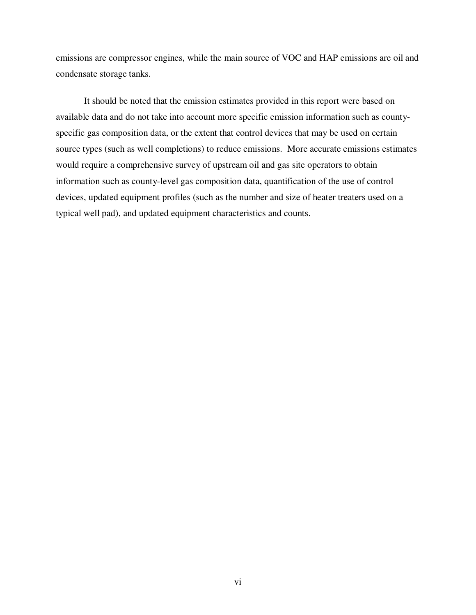emissions are compressor engines, while the main source of VOC and HAP emissions are oil and condensate storage tanks.

 It should be noted that the emission estimates provided in this report were based on available data and do not take into account more specific emission information such as countyspecific gas composition data, or the extent that control devices that may be used on certain source types (such as well completions) to reduce emissions. More accurate emissions estimates would require a comprehensive survey of upstream oil and gas site operators to obtain information such as county-level gas composition data, quantification of the use of control devices, updated equipment profiles (such as the number and size of heater treaters used on a typical well pad), and updated equipment characteristics and counts.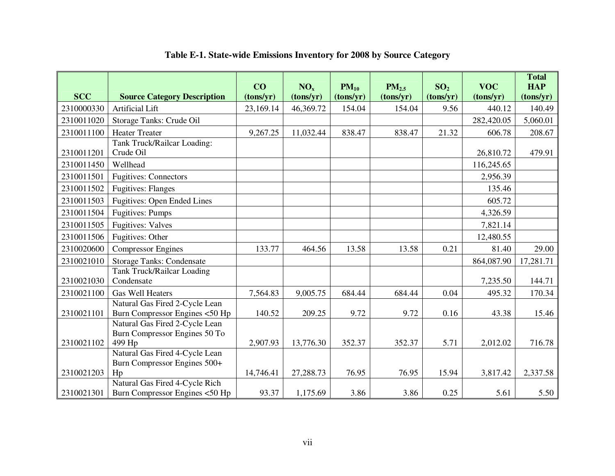| <b>SCC</b> | <b>Source Category Description</b>                                               | CO<br>(tons/yr) | NO <sub>x</sub><br>(tons/yr) | $PM_{10}$<br>(tons/yr) | $PM_{2.5}$<br>(tons/yr) | SO <sub>2</sub><br>(tons/yr) | <b>VOC</b><br>(tons/yr) | <b>Total</b><br><b>HAP</b><br>(tons/yr) |
|------------|----------------------------------------------------------------------------------|-----------------|------------------------------|------------------------|-------------------------|------------------------------|-------------------------|-----------------------------------------|
| 2310000330 | <b>Artificial Lift</b>                                                           | 23,169.14       | 46,369.72                    | 154.04                 | 154.04                  | 9.56                         | 440.12                  | 140.49                                  |
| 2310011020 | Storage Tanks: Crude Oil                                                         |                 |                              |                        |                         |                              | 282,420.05              | 5,060.01                                |
| 2310011100 | <b>Heater Treater</b>                                                            | 9,267.25        | 11,032.44                    | 838.47                 | 838.47                  | 21.32                        | 606.78                  | 208.67                                  |
| 2310011201 | Tank Truck/Railcar Loading:<br>Crude Oil                                         |                 |                              |                        |                         |                              | 26,810.72               | 479.91                                  |
| 2310011450 | Wellhead                                                                         |                 |                              |                        |                         |                              | 116,245.65              |                                         |
| 2310011501 | <b>Fugitives: Connectors</b>                                                     |                 |                              |                        |                         |                              | 2,956.39                |                                         |
| 2310011502 | <b>Fugitives: Flanges</b>                                                        |                 |                              |                        |                         |                              | 135.46                  |                                         |
| 2310011503 | <b>Fugitives: Open Ended Lines</b>                                               |                 |                              |                        |                         |                              | 605.72                  |                                         |
| 2310011504 | <b>Fugitives: Pumps</b>                                                          |                 |                              |                        |                         |                              | 4,326.59                |                                         |
| 2310011505 | <b>Fugitives: Valves</b>                                                         |                 |                              |                        |                         |                              | 7,821.14                |                                         |
| 2310011506 | Fugitives: Other                                                                 |                 |                              |                        |                         |                              | 12,480.55               |                                         |
| 2310020600 | <b>Compressor Engines</b>                                                        | 133.77          | 464.56                       | 13.58                  | 13.58                   | 0.21                         | 81.40                   | 29.00                                   |
| 2310021010 | <b>Storage Tanks: Condensate</b>                                                 |                 |                              |                        |                         |                              | 864,087.90              | 17,281.71                               |
| 2310021030 | <b>Tank Truck/Railcar Loading</b><br>Condensate                                  |                 |                              |                        |                         |                              | 7,235.50                | 144.71                                  |
| 2310021100 | <b>Gas Well Heaters</b>                                                          | 7,564.83        | 9,005.75                     | 684.44                 | 684.44                  | 0.04                         | 495.32                  | 170.34                                  |
| 2310021101 | Natural Gas Fired 2-Cycle Lean<br>Burn Compressor Engines <50 Hp                 | 140.52          | 209.25                       | 9.72                   | 9.72                    | 0.16                         | 43.38                   | 15.46                                   |
| 2310021102 | Natural Gas Fired 2-Cycle Lean<br>Burn Compressor Engines 50 To<br>499 Hp        | 2,907.93        | 13,776.30                    | 352.37                 | 352.37                  | 5.71                         | 2,012.02                | 716.78                                  |
| 2310021203 | Natural Gas Fired 4-Cycle Lean<br>Burn Compressor Engines 500+<br>H <sub>p</sub> | 14,746.41       | 27,288.73                    | 76.95                  | 76.95                   | 15.94                        | 3,817.42                | 2,337.58                                |
| 2310021301 | Natural Gas Fired 4-Cycle Rich<br>Burn Compressor Engines <50 Hp                 | 93.37           | 1,175.69                     | 3.86                   | 3.86                    | 0.25                         | 5.61                    | 5.50                                    |

### **Table E-1. State-wide Emissions Inventory for 2008 by Source Category**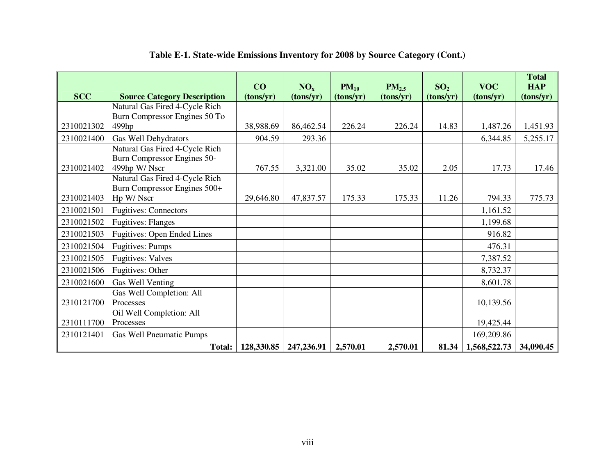|            |                                    | CO         | NO <sub>x</sub> | $PM_{10}$ | $PM_{2.5}$ | SO <sub>2</sub> | <b>VOC</b>   | <b>Total</b><br><b>HAP</b> |
|------------|------------------------------------|------------|-----------------|-----------|------------|-----------------|--------------|----------------------------|
| <b>SCC</b> | <b>Source Category Description</b> | (tons/yr)  | (tons/yr)       | (tons/yr) | (tons/yr)  | (tons/yr)       | (tons/yr)    | (tons/yr)                  |
|            | Natural Gas Fired 4-Cycle Rich     |            |                 |           |            |                 |              |                            |
|            | Burn Compressor Engines 50 To      |            |                 |           |            |                 |              |                            |
| 2310021302 | 499hp                              | 38,988.69  | 86,462.54       | 226.24    | 226.24     | 14.83           | 1,487.26     | 1,451.93                   |
| 2310021400 | Gas Well Dehydrators               | 904.59     | 293.36          |           |            |                 | 6,344.85     | 5,255.17                   |
|            | Natural Gas Fired 4-Cycle Rich     |            |                 |           |            |                 |              |                            |
|            | Burn Compressor Engines 50-        |            |                 |           |            |                 |              |                            |
| 2310021402 | 499hp W/Nscr                       | 767.55     | 3,321.00        | 35.02     | 35.02      | 2.05            | 17.73        | 17.46                      |
|            | Natural Gas Fired 4-Cycle Rich     |            |                 |           |            |                 |              |                            |
|            | Burn Compressor Engines 500+       |            |                 |           |            |                 |              |                            |
| 2310021403 | Hp W/ Nscr                         | 29,646.80  | 47,837.57       | 175.33    | 175.33     | 11.26           | 794.33       | 775.73                     |
| 2310021501 | <b>Fugitives: Connectors</b>       |            |                 |           |            |                 | 1,161.52     |                            |
| 2310021502 | <b>Fugitives: Flanges</b>          |            |                 |           |            |                 | 1,199.68     |                            |
| 2310021503 | <b>Fugitives: Open Ended Lines</b> |            |                 |           |            |                 | 916.82       |                            |
| 2310021504 | <b>Fugitives: Pumps</b>            |            |                 |           |            |                 | 476.31       |                            |
| 2310021505 | <b>Fugitives: Valves</b>           |            |                 |           |            |                 | 7,387.52     |                            |
| 2310021506 | Fugitives: Other                   |            |                 |           |            |                 | 8,732.37     |                            |
| 2310021600 | Gas Well Venting                   |            |                 |           |            |                 | 8,601.78     |                            |
|            | Gas Well Completion: All           |            |                 |           |            |                 |              |                            |
| 2310121700 | Processes                          |            |                 |           |            |                 | 10,139.56    |                            |
|            | Oil Well Completion: All           |            |                 |           |            |                 |              |                            |
| 2310111700 | Processes                          |            |                 |           |            |                 | 19,425.44    |                            |
| 2310121401 | <b>Gas Well Pneumatic Pumps</b>    |            |                 |           |            |                 | 169,209.86   |                            |
|            | Total:                             | 128,330.85 | 247,236.91      | 2,570.01  | 2,570.01   | 81.34           | 1,568,522.73 | 34,090.45                  |

#### **Table E-1. State-wide Emissions Inventory for 2008 by Source Category (Cont.)**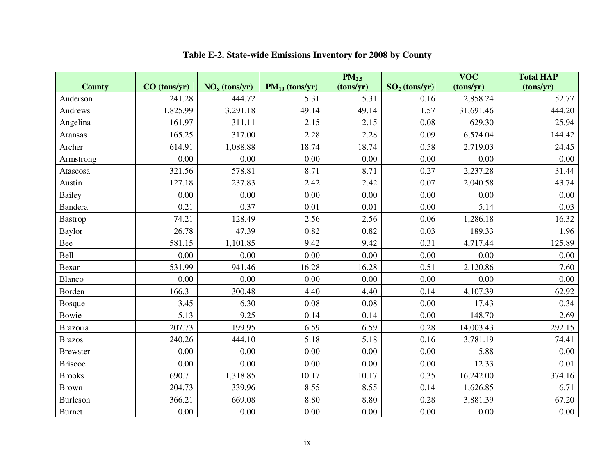|                 |                |                 |                     | $PM_{2.5}$ |                 | <b>VOC</b> | <b>Total HAP</b> |
|-----------------|----------------|-----------------|---------------------|------------|-----------------|------------|------------------|
| <b>County</b>   | $CO$ (tons/yr) | $NOx$ (tons/yr) | $PM_{10}$ (tons/yr) | (tons/yr)  | $SO2$ (tons/yr) | (tons/yr)  | (tons/yr)        |
| Anderson        | 241.28         | 444.72          | 5.31                | 5.31       | 0.16            | 2,858.24   | 52.77            |
| Andrews         | 1,825.99       | 3,291.18        | 49.14               | 49.14      | 1.57            | 31,691.46  | 444.20           |
| Angelina        | 161.97         | 311.11          | 2.15                | 2.15       | 0.08            | 629.30     | 25.94            |
| Aransas         | 165.25         | 317.00          | 2.28                | 2.28       | 0.09            | 6,574.04   | 144.42           |
| Archer          | 614.91         | 1,088.88        | 18.74               | 18.74      | 0.58            | 2,719.03   | 24.45            |
| Armstrong       | 0.00           | 0.00            | 0.00                | 0.00       | 0.00            | 0.00       | 0.00             |
| Atascosa        | 321.56         | 578.81          | 8.71                | 8.71       | 0.27            | 2,237.28   | 31.44            |
| Austin          | 127.18         | 237.83          | 2.42                | 2.42       | 0.07            | 2,040.58   | 43.74            |
| <b>Bailey</b>   | 0.00           | 0.00            | 0.00                | 0.00       | 0.00            | 0.00       | 0.00             |
| Bandera         | 0.21           | 0.37            | 0.01                | 0.01       | 0.00            | 5.14       | 0.03             |
| <b>Bastrop</b>  | 74.21          | 128.49          | 2.56                | 2.56       | 0.06            | 1,286.18   | 16.32            |
| Baylor          | 26.78          | 47.39           | 0.82                | 0.82       | 0.03            | 189.33     | 1.96             |
| Bee             | 581.15         | 1,101.85        | 9.42                | 9.42       | 0.31            | 4,717.44   | 125.89           |
| Bell            | 0.00           | 0.00            | 0.00                | 0.00       | 0.00            | 0.00       | 0.00             |
| Bexar           | 531.99         | 941.46          | 16.28               | 16.28      | 0.51            | 2,120.86   | 7.60             |
| Blanco          | 0.00           | 0.00            | 0.00                | 0.00       | 0.00            | 0.00       | 0.00             |
| Borden          | 166.31         | 300.48          | 4.40                | 4.40       | 0.14            | 4,107.39   | 62.92            |
| <b>Bosque</b>   | 3.45           | 6.30            | 0.08                | 0.08       | 0.00            | 17.43      | 0.34             |
| Bowie           | 5.13           | 9.25            | 0.14                | 0.14       | 0.00            | 148.70     | 2.69             |
| Brazoria        | 207.73         | 199.95          | 6.59                | 6.59       | 0.28            | 14,003.43  | 292.15           |
| <b>Brazos</b>   | 240.26         | 444.10          | 5.18                | 5.18       | 0.16            | 3,781.19   | 74.41            |
| <b>Brewster</b> | 0.00           | 0.00            | 0.00                | 0.00       | 0.00            | 5.88       | 0.00             |
| <b>Briscoe</b>  | 0.00           | 0.00            | 0.00                | 0.00       | 0.00            | 12.33      | 0.01             |
| <b>Brooks</b>   | 690.71         | 1,318.85        | 10.17               | 10.17      | 0.35            | 16,242.00  | 374.16           |
| <b>Brown</b>    | 204.73         | 339.96          | 8.55                | 8.55       | 0.14            | 1,626.85   | 6.71             |
| Burleson        | 366.21         | 669.08          | 8.80                | 8.80       | 0.28            | 3,881.39   | 67.20            |
| <b>Burnet</b>   | 0.00           | 0.00            | 0.00                | 0.00       | 0.00            | 0.00       | 0.00             |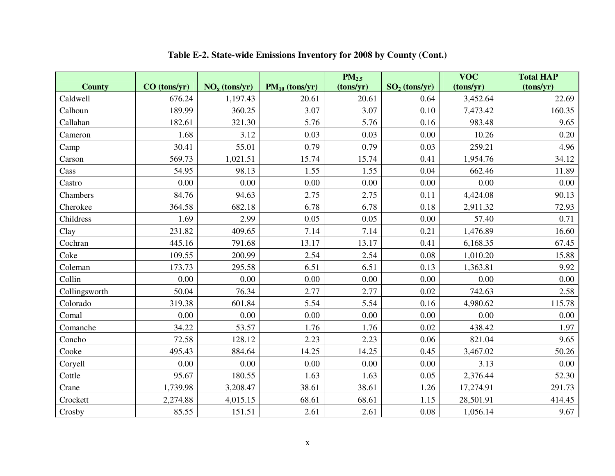|               |                |                 |                     | PM <sub>2.5</sub> |                 | $\overline{\text{VOC}}$ | <b>Total HAP</b> |
|---------------|----------------|-----------------|---------------------|-------------------|-----------------|-------------------------|------------------|
| <b>County</b> | $CO$ (tons/yr) | $NOx$ (tons/yr) | $PM_{10}$ (tons/yr) | (tons/yr)         | $SO2$ (tons/yr) | (tons/yr)               | (tons/yr)        |
| Caldwell      | 676.24         | 1,197.43        | 20.61               | 20.61             | 0.64            | 3,452.64                | 22.69            |
| Calhoun       | 189.99         | 360.25          | 3.07                | 3.07              | 0.10            | 7,473.42                | 160.35           |
| Callahan      | 182.61         | 321.30          | 5.76                | 5.76              | 0.16            | 983.48                  | 9.65             |
| Cameron       | 1.68           | 3.12            | 0.03                | 0.03              | 0.00            | 10.26                   | 0.20             |
| Camp          | 30.41          | 55.01           | 0.79                | 0.79              | 0.03            | 259.21                  | 4.96             |
| Carson        | 569.73         | 1,021.51        | 15.74               | 15.74             | 0.41            | 1,954.76                | 34.12            |
| Cass          | 54.95          | 98.13           | 1.55                | 1.55              | 0.04            | 662.46                  | 11.89            |
| Castro        | 0.00           | 0.00            | 0.00                | 0.00              | 0.00            | 0.00                    | 0.00             |
| Chambers      | 84.76          | 94.63           | 2.75                | 2.75              | 0.11            | 4,424.08                | 90.13            |
| Cherokee      | 364.58         | 682.18          | 6.78                | 6.78              | 0.18            | 2,911.32                | 72.93            |
| Childress     | 1.69           | 2.99            | 0.05                | 0.05              | 0.00            | 57.40                   | 0.71             |
| Clay          | 231.82         | 409.65          | 7.14                | 7.14              | 0.21            | 1,476.89                | 16.60            |
| Cochran       | 445.16         | 791.68          | 13.17               | 13.17             | 0.41            | 6,168.35                | 67.45            |
| Coke          | 109.55         | 200.99          | 2.54                | 2.54              | 0.08            | 1,010.20                | 15.88            |
| Coleman       | 173.73         | 295.58          | 6.51                | 6.51              | 0.13            | 1,363.81                | 9.92             |
| Collin        | 0.00           | 0.00            | 0.00                | 0.00              | 0.00            | 0.00                    | 0.00             |
| Collingsworth | 50.04          | 76.34           | 2.77                | 2.77              | 0.02            | 742.63                  | 2.58             |
| Colorado      | 319.38         | 601.84          | 5.54                | 5.54              | 0.16            | 4,980.62                | 115.78           |
| Comal         | 0.00           | 0.00            | 0.00                | 0.00              | 0.00            | 0.00                    | 0.00             |
| Comanche      | 34.22          | 53.57           | 1.76                | 1.76              | 0.02            | 438.42                  | 1.97             |
| Concho        | 72.58          | 128.12          | 2.23                | 2.23              | 0.06            | 821.04                  | 9.65             |
| Cooke         | 495.43         | 884.64          | 14.25               | 14.25             | 0.45            | 3,467.02                | 50.26            |
| Coryell       | 0.00           | 0.00            | 0.00                | 0.00              | 0.00            | 3.13                    | 0.00             |
| Cottle        | 95.67          | 180.55          | 1.63                | 1.63              | 0.05            | 2,376.44                | 52.30            |
| Crane         | 1,739.98       | 3,208.47        | 38.61               | 38.61             | 1.26            | 17,274.91               | 291.73           |
| Crockett      | 2,274.88       | 4,015.15        | 68.61               | 68.61             | 1.15            | 28,501.91               | 414.45           |
| Crosby        | 85.55          | 151.51          | 2.61                | 2.61              | 0.08            | 1,056.14                | 9.67             |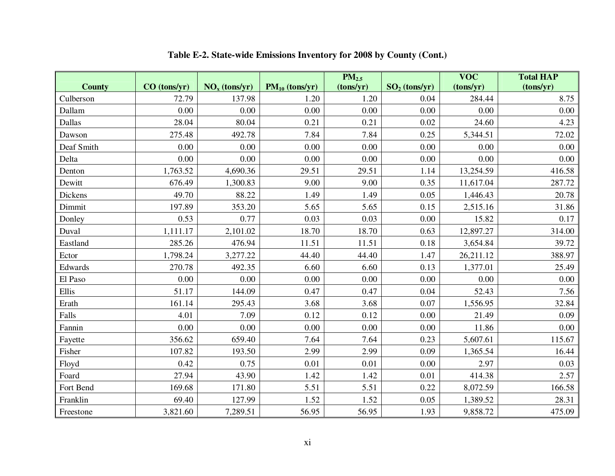|                |                |                 |                     | PM <sub>2.5</sub> |                 | <b>VOC</b> | <b>Total HAP</b> |
|----------------|----------------|-----------------|---------------------|-------------------|-----------------|------------|------------------|
| <b>County</b>  | $CO$ (tons/yr) | $NOx$ (tons/yr) | $PM_{10}$ (tons/yr) | (tons/yr)         | $SO2$ (tons/yr) | (tons/yr)  | (tons/yr)        |
| Culberson      | 72.79          | 137.98          | 1.20                | 1.20              | 0.04            | 284.44     | 8.75             |
| Dallam         | 0.00           | 0.00            | 0.00                | 0.00              | 0.00            | 0.00       | 0.00             |
| Dallas         | 28.04          | 80.04           | 0.21                | 0.21              | 0.02            | 24.60      | 4.23             |
| Dawson         | 275.48         | 492.78          | 7.84                | 7.84              | 0.25            | 5,344.51   | 72.02            |
| Deaf Smith     | 0.00           | 0.00            | 0.00                | 0.00              | 0.00            | 0.00       | 0.00             |
| Delta          | 0.00           | 0.00            | 0.00                | 0.00              | 0.00            | 0.00       | 0.00             |
| Denton         | 1,763.52       | 4,690.36        | 29.51               | 29.51             | 1.14            | 13,254.59  | 416.58           |
| Dewitt         | 676.49         | 1,300.83        | 9.00                | 9.00              | 0.35            | 11,617.04  | 287.72           |
| <b>Dickens</b> | 49.70          | 88.22           | 1.49                | 1.49              | 0.05            | 1,446.43   | 20.78            |
| Dimmit         | 197.89         | 353.20          | 5.65                | 5.65              | 0.15            | 2,515.16   | 31.86            |
| Donley         | 0.53           | 0.77            | 0.03                | 0.03              | 0.00            | 15.82      | 0.17             |
| Duval          | 1,111.17       | 2,101.02        | 18.70               | 18.70             | 0.63            | 12,897.27  | 314.00           |
| Eastland       | 285.26         | 476.94          | 11.51               | 11.51             | 0.18            | 3,654.84   | 39.72            |
| Ector          | 1,798.24       | 3,277.22        | 44.40               | 44.40             | 1.47            | 26,211.12  | 388.97           |
| Edwards        | 270.78         | 492.35          | 6.60                | 6.60              | 0.13            | 1,377.01   | 25.49            |
| El Paso        | 0.00           | 0.00            | 0.00                | 0.00              | 0.00            | 0.00       | 0.00             |
| Ellis          | 51.17          | 144.09          | 0.47                | 0.47              | 0.04            | 52.43      | 7.56             |
| Erath          | 161.14         | 295.43          | 3.68                | 3.68              | 0.07            | 1,556.95   | 32.84            |
| Falls          | 4.01           | 7.09            | 0.12                | 0.12              | 0.00            | 21.49      | 0.09             |
| Fannin         | 0.00           | 0.00            | 0.00                | 0.00              | 0.00            | 11.86      | 0.00             |
| Fayette        | 356.62         | 659.40          | 7.64                | 7.64              | 0.23            | 5,607.61   | 115.67           |
| Fisher         | 107.82         | 193.50          | 2.99                | 2.99              | 0.09            | 1,365.54   | 16.44            |
| Floyd          | 0.42           | 0.75            | 0.01                | 0.01              | 0.00            | 2.97       | 0.03             |
| Foard          | 27.94          | 43.90           | 1.42                | 1.42              | 0.01            | 414.38     | 2.57             |
| Fort Bend      | 169.68         | 171.80          | 5.51                | 5.51              | 0.22            | 8,072.59   | 166.58           |
| Franklin       | 69.40          | 127.99          | 1.52                | 1.52              | 0.05            | 1,389.52   | 28.31            |
| Freestone      | 3,821.60       | 7,289.51        | 56.95               | 56.95             | 1.93            | 9,858.72   | 475.09           |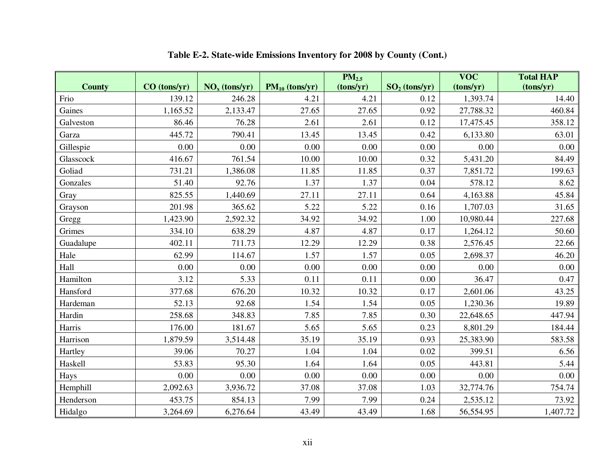|               |                |                 |                     | PM <sub>2.5</sub> |                 | <b>VOC</b> | <b>Total HAP</b> |
|---------------|----------------|-----------------|---------------------|-------------------|-----------------|------------|------------------|
| <b>County</b> | $CO$ (tons/yr) | $NOx$ (tons/yr) | $PM_{10}$ (tons/yr) | (tons/yr)         | $SO2$ (tons/yr) | (tons/yr)  | (tons/yr)        |
| Frio          | 139.12         | 246.28          | 4.21                | 4.21              | 0.12            | 1,393.74   | 14.40            |
| Gaines        | 1,165.52       | 2,133.47        | 27.65               | 27.65             | 0.92            | 27,788.32  | 460.84           |
| Galveston     | 86.46          | 76.28           | 2.61                | 2.61              | 0.12            | 17,475.45  | 358.12           |
| Garza         | 445.72         | 790.41          | 13.45               | 13.45             | 0.42            | 6,133.80   | 63.01            |
| Gillespie     | 0.00           | 0.00            | 0.00                | 0.00              | 0.00            | 0.00       | 0.00             |
| Glasscock     | 416.67         | 761.54          | 10.00               | 10.00             | 0.32            | 5,431.20   | 84.49            |
| Goliad        | 731.21         | 1,386.08        | 11.85               | 11.85             | 0.37            | 7,851.72   | 199.63           |
| Gonzales      | 51.40          | 92.76           | 1.37                | 1.37              | 0.04            | 578.12     | 8.62             |
| Gray          | 825.55         | 1,440.69        | 27.11               | 27.11             | 0.64            | 4,163.88   | 45.84            |
| Grayson       | 201.98         | 365.62          | 5.22                | 5.22              | 0.16            | 1,707.03   | 31.65            |
| Gregg         | 1,423.90       | 2,592.32        | 34.92               | 34.92             | 1.00            | 10,980.44  | 227.68           |
| Grimes        | 334.10         | 638.29          | 4.87                | 4.87              | 0.17            | 1,264.12   | 50.60            |
| Guadalupe     | 402.11         | 711.73          | 12.29               | 12.29             | 0.38            | 2,576.45   | 22.66            |
| Hale          | 62.99          | 114.67          | 1.57                | 1.57              | 0.05            | 2,698.37   | 46.20            |
| Hall          | 0.00           | 0.00            | 0.00                | 0.00              | 0.00            | 0.00       | 0.00             |
| Hamilton      | 3.12           | 5.33            | 0.11                | 0.11              | 0.00            | 36.47      | 0.47             |
| Hansford      | 377.68         | 676.20          | 10.32               | 10.32             | 0.17            | 2,601.06   | 43.25            |
| Hardeman      | 52.13          | 92.68           | 1.54                | 1.54              | 0.05            | 1,230.36   | 19.89            |
| Hardin        | 258.68         | 348.83          | 7.85                | 7.85              | 0.30            | 22,648.65  | 447.94           |
| Harris        | 176.00         | 181.67          | 5.65                | 5.65              | 0.23            | 8,801.29   | 184.44           |
| Harrison      | 1,879.59       | 3,514.48        | 35.19               | 35.19             | 0.93            | 25,383.90  | 583.58           |
| Hartley       | 39.06          | 70.27           | 1.04                | 1.04              | 0.02            | 399.51     | 6.56             |
| Haskell       | 53.83          | 95.30           | 1.64                | 1.64              | 0.05            | 443.81     | 5.44             |
| Hays          | 0.00           | 0.00            | 0.00                | 0.00              | 0.00            | 0.00       | 0.00             |
| Hemphill      | 2,092.63       | 3,936.72        | 37.08               | 37.08             | 1.03            | 32,774.76  | 754.74           |
| Henderson     | 453.75         | 854.13          | 7.99                | 7.99              | 0.24            | 2,535.12   | 73.92            |
| Hidalgo       | 3,264.69       | 6,276.64        | 43.49               | 43.49             | 1.68            | 56,554.95  | 1,407.72         |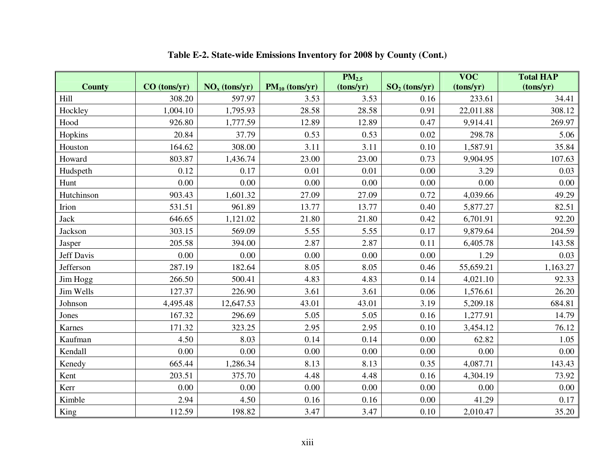|                   |                |                 |                     | PM <sub>2.5</sub> |                 | <b>VOC</b> | <b>Total HAP</b> |
|-------------------|----------------|-----------------|---------------------|-------------------|-----------------|------------|------------------|
| <b>County</b>     | $CO$ (tons/yr) | $NOx$ (tons/yr) | $PM_{10}$ (tons/yr) | (tons/yr)         | $SO2$ (tons/yr) | (tons/yr)  | (tons/yr)        |
| Hill              | 308.20         | 597.97          | 3.53                | 3.53              | 0.16            | 233.61     | 34.41            |
| Hockley           | 1,004.10       | 1,795.93        | 28.58               | 28.58             | 0.91            | 22,011.88  | 308.12           |
| Hood              | 926.80         | 1,777.59        | 12.89               | 12.89             | 0.47            | 9,914.41   | 269.97           |
| Hopkins           | 20.84          | 37.79           | 0.53                | 0.53              | 0.02            | 298.78     | 5.06             |
| Houston           | 164.62         | 308.00          | 3.11                | 3.11              | 0.10            | 1,587.91   | 35.84            |
| Howard            | 803.87         | 1,436.74        | 23.00               | 23.00             | 0.73            | 9,904.95   | 107.63           |
| Hudspeth          | 0.12           | 0.17            | 0.01                | 0.01              | 0.00            | 3.29       | 0.03             |
| Hunt              | 0.00           | 0.00            | 0.00                | 0.00              | 0.00            | 0.00       | 0.00             |
| Hutchinson        | 903.43         | 1,601.32        | 27.09               | 27.09             | 0.72            | 4,039.66   | 49.29            |
| Irion             | 531.51         | 961.89          | 13.77               | 13.77             | 0.40            | 5,877.27   | 82.51            |
| Jack              | 646.65         | 1,121.02        | 21.80               | 21.80             | 0.42            | 6,701.91   | 92.20            |
| Jackson           | 303.15         | 569.09          | 5.55                | 5.55              | 0.17            | 9,879.64   | 204.59           |
| Jasper            | 205.58         | 394.00          | 2.87                | 2.87              | 0.11            | 6,405.78   | 143.58           |
| <b>Jeff Davis</b> | 0.00           | 0.00            | 0.00                | 0.00              | 0.00            | 1.29       | 0.03             |
| Jefferson         | 287.19         | 182.64          | 8.05                | 8.05              | 0.46            | 55,659.21  | 1,163.27         |
| Jim Hogg          | 266.50         | 500.41          | 4.83                | 4.83              | 0.14            | 4,021.10   | 92.33            |
| Jim Wells         | 127.37         | 226.90          | 3.61                | 3.61              | 0.06            | 1,576.61   | 26.20            |
| Johnson           | 4,495.48       | 12,647.53       | 43.01               | 43.01             | 3.19            | 5,209.18   | 684.81           |
| Jones             | 167.32         | 296.69          | 5.05                | 5.05              | 0.16            | 1,277.91   | 14.79            |
| Karnes            | 171.32         | 323.25          | 2.95                | 2.95              | 0.10            | 3,454.12   | 76.12            |
| Kaufman           | 4.50           | 8.03            | 0.14                | 0.14              | 0.00            | 62.82      | 1.05             |
| Kendall           | 0.00           | 0.00            | 0.00                | 0.00              | 0.00            | 0.00       | 0.00             |
| Kenedy            | 665.44         | 1,286.34        | 8.13                | 8.13              | 0.35            | 4,087.71   | 143.43           |
| Kent              | 203.51         | 375.70          | 4.48                | 4.48              | 0.16            | 4,304.19   | 73.92            |
| Kerr              | 0.00           | 0.00            | 0.00                | 0.00              | 0.00            | 0.00       | 0.00             |
| Kimble            | 2.94           | 4.50            | 0.16                | 0.16              | 0.00            | 41.29      | 0.17             |
| King              | 112.59         | 198.82          | 3.47                | 3.47              | 0.10            | 2,010.47   | 35.20            |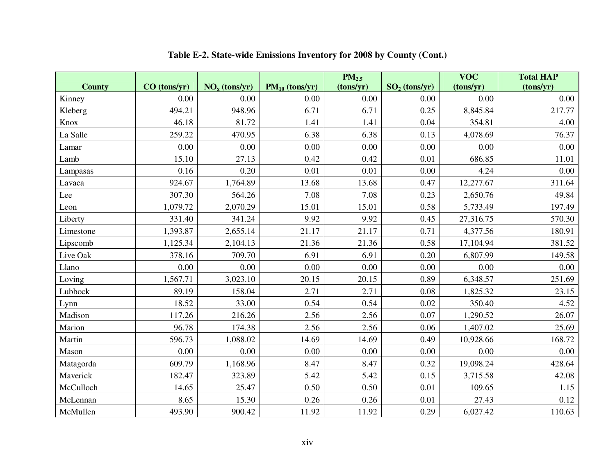|               |                |                 |                     | PM <sub>2.5</sub> |                 | <b>VOC</b> | <b>Total HAP</b> |
|---------------|----------------|-----------------|---------------------|-------------------|-----------------|------------|------------------|
| <b>County</b> | $CO$ (tons/yr) | $NOx$ (tons/yr) | $PM_{10}$ (tons/yr) | (tons/yr)         | $SO2$ (tons/yr) | (tons/yr)  | (tons/yr)        |
| Kinney        | 0.00           | 0.00            | 0.00                | 0.00              | 0.00            | 0.00       | 0.00             |
| Kleberg       | 494.21         | 948.96          | 6.71                | 6.71              | 0.25            | 8,845.84   | 217.77           |
| Knox          | 46.18          | 81.72           | 1.41                | 1.41              | 0.04            | 354.81     | 4.00             |
| La Salle      | 259.22         | 470.95          | 6.38                | 6.38              | 0.13            | 4,078.69   | 76.37            |
| Lamar         | 0.00           | 0.00            | 0.00                | 0.00              | 0.00            | 0.00       | 0.00             |
| Lamb          | 15.10          | 27.13           | 0.42                | 0.42              | 0.01            | 686.85     | 11.01            |
| Lampasas      | 0.16           | 0.20            | 0.01                | 0.01              | 0.00            | 4.24       | 0.00             |
| Lavaca        | 924.67         | 1,764.89        | 13.68               | 13.68             | 0.47            | 12,277.67  | 311.64           |
| Lee           | 307.30         | 564.26          | 7.08                | 7.08              | 0.23            | 2,650.76   | 49.84            |
| Leon          | 1,079.72       | 2,070.29        | 15.01               | 15.01             | 0.58            | 5,733.49   | 197.49           |
| Liberty       | 331.40         | 341.24          | 9.92                | 9.92              | 0.45            | 27,316.75  | 570.30           |
| Limestone     | 1,393.87       | 2,655.14        | 21.17               | 21.17             | 0.71            | 4,377.56   | 180.91           |
| Lipscomb      | 1,125.34       | 2,104.13        | 21.36               | 21.36             | 0.58            | 17,104.94  | 381.52           |
| Live Oak      | 378.16         | 709.70          | 6.91                | 6.91              | 0.20            | 6,807.99   | 149.58           |
| Llano         | 0.00           | 0.00            | 0.00                | 0.00              | 0.00            | 0.00       | 0.00             |
| Loving        | 1,567.71       | 3,023.10        | 20.15               | 20.15             | 0.89            | 6,348.57   | 251.69           |
| Lubbock       | 89.19          | 158.04          | 2.71                | 2.71              | 0.08            | 1,825.32   | 23.15            |
| Lynn          | 18.52          | 33.00           | 0.54                | 0.54              | 0.02            | 350.40     | 4.52             |
| Madison       | 117.26         | 216.26          | 2.56                | 2.56              | 0.07            | 1,290.52   | 26.07            |
| Marion        | 96.78          | 174.38          | 2.56                | 2.56              | 0.06            | 1,407.02   | 25.69            |
| Martin        | 596.73         | 1,088.02        | 14.69               | 14.69             | 0.49            | 10,928.66  | 168.72           |
| Mason         | 0.00           | 0.00            | 0.00                | 0.00              | 0.00            | 0.00       | 0.00             |
| Matagorda     | 609.79         | 1,168.96        | 8.47                | 8.47              | 0.32            | 19,098.24  | 428.64           |
| Maverick      | 182.47         | 323.89          | 5.42                | 5.42              | 0.15            | 3,715.58   | 42.08            |
| McCulloch     | 14.65          | 25.47           | 0.50                | 0.50              | 0.01            | 109.65     | 1.15             |
| McLennan      | 8.65           | 15.30           | 0.26                | 0.26              | 0.01            | 27.43      | 0.12             |
| McMullen      | 493.90         | 900.42          | 11.92               | 11.92             | 0.29            | 6,027.42   | 110.63           |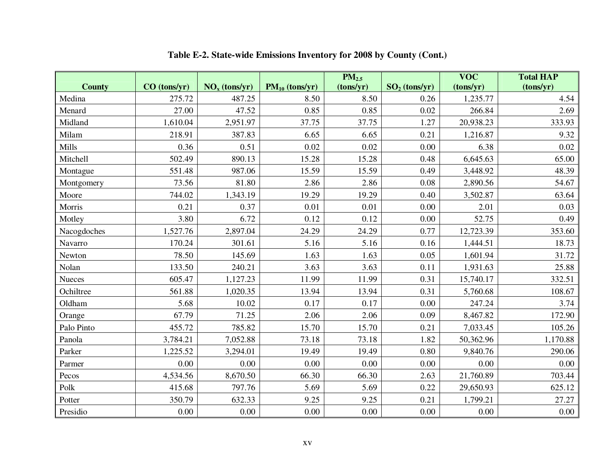|               |                |                 |                     | $PM_{2.5}$ |                 | <b>VOC</b> | <b>Total HAP</b> |
|---------------|----------------|-----------------|---------------------|------------|-----------------|------------|------------------|
| <b>County</b> | $CO$ (tons/yr) | $NOx$ (tons/yr) | $PM_{10}$ (tons/yr) | (tons/yr)  | $SO2$ (tons/yr) | (tons/yr)  | (tons/yr)        |
| Medina        | 275.72         | 487.25          | 8.50                | 8.50       | 0.26            | 1,235.77   | 4.54             |
| Menard        | 27.00          | 47.52           | 0.85                | 0.85       | 0.02            | 266.84     | 2.69             |
| Midland       | 1,610.04       | 2,951.97        | 37.75               | 37.75      | 1.27            | 20,938.23  | 333.93           |
| Milam         | 218.91         | 387.83          | 6.65                | 6.65       | 0.21            | 1,216.87   | 9.32             |
| Mills         | 0.36           | 0.51            | 0.02                | 0.02       | 0.00            | 6.38       | 0.02             |
| Mitchell      | 502.49         | 890.13          | 15.28               | 15.28      | 0.48            | 6,645.63   | 65.00            |
| Montague      | 551.48         | 987.06          | 15.59               | 15.59      | 0.49            | 3,448.92   | 48.39            |
| Montgomery    | 73.56          | 81.80           | 2.86                | 2.86       | 0.08            | 2,890.56   | 54.67            |
| Moore         | 744.02         | 1,343.19        | 19.29               | 19.29      | 0.40            | 3,502.87   | 63.64            |
| Morris        | 0.21           | 0.37            | 0.01                | 0.01       | 0.00            | 2.01       | 0.03             |
| Motley        | 3.80           | 6.72            | 0.12                | 0.12       | 0.00            | 52.75      | 0.49             |
| Nacogdoches   | 1,527.76       | 2,897.04        | 24.29               | 24.29      | 0.77            | 12,723.39  | 353.60           |
| Navarro       | 170.24         | 301.61          | 5.16                | 5.16       | 0.16            | 1,444.51   | 18.73            |
| Newton        | 78.50          | 145.69          | 1.63                | 1.63       | 0.05            | 1,601.94   | 31.72            |
| Nolan         | 133.50         | 240.21          | 3.63                | 3.63       | 0.11            | 1,931.63   | 25.88            |
| Nueces        | 605.47         | 1,127.23        | 11.99               | 11.99      | 0.31            | 15,740.17  | 332.51           |
| Ochiltree     | 561.88         | 1,020.35        | 13.94               | 13.94      | 0.31            | 5,760.68   | 108.67           |
| Oldham        | 5.68           | 10.02           | 0.17                | 0.17       | 0.00            | 247.24     | 3.74             |
| Orange        | 67.79          | 71.25           | 2.06                | 2.06       | 0.09            | 8,467.82   | 172.90           |
| Palo Pinto    | 455.72         | 785.82          | 15.70               | 15.70      | 0.21            | 7,033.45   | 105.26           |
| Panola        | 3,784.21       | 7,052.88        | 73.18               | 73.18      | 1.82            | 50,362.96  | 1,170.88         |
| Parker        | 1,225.52       | 3,294.01        | 19.49               | 19.49      | 0.80            | 9,840.76   | 290.06           |
| Parmer        | 0.00           | 0.00            | 0.00                | 0.00       | 0.00            | 0.00       | 0.00             |
| Pecos         | 4,534.56       | 8,670.50        | 66.30               | 66.30      | 2.63            | 21,760.89  | 703.44           |
| Polk          | 415.68         | 797.76          | 5.69                | 5.69       | 0.22            | 29,650.93  | 625.12           |
| Potter        | 350.79         | 632.33          | 9.25                | 9.25       | 0.21            | 1,799.21   | 27.27            |
| Presidio      | 0.00           | 0.00            | 0.00                | 0.00       | 0.00            | 0.00       | 0.00             |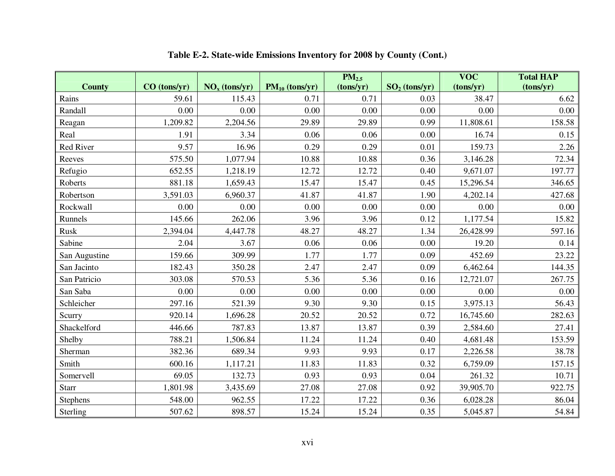|                  |                |                 |                     | PM <sub>2.5</sub> |                 | <b>VOC</b> | <b>Total HAP</b> |
|------------------|----------------|-----------------|---------------------|-------------------|-----------------|------------|------------------|
| <b>County</b>    | $CO$ (tons/yr) | $NOx$ (tons/yr) | $PM_{10}$ (tons/yr) | (tons/yr)         | $SO2$ (tons/yr) | (tons/yr)  | (tons/yr)        |
| Rains            | 59.61          | 115.43          | 0.71                | 0.71              | 0.03            | 38.47      | 6.62             |
| Randall          | 0.00           | 0.00            | 0.00                | 0.00              | 0.00            | 0.00       | 0.00             |
| Reagan           | 1,209.82       | 2,204.56        | 29.89               | 29.89             | 0.99            | 11,808.61  | 158.58           |
| Real             | 1.91           | 3.34            | 0.06                | 0.06              | 0.00            | 16.74      | 0.15             |
| <b>Red River</b> | 9.57           | 16.96           | 0.29                | 0.29              | 0.01            | 159.73     | 2.26             |
| Reeves           | 575.50         | 1,077.94        | 10.88               | 10.88             | 0.36            | 3,146.28   | 72.34            |
| Refugio          | 652.55         | 1,218.19        | 12.72               | 12.72             | 0.40            | 9,671.07   | 197.77           |
| Roberts          | 881.18         | 1,659.43        | 15.47               | 15.47             | 0.45            | 15,296.54  | 346.65           |
| Robertson        | 3,591.03       | 6,960.37        | 41.87               | 41.87             | 1.90            | 4,202.14   | 427.68           |
| Rockwall         | 0.00           | 0.00            | 0.00                | 0.00              | 0.00            | 0.00       | 0.00             |
| Runnels          | 145.66         | 262.06          | 3.96                | 3.96              | 0.12            | 1,177.54   | 15.82            |
| Rusk             | 2,394.04       | 4,447.78        | 48.27               | 48.27             | 1.34            | 26,428.99  | 597.16           |
| Sabine           | 2.04           | 3.67            | 0.06                | 0.06              | 0.00            | 19.20      | 0.14             |
| San Augustine    | 159.66         | 309.99          | 1.77                | 1.77              | 0.09            | 452.69     | 23.22            |
| San Jacinto      | 182.43         | 350.28          | 2.47                | 2.47              | 0.09            | 6,462.64   | 144.35           |
| San Patricio     | 303.08         | 570.53          | 5.36                | 5.36              | 0.16            | 12,721.07  | 267.75           |
| San Saba         | 0.00           | 0.00            | 0.00                | 0.00              | 0.00            | 0.00       | 0.00             |
| Schleicher       | 297.16         | 521.39          | 9.30                | 9.30              | 0.15            | 3,975.13   | 56.43            |
| Scurry           | 920.14         | 1,696.28        | 20.52               | 20.52             | 0.72            | 16,745.60  | 282.63           |
| Shackelford      | 446.66         | 787.83          | 13.87               | 13.87             | 0.39            | 2,584.60   | 27.41            |
| Shelby           | 788.21         | 1,506.84        | 11.24               | 11.24             | 0.40            | 4,681.48   | 153.59           |
| Sherman          | 382.36         | 689.34          | 9.93                | 9.93              | 0.17            | 2,226.58   | 38.78            |
| Smith            | 600.16         | 1,117.21        | 11.83               | 11.83             | 0.32            | 6,759.09   | 157.15           |
| Somervell        | 69.05          | 132.73          | 0.93                | 0.93              | 0.04            | 261.32     | 10.71            |
| <b>Starr</b>     | 1,801.98       | 3,435.69        | 27.08               | 27.08             | 0.92            | 39,905.70  | 922.75           |
| <b>Stephens</b>  | 548.00         | 962.55          | 17.22               | 17.22             | 0.36            | 6,028.28   | 86.04            |
| Sterling         | 507.62         | 898.57          | 15.24               | 15.24             | 0.35            | 5,045.87   | 54.84            |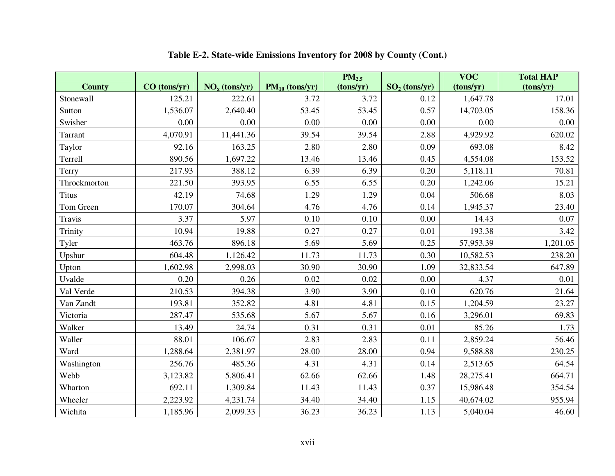|               |              |                 |                     | PM <sub>2.5</sub> |                 | <b>VOC</b> | <b>Total HAP</b> |
|---------------|--------------|-----------------|---------------------|-------------------|-----------------|------------|------------------|
| <b>County</b> | CO (tons/yr) | $NOx$ (tons/yr) | $PM_{10}$ (tons/yr) | (tons/yr)         | $SO2$ (tons/yr) | (tons/yr)  | (tons/yr)        |
| Stonewall     | 125.21       | 222.61          | 3.72                | 3.72              | 0.12            | 1,647.78   | 17.01            |
| Sutton        | 1,536.07     | 2,640.40        | 53.45               | 53.45             | 0.57            | 14,703.05  | 158.36           |
| Swisher       | 0.00         | 0.00            | 0.00                | 0.00              | 0.00            | 0.00       | 0.00             |
| Tarrant       | 4,070.91     | 11,441.36       | 39.54               | 39.54             | 2.88            | 4,929.92   | 620.02           |
| Taylor        | 92.16        | 163.25          | 2.80                | 2.80              | 0.09            | 693.08     | 8.42             |
| Terrell       | 890.56       | 1,697.22        | 13.46               | 13.46             | 0.45            | 4,554.08   | 153.52           |
| Terry         | 217.93       | 388.12          | 6.39                | 6.39              | 0.20            | 5,118.11   | 70.81            |
| Throckmorton  | 221.50       | 393.95          | 6.55                | 6.55              | 0.20            | 1,242.06   | 15.21            |
| <b>Titus</b>  | 42.19        | 74.68           | 1.29                | 1.29              | 0.04            | 506.68     | 8.03             |
| Tom Green     | 170.07       | 304.64          | 4.76                | 4.76              | 0.14            | 1,945.37   | 23.40            |
| Travis        | 3.37         | 5.97            | 0.10                | 0.10              | 0.00            | 14.43      | 0.07             |
| Trinity       | 10.94        | 19.88           | 0.27                | 0.27              | 0.01            | 193.38     | 3.42             |
| Tyler         | 463.76       | 896.18          | 5.69                | 5.69              | 0.25            | 57,953.39  | 1,201.05         |
| Upshur        | 604.48       | 1,126.42        | 11.73               | 11.73             | 0.30            | 10,582.53  | 238.20           |
| Upton         | 1,602.98     | 2,998.03        | 30.90               | 30.90             | 1.09            | 32,833.54  | 647.89           |
| Uvalde        | 0.20         | 0.26            | 0.02                | 0.02              | 0.00            | 4.37       | 0.01             |
| Val Verde     | 210.53       | 394.38          | 3.90                | 3.90              | 0.10            | 620.76     | 21.64            |
| Van Zandt     | 193.81       | 352.82          | 4.81                | 4.81              | 0.15            | 1,204.59   | 23.27            |
| Victoria      | 287.47       | 535.68          | 5.67                | 5.67              | 0.16            | 3,296.01   | 69.83            |
| Walker        | 13.49        | 24.74           | 0.31                | 0.31              | 0.01            | 85.26      | 1.73             |
| Waller        | 88.01        | 106.67          | 2.83                | 2.83              | 0.11            | 2,859.24   | 56.46            |
| Ward          | 1,288.64     | 2,381.97        | 28.00               | 28.00             | 0.94            | 9,588.88   | 230.25           |
| Washington    | 256.76       | 485.36          | 4.31                | 4.31              | 0.14            | 2,513.65   | 64.54            |
| Webb          | 3,123.82     | 5,806.41        | 62.66               | 62.66             | 1.48            | 28,275.41  | 664.71           |
| Wharton       | 692.11       | 1,309.84        | 11.43               | 11.43             | 0.37            | 15,986.48  | 354.54           |
| Wheeler       | 2,223.92     | 4,231.74        | 34.40               | 34.40             | 1.15            | 40,674.02  | 955.94           |
| Wichita       | 1,185.96     | 2,099.33        | 36.23               | 36.23             | 1.13            | 5,040.04   | 46.60            |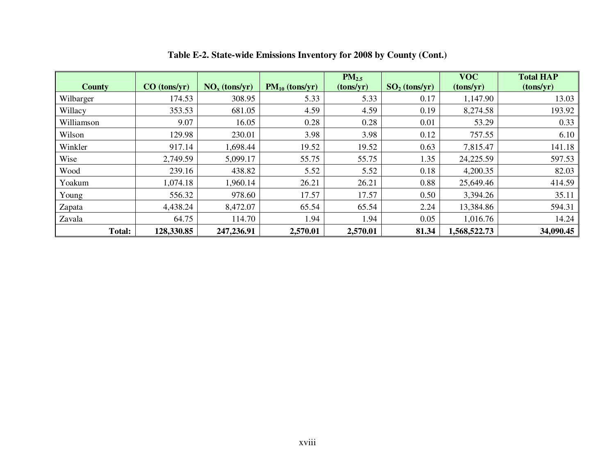| <b>County</b> | CO (tons/yr) | $NOx$ (tons/yr) | $PM_{10}$ (tons/yr) | $PM_{2.5}$<br>(tons/yr) | $SO2$ (tons/yr) | <b>VOC</b><br>(tons/yr) | <b>Total HAP</b><br>(tons/yr) |
|---------------|--------------|-----------------|---------------------|-------------------------|-----------------|-------------------------|-------------------------------|
| Wilbarger     | 174.53       | 308.95          | 5.33                | 5.33                    | 0.17            | 1,147.90                | 13.03                         |
| Willacy       | 353.53       | 681.05          | 4.59                | 4.59                    | 0.19            | 8,274.58                | 193.92                        |
| Williamson    | 9.07         | 16.05           | 0.28                | 0.28                    | 0.01            | 53.29                   | 0.33                          |
| Wilson        | 129.98       | 230.01          | 3.98                | 3.98                    | 0.12            | 757.55                  | 6.10                          |
| Winkler       | 917.14       | 1,698.44        | 19.52               | 19.52                   | 0.63            | 7,815.47                | 141.18                        |
| Wise          | 2,749.59     | 5,099.17        | 55.75               | 55.75                   | 1.35            | 24,225.59               | 597.53                        |
| Wood          | 239.16       | 438.82          | 5.52                | 5.52                    | 0.18            | 4,200.35                | 82.03                         |
| Yoakum        | 1,074.18     | 1,960.14        | 26.21               | 26.21                   | 0.88            | 25,649.46               | 414.59                        |
| Young         | 556.32       | 978.60          | 17.57               | 17.57                   | 0.50            | 3,394.26                | 35.11                         |
| Zapata        | 4,438.24     | 8,472.07        | 65.54               | 65.54                   | 2.24            | 13,384.86               | 594.31                        |
| Zavala        | 64.75        | 114.70          | 1.94                | 1.94                    | 0.05            | 1,016.76                | 14.24                         |
| Total:        | 128,330.85   | 247,236.91      | 2,570.01            | 2,570.01                | 81.34           | 1,568,522.73            | 34,090.45                     |

**Table E-2. State-wide Emissions Inventory for 2008 by County (Cont.)**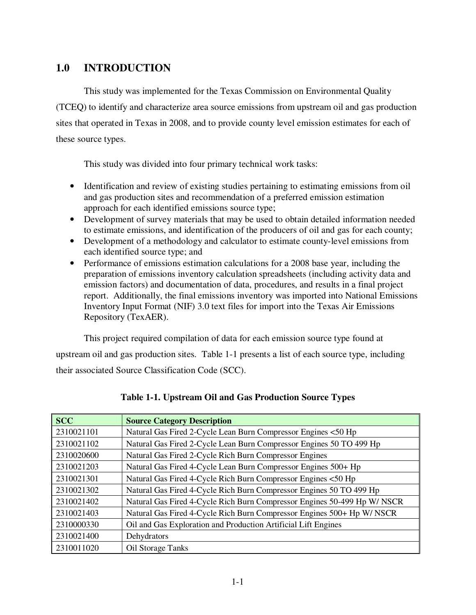# **1.0 INTRODUCTION**

This study was implemented for the Texas Commission on Environmental Quality (TCEQ) to identify and characterize area source emissions from upstream oil and gas production sites that operated in Texas in 2008, and to provide county level emission estimates for each of these source types.

This study was divided into four primary technical work tasks:

- Identification and review of existing studies pertaining to estimating emissions from oil and gas production sites and recommendation of a preferred emission estimation approach for each identified emissions source type;
- Development of survey materials that may be used to obtain detailed information needed to estimate emissions, and identification of the producers of oil and gas for each county;
- Development of a methodology and calculator to estimate county-level emissions from each identified source type; and
- Performance of emissions estimation calculations for a 2008 base year, including the preparation of emissions inventory calculation spreadsheets (including activity data and emission factors) and documentation of data, procedures, and results in a final project report. Additionally, the final emissions inventory was imported into National Emissions Inventory Input Format (NIF) 3.0 text files for import into the Texas Air Emissions Repository (TexAER).

This project required compilation of data for each emission source type found at

upstream oil and gas production sites. Table 1-1 presents a list of each source type, including their associated Source Classification Code (SCC).

| <b>SCC</b> | <b>Source Category Description</b>                                       |
|------------|--------------------------------------------------------------------------|
| 2310021101 | Natural Gas Fired 2-Cycle Lean Burn Compressor Engines <50 Hp            |
| 2310021102 | Natural Gas Fired 2-Cycle Lean Burn Compressor Engines 50 TO 499 Hp      |
| 2310020600 | Natural Gas Fired 2-Cycle Rich Burn Compressor Engines                   |
| 2310021203 | Natural Gas Fired 4-Cycle Lean Burn Compressor Engines 500+ Hp           |
| 2310021301 | Natural Gas Fired 4-Cycle Rich Burn Compressor Engines <50 Hp            |
| 2310021302 | Natural Gas Fired 4-Cycle Rich Burn Compressor Engines 50 TO 499 Hp      |
| 2310021402 | Natural Gas Fired 4-Cycle Rich Burn Compressor Engines 50-499 Hp W/ NSCR |
| 2310021403 | Natural Gas Fired 4-Cycle Rich Burn Compressor Engines 500+ Hp W/ NSCR   |
| 2310000330 | Oil and Gas Exploration and Production Artificial Lift Engines           |
| 2310021400 | Dehydrators                                                              |
| 2310011020 | Oil Storage Tanks                                                        |

|  | Table 1-1. Upstream Oil and Gas Production Source Types |  |  |  |  |  |
|--|---------------------------------------------------------|--|--|--|--|--|
|--|---------------------------------------------------------|--|--|--|--|--|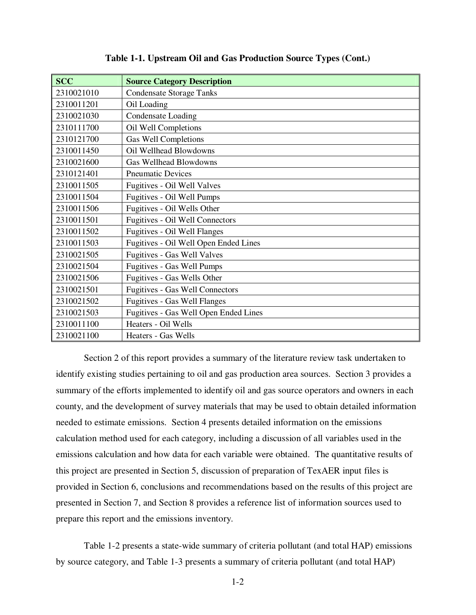| <b>SCC</b> | <b>Source Category Description</b>     |
|------------|----------------------------------------|
| 2310021010 | <b>Condensate Storage Tanks</b>        |
| 2310011201 | Oil Loading                            |
| 2310021030 | <b>Condensate Loading</b>              |
| 2310111700 | Oil Well Completions                   |
| 2310121700 | <b>Gas Well Completions</b>            |
| 2310011450 | Oil Wellhead Blowdowns                 |
| 2310021600 | Gas Wellhead Blowdowns                 |
| 2310121401 | <b>Pneumatic Devices</b>               |
| 2310011505 | Fugitives - Oil Well Valves            |
| 2310011504 | Fugitives - Oil Well Pumps             |
| 2310011506 | Fugitives - Oil Wells Other            |
| 2310011501 | Fugitives - Oil Well Connectors        |
| 2310011502 | Fugitives - Oil Well Flanges           |
| 2310011503 | Fugitives - Oil Well Open Ended Lines  |
| 2310021505 | Fugitives - Gas Well Valves            |
| 2310021504 | <b>Fugitives - Gas Well Pumps</b>      |
| 2310021506 | Fugitives - Gas Wells Other            |
| 2310021501 | <b>Fugitives - Gas Well Connectors</b> |
| 2310021502 | <b>Fugitives - Gas Well Flanges</b>    |
| 2310021503 | Fugitives - Gas Well Open Ended Lines  |
| 2310011100 | Heaters - Oil Wells                    |
| 2310021100 | Heaters - Gas Wells                    |

**Table 1-1. Upstream Oil and Gas Production Source Types (Cont.)** 

 Section 2 of this report provides a summary of the literature review task undertaken to identify existing studies pertaining to oil and gas production area sources. Section 3 provides a summary of the efforts implemented to identify oil and gas source operators and owners in each county, and the development of survey materials that may be used to obtain detailed information needed to estimate emissions. Section 4 presents detailed information on the emissions calculation method used for each category, including a discussion of all variables used in the emissions calculation and how data for each variable were obtained. The quantitative results of this project are presented in Section 5, discussion of preparation of TexAER input files is provided in Section 6, conclusions and recommendations based on the results of this project are presented in Section 7, and Section 8 provides a reference list of information sources used to prepare this report and the emissions inventory.

 Table 1-2 presents a state-wide summary of criteria pollutant (and total HAP) emissions by source category, and Table 1-3 presents a summary of criteria pollutant (and total HAP)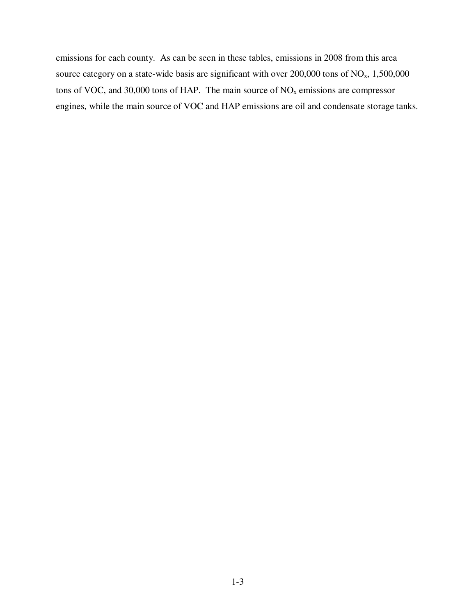emissions for each county. As can be seen in these tables, emissions in 2008 from this area source category on a state-wide basis are significant with over  $200,000$  tons of  $NO<sub>x</sub>$ , 1,500,000 tons of VOC, and 30,000 tons of HAP. The main source of  $NO<sub>x</sub>$  emissions are compressor engines, while the main source of VOC and HAP emissions are oil and condensate storage tanks.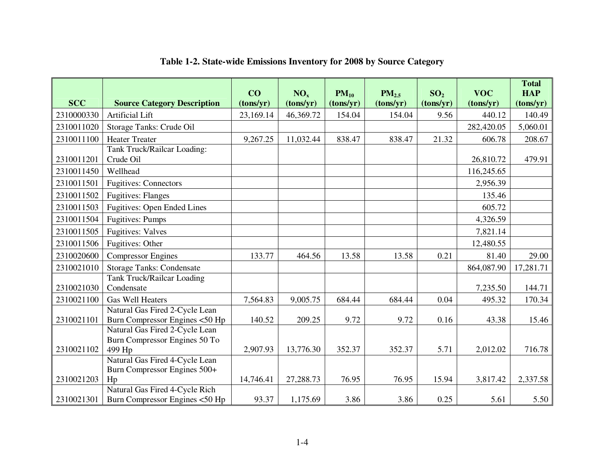| <b>SCC</b> | <b>Source Category Description</b>                                               | CO<br>(tons/yr) | NO <sub>x</sub><br>(tons/yr) | $PM_{10}$<br>(tons/yr) | $PM_{2.5}$<br>(tons/yr) | SO <sub>2</sub><br>(tons/yr) | <b>VOC</b><br>(tons/yr) | <b>Total</b><br><b>HAP</b><br>(tons/yr) |
|------------|----------------------------------------------------------------------------------|-----------------|------------------------------|------------------------|-------------------------|------------------------------|-------------------------|-----------------------------------------|
| 2310000330 | <b>Artificial Lift</b>                                                           | 23,169.14       | 46,369.72                    | 154.04                 | 154.04                  | 9.56                         | 440.12                  | 140.49                                  |
| 2310011020 | Storage Tanks: Crude Oil                                                         |                 |                              |                        |                         |                              | 282,420.05              | 5,060.01                                |
| 2310011100 | <b>Heater Treater</b>                                                            | 9,267.25        | 11,032.44                    | 838.47                 | 838.47                  | 21.32                        | 606.78                  | 208.67                                  |
| 2310011201 | Tank Truck/Railcar Loading:<br>Crude Oil                                         |                 |                              |                        |                         |                              | 26,810.72               | 479.91                                  |
| 2310011450 | Wellhead                                                                         |                 |                              |                        |                         |                              | 116,245.65              |                                         |
| 2310011501 | <b>Fugitives: Connectors</b>                                                     |                 |                              |                        |                         |                              | 2,956.39                |                                         |
| 2310011502 | <b>Fugitives: Flanges</b>                                                        |                 |                              |                        |                         |                              | 135.46                  |                                         |
| 2310011503 | <b>Fugitives: Open Ended Lines</b>                                               |                 |                              |                        |                         |                              | 605.72                  |                                         |
| 2310011504 | <b>Fugitives: Pumps</b>                                                          |                 |                              |                        |                         |                              | 4,326.59                |                                         |
| 2310011505 | <b>Fugitives: Valves</b>                                                         |                 |                              |                        |                         |                              | 7,821.14                |                                         |
| 2310011506 | Fugitives: Other                                                                 |                 |                              |                        |                         |                              | 12,480.55               |                                         |
| 2310020600 | <b>Compressor Engines</b>                                                        | 133.77          | 464.56                       | 13.58                  | 13.58                   | 0.21                         | 81.40                   | 29.00                                   |
| 2310021010 | <b>Storage Tanks: Condensate</b>                                                 |                 |                              |                        |                         |                              | 864,087.90              | 17,281.71                               |
| 2310021030 | <b>Tank Truck/Railcar Loading</b><br>Condensate                                  |                 |                              |                        |                         |                              | 7,235.50                | 144.71                                  |
| 2310021100 | <b>Gas Well Heaters</b>                                                          | 7,564.83        | 9,005.75                     | 684.44                 | 684.44                  | 0.04                         | 495.32                  | 170.34                                  |
| 2310021101 | Natural Gas Fired 2-Cycle Lean<br>Burn Compressor Engines <50 Hp                 | 140.52          | 209.25                       | 9.72                   | 9.72                    | 0.16                         | 43.38                   | 15.46                                   |
| 2310021102 | Natural Gas Fired 2-Cycle Lean<br>Burn Compressor Engines 50 To<br>499 Hp        | 2,907.93        | 13,776.30                    | 352.37                 | 352.37                  | 5.71                         | 2,012.02                | 716.78                                  |
| 2310021203 | Natural Gas Fired 4-Cycle Lean<br>Burn Compressor Engines 500+<br>H <sub>p</sub> | 14,746.41       | 27,288.73                    | 76.95                  | 76.95                   | 15.94                        | 3,817.42                | 2,337.58                                |
| 2310021301 | Natural Gas Fired 4-Cycle Rich<br>Burn Compressor Engines <50 Hp                 | 93.37           | 1,175.69                     | 3.86                   | 3.86                    | 0.25                         | 5.61                    | 5.50                                    |

### **Table 1-2. State-wide Emissions Inventory for 2008 by Source Category**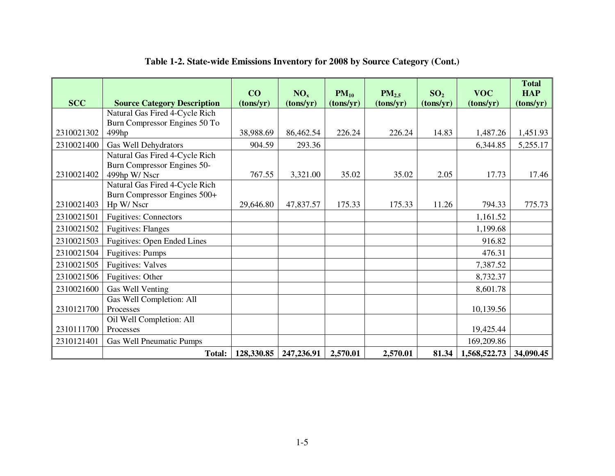|            |                                             | CO         | NO <sub>x</sub> | $PM_{10}$ | $PM_{2.5}$ | SO <sub>2</sub> | <b>VOC</b>   | <b>Total</b><br><b>HAP</b> |
|------------|---------------------------------------------|------------|-----------------|-----------|------------|-----------------|--------------|----------------------------|
| <b>SCC</b> | <b>Source Category Description</b>          | (tons/yr)  | (tons/yr)       | (tons/yr) | (tons/yr)  | (tons/yr)       | (tons/yr)    | (tons/yr)                  |
|            | Natural Gas Fired 4-Cycle Rich              |            |                 |           |            |                 |              |                            |
|            | Burn Compressor Engines 50 To               |            |                 |           |            |                 |              |                            |
| 2310021302 | 499hp                                       | 38,988.69  | 86,462.54       | 226.24    | 226.24     | 14.83           | 1,487.26     | 1,451.93                   |
| 2310021400 | Gas Well Dehydrators                        | 904.59     | 293.36          |           |            |                 | 6,344.85     | 5,255.17                   |
|            | Natural Gas Fired 4-Cycle Rich              |            |                 |           |            |                 |              |                            |
| 2310021402 | Burn Compressor Engines 50-<br>499hp W/Nscr | 767.55     | 3,321.00        | 35.02     | 35.02      | 2.05            | 17.73        | 17.46                      |
|            | Natural Gas Fired 4-Cycle Rich              |            |                 |           |            |                 |              |                            |
|            | Burn Compressor Engines 500+                |            |                 |           |            |                 |              |                            |
| 2310021403 | Hp W/ Nscr                                  | 29,646.80  | 47,837.57       | 175.33    | 175.33     | 11.26           | 794.33       | 775.73                     |
| 2310021501 | <b>Fugitives: Connectors</b>                |            |                 |           |            |                 | 1,161.52     |                            |
| 2310021502 | <b>Fugitives: Flanges</b>                   |            |                 |           |            |                 | 1,199.68     |                            |
| 2310021503 | <b>Fugitives: Open Ended Lines</b>          |            |                 |           |            |                 | 916.82       |                            |
| 2310021504 | <b>Fugitives: Pumps</b>                     |            |                 |           |            |                 | 476.31       |                            |
| 2310021505 | <b>Fugitives: Valves</b>                    |            |                 |           |            |                 | 7,387.52     |                            |
| 2310021506 | Fugitives: Other                            |            |                 |           |            |                 | 8,732.37     |                            |
| 2310021600 | Gas Well Venting                            |            |                 |           |            |                 | 8,601.78     |                            |
|            | Gas Well Completion: All                    |            |                 |           |            |                 |              |                            |
| 2310121700 | Processes                                   |            |                 |           |            |                 | 10,139.56    |                            |
|            | Oil Well Completion: All                    |            |                 |           |            |                 |              |                            |
| 2310111700 | Processes                                   |            |                 |           |            |                 | 19,425.44    |                            |
| 2310121401 | Gas Well Pneumatic Pumps                    |            |                 |           |            |                 | 169,209.86   |                            |
|            | Total:                                      | 128,330.85 | 247,236.91      | 2,570.01  | 2,570.01   | 81.34           | 1,568,522.73 | 34,090.45                  |

### **Table 1-2. State-wide Emissions Inventory for 2008 by Source Category (Cont.)**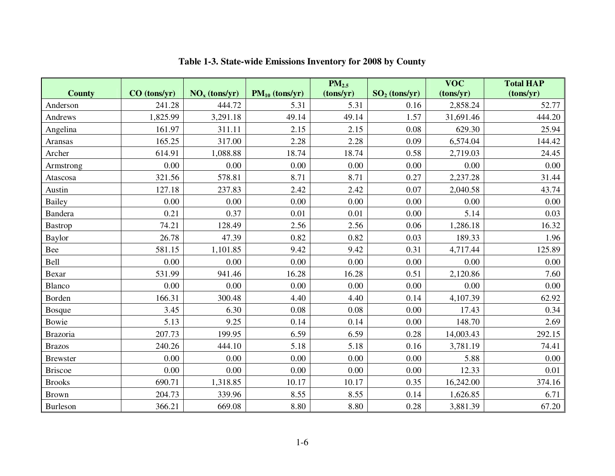|                 |              |                 |                     | PM <sub>2.5</sub> |                 | $\overline{\text{VOC}}$ | <b>Total HAP</b> |
|-----------------|--------------|-----------------|---------------------|-------------------|-----------------|-------------------------|------------------|
| <b>County</b>   | CO (tons/yr) | $NOx$ (tons/yr) | $PM_{10}$ (tons/yr) | (tons/yr)         | $SO2$ (tons/yr) | (tons/yr)               | (tons/yr)        |
| Anderson        | 241.28       | 444.72          | 5.31                | 5.31              | 0.16            | 2,858.24                | 52.77            |
| Andrews         | 1,825.99     | 3,291.18        | 49.14               | 49.14             | 1.57            | 31,691.46               | 444.20           |
| Angelina        | 161.97       | 311.11          | 2.15                | 2.15              | 0.08            | 629.30                  | 25.94            |
| Aransas         | 165.25       | 317.00          | 2.28                | 2.28              | 0.09            | 6,574.04                | 144.42           |
| Archer          | 614.91       | 1,088.88        | 18.74               | 18.74             | 0.58            | 2,719.03                | 24.45            |
| Armstrong       | 0.00         | 0.00            | 0.00                | 0.00              | 0.00            | 0.00                    | 0.00             |
| Atascosa        | 321.56       | 578.81          | 8.71                | 8.71              | 0.27            | 2,237.28                | 31.44            |
| Austin          | 127.18       | 237.83          | 2.42                | 2.42              | 0.07            | 2,040.58                | 43.74            |
| <b>Bailey</b>   | 0.00         | 0.00            | 0.00                | 0.00              | 0.00            | 0.00                    | 0.00             |
| Bandera         | 0.21         | 0.37            | 0.01                | 0.01              | 0.00            | 5.14                    | 0.03             |
| <b>Bastrop</b>  | 74.21        | 128.49          | 2.56                | 2.56              | 0.06            | 1,286.18                | 16.32            |
| <b>Baylor</b>   | 26.78        | 47.39           | 0.82                | 0.82              | 0.03            | 189.33                  | 1.96             |
| Bee             | 581.15       | 1,101.85        | 9.42                | 9.42              | 0.31            | 4,717.44                | 125.89           |
| Bell            | 0.00         | 0.00            | 0.00                | 0.00              | 0.00            | 0.00                    | 0.00             |
| Bexar           | 531.99       | 941.46          | 16.28               | 16.28             | 0.51            | 2,120.86                | 7.60             |
| Blanco          | 0.00         | 0.00            | 0.00                | 0.00              | 0.00            | 0.00                    | 0.00             |
| Borden          | 166.31       | 300.48          | 4.40                | 4.40              | 0.14            | 4,107.39                | 62.92            |
| <b>Bosque</b>   | 3.45         | 6.30            | 0.08                | 0.08              | 0.00            | 17.43                   | 0.34             |
| Bowie           | 5.13         | 9.25            | 0.14                | 0.14              | 0.00            | 148.70                  | 2.69             |
| Brazoria        | 207.73       | 199.95          | 6.59                | 6.59              | 0.28            | 14,003.43               | 292.15           |
| <b>Brazos</b>   | 240.26       | 444.10          | 5.18                | 5.18              | 0.16            | 3,781.19                | 74.41            |
| <b>Brewster</b> | 0.00         | 0.00            | 0.00                | 0.00              | 0.00            | 5.88                    | 0.00             |
| <b>Briscoe</b>  | 0.00         | 0.00            | 0.00                | 0.00              | 0.00            | 12.33                   | 0.01             |
| <b>Brooks</b>   | 690.71       | 1,318.85        | 10.17               | 10.17             | 0.35            | 16,242.00               | 374.16           |
| Brown           | 204.73       | 339.96          | 8.55                | 8.55              | 0.14            | 1,626.85                | 6.71             |
| Burleson        | 366.21       | 669.08          | 8.80                | 8.80              | 0.28            | 3,881.39                | 67.20            |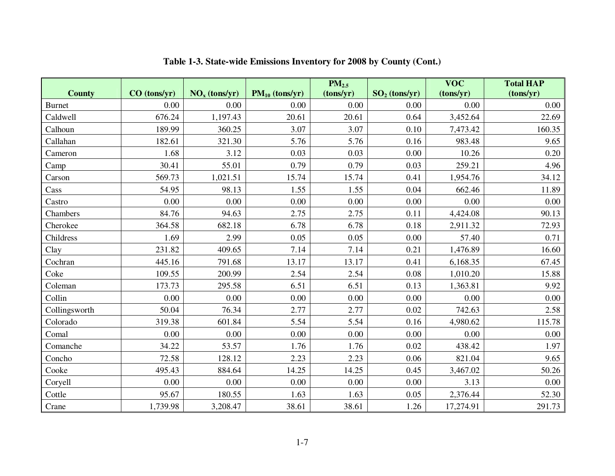|               |              |                 |                     | PM <sub>2.5</sub> |                 | $\overline{\text{VOC}}$ | <b>Total HAP</b> |
|---------------|--------------|-----------------|---------------------|-------------------|-----------------|-------------------------|------------------|
| <b>County</b> | CO (tons/yr) | $NOx$ (tons/yr) | $PM_{10}$ (tons/yr) | (tons/yr)         | $SO2$ (tons/yr) | (tons/yr)               | (tons/yr)        |
| Burnet        | 0.00         | 0.00            | 0.00                | 0.00              | 0.00            | 0.00                    | 0.00             |
| Caldwell      | 676.24       | 1,197.43        | 20.61               | 20.61             | 0.64            | 3,452.64                | 22.69            |
| Calhoun       | 189.99       | 360.25          | 3.07                | 3.07              | 0.10            | 7,473.42                | 160.35           |
| Callahan      | 182.61       | 321.30          | 5.76                | 5.76              | 0.16            | 983.48                  | 9.65             |
| Cameron       | 1.68         | 3.12            | 0.03                | 0.03              | 0.00            | 10.26                   | 0.20             |
| Camp          | 30.41        | 55.01           | 0.79                | 0.79              | 0.03            | 259.21                  | 4.96             |
| Carson        | 569.73       | 1,021.51        | 15.74               | 15.74             | 0.41            | 1,954.76                | 34.12            |
| Cass          | 54.95        | 98.13           | 1.55                | 1.55              | 0.04            | 662.46                  | 11.89            |
| Castro        | 0.00         | 0.00            | 0.00                | 0.00              | 0.00            | 0.00                    | 0.00             |
| Chambers      | 84.76        | 94.63           | 2.75                | 2.75              | 0.11            | 4,424.08                | 90.13            |
| Cherokee      | 364.58       | 682.18          | 6.78                | 6.78              | 0.18            | 2,911.32                | 72.93            |
| Childress     | 1.69         | 2.99            | 0.05                | 0.05              | 0.00            | 57.40                   | 0.71             |
| Clay          | 231.82       | 409.65          | 7.14                | 7.14              | 0.21            | 1,476.89                | 16.60            |
| Cochran       | 445.16       | 791.68          | 13.17               | 13.17             | 0.41            | 6,168.35                | 67.45            |
| Coke          | 109.55       | 200.99          | 2.54                | 2.54              | 0.08            | 1,010.20                | 15.88            |
| Coleman       | 173.73       | 295.58          | 6.51                | 6.51              | 0.13            | 1,363.81                | 9.92             |
| Collin        | 0.00         | 0.00            | 0.00                | 0.00              | 0.00            | 0.00                    | 0.00             |
| Collingsworth | 50.04        | 76.34           | 2.77                | 2.77              | 0.02            | 742.63                  | 2.58             |
| Colorado      | 319.38       | 601.84          | 5.54                | 5.54              | 0.16            | 4,980.62                | 115.78           |
| Comal         | 0.00         | 0.00            | 0.00                | 0.00              | 0.00            | 0.00                    | 0.00             |
| Comanche      | 34.22        | 53.57           | 1.76                | 1.76              | 0.02            | 438.42                  | 1.97             |
| Concho        | 72.58        | 128.12          | 2.23                | 2.23              | 0.06            | 821.04                  | 9.65             |
| Cooke         | 495.43       | 884.64          | 14.25               | 14.25             | 0.45            | 3,467.02                | 50.26            |
| Coryell       | 0.00         | 0.00            | 0.00                | 0.00              | 0.00            | 3.13                    | 0.00             |
| Cottle        | 95.67        | 180.55          | 1.63                | 1.63              | 0.05            | 2,376.44                | 52.30            |
| Crane         | 1,739.98     | 3,208.47        | 38.61               | 38.61             | 1.26            | 17,274.91               | 291.73           |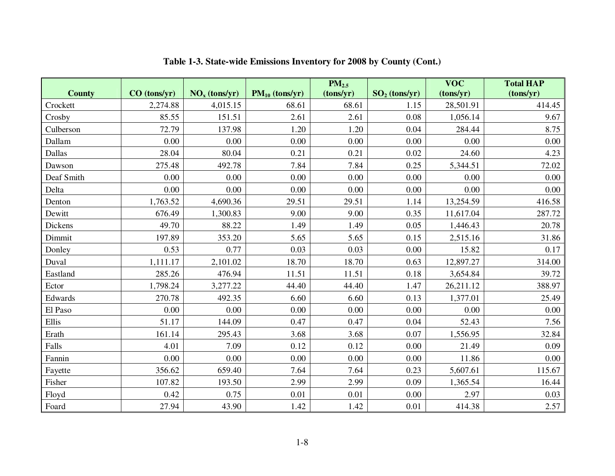|               |              |                 |                     | $PM_{2.5}$ |                 | $\overline{\text{VOC}}$ | <b>Total HAP</b> |
|---------------|--------------|-----------------|---------------------|------------|-----------------|-------------------------|------------------|
| <b>County</b> | CO (tons/yr) | $NOx$ (tons/yr) | $PM_{10}$ (tons/yr) | (tons/yr)  | $SO2$ (tons/yr) | (tons/yr)               | (tons/yr)        |
| Crockett      | 2,274.88     | 4,015.15        | 68.61               | 68.61      | 1.15            | 28,501.91               | 414.45           |
| Crosby        | 85.55        | 151.51          | 2.61                | 2.61       | 0.08            | 1,056.14                | 9.67             |
| Culberson     | 72.79        | 137.98          | 1.20                | 1.20       | 0.04            | 284.44                  | 8.75             |
| Dallam        | 0.00         | 0.00            | 0.00                | 0.00       | 0.00            | 0.00                    | 0.00             |
| Dallas        | 28.04        | 80.04           | 0.21                | 0.21       | 0.02            | 24.60                   | 4.23             |
| Dawson        | 275.48       | 492.78          | 7.84                | 7.84       | 0.25            | 5,344.51                | 72.02            |
| Deaf Smith    | 0.00         | 0.00            | 0.00                | 0.00       | 0.00            | 0.00                    | 0.00             |
| Delta         | 0.00         | 0.00            | 0.00                | 0.00       | 0.00            | 0.00                    | 0.00             |
| Denton        | 1,763.52     | 4,690.36        | 29.51               | 29.51      | 1.14            | 13,254.59               | 416.58           |
| Dewitt        | 676.49       | 1,300.83        | 9.00                | 9.00       | 0.35            | 11,617.04               | 287.72           |
| Dickens       | 49.70        | 88.22           | 1.49                | 1.49       | 0.05            | 1,446.43                | 20.78            |
| Dimmit        | 197.89       | 353.20          | 5.65                | 5.65       | 0.15            | 2,515.16                | 31.86            |
| Donley        | 0.53         | 0.77            | 0.03                | 0.03       | 0.00            | 15.82                   | 0.17             |
| Duval         | 1,111.17     | 2,101.02        | 18.70               | 18.70      | 0.63            | 12,897.27               | 314.00           |
| Eastland      | 285.26       | 476.94          | 11.51               | 11.51      | $0.18\,$        | 3,654.84                | 39.72            |
| Ector         | 1,798.24     | 3,277.22        | 44.40               | 44.40      | 1.47            | 26,211.12               | 388.97           |
| Edwards       | 270.78       | 492.35          | 6.60                | 6.60       | 0.13            | 1,377.01                | 25.49            |
| El Paso       | 0.00         | 0.00            | 0.00                | 0.00       | 0.00            | 0.00                    | 0.00             |
| Ellis         | 51.17        | 144.09          | 0.47                | 0.47       | 0.04            | 52.43                   | 7.56             |
| Erath         | 161.14       | 295.43          | 3.68                | 3.68       | 0.07            | 1,556.95                | 32.84            |
| Falls         | 4.01         | 7.09            | 0.12                | 0.12       | 0.00            | 21.49                   | 0.09             |
| Fannin        | 0.00         | 0.00            | 0.00                | 0.00       | 0.00            | 11.86                   | 0.00             |
| Fayette       | 356.62       | 659.40          | 7.64                | 7.64       | 0.23            | 5,607.61                | 115.67           |
| Fisher        | 107.82       | 193.50          | 2.99                | 2.99       | 0.09            | 1,365.54                | 16.44            |
| Floyd         | 0.42         | 0.75            | 0.01                | 0.01       | 0.00            | 2.97                    | 0.03             |
| Foard         | 27.94        | 43.90           | 1.42                | 1.42       | 0.01            | 414.38                  | 2.57             |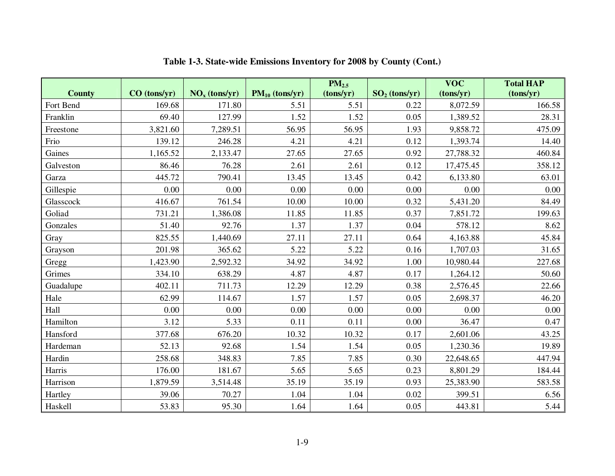|               |              |                                    |                     | PM <sub>2.5</sub> |                 | $\overline{\text{VOC}}$ | <b>Total HAP</b> |
|---------------|--------------|------------------------------------|---------------------|-------------------|-----------------|-------------------------|------------------|
| <b>County</b> | CO (tons/yr) | $\overline{\text{NO}_x}$ (tons/yr) | $PM_{10}$ (tons/yr) | (tons/yr)         | $SO2$ (tons/yr) | (tons/yr)               | (tons/yr)        |
| Fort Bend     | 169.68       | 171.80                             | 5.51                | 5.51              | 0.22            | 8,072.59                | 166.58           |
| Franklin      | 69.40        | 127.99                             | 1.52                | 1.52              | 0.05            | 1,389.52                | 28.31            |
| Freestone     | 3,821.60     | 7,289.51                           | 56.95               | 56.95             | 1.93            | 9,858.72                | 475.09           |
| Frio          | 139.12       | 246.28                             | 4.21                | 4.21              | 0.12            | 1,393.74                | 14.40            |
| Gaines        | 1,165.52     | 2,133.47                           | 27.65               | 27.65             | 0.92            | 27,788.32               | 460.84           |
| Galveston     | 86.46        | 76.28                              | 2.61                | 2.61              | 0.12            | 17,475.45               | 358.12           |
| Garza         | 445.72       | 790.41                             | 13.45               | 13.45             | 0.42            | 6,133.80                | 63.01            |
| Gillespie     | 0.00         | 0.00                               | 0.00                | 0.00              | 0.00            | 0.00                    | 0.00             |
| Glasscock     | 416.67       | 761.54                             | 10.00               | 10.00             | 0.32            | 5,431.20                | 84.49            |
| Goliad        | 731.21       | 1,386.08                           | 11.85               | 11.85             | 0.37            | 7,851.72                | 199.63           |
| Gonzales      | 51.40        | 92.76                              | 1.37                | 1.37              | 0.04            | 578.12                  | 8.62             |
| Gray          | 825.55       | 1,440.69                           | 27.11               | 27.11             | 0.64            | 4,163.88                | 45.84            |
| Grayson       | 201.98       | 365.62                             | 5.22                | 5.22              | 0.16            | 1,707.03                | 31.65            |
| Gregg         | 1,423.90     | 2,592.32                           | 34.92               | 34.92             | 1.00            | 10,980.44               | 227.68           |
| Grimes        | 334.10       | 638.29                             | 4.87                | 4.87              | 0.17            | 1,264.12                | 50.60            |
| Guadalupe     | 402.11       | 711.73                             | 12.29               | 12.29             | 0.38            | 2,576.45                | 22.66            |
| Hale          | 62.99        | 114.67                             | 1.57                | 1.57              | 0.05            | 2,698.37                | 46.20            |
| Hall          | 0.00         | 0.00                               | 0.00                | 0.00              | 0.00            | 0.00                    | 0.00             |
| Hamilton      | 3.12         | 5.33                               | 0.11                | 0.11              | 0.00            | 36.47                   | 0.47             |
| Hansford      | 377.68       | 676.20                             | 10.32               | 10.32             | 0.17            | 2,601.06                | 43.25            |
| Hardeman      | 52.13        | 92.68                              | 1.54                | 1.54              | 0.05            | 1,230.36                | 19.89            |
| Hardin        | 258.68       | 348.83                             | 7.85                | 7.85              | 0.30            | 22,648.65               | 447.94           |
| Harris        | 176.00       | 181.67                             | 5.65                | 5.65              | 0.23            | 8,801.29                | 184.44           |
| Harrison      | 1,879.59     | 3,514.48                           | 35.19               | 35.19             | 0.93            | 25,383.90               | 583.58           |
| Hartley       | 39.06        | 70.27                              | 1.04                | 1.04              | 0.02            | 399.51                  | 6.56             |
| Haskell       | 53.83        | 95.30                              | 1.64                | 1.64              | 0.05            | 443.81                  | 5.44             |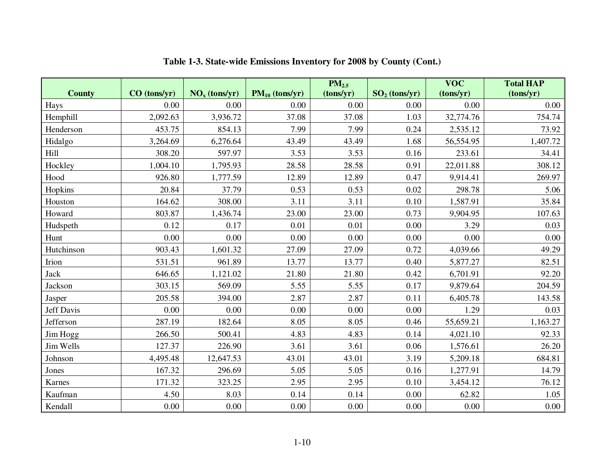|               |              |                 |                     | PM <sub>2.5</sub> |                 | <b>VOC</b> | <b>Total HAP</b> |
|---------------|--------------|-----------------|---------------------|-------------------|-----------------|------------|------------------|
| <b>County</b> | CO (tons/yr) | $NOx$ (tons/yr) | $PM_{10}$ (tons/yr) | (tons/yr)         | $SO2$ (tons/yr) | (tons/yr)  | (tons/yr)        |
| Hays          | 0.00         | 0.00            | 0.00                | 0.00              | 0.00            | 0.00       | 0.00             |
| Hemphill      | 2,092.63     | 3,936.72        | 37.08               | 37.08             | 1.03            | 32,774.76  | 754.74           |
| Henderson     | 453.75       | 854.13          | 7.99                | 7.99              | 0.24            | 2,535.12   | 73.92            |
| Hidalgo       | 3,264.69     | 6,276.64        | 43.49               | 43.49             | 1.68            | 56,554.95  | 1,407.72         |
| Hill          | 308.20       | 597.97          | 3.53                | 3.53              | 0.16            | 233.61     | 34.41            |
| Hockley       | 1,004.10     | 1,795.93        | 28.58               | 28.58             | 0.91            | 22,011.88  | 308.12           |
| Hood          | 926.80       | 1,777.59        | 12.89               | 12.89             | 0.47            | 9,914.41   | 269.97           |
| Hopkins       | 20.84        | 37.79           | 0.53                | 0.53              | 0.02            | 298.78     | 5.06             |
| Houston       | 164.62       | 308.00          | 3.11                | 3.11              | 0.10            | 1,587.91   | 35.84            |
| Howard        | 803.87       | 1,436.74        | 23.00               | 23.00             | 0.73            | 9,904.95   | 107.63           |
| Hudspeth      | 0.12         | 0.17            | 0.01                | 0.01              | 0.00            | 3.29       | 0.03             |
| Hunt          | $0.00\,$     | 0.00            | 0.00                | 0.00              | 0.00            | 0.00       | 0.00             |
| Hutchinson    | 903.43       | 1,601.32        | 27.09               | 27.09             | 0.72            | 4,039.66   | 49.29            |
| Irion         | 531.51       | 961.89          | 13.77               | 13.77             | 0.40            | 5,877.27   | 82.51            |
| Jack          | 646.65       | 1,121.02        | 21.80               | 21.80             | 0.42            | 6,701.91   | 92.20            |
| Jackson       | 303.15       | 569.09          | 5.55                | 5.55              | 0.17            | 9,879.64   | 204.59           |
| Jasper        | 205.58       | 394.00          | 2.87                | 2.87              | 0.11            | 6,405.78   | 143.58           |
| Jeff Davis    | 0.00         | 0.00            | 0.00                | 0.00              | 0.00            | 1.29       | 0.03             |
| Jefferson     | 287.19       | 182.64          | 8.05                | 8.05              | 0.46            | 55,659.21  | 1,163.27         |
| Jim Hogg      | 266.50       | 500.41          | 4.83                | 4.83              | 0.14            | 4,021.10   | 92.33            |
| Jim Wells     | 127.37       | 226.90          | 3.61                | 3.61              | 0.06            | 1,576.61   | 26.20            |
| Johnson       | 4,495.48     | 12,647.53       | 43.01               | 43.01             | 3.19            | 5,209.18   | 684.81           |
| Jones         | 167.32       | 296.69          | 5.05                | 5.05              | 0.16            | 1,277.91   | 14.79            |
| Karnes        | 171.32       | 323.25          | 2.95                | 2.95              | 0.10            | 3,454.12   | 76.12            |
| Kaufman       | 4.50         | 8.03            | 0.14                | 0.14              | 0.00            | 62.82      | 1.05             |
| Kendall       | $0.00\,$     | $0.00\,$        | 0.00                | 0.00              | 0.00            | 0.00       | 0.00             |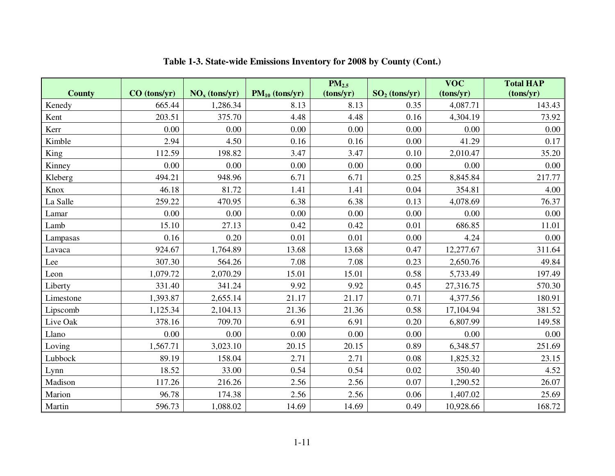|               |              |                 |                     | $PM_{2.5}$ |                 | $\overline{\text{VOC}}$ | <b>Total HAP</b> |
|---------------|--------------|-----------------|---------------------|------------|-----------------|-------------------------|------------------|
| <b>County</b> | CO (tons/yr) | $NOx$ (tons/yr) | $PM_{10}$ (tons/yr) | (tons/yr)  | $SO2$ (tons/yr) | (tons/yr)               | (tons/yr)        |
| Kenedy        | 665.44       | 1,286.34        | 8.13                | 8.13       | 0.35            | 4,087.71                | 143.43           |
| Kent          | 203.51       | 375.70          | 4.48                | 4.48       | 0.16            | 4,304.19                | 73.92            |
| Kerr          | 0.00         | 0.00            | 0.00                | 0.00       | 0.00            | 0.00                    | 0.00             |
| Kimble        | 2.94         | 4.50            | 0.16                | 0.16       | 0.00            | 41.29                   | 0.17             |
| King          | 112.59       | 198.82          | 3.47                | 3.47       | 0.10            | 2,010.47                | 35.20            |
| Kinney        | 0.00         | $0.00\,$        | 0.00                | 0.00       | 0.00            | 0.00                    | 0.00             |
| Kleberg       | 494.21       | 948.96          | 6.71                | 6.71       | 0.25            | 8,845.84                | 217.77           |
| Knox          | 46.18        | 81.72           | 1.41                | 1.41       | 0.04            | 354.81                  | 4.00             |
| La Salle      | 259.22       | 470.95          | 6.38                | 6.38       | 0.13            | 4,078.69                | 76.37            |
| Lamar         | 0.00         | 0.00            | 0.00                | 0.00       | 0.00            | 0.00                    | 0.00             |
| Lamb          | 15.10        | 27.13           | 0.42                | 0.42       | 0.01            | 686.85                  | 11.01            |
| Lampasas      | 0.16         | 0.20            | 0.01                | 0.01       | 0.00            | 4.24                    | 0.00             |
| Lavaca        | 924.67       | 1,764.89        | 13.68               | 13.68      | 0.47            | 12,277.67               | 311.64           |
| Lee           | 307.30       | 564.26          | 7.08                | 7.08       | 0.23            | 2,650.76                | 49.84            |
| Leon          | 1,079.72     | 2,070.29        | 15.01               | 15.01      | 0.58            | 5,733.49                | 197.49           |
| Liberty       | 331.40       | 341.24          | 9.92                | 9.92       | 0.45            | 27,316.75               | 570.30           |
| Limestone     | 1,393.87     | 2,655.14        | 21.17               | 21.17      | 0.71            | 4,377.56                | 180.91           |
| Lipscomb      | 1,125.34     | 2,104.13        | 21.36               | 21.36      | 0.58            | 17,104.94               | 381.52           |
| Live Oak      | 378.16       | 709.70          | 6.91                | 6.91       | 0.20            | 6,807.99                | 149.58           |
| Llano         | 0.00         | 0.00            | 0.00                | 0.00       | 0.00            | 0.00                    | 0.00             |
| Loving        | 1,567.71     | 3,023.10        | 20.15               | 20.15      | 0.89            | 6,348.57                | 251.69           |
| Lubbock       | 89.19        | 158.04          | 2.71                | 2.71       | 0.08            | 1,825.32                | 23.15            |
| Lynn          | 18.52        | 33.00           | 0.54                | 0.54       | 0.02            | 350.40                  | 4.52             |
| Madison       | 117.26       | 216.26          | 2.56                | 2.56       | 0.07            | 1,290.52                | 26.07            |
| Marion        | 96.78        | 174.38          | 2.56                | 2.56       | 0.06            | 1,407.02                | 25.69            |
| Martin        | 596.73       | 1,088.02        | 14.69               | 14.69      | 0.49            | 10,928.66               | 168.72           |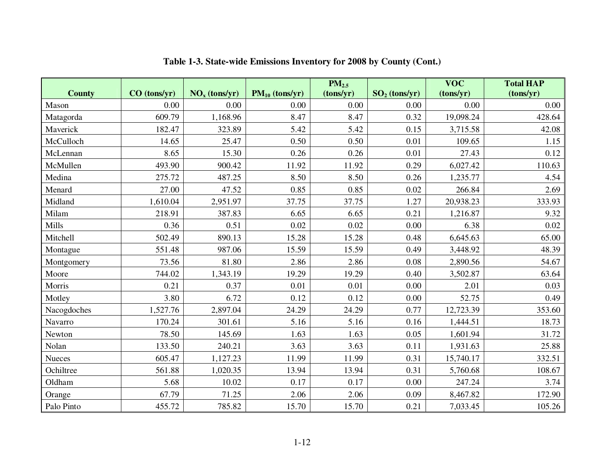|               |              |                                    |                     | PM <sub>2.5</sub> |                 | $\overline{\text{VOC}}$ | <b>Total HAP</b> |
|---------------|--------------|------------------------------------|---------------------|-------------------|-----------------|-------------------------|------------------|
| <b>County</b> | CO (tons/yr) | $\overline{\text{NO}_x}$ (tons/yr) | $PM_{10}$ (tons/yr) | (tons/yr)         | $SO2$ (tons/yr) | (tons/yr)               | (tons/yr)        |
| Mason         | 0.00         | 0.00                               | 0.00                | 0.00              | 0.00            | 0.00                    | 0.00             |
| Matagorda     | 609.79       | 1,168.96                           | 8.47                | 8.47              | 0.32            | 19,098.24               | 428.64           |
| Maverick      | 182.47       | 323.89                             | 5.42                | 5.42              | 0.15            | 3,715.58                | 42.08            |
| McCulloch     | 14.65        | 25.47                              | 0.50                | 0.50              | 0.01            | 109.65                  | 1.15             |
| McLennan      | 8.65         | 15.30                              | 0.26                | 0.26              | 0.01            | 27.43                   | 0.12             |
| McMullen      | 493.90       | 900.42                             | 11.92               | 11.92             | 0.29            | 6,027.42                | 110.63           |
| Medina        | 275.72       | 487.25                             | 8.50                | 8.50              | 0.26            | 1,235.77                | 4.54             |
| Menard        | 27.00        | 47.52                              | 0.85                | 0.85              | 0.02            | 266.84                  | 2.69             |
| Midland       | 1,610.04     | 2,951.97                           | 37.75               | 37.75             | 1.27            | 20,938.23               | 333.93           |
| Milam         | 218.91       | 387.83                             | 6.65                | 6.65              | 0.21            | 1,216.87                | 9.32             |
| Mills         | 0.36         | 0.51                               | 0.02                | 0.02              | $0.00\,$        | 6.38                    | 0.02             |
| Mitchell      | 502.49       | 890.13                             | 15.28               | 15.28             | 0.48            | 6,645.63                | 65.00            |
| Montague      | 551.48       | 987.06                             | 15.59               | 15.59             | 0.49            | 3,448.92                | 48.39            |
| Montgomery    | 73.56        | 81.80                              | 2.86                | 2.86              | 0.08            | 2,890.56                | 54.67            |
| Moore         | 744.02       | 1,343.19                           | 19.29               | 19.29             | 0.40            | 3,502.87                | 63.64            |
| Morris        | 0.21         | 0.37                               | 0.01                | 0.01              | 0.00            | 2.01                    | 0.03             |
| Motley        | 3.80         | 6.72                               | 0.12                | 0.12              | 0.00            | 52.75                   | 0.49             |
| Nacogdoches   | 1,527.76     | 2,897.04                           | 24.29               | 24.29             | 0.77            | 12,723.39               | 353.60           |
| Navarro       | 170.24       | 301.61                             | 5.16                | 5.16              | 0.16            | 1,444.51                | 18.73            |
| Newton        | 78.50        | 145.69                             | 1.63                | 1.63              | 0.05            | 1,601.94                | 31.72            |
| Nolan         | 133.50       | 240.21                             | 3.63                | 3.63              | 0.11            | 1,931.63                | 25.88            |
| <b>Nueces</b> | 605.47       | 1,127.23                           | 11.99               | 11.99             | 0.31            | 15,740.17               | 332.51           |
| Ochiltree     | 561.88       | 1,020.35                           | 13.94               | 13.94             | 0.31            | 5,760.68                | 108.67           |
| Oldham        | 5.68         | 10.02                              | 0.17                | 0.17              | 0.00            | 247.24                  | 3.74             |
| Orange        | 67.79        | 71.25                              | 2.06                | 2.06              | 0.09            | 8,467.82                | 172.90           |
| Palo Pinto    | 455.72       | 785.82                             | 15.70               | 15.70             | 0.21            | 7,033.45                | 105.26           |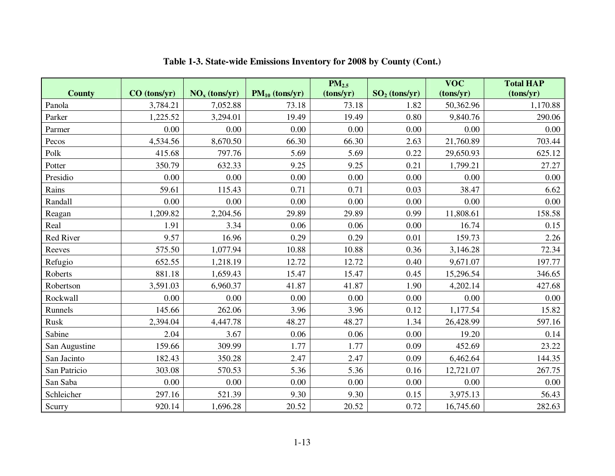|               |              |                 |                     | PM <sub>2.5</sub> |                 | $\overline{\text{VOC}}$ | <b>Total HAP</b> |
|---------------|--------------|-----------------|---------------------|-------------------|-----------------|-------------------------|------------------|
| <b>County</b> | CO (tons/yr) | $NOx$ (tons/yr) | $PM_{10}$ (tons/yr) | (tons/yr)         | $SO2$ (tons/yr) | (tons/yr)               | (tons/yr)        |
| Panola        | 3,784.21     | 7,052.88        | 73.18               | 73.18             | 1.82            | 50,362.96               | 1,170.88         |
| Parker        | 1,225.52     | 3,294.01        | 19.49               | 19.49             | 0.80            | 9,840.76                | 290.06           |
| Parmer        | 0.00         | 0.00            | 0.00                | 0.00              | 0.00            | 0.00                    | 0.00             |
| Pecos         | 4,534.56     | 8,670.50        | 66.30               | 66.30             | 2.63            | 21,760.89               | 703.44           |
| Polk          | 415.68       | 797.76          | 5.69                | 5.69              | 0.22            | 29,650.93               | 625.12           |
| Potter        | 350.79       | 632.33          | 9.25                | 9.25              | 0.21            | 1,799.21                | 27.27            |
| Presidio      | 0.00         | 0.00            | 0.00                | 0.00              | 0.00            | 0.00                    | 0.00             |
| Rains         | 59.61        | 115.43          | 0.71                | 0.71              | 0.03            | 38.47                   | 6.62             |
| Randall       | 0.00         | 0.00            | 0.00                | 0.00              | 0.00            | 0.00                    | 0.00             |
| Reagan        | 1,209.82     | 2,204.56        | 29.89               | 29.89             | 0.99            | 11,808.61               | 158.58           |
| Real          | 1.91         | 3.34            | 0.06                | 0.06              | 0.00            | 16.74                   | 0.15             |
| Red River     | 9.57         | 16.96           | 0.29                | 0.29              | 0.01            | 159.73                  | 2.26             |
| Reeves        | 575.50       | 1,077.94        | 10.88               | 10.88             | 0.36            | 3,146.28                | 72.34            |
| Refugio       | 652.55       | 1,218.19        | 12.72               | 12.72             | 0.40            | 9,671.07                | 197.77           |
| Roberts       | 881.18       | 1,659.43        | 15.47               | 15.47             | 0.45            | 15,296.54               | 346.65           |
| Robertson     | 3,591.03     | 6,960.37        | 41.87               | 41.87             | 1.90            | 4,202.14                | 427.68           |
| Rockwall      | 0.00         | 0.00            | 0.00                | 0.00              | 0.00            | 0.00                    | 0.00             |
| Runnels       | 145.66       | 262.06          | 3.96                | 3.96              | 0.12            | 1,177.54                | 15.82            |
| Rusk          | 2,394.04     | 4,447.78        | 48.27               | 48.27             | 1.34            | 26,428.99               | 597.16           |
| Sabine        | 2.04         | 3.67            | 0.06                | 0.06              | 0.00            | 19.20                   | 0.14             |
| San Augustine | 159.66       | 309.99          | 1.77                | 1.77              | 0.09            | 452.69                  | 23.22            |
| San Jacinto   | 182.43       | 350.28          | 2.47                | 2.47              | 0.09            | 6,462.64                | 144.35           |
| San Patricio  | 303.08       | 570.53          | 5.36                | 5.36              | 0.16            | 12,721.07               | 267.75           |
| San Saba      | $0.00\,$     | 0.00            | 0.00                | 0.00              | 0.00            | 0.00                    | 0.00             |
| Schleicher    | 297.16       | 521.39          | 9.30                | 9.30              | 0.15            | 3,975.13                | 56.43            |
| Scurry        | 920.14       | 1,696.28        | 20.52               | 20.52             | 0.72            | 16,745.60               | 282.63           |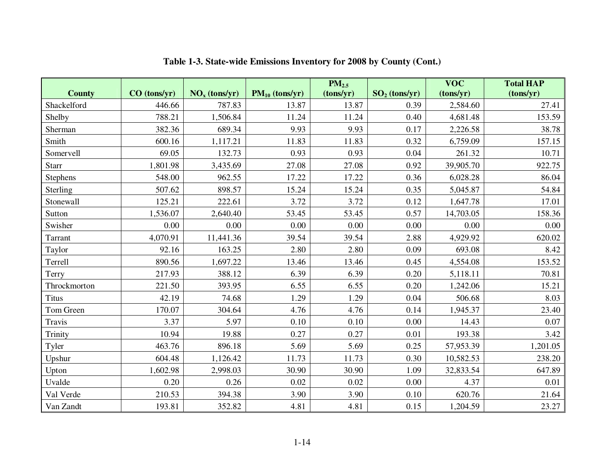|               |              |                                    |                     | PM <sub>2.5</sub> |                 | $\overline{\text{VOC}}$ | <b>Total HAP</b> |
|---------------|--------------|------------------------------------|---------------------|-------------------|-----------------|-------------------------|------------------|
| <b>County</b> | CO (tons/yr) | $\overline{\text{NO}_x}$ (tons/yr) | $PM_{10}$ (tons/yr) | (tons/yr)         | $SO2$ (tons/yr) | (tons/yr)               | (tons/yr)        |
| Shackelford   | 446.66       | 787.83                             | 13.87               | 13.87             | 0.39            | 2,584.60                | 27.41            |
| Shelby        | 788.21       | 1,506.84                           | 11.24               | 11.24             | 0.40            | 4,681.48                | 153.59           |
| Sherman       | 382.36       | 689.34                             | 9.93                | 9.93              | 0.17            | 2,226.58                | 38.78            |
| Smith         | 600.16       | 1,117.21                           | 11.83               | 11.83             | 0.32            | 6,759.09                | 157.15           |
| Somervell     | 69.05        | 132.73                             | 0.93                | 0.93              | 0.04            | 261.32                  | 10.71            |
| Starr         | 1,801.98     | 3,435.69                           | 27.08               | 27.08             | 0.92            | 39,905.70               | 922.75           |
| Stephens      | 548.00       | 962.55                             | 17.22               | 17.22             | 0.36            | 6,028.28                | 86.04            |
| Sterling      | 507.62       | 898.57                             | 15.24               | 15.24             | 0.35            | 5,045.87                | 54.84            |
| Stonewall     | 125.21       | 222.61                             | 3.72                | 3.72              | 0.12            | 1,647.78                | 17.01            |
| Sutton        | 1,536.07     | 2,640.40                           | 53.45               | 53.45             | 0.57            | 14,703.05               | 158.36           |
| Swisher       | 0.00         | 0.00                               | 0.00                | 0.00              | 0.00            | 0.00                    | 0.00             |
| Tarrant       | 4,070.91     | 11,441.36                          | 39.54               | 39.54             | 2.88            | 4,929.92                | 620.02           |
| Taylor        | 92.16        | 163.25                             | 2.80                | 2.80              | 0.09            | 693.08                  | 8.42             |
| Terrell       | 890.56       | 1,697.22                           | 13.46               | 13.46             | 0.45            | 4,554.08                | 153.52           |
| Terry         | 217.93       | 388.12                             | 6.39                | 6.39              | 0.20            | 5,118.11                | 70.81            |
| Throckmorton  | 221.50       | 393.95                             | 6.55                | 6.55              | 0.20            | 1,242.06                | 15.21            |
| <b>Titus</b>  | 42.19        | 74.68                              | 1.29                | 1.29              | 0.04            | 506.68                  | 8.03             |
| Tom Green     | 170.07       | 304.64                             | 4.76                | 4.76              | 0.14            | 1,945.37                | 23.40            |
| Travis        | 3.37         | 5.97                               | 0.10                | 0.10              | 0.00            | 14.43                   | 0.07             |
| Trinity       | 10.94        | 19.88                              | 0.27                | 0.27              | 0.01            | 193.38                  | 3.42             |
| Tyler         | 463.76       | 896.18                             | 5.69                | 5.69              | 0.25            | 57,953.39               | 1,201.05         |
| Upshur        | 604.48       | 1,126.42                           | 11.73               | 11.73             | 0.30            | 10,582.53               | 238.20           |
| Upton         | 1,602.98     | 2,998.03                           | 30.90               | 30.90             | 1.09            | 32,833.54               | 647.89           |
| Uvalde        | 0.20         | 0.26                               | 0.02                | 0.02              | 0.00            | 4.37                    | 0.01             |
| Val Verde     | 210.53       | 394.38                             | 3.90                | 3.90              | 0.10            | 620.76                  | 21.64            |
| Van Zandt     | 193.81       | 352.82                             | 4.81                | 4.81              | 0.15            | 1,204.59                | 23.27            |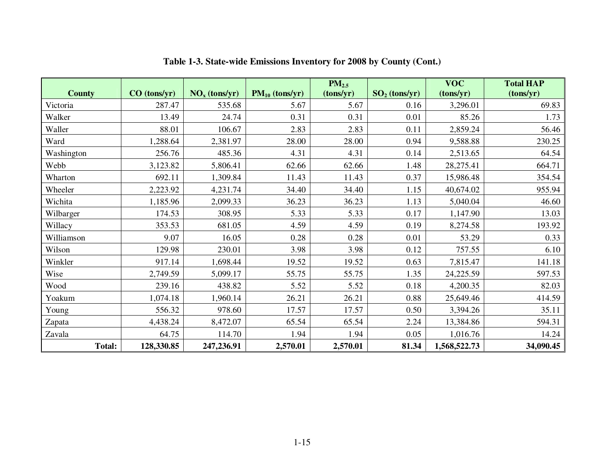|               |              |                 |                     | PM <sub>2.5</sub> |                 | <b>VOC</b>   | <b>Total HAP</b> |
|---------------|--------------|-----------------|---------------------|-------------------|-----------------|--------------|------------------|
| <b>County</b> | CO (tons/yr) | $NOx$ (tons/yr) | $PM_{10}$ (tons/yr) | (tons/yr)         | $SO2$ (tons/yr) | (tons/yr)    | (tons/yr)        |
| Victoria      | 287.47       | 535.68          | 5.67                | 5.67              | 0.16            | 3,296.01     | 69.83            |
| Walker        | 13.49        | 24.74           | 0.31                | 0.31              | 0.01            | 85.26        | 1.73             |
| Waller        | 88.01        | 106.67          | 2.83                | 2.83              | 0.11            | 2,859.24     | 56.46            |
| Ward          | 1,288.64     | 2,381.97        | 28.00               | 28.00             | 0.94            | 9,588.88     | 230.25           |
| Washington    | 256.76       | 485.36          | 4.31                | 4.31              | 0.14            | 2,513.65     | 64.54            |
| Webb          | 3,123.82     | 5,806.41        | 62.66               | 62.66             | 1.48            | 28,275.41    | 664.71           |
| Wharton       | 692.11       | 1,309.84        | 11.43               | 11.43             | 0.37            | 15,986.48    | 354.54           |
| Wheeler       | 2,223.92     | 4,231.74        | 34.40               | 34.40             | 1.15            | 40,674.02    | 955.94           |
| Wichita       | 1,185.96     | 2,099.33        | 36.23               | 36.23             | 1.13            | 5,040.04     | 46.60            |
| Wilbarger     | 174.53       | 308.95          | 5.33                | 5.33              | 0.17            | 1,147.90     | 13.03            |
| Willacy       | 353.53       | 681.05          | 4.59                | 4.59              | 0.19            | 8,274.58     | 193.92           |
| Williamson    | 9.07         | 16.05           | 0.28                | 0.28              | 0.01            | 53.29        | 0.33             |
| Wilson        | 129.98       | 230.01          | 3.98                | 3.98              | 0.12            | 757.55       | 6.10             |
| Winkler       | 917.14       | 1,698.44        | 19.52               | 19.52             | 0.63            | 7,815.47     | 141.18           |
| Wise          | 2,749.59     | 5,099.17        | 55.75               | 55.75             | 1.35            | 24,225.59    | 597.53           |
| Wood          | 239.16       | 438.82          | 5.52                | 5.52              | 0.18            | 4,200.35     | 82.03            |
| Yoakum        | 1,074.18     | 1,960.14        | 26.21               | 26.21             | 0.88            | 25,649.46    | 414.59           |
| Young         | 556.32       | 978.60          | 17.57               | 17.57             | 0.50            | 3,394.26     | 35.11            |
| Zapata        | 4,438.24     | 8,472.07        | 65.54               | 65.54             | 2.24            | 13,384.86    | 594.31           |
| Zavala        | 64.75        | 114.70          | 1.94                | 1.94              | 0.05            | 1,016.76     | 14.24            |
| <b>Total:</b> | 128,330.85   | 247,236.91      | 2,570.01            | 2,570.01          | 81.34           | 1,568,522.73 | 34,090.45        |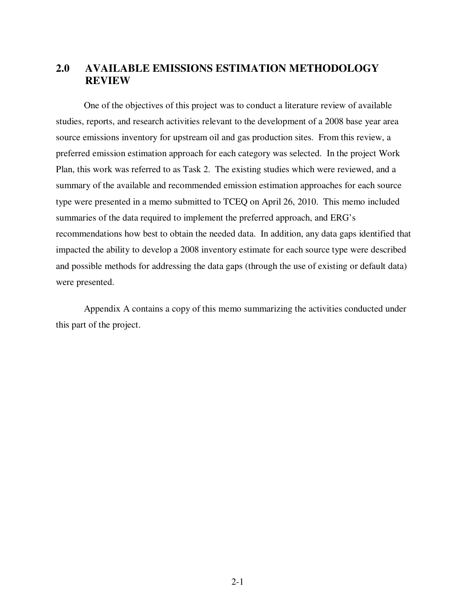## **2.0 AVAILABLE EMISSIONS ESTIMATION METHODOLOGY REVIEW**

 One of the objectives of this project was to conduct a literature review of available studies, reports, and research activities relevant to the development of a 2008 base year area source emissions inventory for upstream oil and gas production sites. From this review, a preferred emission estimation approach for each category was selected. In the project Work Plan, this work was referred to as Task 2. The existing studies which were reviewed, and a summary of the available and recommended emission estimation approaches for each source type were presented in a memo submitted to TCEQ on April 26, 2010. This memo included summaries of the data required to implement the preferred approach, and ERG's recommendations how best to obtain the needed data. In addition, any data gaps identified that impacted the ability to develop a 2008 inventory estimate for each source type were described and possible methods for addressing the data gaps (through the use of existing or default data) were presented.

 Appendix A contains a copy of this memo summarizing the activities conducted under this part of the project.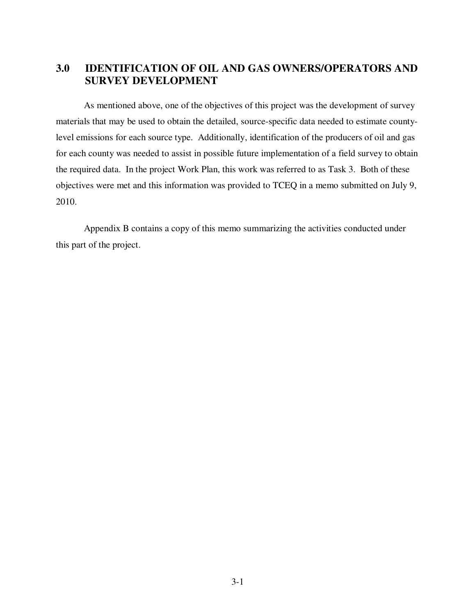# **3.0 IDENTIFICATION OF OIL AND GAS OWNERS/OPERATORS AND SURVEY DEVELOPMENT**

 As mentioned above, one of the objectives of this project was the development of survey materials that may be used to obtain the detailed, source-specific data needed to estimate countylevel emissions for each source type. Additionally, identification of the producers of oil and gas for each county was needed to assist in possible future implementation of a field survey to obtain the required data. In the project Work Plan, this work was referred to as Task 3. Both of these objectives were met and this information was provided to TCEQ in a memo submitted on July 9, 2010.

 Appendix B contains a copy of this memo summarizing the activities conducted under this part of the project.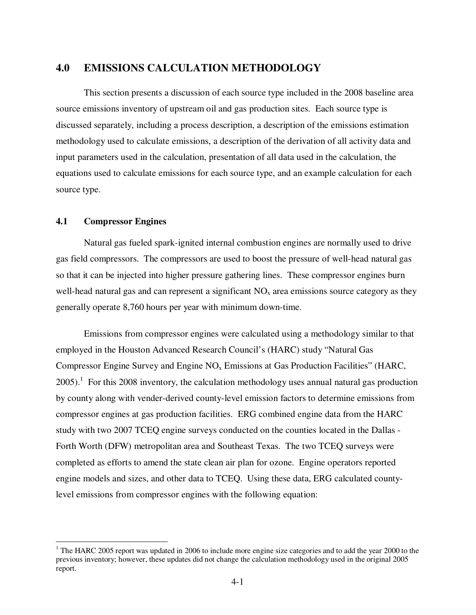# **4.0 EMISSIONS CALCULATION METHODOLOGY**

 This section presents a discussion of each source type included in the 2008 baseline area source emissions inventory of upstream oil and gas production sites. Each source type is discussed separately, including a process description, a description of the emissions estimation methodology used to calculate emissions, a description of the derivation of all activity data and input parameters used in the calculation, presentation of all data used in the calculation, the equations used to calculate emissions for each source type, and an example calculation for each source type.

#### **4.1 Compressor Engines**

 $\overline{a}$ 

 Natural gas fueled spark-ignited internal combustion engines are normally used to drive gas field compressors. The compressors are used to boost the pressure of well-head natural gas so that it can be injected into higher pressure gathering lines. These compressor engines burn well-head natural gas and can represent a significant  $NO<sub>x</sub>$  area emissions source category as they generally operate 8,760 hours per year with minimum down-time.

 Emissions from compressor engines were calculated using a methodology similar to that employed in the Houston Advanced Research Council's (HARC) study "Natural Gas Compressor Engine Survey and Engine  $NO<sub>x</sub>$  Emissions at Gas Production Facilities" (HARC,  $2005$ ).<sup>1</sup> For this 2008 inventory, the calculation methodology uses annual natural gas production by county along with vender-derived county-level emission factors to determine emissions from compressor engines at gas production facilities. ERG combined engine data from the HARC study with two 2007 TCEQ engine surveys conducted on the counties located in the Dallas - Forth Worth (DFW) metropolitan area and Southeast Texas. The two TCEQ surveys were completed as efforts to amend the state clean air plan for ozone. Engine operators reported engine models and sizes, and other data to TCEQ. Using these data, ERG calculated countylevel emissions from compressor engines with the following equation:

 $1$  The HARC 2005 report was updated in 2006 to include more engine size categories and to add the year 2000 to the previous inventory; however, these updates did not change the calculation methodology used in the original 2005 report.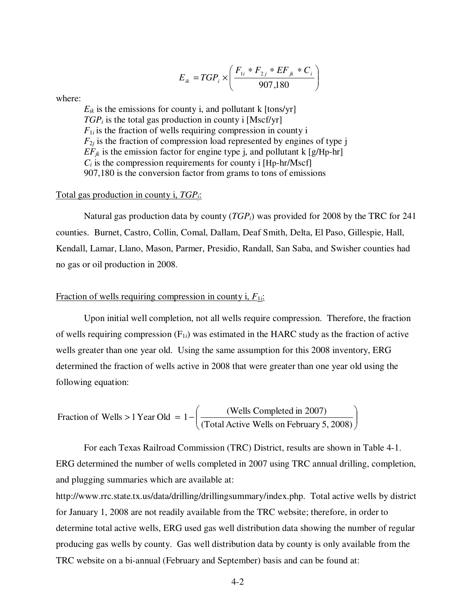$$
E_{ik} = TGP_i \times \left(\frac{F_{1i} * F_{2j} * EF_{jk} * C_i}{907,180}\right)
$$

where:

 $E_{ik}$  is the emissions for county i, and pollutant k  $[tons/yr]$  $TGP_i$  is the total gas production in county i [Mscf/yr]  $F_{1i}$  is the fraction of wells requiring compression in county i  $F_{2i}$  is the fraction of compression load represented by engines of type j  $EF_{ik}$  is the emission factor for engine type j, and pollutant k [g/Hp-hr]  $C_i$  is the compression requirements for county i [Hp-hr/Mscf] 907,180 is the conversion factor from grams to tons of emissions

#### Total gas production in county i, *TGPi*:

 Natural gas production data by county (*TGPi*) was provided for 2008 by the TRC for 241 counties. Burnet, Castro, Collin, Comal, Dallam, Deaf Smith, Delta, El Paso, Gillespie, Hall, Kendall, Lamar, Llano, Mason, Parmer, Presidio, Randall, San Saba, and Swisher counties had no gas or oil production in 2008.

### Fraction of wells requiring compression in county i, *F*1*<sup>i</sup>*:

 Upon initial well completion, not all wells require compression. Therefore, the fraction of wells requiring compression  $(F_{1i})$  was estimated in the HARC study as the fraction of active wells greater than one year old. Using the same assumption for this 2008 inventory, ERG determined the fraction of wells active in 2008 that were greater than one year old using the following equation:

Fraction of Wells > 1 Year Old = 
$$
1 - \left( \frac{\text{(Wells Complete in 2007)}}{\text{(Total Active Wells on February 5, 2008)}} \right)
$$

 For each Texas Railroad Commission (TRC) District, results are shown in Table 4-1. ERG determined the number of wells completed in 2007 using TRC annual drilling, completion, and plugging summaries which are available at:

http://www.rrc.state.tx.us/data/drilling/drillingsummary/index.php. Total active wells by district for January 1, 2008 are not readily available from the TRC website; therefore, in order to determine total active wells, ERG used gas well distribution data showing the number of regular producing gas wells by county. Gas well distribution data by county is only available from the TRC website on a bi-annual (February and September) basis and can be found at: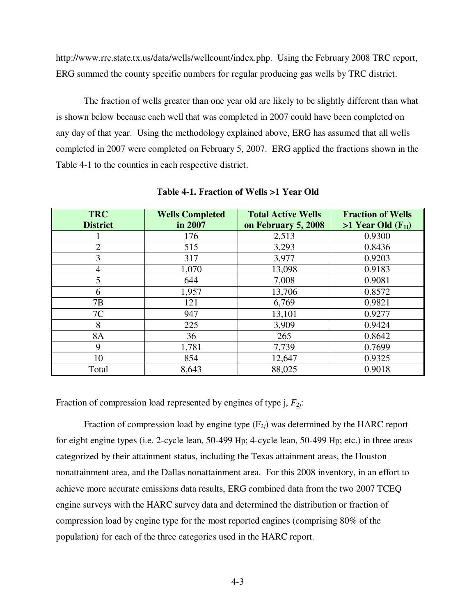http://www.rrc.state.tx.us/data/wells/wellcount/index.php. Using the February 2008 TRC report, ERG summed the county specific numbers for regular producing gas wells by TRC district.

 The fraction of wells greater than one year old are likely to be slightly different than what is shown below because each well that was completed in 2007 could have been completed on any day of that year. Using the methodology explained above, ERG has assumed that all wells completed in 2007 were completed on February 5, 2007. ERG applied the fractions shown in the Table 4-1 to the counties in each respective district.

| <b>TRC</b><br><b>District</b> | <b>Wells Completed</b><br>in 2007 | <b>Total Active Wells</b><br>on February 5, 2008 | <b>Fraction of Wells</b><br>$>1$ Year Old $(F_{1i})$ |
|-------------------------------|-----------------------------------|--------------------------------------------------|------------------------------------------------------|
|                               | 176                               | 2,513                                            | 0.9300                                               |
| $\overline{2}$                | 515                               | 3,293                                            | 0.8436                                               |
| 3                             | 317                               | 3,977                                            | 0.9203                                               |
| $\overline{4}$                | 1,070                             | 13,098                                           | 0.9183                                               |
| 5                             | 644                               | 7,008                                            | 0.9081                                               |
| 6                             | 1,957                             | 13,706                                           | 0.8572                                               |
| 7B                            | 121                               | 6,769                                            | 0.9821                                               |
| 7C                            | 947                               | 13,101                                           | 0.9277                                               |
| 8                             | 225                               | 3,909                                            | 0.9424                                               |
| <b>8A</b>                     | 36                                | 265                                              | 0.8642                                               |
| 9                             | 1,781                             | 7,739                                            | 0.7699                                               |
| 10                            | 854                               | 12,647                                           | 0.9325                                               |
| Total                         | 8,643                             | 88,025                                           | 0.9018                                               |

**Table 4-1. Fraction of Wells >1 Year Old** 

#### Fraction of compression load represented by engines of type j,  $F_{2i}$ :

Fraction of compression load by engine type  $(F_{2i})$  was determined by the HARC report for eight engine types (i.e. 2-cycle lean, 50-499 Hp; 4-cycle lean, 50-499 Hp; etc.) in three areas categorized by their attainment status, including the Texas attainment areas, the Houston nonattainment area, and the Dallas nonattainment area. For this 2008 inventory, in an effort to achieve more accurate emissions data results, ERG combined data from the two 2007 TCEQ engine surveys with the HARC survey data and determined the distribution or fraction of compression load by engine type for the most reported engines (comprising 80% of the population) for each of the three categories used in the HARC report.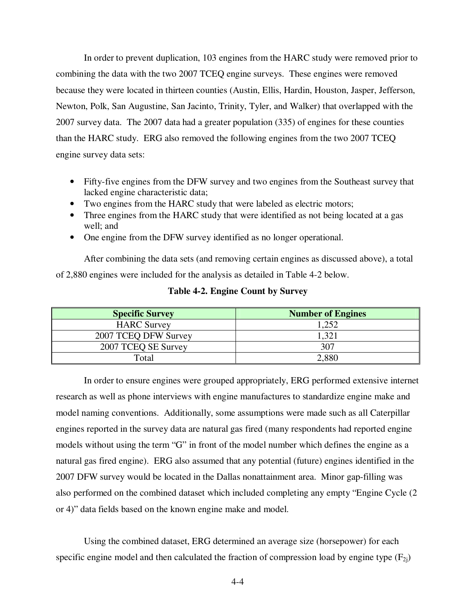In order to prevent duplication, 103 engines from the HARC study were removed prior to combining the data with the two 2007 TCEQ engine surveys. These engines were removed because they were located in thirteen counties (Austin, Ellis, Hardin, Houston, Jasper, Jefferson, Newton, Polk, San Augustine, San Jacinto, Trinity, Tyler, and Walker) that overlapped with the 2007 survey data. The 2007 data had a greater population (335) of engines for these counties than the HARC study. ERG also removed the following engines from the two 2007 TCEQ engine survey data sets:

- Fifty-five engines from the DFW survey and two engines from the Southeast survey that lacked engine characteristic data;
- Two engines from the HARC study that were labeled as electric motors;
- Three engines from the HARC study that were identified as not being located at a gas well; and
- One engine from the DFW survey identified as no longer operational.

 After combining the data sets (and removing certain engines as discussed above), a total of 2,880 engines were included for the analysis as detailed in Table 4-2 below.

| <b>Specific Survey</b> | <b>Number of Engines</b> |
|------------------------|--------------------------|
| <b>HARC Survey</b>     | .252                     |
| 2007 TCEO DFW Survey   |                          |
| 2007 TCEQ SE Survey    | 307                      |
| Total                  | 2,880                    |

### **Table 4-2. Engine Count by Survey**

 In order to ensure engines were grouped appropriately, ERG performed extensive internet research as well as phone interviews with engine manufactures to standardize engine make and model naming conventions. Additionally, some assumptions were made such as all Caterpillar engines reported in the survey data are natural gas fired (many respondents had reported engine models without using the term "G" in front of the model number which defines the engine as a natural gas fired engine). ERG also assumed that any potential (future) engines identified in the 2007 DFW survey would be located in the Dallas nonattainment area. Minor gap-filling was also performed on the combined dataset which included completing any empty "Engine Cycle (2 or 4)" data fields based on the known engine make and model.

 Using the combined dataset, ERG determined an average size (horsepower) for each specific engine model and then calculated the fraction of compression load by engine type  $(F_{2i})$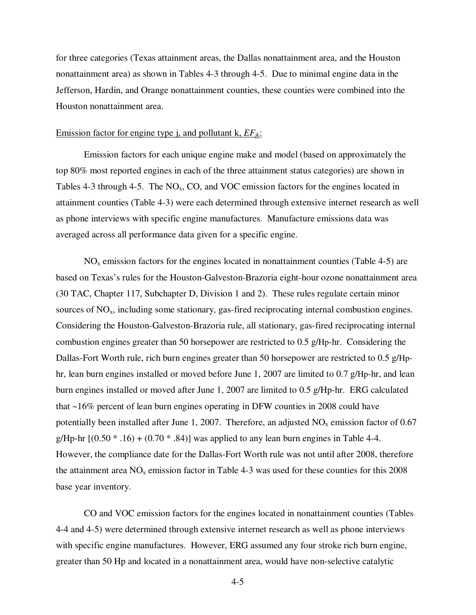for three categories (Texas attainment areas, the Dallas nonattainment area, and the Houston nonattainment area) as shown in Tables 4-3 through 4-5. Due to minimal engine data in the Jefferson, Hardin, and Orange nonattainment counties, these counties were combined into the Houston nonattainment area.

#### Emission factor for engine type j, and pollutant k, *EFjk*:

 Emission factors for each unique engine make and model (based on approximately the top 80% most reported engines in each of the three attainment status categories) are shown in Tables 4-3 through 4-5. The  $NO<sub>x</sub>$ , CO, and VOC emission factors for the engines located in attainment counties (Table 4-3) were each determined through extensive internet research as well as phone interviews with specific engine manufactures. Manufacture emissions data was averaged across all performance data given for a specific engine.

 $NO<sub>x</sub>$  emission factors for the engines located in nonattainment counties (Table 4-5) are based on Texas's rules for the Houston-Galveston-Brazoria eight-hour ozone nonattainment area (30 TAC, Chapter 117, Subchapter D, Division 1 and 2). These rules regulate certain minor sources of  $NO<sub>x</sub>$ , including some stationary, gas-fired reciprocating internal combustion engines. Considering the Houston-Galveston-Brazoria rule, all stationary, gas-fired reciprocating internal combustion engines greater than 50 horsepower are restricted to 0.5 g/Hp-hr. Considering the Dallas-Fort Worth rule, rich burn engines greater than 50 horsepower are restricted to 0.5 g/Hphr, lean burn engines installed or moved before June 1, 2007 are limited to 0.7 g/Hp-hr, and lean burn engines installed or moved after June 1, 2007 are limited to 0.5 g/Hp-hr. ERG calculated that ~16% percent of lean burn engines operating in DFW counties in 2008 could have potentially been installed after June 1, 2007. Therefore, an adjusted  $NO<sub>x</sub>$  emission factor of 0.67 g/Hp-hr  $[(0.50 * .16) + (0.70 * .84)]$  was applied to any lean burn engines in Table 4-4. However, the compliance date for the Dallas-Fort Worth rule was not until after 2008, therefore the attainment area  $NO<sub>x</sub>$  emission factor in Table 4-3 was used for these counties for this 2008 base year inventory.

 CO and VOC emission factors for the engines located in nonattainment counties (Tables 4-4 and 4-5) were determined through extensive internet research as well as phone interviews with specific engine manufactures. However, ERG assumed any four stroke rich burn engine, greater than 50 Hp and located in a nonattainment area, would have non-selective catalytic

4-5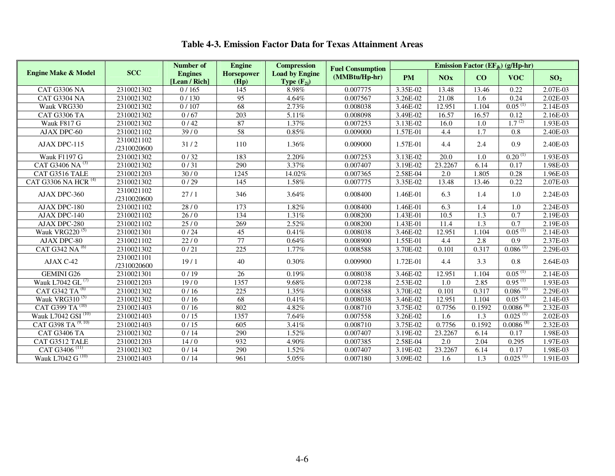|                                 |                           | <b>Number of</b>                | <b>Engine</b>      | <b>Compression</b>                       | <b>Fuel Consumption</b> |           |         |                  | Emission Factor ( $EF_{ik}$ ) (g/Hp-hr) |                 |
|---------------------------------|---------------------------|---------------------------------|--------------------|------------------------------------------|-------------------------|-----------|---------|------------------|-----------------------------------------|-----------------|
| <b>Engine Make &amp; Model</b>  | <b>SCC</b>                | <b>Engines</b><br>[Lean / Rich] | Horsepower<br>(Hp) | <b>Load by Engine</b><br>Type $(F_{2i})$ | (MMBtu/Hp-hr)           | <b>PM</b> | NOx     | CO               | <b>VOC</b>                              | SO <sub>2</sub> |
| <b>CAT G3306 NA</b>             | 2310021302                | 0/165                           | $\overline{145}$   | 8.98%                                    | 0.007775                | 3.35E-02  | 13.48   | 13.46            | 0.22                                    | 2.07E-03        |
| CAT G3304 NA                    | 2310021302                | 0/130                           | 95                 | 4.64%                                    | 0.007567                | 3.26E-02  | 21.08   | 1.6              | 0.24                                    | 2.02E-03        |
| Wauk VRG330                     | 2310021302                | 0/107                           | 68                 | 2.73%                                    | 0.008038                | 3.46E-02  | 12.951  | 1.104            | $0.05^{(1)}$                            | 2.14E-03        |
| CAT G3306 TA                    | 2310021302                | 0/67                            | 203                | 5.11%                                    | 0.008098                | 3.49E-02  | 16.57   | 16.57            | 0.12                                    | 2.16E-03        |
| Wauk F817 G                     | 2310021302                | 0/42                            | 87                 | 1.37%                                    | 0.007253                | 3.13E-02  | 16.0    | 1.0              | $1.7^{(2)}$                             | 1.93E-03        |
| AJAX DPC-60                     | 2310021102                | 39/0                            | 58                 | $0.85\%$                                 | 0.009000                | 1.57E-01  | 4.4     | 1.7              | 0.8                                     | 2.40E-03        |
| AJAX DPC-115                    | 2310021102<br>/2310020600 | 31/2                            | 110                | 1.36%                                    | 0.009000                | 1.57E-01  | 4.4     | 2.4              | 0.9                                     | 2.40E-03        |
| <b>Wauk F1197 G</b>             | 2310021302                | 0/32                            | 183                | 2.20%                                    | 0.007253                | 3.13E-02  | 20.0    | 1.0              | $0.20^{(1)}$                            | 1.93E-03        |
| CAT G3406 NA <sup>(3)</sup>     | 2310021302                | 0/31                            | 290                | 3.37%                                    | 0.007407                | 3.19E-02  | 23.2267 | 6.14             | 0.17                                    | 1.98E-03        |
| CAT G3516 TALE                  | 2310021203                | 30/0                            | 1245               | 14.02%                                   | 0.007365                | 2.58E-04  | 2.0     | 1.805            | 0.28                                    | 1.96E-03        |
| CAT G3306 NA HCR <sup>(4)</sup> | 2310021302                | 0/29                            | $\overline{145}$   | 1.58%                                    | 0.007775                | 3.35E-02  | 13.48   | 13.46            | 0.22                                    | 2.07E-03        |
| AJAX DPC-360                    | 2310021102<br>/2310020600 | 27/1                            | 346                | 3.64%                                    | 0.008400                | 1.46E-01  | 6.3     | 1.4              | 1.0                                     | 2.24E-03        |
| AJAX DPC-180                    | 2310021102                | 28/0                            | 173                | 1.82%                                    | 0.008400                | 1.46E-01  | 6.3     | 1.4              | 1.0                                     | 2.24E-03        |
| AJAX DPC-140                    | 2310021102                | 26/0                            | 134                | 1.31%                                    | 0.008200                | 1.43E-01  | 10.5    | 1.3              | 0.7                                     | 2.19E-03        |
| AJAX DPC-280                    | 2310021102                | 25/0                            | 269                | 2.52%                                    | 0.008200                | 1.43E-01  | 11.4    | $\overline{1.3}$ | 0.7                                     | 2.19E-03        |
| Wauk VRG220 <sup>(5)</sup>      | 2310021301                | 0/24                            | 45                 | 0.41%                                    | 0.008038                | 3.46E-02  | 12.951  | 1.104            | $0.05^{(1)}$                            | 2.14E-03        |
| AJAX DPC-80                     | 2310021102                | 22/0                            | $\overline{77}$    | 0.64%                                    | 0.008900                | 1.55E-01  | 4.4     | 2.8              | 0.9                                     | 2.37E-03        |
| CAT G342 NA <sup>(6)</sup>      | 2310021302                | 0/21                            | $\overline{225}$   | 1.77%                                    | 0.008588                | 3.70E-02  | 0.101   | 0.317            | 0.086(1)                                | 2.29E-03        |
| AJAX C-42                       | 2310021101<br>/2310020600 | 19/1                            | 40                 | 0.30%                                    | 0.009900                | 1.72E-01  | 4.4     | 3.3              | 0.8                                     | 2.64E-03        |
| <b>GEMINI G26</b>               | 2310021301                | 0/19                            | $\overline{26}$    | 0.19%                                    | 0.008038                | 3.46E-02  | 12.951  | 1.104            | $0.05^{(1)}$                            | 2.14E-03        |
| Wauk L7042 GL <sup>(7)</sup>    | 2310021203                | 19/0                            | 1357               | 9.68%                                    | 0.007238                | 2.53E-02  | 1.0     | 2.85             | $0.95^{(1)}$                            | 1.93E-03        |
| CAT G342 TA <sup>(6)</sup>      | 2310021302                | 0/16                            | 225                | 1.35%                                    | 0.008588                | 3.70E-02  | 0.101   | 0.317            | $0.086^{(1)}$                           | 2.29E-03        |
| Wauk VRG310 $(5)$               | 2310021302                | 0/16                            | 68                 | 0.41%                                    | 0.008038                | 3.46E-02  | 12.951  | 1.104            | $0.05^{(1)}$                            | 2.14E-03        |
| CAT G399 TA <sup>(10)</sup>     | 2310021403                | 0/16                            | 802                | 4.82%                                    | 0.008710                | 3.75E-02  | 0.7756  | 0.1592           | $0.0086^{(8)}$                          | 2.32E-03        |
| Wauk L7042 GSI <sup>(10)</sup>  | 2310021403                | 0/15                            | 1357               | 7.64%                                    | 0.007558                | 3.26E-02  | 1.6     | 1.3              | $0.025$ <sup>(1)</sup>                  | 2.02E-03        |
| CAT G398 TA <sup>(9, 10)</sup>  | 2310021403                | 0/15                            | 605                | 3.41%                                    | 0.008710                | 3.75E-02  | 0.7756  | 0.1592           | $0.0086^{(8)}$                          | 2.32E-03        |
| <b>CAT G3406 TA</b>             | 2310021302                | 0/14                            | 290                | 1.52%                                    | 0.007407                | 3.19E-02  | 23.2267 | 6.14             | 0.17                                    | 1.98E-03        |
| CAT G3512 TALE                  | 2310021203                | 14/0                            | 932                | 4.90%                                    | 0.007385                | 2.58E-04  | 2.0     | 2.04             | 0.295                                   | 1.97E-03        |
| CAT G3406 <sup>(11)</sup>       | 2310021302                | 0/14                            | 290                | 1.52%                                    | 0.007407                | 3.19E-02  | 23.2267 | 6.14             | 0.17                                    | 1.98E-03        |
| Wauk L7042 G <sup>(10)</sup>    | 2310021403                | 0/14                            | 961                | 5.05%                                    | 0.007180                | 3.09E-02  | 1.6     | 1.3              | $0.025$ <sup>(1)</sup>                  | 1.91E-03        |

# **Table 4-3. Emission Factor Data for Texas Attainment Areas**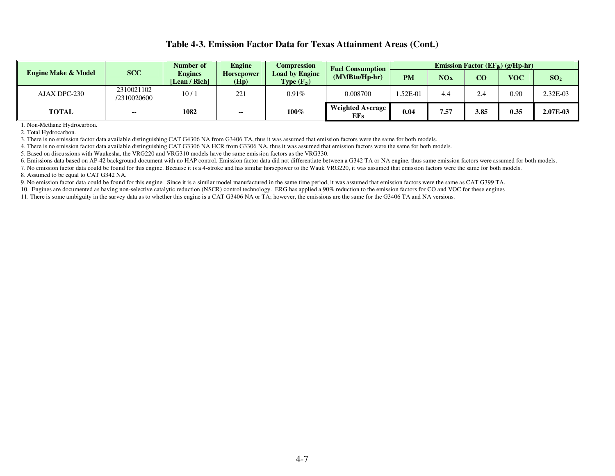# **Table 4-3. Emission Factor Data for Texas Attainment Areas (Cont.)**

|                                |                           |                                 | <b>Engine</b>             | Compression<br><b>Fuel Consumption</b>          |                                | Emission Factor ( $EF_{ik}$ ) (g/Hp-hr) |            |      |            |                 |
|--------------------------------|---------------------------|---------------------------------|---------------------------|-------------------------------------------------|--------------------------------|-----------------------------------------|------------|------|------------|-----------------|
| <b>Engine Make &amp; Model</b> | <b>SCC</b>                | <b>Engines</b><br>[Lean / Rich] | <b>Horsepower</b><br>(Hp) | <b>Load by Engine</b><br><b>Type</b> $(F_{2i})$ | (MMBtu/Hp-hr)                  | <b>PM</b>                               | <b>NOx</b> | CO   | <b>VOC</b> | SO <sub>2</sub> |
| AJAX DPC-230                   | 2310021102<br>/2310020600 | 10/1                            | 221                       | 0.91%                                           | 0.008700                       | $.52E-01$                               |            | 2.4  | 0.90       | $2.32E-03$      |
| <b>TOTAL</b>                   | $\sim$                    | 1082                            | $\sim$                    | 100%                                            | Weighted Average<br><b>EFs</b> | 0.04                                    | 7.57       | 3.85 | 0.35       | 2.07E-03        |

1. Non-Methane Hydrocarbon.

2. Total Hydrocarbon.

3. There is no emission factor data available distinguishing CAT G4306 NA from G3406 TA, thus it was assumed that emission factors were the same for both models.

4. There is no emission factor data available distinguishing CAT G3306 NA HCR from G3306 NA, thus it was assumed that emission factors were the same for both models.

5. Based on discussions with Waukesha, the VRG220 and VRG310 models have the same emission factors as the VRG330.

6. Emissions data based on AP-42 background document with no HAP control. Emission factor data did not differentiate between a G342 TA or NA engine, thus same emission factors were assumed for both models.

7. No emission factor data could be found for this engine. Because it is a 4-stroke and has similar horsepower to the Wauk VRG220, it was assumed that emission factors were the same for both models. 8. Assumed to be equal to CAT G342 NA.

9. No emission factor data could be found for this engine. Since it is a similar model manufactured in the same time period, it was assumed that emission factors were the same as CAT G399 TA.

10. Engines are documented as having non-selective catalytic reduction (NSCR) control technology. ERG has applied a 90% reduction to the emission factors for CO and VOC for these engines

11. There is some ambiguity in the survey data as to whether this engine is a CAT G3406 NA or TA; however, the emissions are the same for the G3406 TA and NA versions.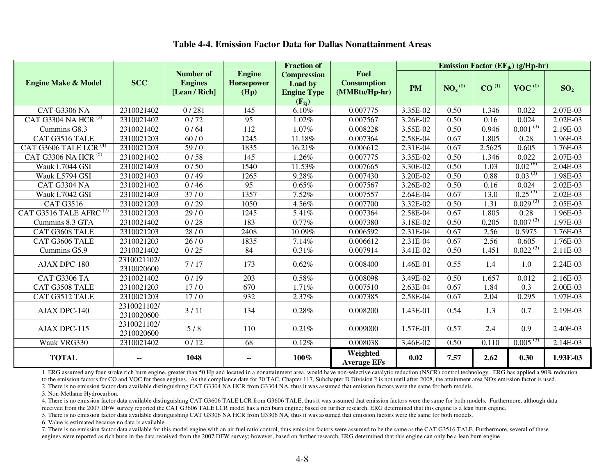|                                              |                           |                                                     |                                            | <b>Fraction of</b>                                                |                                                    | <b>Emission Factor (EF</b> <sub>ik</sub> ) ( $g$ /Hp-hr) |                                |                   |               |                 |
|----------------------------------------------|---------------------------|-----------------------------------------------------|--------------------------------------------|-------------------------------------------------------------------|----------------------------------------------------|----------------------------------------------------------|--------------------------------|-------------------|---------------|-----------------|
| <b>Engine Make &amp; Model</b>               | <b>SCC</b>                | <b>Number of</b><br><b>Engines</b><br>[Lean / Rich] | <b>Engine</b><br><b>Horsepower</b><br>(Hp) | <b>Compression</b><br>Load by<br><b>Engine Type</b><br>$(F_{2i})$ | <b>Fuel</b><br><b>Consumption</b><br>(MMBtu/Hp-hr) | <b>PM</b>                                                | NO <sub>x</sub> <sup>(1)</sup> | CO <sup>(1)</sup> | $VOC^{(1)}$   | SO <sub>2</sub> |
| <b>CAT G3306 NA</b>                          | 2310021402                | 0/281                                               | 145                                        | 6.10%                                                             | 0.007775                                           | 3.35E-02                                                 | 0.50                           | 1.346             | 0.022         | 2.07E-03        |
| CAT $\overline{G}3304$ NA HCR <sup>(2)</sup> | 2310021402                | 0/72                                                | 95                                         | 1.02%                                                             | 0.007567                                           | 3.26E-02                                                 | 0.50                           | 0.16              | 0.024         | $2.02E-03$      |
| Cummins G8.3                                 | 2310021402                | 0/64                                                | $\overline{112}$                           | 1.07%                                                             | 0.008228                                           | 3.55E-02                                                 | 0.50                           | 0.946             | $0.001^{(3)}$ | 2.19E-03        |
| CAT G3516 TALE                               | 2310021203                | 60/0                                                | 1245                                       | 11.18%                                                            | 0.007364                                           | 2.58E-04                                                 | 0.67                           | 1.805             | 0.28          | 1.96E-03        |
| CAT G3606 TALE LCR $(4)$                     | 2310021203                | 59/0                                                | 1835                                       | 16.21%                                                            | 0.006612                                           | $2.31E-04$                                               | 0.67                           | 2.5625            | 0.605         | 1.76E-03        |
| CAT G3306 NA HCR <sup>(5)</sup>              | 2310021402                | 0/58                                                | 145                                        | 1.26%                                                             | 0.007775                                           | 3.35E-02                                                 | 0.50                           | 1.346             | 0.022         | 2.07E-03        |
| Wauk L7044 GSI                               | 2310021403                | 0/50                                                | 1540                                       | 11.53%                                                            | 0.007665                                           | 3.30E-02                                                 | 0.50                           | 1.03              | $0.02^{(6)}$  | $2.04E-03$      |
| Wauk L5794 GSI                               | 2310021403                | 0/49                                                | 1265                                       | 9.28%                                                             | 0.007430                                           | 3.20E-02                                                 | 0.50                           | 0.88              | $0.03^{(3)}$  | 1.98E-03        |
| CAT G3304 NA                                 | 2310021402                | 0/46                                                | $\overline{95}$                            | 0.65%                                                             | 0.007567                                           | 3.26E-02                                                 | 0.50                           | 0.16              | 0.024         | 2.02E-03        |
| Wauk L7042 GSI                               | 2310021403                | 37/0                                                | 1357                                       | 7.52%                                                             | 0.007557                                           | 2.64E-04                                                 | 0.67                           | 13.0              | $0.25^{(3)}$  | $2.02E-03$      |
| CAT G3516                                    | 2310021203                | 0/29                                                | 1050                                       | 4.56%                                                             | 0.007700                                           | 3.32E-02                                                 | 0.50                           | 1.31              | $0.029^{(3)}$ | $2.05E-03$      |
| CAT G3516 TALE AFRC $(7)$                    | 2310021203                | 29/0                                                | 1245                                       | 5.41%                                                             | 0.007364                                           | 2.58E-04                                                 | 0.67                           | 1.805             | 0.28          | 1.96E-03        |
| Cummins 8.3 GTA                              | 2310021402                | 0/28                                                | 183                                        | 0.77%                                                             | 0.007380                                           | 3.18E-02                                                 | 0.50                           | 0.205             | $0.007^{(3)}$ | 1.97E-03        |
| CAT G3608 TALE                               | 2310021203                | 28/0                                                | 2408                                       | 10.09%                                                            | 0.006592                                           | 2.31E-04                                                 | 0.67                           | 2.56              | 0.5975        | 1.76E-03        |
| CAT G3606 TALE                               | 2310021203                | 26/0                                                | 1835                                       | 7.14%                                                             | 0.006612                                           | $2.31E-04$                                               | 0.67                           | 2.56              | 0.605         | 1.76E-03        |
| Cummins G5.9                                 | 2310021402                | 0/25                                                | 84                                         | 0.31%                                                             | 0.007914                                           | 3.41E-02                                                 | 0.50                           | 1.451             | $0.022^{(3)}$ | 2.11E-03        |
| AJAX DPC-180                                 | 2310021102/<br>2310020600 | 7/17                                                | 173                                        | 0.62%                                                             | 0.008400                                           | 1.46E-01                                                 | 0.55                           | 1.4               | 1.0           | 2.24E-03        |
| CAT G3306 TA                                 | 2310021402                | 0/19                                                | $\overline{203}$                           | 0.58%                                                             | 0.008098                                           | 3.49E-02                                                 | 0.50                           | 1.657             | 0.012         | $2.16E-03$      |
| CAT G3508 TALE                               | 2310021203                | 17/0                                                | 670                                        | 1.71%                                                             | 0.007510                                           | $2.63E-04$                                               | 0.67                           | 1.84              | 0.3           | 2.00E-03        |
| CAT G3512 TALE                               | 2310021203                | 17/0                                                | 932                                        | 2.37%                                                             | 0.007385                                           | 2.58E-04                                                 | 0.67                           | 2.04              | 0.295         | 1.97E-03        |
| AJAX DPC-140                                 | 2310021102/<br>2310020600 | 3/11                                                | 134                                        | 0.28%                                                             | 0.008200                                           | 1.43E-01                                                 | 0.54                           | 1.3               | 0.7           | 2.19E-03        |
| AJAX DPC-115                                 | 2310021102/<br>2310020600 | 5/8                                                 | 110                                        | 0.21%                                                             | 0.009000                                           | 1.57E-01                                                 | 0.57                           | 2.4               | 0.9           | 2.40E-03        |
| Wauk VRG330                                  | 2310021402                | 0/12                                                | 68                                         | 0.12%                                                             | 0.008038                                           | 3.46E-02                                                 | 0.50                           | 0.110             | $0.005^{(3)}$ | 2.14E-03        |
| <b>TOTAL</b>                                 | --                        | 1048                                                | $\overline{\phantom{a}}$                   | 100%                                                              | Weighted<br><b>Average EFs</b>                     | 0.02                                                     | 7.57                           | 2.62              | 0.30          | 1.93E-03        |

# **Table 4-4. Emission Factor Data for Dallas Nonattainment Areas**

1. ERG assumed any four stroke rich burn engine, greater than 50 Hp and located in a nonattainment area, would have non-selective catalytic reduction (NSCR) control technology. ERG has applied a 90% reduction to the emission factors for CO and VOC for these engines. As the compliance date for 30 TAC, Chapter 117, Subchapter D Division 2 is not until after 2008, the attainment area NOx emission factor is used.

2. There is no emission factor data available distinguishing CAT G3304 NA HCR from G3304 NA, thus it was assumed that emission factors were the same for both models.

3. Non-Methane Hydrocarbon.

 4. There is no emission factor data available distinguishing CAT G3606 TALE LCR from G3606 TALE, thus it was assumed that emission factors were the same for both models. Furthermore, although data received from the 2007 DFW survey reported the CAT G3606 TALE LCR model has a rich burn engine; based on further research, ERG determined that this engine is a lean burn engine.

5. There is no emission factor data available distinguishing CAT G3306 NA HCR from G3306 NA, thus it was assumed that emission factors were the same for both models.

6. Value is estimated because no data is available.

7. There is no emission factor data available for this model engine with an air fuel ratio control, thus emission factors were assumed to be the same as the CAT G3516 TALE. Furthermore, several of these engines were reported as rich burn in the data received from the 2007 DFW survey; however, based on further research, ERG determined that this engine can only be a lean burn engine.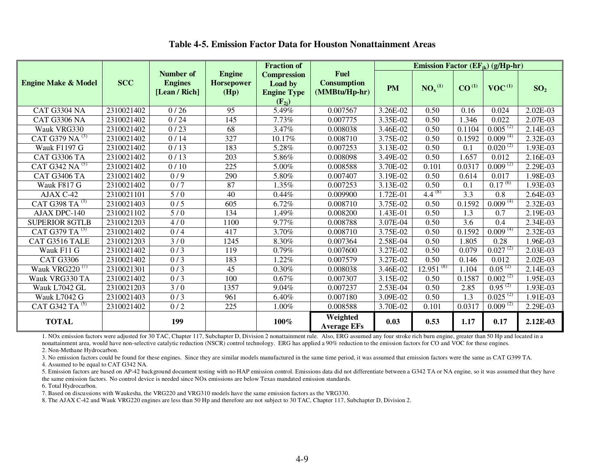|                                |            |                                              |                                            | <b>Fraction of</b>                                                       |                                                    | Emission Factor (EF <sub>ik</sub> ) (g/Hp-hr) |                |                   |               |                 |  |
|--------------------------------|------------|----------------------------------------------|--------------------------------------------|--------------------------------------------------------------------------|----------------------------------------------------|-----------------------------------------------|----------------|-------------------|---------------|-----------------|--|
| <b>Engine Make &amp; Model</b> | <b>SCC</b> | Number of<br><b>Engines</b><br>[Lean / Rich] | <b>Engine</b><br><b>Horsepower</b><br>(Hp) | <b>Compression</b><br><b>Load by</b><br><b>Engine Type</b><br>$(F_{2i})$ | <b>Fuel</b><br><b>Consumption</b><br>(MMBtu/Hp-hr) | <b>PM</b>                                     | $NO_x^{(1)}$   | CO <sup>(1)</sup> | $VOC^{(1)}$   | SO <sub>2</sub> |  |
| CAT G3304 NA                   | 2310021402 | 0/26                                         | 95                                         | 5.49%                                                                    | 0.007567                                           | 3.26E-02                                      | 0.50           | 0.16              | 0.024         | 2.02E-03        |  |
| <b>CAT G3306 NA</b>            | 2310021402 | 0/24                                         | 145                                        | 7.73%                                                                    | 0.007775                                           | 3.35E-02                                      | 0.50           | 1.346             | 0.022         | 2.07E-03        |  |
| Wauk VRG330                    | 2310021402 | 0/23                                         | 68                                         | 3.47%                                                                    | 0.008038                                           | 3.46E-02                                      | 0.50           | 0.1104            | $0.005^{(2)}$ | 2.14E-03        |  |
| CAT G379 NA <sup>(3)</sup>     | 2310021402 | 0/14                                         | 327                                        | 10.17%                                                                   | 0.008710                                           | 3.75E-02                                      | 0.50           | 0.1592            | $0.009^{(4)}$ | 2.32E-03        |  |
| <b>Wauk F1197 G</b>            | 2310021402 | 0/13                                         | 183                                        | 5.28%                                                                    | 0.007253                                           | 3.13E-02                                      | 0.50           | 0.1               | $0.020^{(2)}$ | 1.93E-03        |  |
| CAT G3306 TA                   | 2310021402 | 0/13                                         | 203                                        | 5.86%                                                                    | 0.008098                                           | 3.49E-02                                      | 0.50           | 1.657             | 0.012         | 2.16E-03        |  |
| CAT G342 NA $^{(5)}$           | 2310021402 | 0/10                                         | 225                                        | 5.00%                                                                    | 0.008588                                           | 3.70E-02                                      | 0.101          | 0.0317            | $0.009^{(2)}$ | 2.29E-03        |  |
| <b>CAT G3406 TA</b>            | 2310021402 | 0/9                                          | 290                                        | 5.80%                                                                    | 0.007407                                           | 3.19E-02                                      | 0.50           | 0.614             | 0.017         | 1.98E-03        |  |
| Wauk F817 G                    | 2310021402 | 0/7                                          | 87                                         | 1.35%                                                                    | 0.007253                                           | 3.13E-02                                      | 0.50           | 0.1               | $0.17^{(6)}$  | 1.93E-03        |  |
| AJAX C-42                      | 2310021101 | 5/0                                          | 40                                         | 0.44%                                                                    | 0.009900                                           | 1.72E-01                                      | $4.4^{(8)}$    | 3.3               | 0.8           | 2.64E-03        |  |
| CAT G398 TA <sup>(3)</sup>     | 2310021403 | 0/5                                          | 605                                        | 6.72%                                                                    | 0.008710                                           | 3.75E-02                                      | 0.50           | 0.1592            | $0.009^{(4)}$ | 2.32E-03        |  |
| AJAX DPC-140                   | 2310021102 | 5/0                                          | 134                                        | 1.49%                                                                    | 0.008200                                           | 1.43E-01                                      | 0.50           | 1.3               | 0.7           | 2.19E-03        |  |
| <b>SUPERIOR 8GTLB</b>          | 2310021203 | 4/0                                          | 1100                                       | 9.77%                                                                    | 0.008788                                           | 3.07E-04                                      | 0.50           | $\overline{3.6}$  | 0.4           | 2.34E-03        |  |
| CAT G379 TA $^{(3)}$           | 2310021402 | 0/4                                          | 417                                        | 3.70%                                                                    | 0.008710                                           | 3.75E-02                                      | 0.50           | 0.1592            | $0.009^{(4)}$ | 2.32E-03        |  |
| CAT G3516 TALE                 | 2310021203 | 3/0                                          | 1245                                       | 8.30%                                                                    | 0.007364                                           | 2.58E-04                                      | 0.50           | 1.805             | 0.28          | 1.96E-03        |  |
| Wauk F11 G                     | 2310021402 | 0/3                                          | 119                                        | 0.79%                                                                    | 0.007600                                           | 3.27E-02                                      | 0.50           | 0.079             | $0.027^{(2)}$ | 2.03E-03        |  |
| <b>CAT G3306</b>               | 2310021402 | 0/3                                          | 183                                        | 1.22%                                                                    | 0.007579                                           | 3.27E-02                                      | 0.50           | 0.146             | 0.012         | 2.02E-03        |  |
| Wauk VRG220 $(7)$              | 2310021301 | 0/3                                          | 45                                         | 0.30%                                                                    | 0.008038                                           | 3.46E-02                                      | $12.951^{(8)}$ | 1.104             | $0.05^{(2)}$  | 2.14E-03        |  |
| Wauk VRG330 TA                 | 2310021402 | 0/3                                          | 100                                        | 0.67%                                                                    | 0.007307                                           | 3.15E-02                                      | 0.50           | 0.1587            | $0.002^{(2)}$ | 1.95E-03        |  |
| Wauk L7042 GL                  | 2310021203 | 3/0                                          | 1357                                       | 9.04%                                                                    | 0.007237                                           | 2.53E-04                                      | 0.50           | 2.85              | $0.95^{(2)}$  | 1.93E-03        |  |
| Wauk L7042 G                   | 2310021403 | 0/3                                          | 961                                        | 6.40%                                                                    | 0.007180                                           | 3.09E-02                                      | 0.50           | 1.3               | $0.025^{(2)}$ | 1.91E-03        |  |
| CAT G342 TA <sup>(5)</sup>     | 2310021402 | 0/2                                          | 225                                        | 1.00%                                                                    | 0.008588                                           | $3.70E-02$                                    | 0.101          | 0.0317            | $0.009^{(2)}$ | 2.29E-03        |  |
| <b>TOTAL</b>                   |            | 199                                          |                                            | 100%                                                                     | Weighted<br><b>Average EFs</b>                     | 0.03                                          | 0.53           | 1.17              | 0.17          | 2.12E-03        |  |

# **Table 4-5. Emission Factor Data for Houston Nonattainment Areas**

1. NOx emission factors were adjusted for 30 TAC, Chapter 117, Subchapter D, Division 2 nonattainment rule. Also, ERG assumed any four stroke rich burn engine, greater than 50 Hp and located in a nonattainment area, would have non-selective catalytic reduction (NSCR) control technology. ERG has applied a 90% reduction to the emission factors for CO and VOC for these engines. 2. Non-Methane Hydrocarbon.

 3. No emission factors could be found for these engines. Since they are similar models manufactured in the same time period, it was assumed that emission factors were the same as CAT G399 TA. 4. Assumed to be equal to CAT G342 NA.

 5. Emission factors are based on AP-42 background document testing with no HAP emission control. Emissions data did not differentiate between a G342 TA or NA engine, so it was assumed that they have the same emission factors. No control device is needed since NOx emissions are below Texas mandated emission standards.

6. Total Hydrocarbon.

7. Based on discussions with Waukesha, the VRG220 and VRG310 models have the same emission factors as the VRG330.

8. The AJAX C-42 and Wauk VRG220 engines are less than 50 Hp and therefore are not subject to 30 TAC, Chapter 117, Subchapter D, Division 2.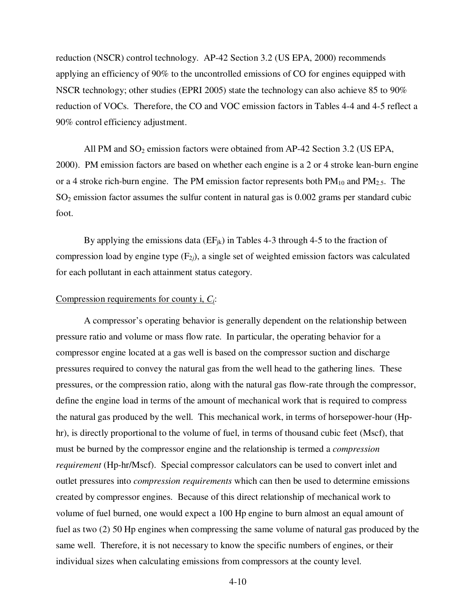reduction (NSCR) control technology. AP-42 Section 3.2 (US EPA, 2000) recommends applying an efficiency of 90% to the uncontrolled emissions of CO for engines equipped with NSCR technology; other studies (EPRI 2005) state the technology can also achieve 85 to 90% reduction of VOCs. Therefore, the CO and VOC emission factors in Tables 4-4 and 4-5 reflect a 90% control efficiency adjustment.

All PM and  $SO_2$  emission factors were obtained from AP-42 Section 3.2 (US EPA, 2000). PM emission factors are based on whether each engine is a 2 or 4 stroke lean-burn engine or a 4 stroke rich-burn engine. The PM emission factor represents both  $PM_{10}$  and  $PM_{2.5}$ . The  $SO<sub>2</sub>$  emission factor assumes the sulfur content in natural gas is 0.002 grams per standard cubic foot.

By applying the emissions data  $(EF_{ik})$  in Tables 4-3 through 4-5 to the fraction of compression load by engine type  $(F_{2i})$ , a single set of weighted emission factors was calculated for each pollutant in each attainment status category.

# Compression requirements for county i, *Ci*:

 A compressor's operating behavior is generally dependent on the relationship between pressure ratio and volume or mass flow rate. In particular, the operating behavior for a compressor engine located at a gas well is based on the compressor suction and discharge pressures required to convey the natural gas from the well head to the gathering lines. These pressures, or the compression ratio, along with the natural gas flow-rate through the compressor, define the engine load in terms of the amount of mechanical work that is required to compress the natural gas produced by the well. This mechanical work, in terms of horsepower-hour (Hphr), is directly proportional to the volume of fuel, in terms of thousand cubic feet (Mscf), that must be burned by the compressor engine and the relationship is termed a *compression requirement* (Hp-hr/Mscf). Special compressor calculators can be used to convert inlet and outlet pressures into *compression requirements* which can then be used to determine emissions created by compressor engines. Because of this direct relationship of mechanical work to volume of fuel burned, one would expect a 100 Hp engine to burn almost an equal amount of fuel as two (2) 50 Hp engines when compressing the same volume of natural gas produced by the same well. Therefore, it is not necessary to know the specific numbers of engines, or their individual sizes when calculating emissions from compressors at the county level.

4-10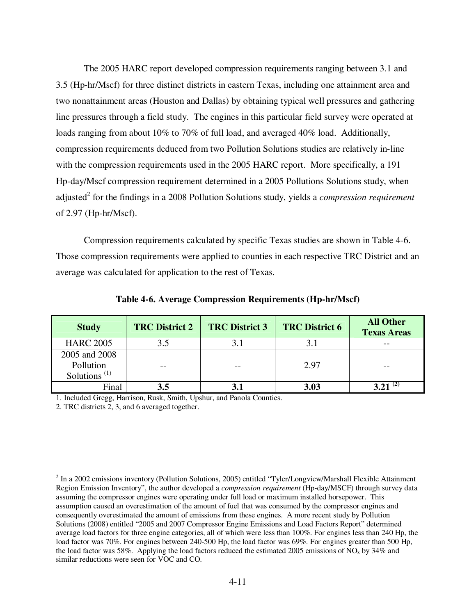The 2005 HARC report developed compression requirements ranging between 3.1 and 3.5 (Hp-hr/Mscf) for three distinct districts in eastern Texas, including one attainment area and two nonattainment areas (Houston and Dallas) by obtaining typical well pressures and gathering line pressures through a field study. The engines in this particular field survey were operated at loads ranging from about 10% to 70% of full load, and averaged 40% load. Additionally, compression requirements deduced from two Pollution Solutions studies are relatively in-line with the compression requirements used in the 2005 HARC report. More specifically, a 191 Hp-day/Mscf compression requirement determined in a 2005 Pollutions Solutions study, when adjusted<sup>2</sup> for the findings in a 2008 Pollution Solutions study, yields a *compression requirement* of 2.97 (Hp-hr/Mscf).

 Compression requirements calculated by specific Texas studies are shown in Table 4-6. Those compression requirements were applied to counties in each respective TRC District and an average was calculated for application to the rest of Texas.

| <b>Study</b>                          | <b>TRC District 2</b> | <b>TRC District 6</b><br><b>TRC District 3</b> |      | <b>All Other</b><br><b>Texas Areas</b> |
|---------------------------------------|-----------------------|------------------------------------------------|------|----------------------------------------|
| <b>HARC 2005</b>                      | 3.5                   |                                                |      |                                        |
| 2005 and 2008                         |                       |                                                |      |                                        |
| Pollution                             | --                    |                                                | 2.97 |                                        |
| Solutions <sup><math>(1)</math></sup> |                       |                                                |      |                                        |
| Final                                 | 3.5                   |                                                | 3.03 |                                        |

**Table 4-6. Average Compression Requirements (Hp-hr/Mscf)** 

1. Included Gregg, Harrison, Rusk, Smith, Upshur, and Panola Counties.

2. TRC districts 2, 3, and 6 averaged together.

 $\overline{a}$ 

 $2$  In a 2002 emissions inventory (Pollution Solutions, 2005) entitled "Tyler/Longview/Marshall Flexible Attainment Region Emission Inventory", the author developed a *compression requirement* (Hp-day/MSCF) through survey data assuming the compressor engines were operating under full load or maximum installed horsepower. This assumption caused an overestimation of the amount of fuel that was consumed by the compressor engines and consequently overestimated the amount of emissions from these engines. A more recent study by Pollution Solutions (2008) entitled "2005 and 2007 Compressor Engine Emissions and Load Factors Report" determined average load factors for three engine categories, all of which were less than 100%. For engines less than 240 Hp, the load factor was 70%. For engines between 240-500 Hp, the load factor was 69%. For engines greater than 500 Hp, the load factor was 58%. Applying the load factors reduced the estimated 2005 emissions of  $NO<sub>x</sub>$  by 34% and similar reductions were seen for VOC and CO.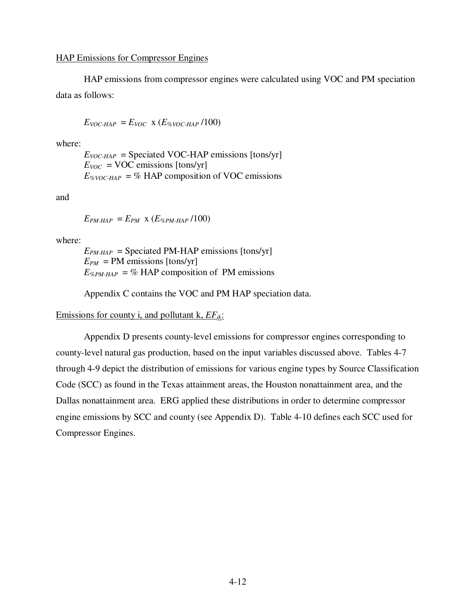HAP emissions from compressor engines were calculated using VOC and PM speciation data as follows:

$$
E_{VOC-HAP} = E_{VOC} \times (E_{\%VOC-HAP}/100)
$$

where:

 $E_{VOC-HAP}$  = Speciated VOC-HAP emissions [tons/yr]  $E_{VOC}$  = VOC emissions [tons/yr]  $E_{\%VOC-HAP}$  = % HAP composition of VOC emissions

and

 $E_{PM\text{-}HAP} = E_{PM} \times (E_{\%PM\text{-}HAP}/100)$ 

where:

 $E_{PM\text{-}HAP}$  = Speciated PM-HAP emissions [tons/yr]  $E_{PM}$  = PM emissions [tons/yr]  $E_{\%PM\text{-}HAP}$  = % HAP composition of PM emissions

Appendix C contains the VOC and PM HAP speciation data.

### Emissions for county i, and pollutant k, *EFik*:

 Appendix D presents county-level emissions for compressor engines corresponding to county-level natural gas production, based on the input variables discussed above. Tables 4-7 through 4-9 depict the distribution of emissions for various engine types by Source Classification Code (SCC) as found in the Texas attainment areas, the Houston nonattainment area, and the Dallas nonattainment area. ERG applied these distributions in order to determine compressor engine emissions by SCC and county (see Appendix D). Table 4-10 defines each SCC used for Compressor Engines.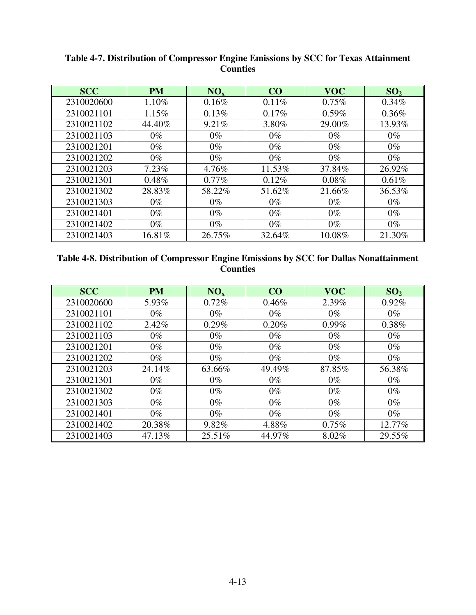| <b>SCC</b> | <b>PM</b> | NO <sub>x</sub> | CO       | <b>VOC</b> | SO <sub>2</sub> |
|------------|-----------|-----------------|----------|------------|-----------------|
| 2310020600 | 1.10%     | 0.16%           | 0.11%    | 0.75%      | $0.34\%$        |
| 2310021101 | 1.15%     | 0.13%           | $0.17\%$ | 0.59%      | 0.36%           |
| 2310021102 | 44.40%    | 9.21%           | 3.80%    | 29.00%     | 13.93%          |
| 2310021103 | $0\%$     | $0\%$           | $0\%$    | $0\%$      | $0\%$           |
| 2310021201 | $0\%$     | $0\%$           | $0\%$    | $0\%$      | $0\%$           |
| 2310021202 | $0\%$     | $0\%$           | $0\%$    | $0\%$      | $0\%$           |
| 2310021203 | $7.23\%$  | 4.76%           | 11.53%   | 37.84%     | 26.92%          |
| 2310021301 | 0.48%     | $0.77\%$        | 0.12%    | $0.08\%$   | 0.61%           |
| 2310021302 | 28.83%    | 58.22%          | 51.62%   | 21.66%     | 36.53%          |
| 2310021303 | $0\%$     | $0\%$           | $0\%$    | $0\%$      | $0\%$           |
| 2310021401 | $0\%$     | $0\%$           | $0\%$    | $0\%$      | $0\%$           |
| 2310021402 | $0\%$     | $0\%$           | $0\%$    | $0\%$      | $0\%$           |
| 2310021403 | 16.81%    | 26.75%          | 32.64%   | 10.08%     | 21.30%          |

**Table 4-7. Distribution of Compressor Engine Emissions by SCC for Texas Attainment Counties** 

| Table 4-8. Distribution of Compressor Engine Emissions by SCC for Dallas Nonattainment |
|----------------------------------------------------------------------------------------|
| <b>Counties</b>                                                                        |

| <b>SCC</b> | <b>PM</b> | NO <sub>x</sub> | CO     | <b>VOC</b> | SO <sub>2</sub> |
|------------|-----------|-----------------|--------|------------|-----------------|
| 2310020600 | 5.93%     | 0.72%           | 0.46%  | 2.39%      | 0.92%           |
| 2310021101 | $0\%$     | $0\%$           | $0\%$  | $0\%$      | $0\%$           |
| 2310021102 | 2.42%     | $0.29\%$        | 0.20%  | $0.99\%$   | 0.38%           |
| 2310021103 | $0\%$     | $0\%$           | $0\%$  | $0\%$      | $0\%$           |
| 2310021201 | $0\%$     | $0\%$           | $0\%$  | $0\%$      | $0\%$           |
| 2310021202 | $0\%$     | $0\%$           | $0\%$  | $0\%$      | $0\%$           |
| 2310021203 | 24.14%    | 63.66%          | 49.49% | 87.85%     | 56.38%          |
| 2310021301 | $0\%$     | $0\%$           | $0\%$  | $0\%$      | $0\%$           |
| 2310021302 | $0\%$     | $0\%$           | $0\%$  | $0\%$      | $0\%$           |
| 2310021303 | $0\%$     | $0\%$           | $0\%$  | $0\%$      | $0\%$           |
| 2310021401 | $0\%$     | $0\%$           | $0\%$  | $0\%$      | $0\%$           |
| 2310021402 | 20.38%    | 9.82%           | 4.88%  | 0.75%      | 12.77%          |
| 2310021403 | 47.13%    | 25.51%          | 44.97% | 8.02%      | 29.55%          |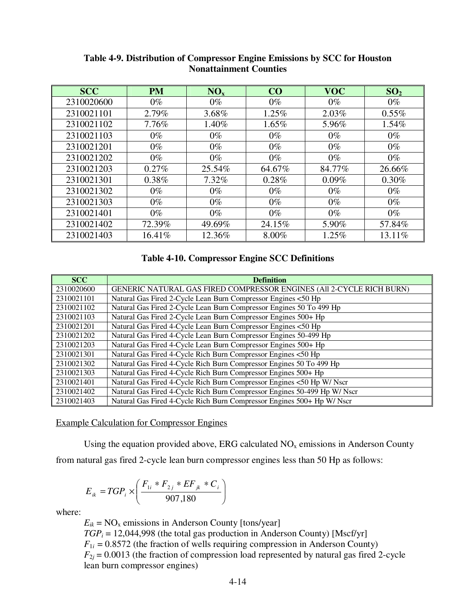| <b>SCC</b> | <b>PM</b> | NO <sub>x</sub> | CO     | <b>VOC</b> | SO <sub>2</sub> |
|------------|-----------|-----------------|--------|------------|-----------------|
| 2310020600 | $0\%$     | $0\%$           | $0\%$  | $0\%$      | $0\%$           |
| 2310021101 | 2.79%     | 3.68%           | 1.25%  | $2.03\%$   | $0.55\%$        |
| 2310021102 | 7.76%     | 1.40%           | 1.65%  | 5.96%      | 1.54%           |
| 2310021103 | $0\%$     | $0\%$           | $0\%$  | $0\%$      | $0\%$           |
| 2310021201 | $0\%$     | $0\%$           | $0\%$  | $0\%$      | $0\%$           |
| 2310021202 | $0\%$     | $0\%$           | $0\%$  | $0\%$      | $0\%$           |
| 2310021203 | $0.27\%$  | 25.54%          | 64.67% | 84.77%     | 26.66%          |
| 2310021301 | $0.38\%$  | $7.32\%$        | 0.28%  | $0.09\%$   | $0.30\%$        |
| 2310021302 | $0\%$     | $0\%$           | $0\%$  | $0\%$      | $0\%$           |
| 2310021303 | $0\%$     | $0\%$           | $0\%$  | $0\%$      | $0\%$           |
| 2310021401 | $0\%$     | $0\%$           | $0\%$  | $0\%$      | $0\%$           |
| 2310021402 | 72.39%    | 49.69%          | 24.15% | 5.90%      | 57.84%          |
| 2310021403 | 16.41%    | 12.36%          | 8.00%  | 1.25%      | 13.11%          |

# **Table 4-9. Distribution of Compressor Engine Emissions by SCC for Houston Nonattainment Counties**

# **Table 4-10. Compressor Engine SCC Definitions**

| <b>SCC</b> | <b>Definition</b>                                                        |
|------------|--------------------------------------------------------------------------|
| 2310020600 | GENERIC NATURAL GAS FIRED COMPRESSOR ENGINES (All 2-CYCLE RICH BURN)     |
| 2310021101 | Natural Gas Fired 2-Cycle Lean Burn Compressor Engines <50 Hp            |
| 2310021102 | Natural Gas Fired 2-Cycle Lean Burn Compressor Engines 50 To 499 Hp      |
| 2310021103 | Natural Gas Fired 2-Cycle Lean Burn Compressor Engines 500+ Hp           |
| 2310021201 | Natural Gas Fired 4-Cycle Lean Burn Compressor Engines <50 Hp            |
| 2310021202 | Natural Gas Fired 4-Cycle Lean Burn Compressor Engines 50-499 Hp         |
| 2310021203 | Natural Gas Fired 4-Cycle Lean Burn Compressor Engines 500+ Hp           |
| 2310021301 | Natural Gas Fired 4-Cycle Rich Burn Compressor Engines <50 Hp            |
| 2310021302 | Natural Gas Fired 4-Cycle Rich Burn Compressor Engines 50 To 499 Hp      |
| 2310021303 | Natural Gas Fired 4-Cycle Rich Burn Compressor Engines 500+ Hp           |
| 2310021401 | Natural Gas Fired 4-Cycle Rich Burn Compressor Engines <50 Hp W/ Nscr    |
| 2310021402 | Natural Gas Fired 4-Cycle Rich Burn Compressor Engines 50-499 Hp W/ Nscr |
| 2310021403 | Natural Gas Fired 4-Cycle Rich Burn Compressor Engines 500+ Hp W/ Nscr   |

Example Calculation for Compressor Engines

Using the equation provided above, ERG calculated  $NO<sub>x</sub>$  emissions in Anderson County from natural gas fired 2-cycle lean burn compressor engines less than 50 Hp as follows:

$$
E_{ik} = TGP_i \times \left(\frac{F_{1i} * F_{2j} * EF_{jk} * C_i}{907,180}\right)
$$

where:

 $E_{ik}$  = NO<sub>x</sub> emissions in Anderson County [tons/year]  $TGP_i = 12,044,998$  (the total gas production in Anderson County) [Mscf/yr]  $F_{1i} = 0.8572$  (the fraction of wells requiring compression in Anderson County)  $F_{2j}$  = 0.0013 (the fraction of compression load represented by natural gas fired 2-cycle lean burn compressor engines)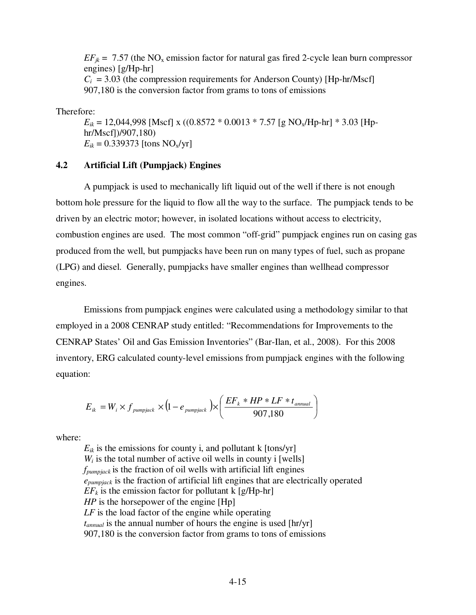$EF_{ik}$  = 7.57 (the NO<sub>x</sub> emission factor for natural gas fired 2-cycle lean burn compressor engines) [g/Hp-hr]  $C_i$  = 3.03 (the compression requirements for Anderson County) [Hp-hr/Mscf] 907,180 is the conversion factor from grams to tons of emissions

Therefore:

 $E_{ik}$  = 12,044,998 [Mscf] x ((0.8572  $*$  0.0013  $*$  7.57 [g NO<sub>x</sub>/Hp-hr]  $*$  3.03 [Hphr/Mscf])/907,180)  $E_{ik} = 0.339373$  [tons NO<sub>x</sub>/yr]

### **4.2 Artificial Lift (Pumpjack) Engines**

 A pumpjack is used to mechanically lift liquid out of the well if there is not enough bottom hole pressure for the liquid to flow all the way to the surface. The pumpjack tends to be driven by an electric motor; however, in isolated locations without access to electricity, combustion engines are used. The most common "off-grid" pumpjack engines run on casing gas produced from the well, but pumpjacks have been run on many types of fuel, such as propane (LPG) and diesel. Generally, pumpjacks have smaller engines than wellhead compressor engines.

 Emissions from pumpjack engines were calculated using a methodology similar to that employed in a 2008 CENRAP study entitled: "Recommendations for Improvements to the CENRAP States' Oil and Gas Emission Inventories" (Bar-Ilan, et al., 2008). For this 2008 inventory, ERG calculated county-level emissions from pumpjack engines with the following equation:

$$
E_{ik} = W_i \times f_{pumpjack} \times (1 - e_{pumpjack}) \times \left(\frac{EF_k * HP * LF * t_{annual}}{907,180}\right)
$$

where:

 $E_{ik}$  is the emissions for county i, and pollutant k [tons/yr]  $W_i$  is the total number of active oil wells in county i [wells] *fpumpjack* is the fraction of oil wells with artificial lift engines *epumpjack* is the fraction of artificial lift engines that are electrically operated  $EF_k$  is the emission factor for pollutant k  $[g/Hp-hr]$ *HP* is the horsepower of the engine [Hp] *LF* is the load factor of the engine while operating *tannual* is the annual number of hours the engine is used [hr/yr] 907,180 is the conversion factor from grams to tons of emissions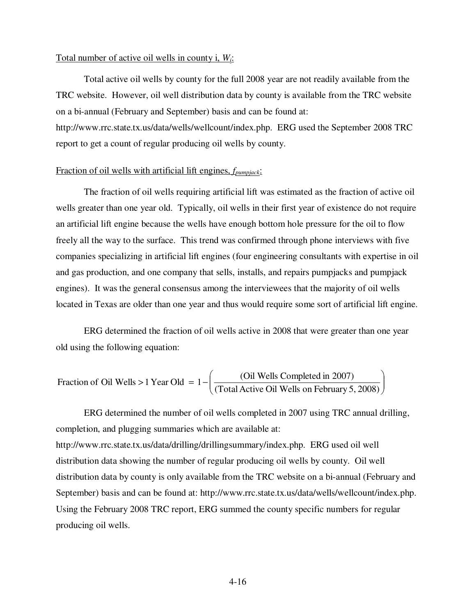#### Total number of active oil wells in county i, *Wi*:

 Total active oil wells by county for the full 2008 year are not readily available from the TRC website. However, oil well distribution data by county is available from the TRC website on a bi-annual (February and September) basis and can be found at: http://www.rrc.state.tx.us/data/wells/wellcount/index.php. ERG used the September 2008 TRC report to get a count of regular producing oil wells by county.

# Fraction of oil wells with artificial lift engines, *fpumpjack*:

 The fraction of oil wells requiring artificial lift was estimated as the fraction of active oil wells greater than one year old. Typically, oil wells in their first year of existence do not require an artificial lift engine because the wells have enough bottom hole pressure for the oil to flow freely all the way to the surface. This trend was confirmed through phone interviews with five companies specializing in artificial lift engines (four engineering consultants with expertise in oil and gas production, and one company that sells, installs, and repairs pumpjacks and pumpjack engines). It was the general consensus among the interviewees that the majority of oil wells located in Texas are older than one year and thus would require some sort of artificial lift engine.

 ERG determined the fraction of oil wells active in 2008 that were greater than one year old using the following equation:

Fraction of Oil Wells > 1 Year Old = 
$$
1 - \left( \frac{\text{(Oil Wells Complete in 2007)}}{\text{(Total Active Oil Wells on February 5, 2008)}} \right)
$$

 ERG determined the number of oil wells completed in 2007 using TRC annual drilling, completion, and plugging summaries which are available at: http://www.rrc.state.tx.us/data/drilling/drillingsummary/index.php. ERG used oil well distribution data showing the number of regular producing oil wells by county. Oil well distribution data by county is only available from the TRC website on a bi-annual (February and September) basis and can be found at: http://www.rrc.state.tx.us/data/wells/wellcount/index.php. Using the February 2008 TRC report, ERG summed the county specific numbers for regular producing oil wells.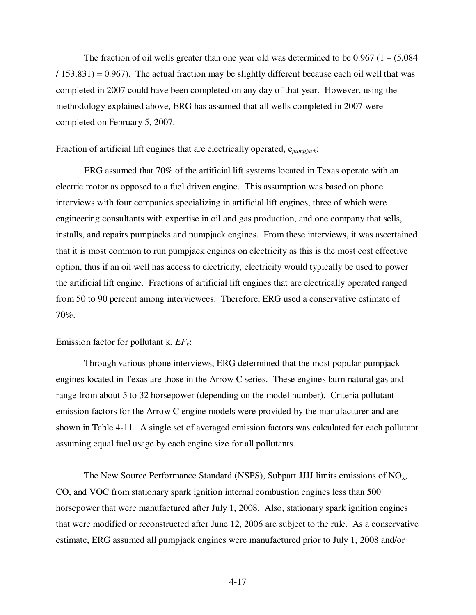The fraction of oil wells greater than one year old was determined to be  $0.967$  (1 –  $(5.084)$ )  $(153,831) = 0.967$ . The actual fraction may be slightly different because each oil well that was completed in 2007 could have been completed on any day of that year. However, using the methodology explained above, ERG has assumed that all wells completed in 2007 were completed on February 5, 2007.

# Fraction of artificial lift engines that are electrically operated, e*pumpjack*:

 ERG assumed that 70% of the artificial lift systems located in Texas operate with an electric motor as opposed to a fuel driven engine. This assumption was based on phone interviews with four companies specializing in artificial lift engines, three of which were engineering consultants with expertise in oil and gas production, and one company that sells, installs, and repairs pumpjacks and pumpjack engines. From these interviews, it was ascertained that it is most common to run pumpjack engines on electricity as this is the most cost effective option, thus if an oil well has access to electricity, electricity would typically be used to power the artificial lift engine. Fractions of artificial lift engines that are electrically operated ranged from 50 to 90 percent among interviewees. Therefore, ERG used a conservative estimate of 70%.

# Emission factor for pollutant k, *EFk*:

 Through various phone interviews, ERG determined that the most popular pumpjack engines located in Texas are those in the Arrow C series. These engines burn natural gas and range from about 5 to 32 horsepower (depending on the model number). Criteria pollutant emission factors for the Arrow C engine models were provided by the manufacturer and are shown in Table 4-11. A single set of averaged emission factors was calculated for each pollutant assuming equal fuel usage by each engine size for all pollutants.

The New Source Performance Standard (NSPS), Subpart JJJJ limits emissions of  $NO<sub>x</sub>$ , CO, and VOC from stationary spark ignition internal combustion engines less than 500 horsepower that were manufactured after July 1, 2008. Also, stationary spark ignition engines that were modified or reconstructed after June 12, 2006 are subject to the rule. As a conservative estimate, ERG assumed all pumpjack engines were manufactured prior to July 1, 2008 and/or

4-17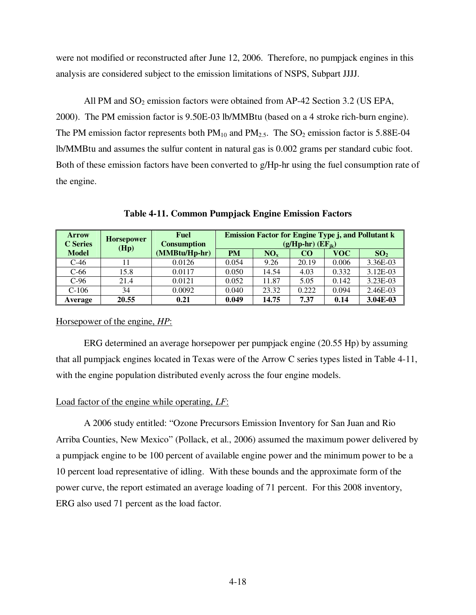were not modified or reconstructed after June 12, 2006. Therefore, no pumpjack engines in this analysis are considered subject to the emission limitations of NSPS, Subpart JJJJ.

All PM and  $SO_2$  emission factors were obtained from AP-42 Section 3.2 (US EPA, 2000). The PM emission factor is 9.50E-03 lb/MMBtu (based on a 4 stroke rich-burn engine). The PM emission factor represents both  $PM_{10}$  and  $PM_{2.5}$ . The  $SO_2$  emission factor is 5.88E-04 lb/MMBtu and assumes the sulfur content in natural gas is 0.002 grams per standard cubic foot. Both of these emission factors have been converted to g/Hp-hr using the fuel consumption rate of the engine.

| <b>Arrow</b><br><b>C</b> Series | <b>Horsepower</b><br>(Hp) | <b>Fuel</b><br><b>Consumption</b> | <b>Emission Factor for Engine Type j, and Pollutant k</b><br>$(g/Hp-hr)$ $(EF_{ik})$ |                 |           |       |                 |
|---------------------------------|---------------------------|-----------------------------------|--------------------------------------------------------------------------------------|-----------------|-----------|-------|-----------------|
| <b>Model</b>                    |                           | (MMBtu/Hp-hr)                     | <b>PM</b>                                                                            | NO <sub>x</sub> | <b>CO</b> | VOC   | SO <sub>2</sub> |
| $C-46$                          |                           | 0.0126                            | 0.054                                                                                | 9.26            | 20.19     | 0.006 | 3.36E-03        |
| $C-66$                          | 15.8                      | 0.0117                            | 0.050                                                                                | 14.54           | 4.03      | 0.332 | $3.12E-03$      |
| $C-96$                          | 21.4                      | 0.0121                            | 0.052                                                                                | 11.87           | 5.05      | 0.142 | 3.23E-03        |
| $C-106$                         | 34                        | 0.0092                            | 0.040                                                                                | 23.32           | 0.222     | 0.094 | 2.46E-03        |
| Average                         | 20.55                     | 0.21                              | 0.049                                                                                | 14.75           | 7.37      | 0.14  | 3.04E-03        |

**Table 4-11. Common Pumpjack Engine Emission Factors** 

### Horsepower of the engine, *HP*:

 ERG determined an average horsepower per pumpjack engine (20.55 Hp) by assuming that all pumpjack engines located in Texas were of the Arrow C series types listed in Table 4-11, with the engine population distributed evenly across the four engine models.

# Load factor of the engine while operating, *LF*:

 A 2006 study entitled: "Ozone Precursors Emission Inventory for San Juan and Rio Arriba Counties, New Mexico" (Pollack, et al., 2006) assumed the maximum power delivered by a pumpjack engine to be 100 percent of available engine power and the minimum power to be a 10 percent load representative of idling. With these bounds and the approximate form of the power curve, the report estimated an average loading of 71 percent. For this 2008 inventory, ERG also used 71 percent as the load factor.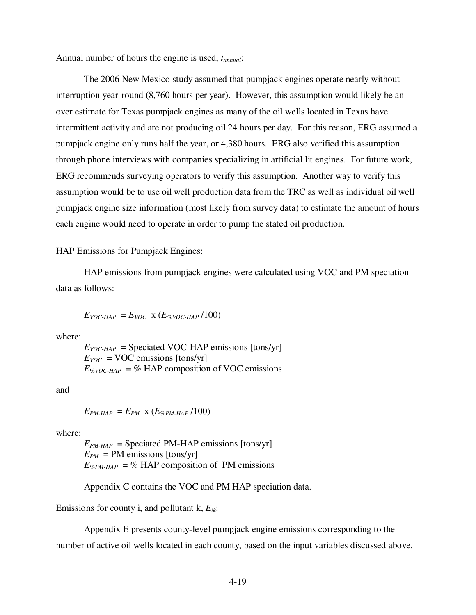# Annual number of hours the engine is used, *tannual*:

 The 2006 New Mexico study assumed that pumpjack engines operate nearly without interruption year-round (8,760 hours per year). However, this assumption would likely be an over estimate for Texas pumpjack engines as many of the oil wells located in Texas have intermittent activity and are not producing oil 24 hours per day. For this reason, ERG assumed a pumpjack engine only runs half the year, or 4,380 hours. ERG also verified this assumption through phone interviews with companies specializing in artificial lit engines. For future work, ERG recommends surveying operators to verify this assumption. Another way to verify this assumption would be to use oil well production data from the TRC as well as individual oil well pumpjack engine size information (most likely from survey data) to estimate the amount of hours each engine would need to operate in order to pump the stated oil production.

#### HAP Emissions for Pumpjack Engines:

 HAP emissions from pumpjack engines were calculated using VOC and PM speciation data as follows:

$$
E_{VOC-HAP} = E_{VOC} \times (E_{\%VOC-HAP}/100)
$$

where:

 $E_{VOC-HAP}$  = Speciated VOC-HAP emissions [tons/yr]  $E_{VOC}$  = VOC emissions [tons/yr]  $E_{\%VOC-HAP}$  = % HAP composition of VOC emissions

and

 $E_{PM\text{-}HAP} = E_{PM} \times (E_{\%PM\text{-}HAP}/100)$ 

where:

 $E_{PM\text{-}HAP}$  = Speciated PM-HAP emissions [tons/yr]  $E_{PM}$  = PM emissions [tons/yr]  $E_{\%PM\text{-}HAP} = \%$  HAP composition of PM emissions

Appendix C contains the VOC and PM HAP speciation data.

Emissions for county i, and pollutant k, *Eik*:

 Appendix E presents county-level pumpjack engine emissions corresponding to the number of active oil wells located in each county, based on the input variables discussed above.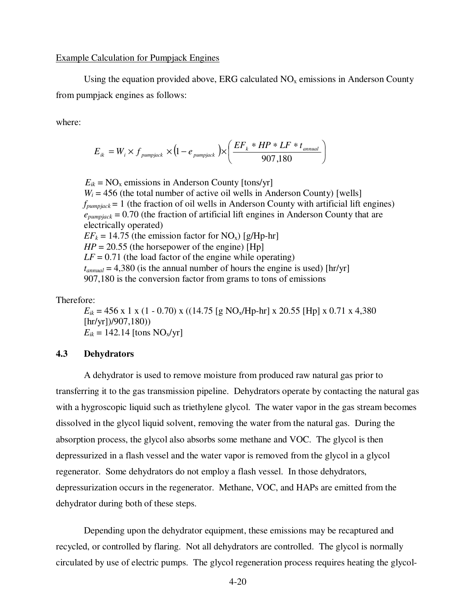Using the equation provided above, ERG calculated  $NO<sub>x</sub>$  emissions in Anderson County from pumpjack engines as follows:

where:

$$
E_{ik} = W_i \times f_{pumpjack} \times (1 - e_{pumpjack}) \times \left(\frac{EF_k * HP * LF * t_{annual}}{907,180}\right)
$$

 $E_{ik}$  = NO<sub>x</sub> emissions in Anderson County [tons/yr]  $W_i = 456$  (the total number of active oil wells in Anderson County) [wells]  $f_{\text{pumpiack}} = 1$  (the fraction of oil wells in Anderson County with artificial lift engines)  $e_{pumpjack}$  = 0.70 (the fraction of artificial lift engines in Anderson County that are electrically operated)  $EF_k = 14.75$  (the emission factor for NO<sub>x</sub>) [g/Hp-hr]  $HP = 20.55$  (the horsepower of the engine) [Hp]  $LF = 0.71$  (the load factor of the engine while operating)  $t_{annual} = 4,380$  (is the annual number of hours the engine is used) [hr/yr] 907,180 is the conversion factor from grams to tons of emissions

### Therefore:

 $E_{ik}$  = 456 x 1 x (1 - 0.70) x ((14.75 [g NO<sub>x</sub>/Hp-hr] x 20.55 [Hp] x 0.71 x 4,380 [hr/yr])/907,180))  $E_{ik} = 142.14$  [tons  $NO_x/yr$ ]

#### **4.3 Dehydrators**

 A dehydrator is used to remove moisture from produced raw natural gas prior to transferring it to the gas transmission pipeline. Dehydrators operate by contacting the natural gas with a hygroscopic liquid such as triethylene glycol. The water vapor in the gas stream becomes dissolved in the glycol liquid solvent, removing the water from the natural gas. During the absorption process, the glycol also absorbs some methane and VOC. The glycol is then depressurized in a flash vessel and the water vapor is removed from the glycol in a glycol regenerator. Some dehydrators do not employ a flash vessel. In those dehydrators, depressurization occurs in the regenerator. Methane, VOC, and HAPs are emitted from the dehydrator during both of these steps.

 Depending upon the dehydrator equipment, these emissions may be recaptured and recycled, or controlled by flaring. Not all dehydrators are controlled. The glycol is normally circulated by use of electric pumps. The glycol regeneration process requires heating the glycol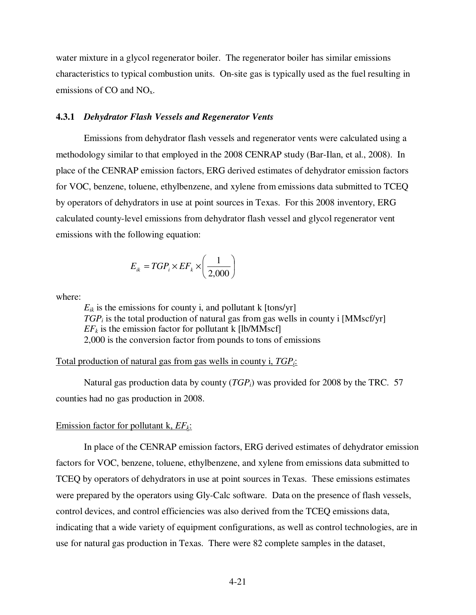water mixture in a glycol regenerator boiler. The regenerator boiler has similar emissions characteristics to typical combustion units. On-site gas is typically used as the fuel resulting in emissions of CO and  $NO<sub>x</sub>$ .

#### **4.3.1** *Dehydrator Flash Vessels and Regenerator Vents*

 Emissions from dehydrator flash vessels and regenerator vents were calculated using a methodology similar to that employed in the 2008 CENRAP study (Bar-Ilan, et al., 2008). In place of the CENRAP emission factors, ERG derived estimates of dehydrator emission factors for VOC, benzene, toluene, ethylbenzene, and xylene from emissions data submitted to TCEQ by operators of dehydrators in use at point sources in Texas. For this 2008 inventory, ERG calculated county-level emissions from dehydrator flash vessel and glycol regenerator vent emissions with the following equation:

$$
E_{ik} = TGP_i \times EF_k \times \left(\frac{1}{2,000}\right)
$$

where:

 $E_{ik}$  is the emissions for county i, and pollutant k  $[tons/yr]$ *TGPi* is the total production of natural gas from gas wells in county i [MMscf/yr]  $EF<sub>k</sub>$  is the emission factor for pollutant k [lb/MMscf] 2,000 is the conversion factor from pounds to tons of emissions

### Total production of natural gas from gas wells in county i, *TGPi*:

 Natural gas production data by county (*TGPi*) was provided for 2008 by the TRC. 57 counties had no gas production in 2008.

#### Emission factor for pollutant k, *EFk*:

 In place of the CENRAP emission factors, ERG derived estimates of dehydrator emission factors for VOC, benzene, toluene, ethylbenzene, and xylene from emissions data submitted to TCEQ by operators of dehydrators in use at point sources in Texas. These emissions estimates were prepared by the operators using Gly-Calc software. Data on the presence of flash vessels, control devices, and control efficiencies was also derived from the TCEQ emissions data, indicating that a wide variety of equipment configurations, as well as control technologies, are in use for natural gas production in Texas. There were 82 complete samples in the dataset,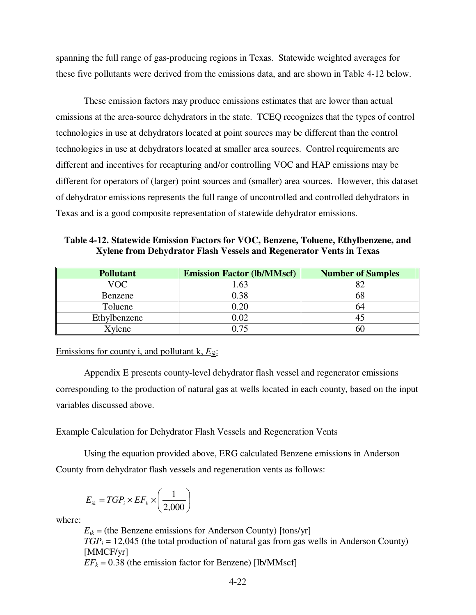spanning the full range of gas-producing regions in Texas. Statewide weighted averages for these five pollutants were derived from the emissions data, and are shown in Table 4-12 below.

 These emission factors may produce emissions estimates that are lower than actual emissions at the area-source dehydrators in the state. TCEQ recognizes that the types of control technologies in use at dehydrators located at point sources may be different than the control technologies in use at dehydrators located at smaller area sources. Control requirements are different and incentives for recapturing and/or controlling VOC and HAP emissions may be different for operators of (larger) point sources and (smaller) area sources. However, this dataset of dehydrator emissions represents the full range of uncontrolled and controlled dehydrators in Texas and is a good composite representation of statewide dehydrator emissions.

**Table 4-12. Statewide Emission Factors for VOC, Benzene, Toluene, Ethylbenzene, and Xylene from Dehydrator Flash Vessels and Regenerator Vents in Texas** 

| <b>Pollutant</b> | <b>Emission Factor (lb/MMscf)</b> | <b>Number of Samples</b> |
|------------------|-----------------------------------|--------------------------|
| VOC              | .63                               |                          |
| Benzene          | 0.38                              |                          |
| Toluene          | $0.20\,$                          | 64                       |
| Ethylbenzene     | 0.02                              |                          |
| Xylene           | በ 75                              | ы                        |

Emissions for county i, and pollutant k, *Eik*:

 Appendix E presents county-level dehydrator flash vessel and regenerator emissions corresponding to the production of natural gas at wells located in each county, based on the input variables discussed above.

### Example Calculation for Dehydrator Flash Vessels and Regeneration Vents

 Using the equation provided above, ERG calculated Benzene emissions in Anderson County from dehydrator flash vessels and regeneration vents as follows:

$$
E_{ik} = TGP_i \times EF_k \times \left(\frac{1}{2,000}\right)
$$

where:

 $E_{ik}$  = (the Benzene emissions for Anderson County) [tons/yr]  $TGP_i = 12,045$  (the total production of natural gas from gas wells in Anderson County) [MMCF/yr]

 $EF_k = 0.38$  (the emission factor for Benzene) [lb/MMscf]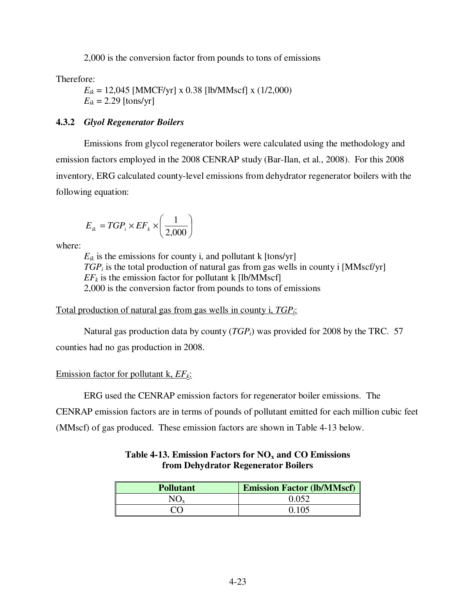2,000 is the conversion factor from pounds to tons of emissions

Therefore:

 $E_{ik} = 12,045$  [MMCF/yr] x 0.38 [lb/MMscf] x (1/2,000)  $E_{ik} = 2.29$  [tons/yr]

# **4.3.2** *Glyol Regenerator Boilers*

 Emissions from glycol regenerator boilers were calculated using the methodology and emission factors employed in the 2008 CENRAP study (Bar-Ilan, et al., 2008). For this 2008 inventory, ERG calculated county-level emissions from dehydrator regenerator boilers with the following equation:

$$
E_{ik} = TGP_i \times EF_k \times \left(\frac{1}{2,000}\right)
$$

where:

 $E_{ik}$  is the emissions for county i, and pollutant k  $[tons/yr]$ *TGPi* is the total production of natural gas from gas wells in county i [MMscf/yr]  $EF<sub>k</sub>$  is the emission factor for pollutant k [lb/MMscf] 2,000 is the conversion factor from pounds to tons of emissions

Total production of natural gas from gas wells in county i, *TGPi*:

 Natural gas production data by county (*TGPi*) was provided for 2008 by the TRC. 57 counties had no gas production in 2008.

# Emission factor for pollutant k, *EFk*:

ERG used the CENRAP emission factors for regenerator boiler emissions. The

CENRAP emission factors are in terms of pounds of pollutant emitted for each million cubic feet (MMscf) of gas produced. These emission factors are shown in Table 4-13 below.

# **Table 4-13. Emission Factors for NOx and CO Emissions from Dehydrator Regenerator Boilers**

| <b>Pollutant</b> | <b>Emission Factor (lb/MMscf)</b> |
|------------------|-----------------------------------|
| $\rm NO_{x}$     | 0.052                             |
| 70 V             | 0.105                             |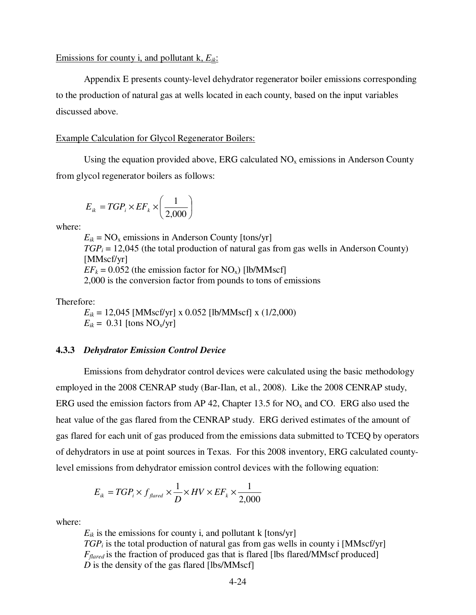#### Emissions for county i, and pollutant k, *Eik*:

 Appendix E presents county-level dehydrator regenerator boiler emissions corresponding to the production of natural gas at wells located in each county, based on the input variables discussed above.

#### Example Calculation for Glycol Regenerator Boilers:

Using the equation provided above, ERG calculated  $NO<sub>x</sub>$  emissions in Anderson County from glycol regenerator boilers as follows:

$$
E_{ik} = TGP_i \times EF_k \times \left(\frac{1}{2,000}\right)
$$

where:

 $E_{ik}$  = NO<sub>x</sub> emissions in Anderson County [tons/yr]  $TGP_i = 12,045$  (the total production of natural gas from gas wells in Anderson County) [MMscf/yr]  $EF_k = 0.052$  (the emission factor for NO<sub>x</sub>) [lb/MMscf] 2,000 is the conversion factor from pounds to tons of emissions

Therefore:

 $E_{ik}$  = 12,045 [MMscf/yr] x 0.052 [lb/MMscf] x (1/2,000)  $E_{ik} = 0.31$  [tons NO<sub>x</sub>/yr]

#### **4.3.3** *Dehydrator Emission Control Device*

 Emissions from dehydrator control devices were calculated using the basic methodology employed in the 2008 CENRAP study (Bar-Ilan, et al., 2008). Like the 2008 CENRAP study, ERG used the emission factors from AP 42, Chapter 13.5 for  $NO<sub>x</sub>$  and CO. ERG also used the heat value of the gas flared from the CENRAP study. ERG derived estimates of the amount of gas flared for each unit of gas produced from the emissions data submitted to TCEQ by operators of dehydrators in use at point sources in Texas. For this 2008 inventory, ERG calculated countylevel emissions from dehydrator emission control devices with the following equation:

$$
E_{ik} = TGP_i \times f_{\text{flared}} \times \frac{1}{D} \times HV \times EF_k \times \frac{1}{2,000}
$$

where:

 $E_{ik}$  is the emissions for county i, and pollutant k  $[tons/yr]$ *TGP<sub>i</sub>* is the total production of natural gas from gas wells in county i [MMscf/yr] *Fflared* is the fraction of produced gas that is flared [lbs flared/MMscf produced] *D* is the density of the gas flared [lbs/MMscf]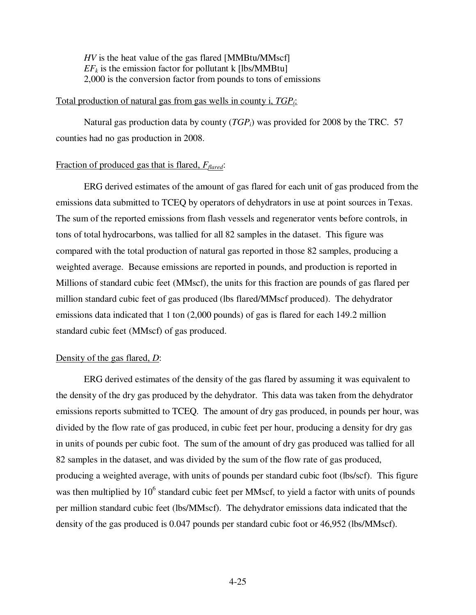*HV* is the heat value of the gas flared [MMBtu/MMscf]  $EF<sub>k</sub>$  is the emission factor for pollutant k [lbs/MMBtu] 2,000 is the conversion factor from pounds to tons of emissions

### Total production of natural gas from gas wells in county i, *TGPi*:

 Natural gas production data by county (*TGPi*) was provided for 2008 by the TRC. 57 counties had no gas production in 2008.

# Fraction of produced gas that is flared, *Fflared*:

 ERG derived estimates of the amount of gas flared for each unit of gas produced from the emissions data submitted to TCEQ by operators of dehydrators in use at point sources in Texas. The sum of the reported emissions from flash vessels and regenerator vents before controls, in tons of total hydrocarbons, was tallied for all 82 samples in the dataset. This figure was compared with the total production of natural gas reported in those 82 samples, producing a weighted average. Because emissions are reported in pounds, and production is reported in Millions of standard cubic feet (MMscf), the units for this fraction are pounds of gas flared per million standard cubic feet of gas produced (lbs flared/MMscf produced). The dehydrator emissions data indicated that 1 ton (2,000 pounds) of gas is flared for each 149.2 million standard cubic feet (MMscf) of gas produced.

### Density of the gas flared, *D*:

 ERG derived estimates of the density of the gas flared by assuming it was equivalent to the density of the dry gas produced by the dehydrator. This data was taken from the dehydrator emissions reports submitted to TCEQ. The amount of dry gas produced, in pounds per hour, was divided by the flow rate of gas produced, in cubic feet per hour, producing a density for dry gas in units of pounds per cubic foot. The sum of the amount of dry gas produced was tallied for all 82 samples in the dataset, and was divided by the sum of the flow rate of gas produced, producing a weighted average, with units of pounds per standard cubic foot (lbs/scf). This figure was then multiplied by  $10<sup>6</sup>$  standard cubic feet per MMscf, to yield a factor with units of pounds per million standard cubic feet (lbs/MMscf). The dehydrator emissions data indicated that the density of the gas produced is 0.047 pounds per standard cubic foot or 46,952 (lbs/MMscf).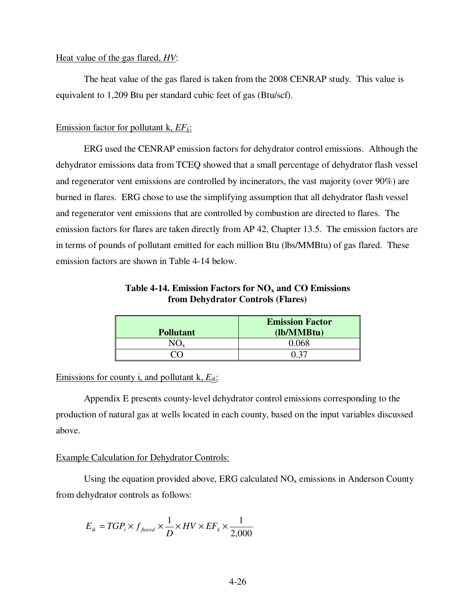#### Heat value of the gas flared, *HV*:

 The heat value of the gas flared is taken from the 2008 CENRAP study. This value is equivalent to 1,209 Btu per standard cubic feet of gas (Btu/scf).

# Emission factor for pollutant k, *EFk*:

 ERG used the CENRAP emission factors for dehydrator control emissions. Although the dehydrator emissions data from TCEQ showed that a small percentage of dehydrator flash vessel and regenerator vent emissions are controlled by incinerators, the vast majority (over 90%) are burned in flares. ERG chose to use the simplifying assumption that all dehydrator flash vessel and regenerator vent emissions that are controlled by combustion are directed to flares. The emission factors for flares are taken directly from AP 42, Chapter 13.5. The emission factors are in terms of pounds of pollutant emitted for each million Btu (lbs/MMBtu) of gas flared. These emission factors are shown in Table 4-14 below.

| Table 4-14. Emission Factors for $NOx$ and CO Emissions |
|---------------------------------------------------------|
| from Dehydrator Controls (Flares)                       |

| <b>Pollutant</b> | <b>Emission Factor</b><br>(lb/MMBtu) |
|------------------|--------------------------------------|
|                  | 0.068                                |
|                  |                                      |

Emissions for county i, and pollutant k, *Eik*:

 Appendix E presents county-level dehydrator control emissions corresponding to the production of natural gas at wells located in each county, based on the input variables discussed above.

### Example Calculation for Dehydrator Controls:

Using the equation provided above, ERG calculated  $NO<sub>x</sub>$  emissions in Anderson County from dehydrator controls as follows:

$$
E_{ik} = TGP_i \times f_{\text{flared}} \times \frac{1}{D} \times HV \times EF_k \times \frac{1}{2,000}
$$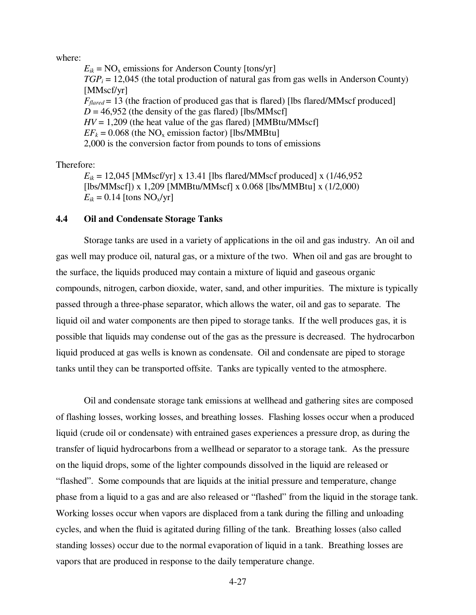where:

 $E_{ik}$  = NO<sub>x</sub> emissions for Anderson County [tons/yr]  $TGP_i = 12,045$  (the total production of natural gas from gas wells in Anderson County) [MMscf/yr]  $F_{\text{flared}} = 13$  (the fraction of produced gas that is flared) [lbs flared/MMscf produced]  $D = 46,952$  (the density of the gas flared) [lbs/MMscf]  $HV = 1,209$  (the heat value of the gas flared) [MMBtu/MMscf]  $EF_k = 0.068$  (the NO<sub>x</sub> emission factor) [lbs/MMBtu] 2,000 is the conversion factor from pounds to tons of emissions

Therefore:

 $E_{ik}$  = 12,045 [MMscf/yr] x 13.41 [lbs flared/MMscf produced] x (1/46,952) [lbs/MMscf]) x 1,209 [MMBtu/MMscf] x 0.068 [lbs/MMBtu] x (1/2,000)  $E_{ik} = 0.14$  [tons NO<sub>x</sub>/yr]

# **4.4 Oil and Condensate Storage Tanks**

 Storage tanks are used in a variety of applications in the oil and gas industry. An oil and gas well may produce oil, natural gas, or a mixture of the two. When oil and gas are brought to the surface, the liquids produced may contain a mixture of liquid and gaseous organic compounds, nitrogen, carbon dioxide, water, sand, and other impurities. The mixture is typically passed through a three-phase separator, which allows the water, oil and gas to separate. The liquid oil and water components are then piped to storage tanks. If the well produces gas, it is possible that liquids may condense out of the gas as the pressure is decreased. The hydrocarbon liquid produced at gas wells is known as condensate.Oil and condensate are piped to storage tanks until they can be transported offsite. Tanks are typically vented to the atmosphere.

 Oil and condensate storage tank emissions at wellhead and gathering sites are composed of flashing losses, working losses, and breathing losses. Flashing losses occur when a produced liquid (crude oil or condensate) with entrained gases experiences a pressure drop, as during the transfer of liquid hydrocarbons from a wellhead or separator to a storage tank. As the pressure on the liquid drops, some of the lighter compounds dissolved in the liquid are released or "flashed". Some compounds that are liquids at the initial pressure and temperature, change phase from a liquid to a gas and are also released or "flashed" from the liquid in the storage tank. Working losses occur when vapors are displaced from a tank during the filling and unloading cycles, and when the fluid is agitated during filling of the tank. Breathing losses (also called standing losses) occur due to the normal evaporation of liquid in a tank. Breathing losses are vapors that are produced in response to the daily temperature change.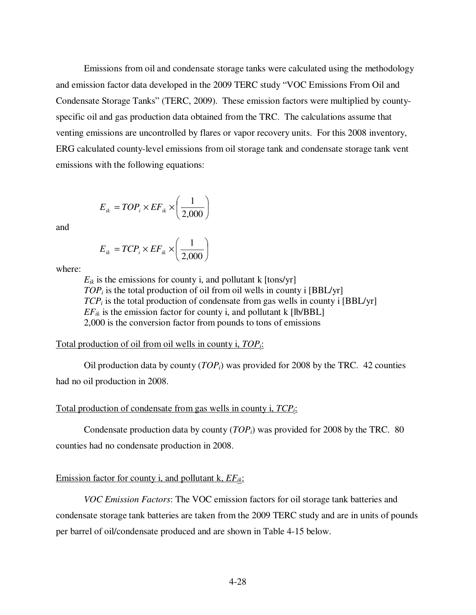Emissions from oil and condensate storage tanks were calculated using the methodology and emission factor data developed in the 2009 TERC study "VOC Emissions From Oil and Condensate Storage Tanks" (TERC, 2009). These emission factors were multiplied by countyspecific oil and gas production data obtained from the TRC. The calculations assume that venting emissions are uncontrolled by flares or vapor recovery units. For this 2008 inventory, ERG calculated county-level emissions from oil storage tank and condensate storage tank vent emissions with the following equations:

$$
E_{ik} = TOP_i \times EF_{ik} \times \left(\frac{1}{2,000}\right)
$$

and

$$
E_{ik} = TCP_i \times EF_{ik} \times \left(\frac{1}{2,000}\right)
$$

where:

 $E_{ik}$  is the emissions for county i, and pollutant k  $[tons/yr]$ *TOP<sub>i</sub>* is the total production of oil from oil wells in county i [BBL/yr]  $TCP<sub>i</sub>$  is the total production of condensate from gas wells in county i [BBL/yr]  $EF_{ik}$  is the emission factor for county i, and pollutant k [lb/BBL] 2,000 is the conversion factor from pounds to tons of emissions

Total production of oil from oil wells in county i, *TOPi*:

 Oil production data by county (*TOPi*) was provided for 2008 by the TRC. 42 counties had no oil production in 2008.

### Total production of condensate from gas wells in county i, *TCPi*:

 Condensate production data by county (*TOPi*) was provided for 2008 by the TRC. 80 counties had no condensate production in 2008.

# Emission factor for county i, and pollutant k, *EFik*:

 *VOC Emission Factors*: The VOC emission factors for oil storage tank batteries and condensate storage tank batteries are taken from the 2009 TERC study and are in units of pounds per barrel of oil/condensate produced and are shown in Table 4-15 below.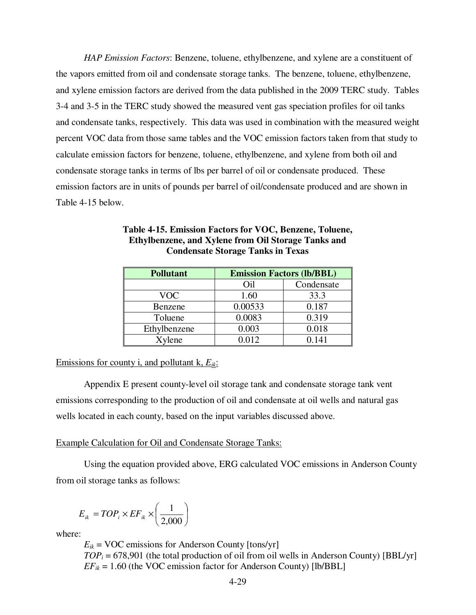*HAP Emission Factors*: Benzene, toluene, ethylbenzene, and xylene are a constituent of the vapors emitted from oil and condensate storage tanks. The benzene, toluene, ethylbenzene, and xylene emission factors are derived from the data published in the 2009 TERC study. Tables 3-4 and 3-5 in the TERC study showed the measured vent gas speciation profiles for oil tanks and condensate tanks, respectively. This data was used in combination with the measured weight percent VOC data from those same tables and the VOC emission factors taken from that study to calculate emission factors for benzene, toluene, ethylbenzene, and xylene from both oil and condensate storage tanks in terms of lbs per barrel of oil or condensate produced. These emission factors are in units of pounds per barrel of oil/condensate produced and are shown in Table 4-15 below.

| <b>Pollutant</b> | <b>Emission Factors (lb/BBL)</b> |            |  |  |  |
|------------------|----------------------------------|------------|--|--|--|
|                  | Oil                              | Condensate |  |  |  |
| <b>VOC</b>       | 1.60                             | 33.3       |  |  |  |
| Benzene          | 0.00533                          | 0.187      |  |  |  |
| Toluene          | 0.0083                           | 0.319      |  |  |  |
| Ethylbenzene     | 0.003                            | 0.018      |  |  |  |
| Xylene           | 0.012                            | 0.141      |  |  |  |

# **Table 4-15. Emission Factors for VOC, Benzene, Toluene, Ethylbenzene, and Xylene from Oil Storage Tanks and Condensate Storage Tanks in Texas**

# Emissions for county i, and pollutant k, *Eik*:

 Appendix E present county-level oil storage tank and condensate storage tank vent emissions corresponding to the production of oil and condensate at oil wells and natural gas wells located in each county, based on the input variables discussed above.

# Example Calculation for Oil and Condensate Storage Tanks:

 Using the equation provided above, ERG calculated VOC emissions in Anderson County from oil storage tanks as follows:

$$
E_{ik} = TOP_i \times EF_{ik} \times \left(\frac{1}{2,000}\right)
$$

where:

 $E_{ik}$  = VOC emissions for Anderson County [tons/yr]  $TOP_i = 678,901$  (the total production of oil from oil wells in Anderson County) [BBL/yr]  $EF_{ik} = 1.60$  (the VOC emission factor for Anderson County) [lb/BBL]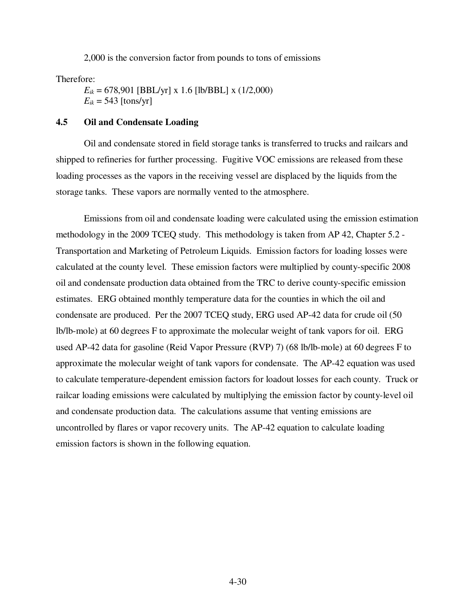2,000 is the conversion factor from pounds to tons of emissions

Therefore:

 $E_{ik}$  = 678,901 [BBL/yr] x 1.6 [lb/BBL] x (1/2,000)  $E_{ik}$  = 543 [tons/yr]

### **4.5 Oil and Condensate Loading**

 Oil and condensate stored in field storage tanks is transferred to trucks and railcars and shipped to refineries for further processing. Fugitive VOC emissions are released from these loading processes as the vapors in the receiving vessel are displaced by the liquids from the storage tanks. These vapors are normally vented to the atmosphere.

 Emissions from oil and condensate loading were calculated using the emission estimation methodology in the 2009 TCEQ study. This methodology is taken from AP 42, Chapter 5.2 - Transportation and Marketing of Petroleum Liquids. Emission factors for loading losses were calculated at the county level. These emission factors were multiplied by county-specific 2008 oil and condensate production data obtained from the TRC to derive county-specific emission estimates. ERG obtained monthly temperature data for the counties in which the oil and condensate are produced. Per the 2007 TCEQ study, ERG used AP-42 data for crude oil (50 lb/lb-mole) at 60 degrees F to approximate the molecular weight of tank vapors for oil. ERG used AP-42 data for gasoline (Reid Vapor Pressure (RVP) 7) (68 lb/lb-mole) at 60 degrees F to approximate the molecular weight of tank vapors for condensate. The AP-42 equation was used to calculate temperature-dependent emission factors for loadout losses for each county. Truck or railcar loading emissions were calculated by multiplying the emission factor by county-level oil and condensate production data. The calculations assume that venting emissions are uncontrolled by flares or vapor recovery units. The AP-42 equation to calculate loading emission factors is shown in the following equation.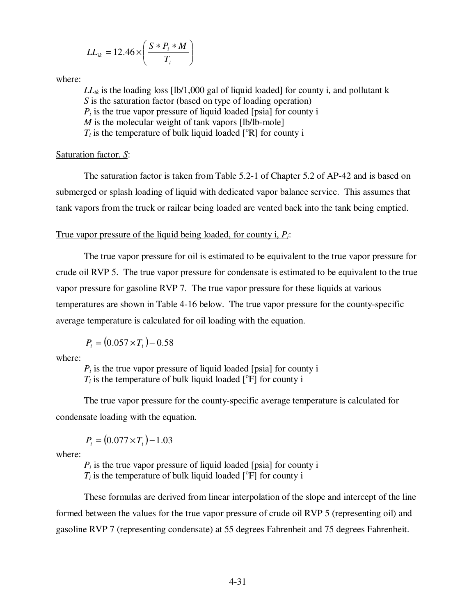$$
LL_{ik} = 12.46 \times \left(\frac{S * P_i * M}{T_i}\right)
$$

where:

 $LL_{ik}$  is the loading loss [lb/1,000 gal of liquid loaded] for county i, and pollutant k *S* is the saturation factor (based on type of loading operation)  $P_i$  is the true vapor pressure of liquid loaded [psia] for county i *M* is the molecular weight of tank vapors [lb/lb-mole]  $T_i$  is the temperature of bulk liquid loaded  $\lceil {^{\circ}R} \rceil$  for county i

# Saturation factor, *S*:

 The saturation factor is taken from Table 5.2-1 of Chapter 5.2 of AP-42 and is based on submerged or splash loading of liquid with dedicated vapor balance service. This assumes that tank vapors from the truck or railcar being loaded are vented back into the tank being emptied.

### True vapor pressure of the liquid being loaded, for county i, *Pi*:

 The true vapor pressure for oil is estimated to be equivalent to the true vapor pressure for crude oil RVP 5. The true vapor pressure for condensate is estimated to be equivalent to the true vapor pressure for gasoline RVP 7. The true vapor pressure for these liquids at various temperatures are shown in Table 4-16 below. The true vapor pressure for the county-specific average temperature is calculated for oil loading with the equation.

$$
P_i = (0.057 \times T_i) - 0.58
$$

where:

 $P_i$  is the true vapor pressure of liquid loaded [psia] for county i  $T_i$  is the temperature of bulk liquid loaded  $[°F]$  for county i

 The true vapor pressure for the county-specific average temperature is calculated for condensate loading with the equation.

$$
P_i = (0.077 \times T_i) - 1.03
$$

where:

 $P_i$  is the true vapor pressure of liquid loaded [psia] for county i  $T_i$  is the temperature of bulk liquid loaded  $[°F]$  for county i

 These formulas are derived from linear interpolation of the slope and intercept of the line formed between the values for the true vapor pressure of crude oil RVP 5 (representing oil) and gasoline RVP 7 (representing condensate) at 55 degrees Fahrenheit and 75 degrees Fahrenheit.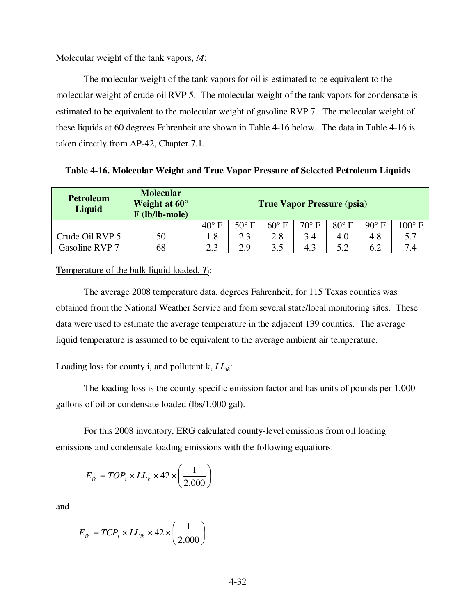#### Molecular weight of the tank vapors, *M*:

 The molecular weight of the tank vapors for oil is estimated to be equivalent to the molecular weight of crude oil RVP 5. The molecular weight of the tank vapors for condensate is estimated to be equivalent to the molecular weight of gasoline RVP 7. The molecular weight of these liquids at 60 degrees Fahrenheit are shown in Table 4-16 below. The data in Table 4-16 is taken directly from AP-42, Chapter 7.1.

**Table 4-16. Molecular Weight and True Vapor Pressure of Selected Petroleum Liquids** 

| <b>Petroleum</b><br>Liquid | <b>Molecular</b><br>Weight at $60^{\circ}$<br>$F$ (lb/lb-mole) | <b>True Vapor Pressure (psia)</b> |              |                |                |              |              |                 |
|----------------------------|----------------------------------------------------------------|-----------------------------------|--------------|----------------|----------------|--------------|--------------|-----------------|
|                            |                                                                | $40^{\circ}$ F                    | $50^\circ$ F | $60^{\circ}$ F | $70^{\circ}$ F | $80^\circ$ F | $90^\circ$ F | $100^{\circ}$ F |
| Crude Oil RVP 5            | 50                                                             | 1.8                               | 2.3          | 2.8            | 3.4            | 4.0          | 4.8          | 5.7             |
| Gasoline RVP 7             | 68                                                             | 2.3                               | 2.9          | 3.5            | 4.3            | 5.2          | 6.2          | $7\,\mu$        |

Temperature of the bulk liquid loaded, *Ti*:

 The average 2008 temperature data, degrees Fahrenheit, for 115 Texas counties was obtained from the National Weather Service and from several state/local monitoring sites. These data were used to estimate the average temperature in the adjacent 139 counties. The average liquid temperature is assumed to be equivalent to the average ambient air temperature.

# Loading loss for county i, and pollutant k, *LLik*:

 The loading loss is the county-specific emission factor and has units of pounds per 1,000 gallons of oil or condensate loaded (lbs/1,000 gal).

 For this 2008 inventory, ERG calculated county-level emissions from oil loading emissions and condensate loading emissions with the following equations:

$$
E_{ik} = TOP_i \times LL_k \times 42 \times \left(\frac{1}{2,000}\right)
$$

and

$$
E_{ik} = TCP_i \times LL_{ik} \times 42 \times \left(\frac{1}{2,000}\right)
$$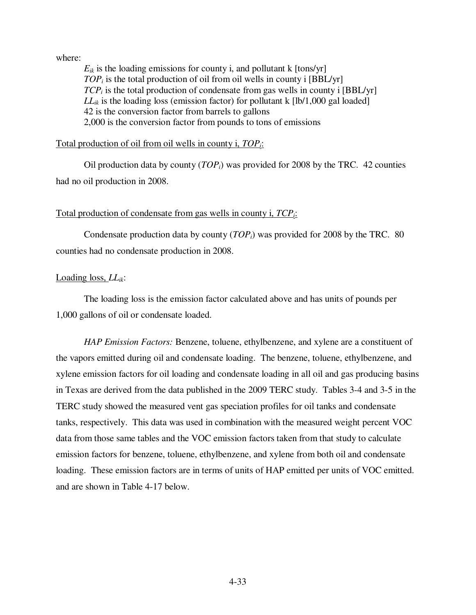where:

 $E_{ik}$  is the loading emissions for county i, and pollutant k [tons/yr] *TOP<sub>i</sub>* is the total production of oil from oil wells in county i [BBL/yr] *TCP<sub>i</sub>* is the total production of condensate from gas wells in county i [BBL/yr]  $LL_{ik}$  is the loading loss (emission factor) for pollutant k  $[1b/1,000$  gal loaded] 42 is the conversion factor from barrels to gallons 2,000 is the conversion factor from pounds to tons of emissions

# Total production of oil from oil wells in county i, *TOPi*:

 Oil production data by county (*TOPi*) was provided for 2008 by the TRC. 42 counties had no oil production in 2008.

### Total production of condensate from gas wells in county i, *TCPi*:

 Condensate production data by county (*TOPi*) was provided for 2008 by the TRC. 80 counties had no condensate production in 2008.

# Loading loss, *LLik*:

 The loading loss is the emission factor calculated above and has units of pounds per 1,000 gallons of oil or condensate loaded.

 *HAP Emission Factors:* Benzene, toluene, ethylbenzene, and xylene are a constituent of the vapors emitted during oil and condensate loading. The benzene, toluene, ethylbenzene, and xylene emission factors for oil loading and condensate loading in all oil and gas producing basins in Texas are derived from the data published in the 2009 TERC study. Tables 3-4 and 3-5 in the TERC study showed the measured vent gas speciation profiles for oil tanks and condensate tanks, respectively. This data was used in combination with the measured weight percent VOC data from those same tables and the VOC emission factors taken from that study to calculate emission factors for benzene, toluene, ethylbenzene, and xylene from both oil and condensate loading. These emission factors are in terms of units of HAP emitted per units of VOC emitted. and are shown in Table 4-17 below.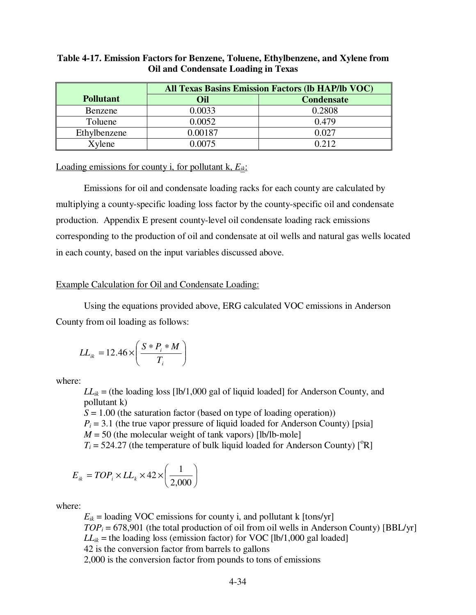# **Table 4-17. Emission Factors for Benzene, Toluene, Ethylbenzene, and Xylene from Oil and Condensate Loading in Texas**

|                  | <b>All Texas Basins Emission Factors (lb HAP/lb VOC)</b> |                   |  |  |  |
|------------------|----------------------------------------------------------|-------------------|--|--|--|
| <b>Pollutant</b> | Oil                                                      | <b>Condensate</b> |  |  |  |
| Benzene          | 0.0033                                                   | 0.2808            |  |  |  |
| Toluene          | 0.0052                                                   | 0.479             |  |  |  |
| Ethylbenzene     | 0.00187                                                  | 0.027             |  |  |  |
| Xylene           | 0.0075                                                   | በ 212             |  |  |  |

Loading emissions for county i, for pollutant k, *Eik*:

 Emissions for oil and condensate loading racks for each county are calculated by multiplying a county-specific loading loss factor by the county-specific oil and condensate production. Appendix E present county-level oil condensate loading rack emissions corresponding to the production of oil and condensate at oil wells and natural gas wells located in each county, based on the input variables discussed above.

# Example Calculation for Oil and Condensate Loading:

 Using the equations provided above, ERG calculated VOC emissions in Anderson County from oil loading as follows:

$$
LL_{ik} = 12.46 \times \left(\frac{S * P_i * M}{T_i}\right)
$$

where:

 $LL_{ik}$  = (the loading loss [lb/1,000 gal of liquid loaded] for Anderson County, and pollutant k)

*S* = 1.00 (the saturation factor (based on type of loading operation))

 $P_i = 3.1$  (the true vapor pressure of liquid loaded for Anderson County) [psia]

 $M = 50$  (the molecular weight of tank vapors) [lb/lb-mole]

 $T_i = 524.27$  (the temperature of bulk liquid loaded for Anderson County) [<sup>o</sup>R]

$$
E_{ik} = TOP_i \times LL_k \times 42 \times \left(\frac{1}{2,000}\right)
$$

where:

 $E_{ik}$  = loading VOC emissions for county i, and pollutant k [tons/yr]  $TOP_i = 678,901$  (the total production of oil from oil wells in Anderson County) [BBL/yr]  $LL_{ik}$  = the loading loss (emission factor) for VOC [lb/1,000 gal loaded] 42 is the conversion factor from barrels to gallons 2,000 is the conversion factor from pounds to tons of emissions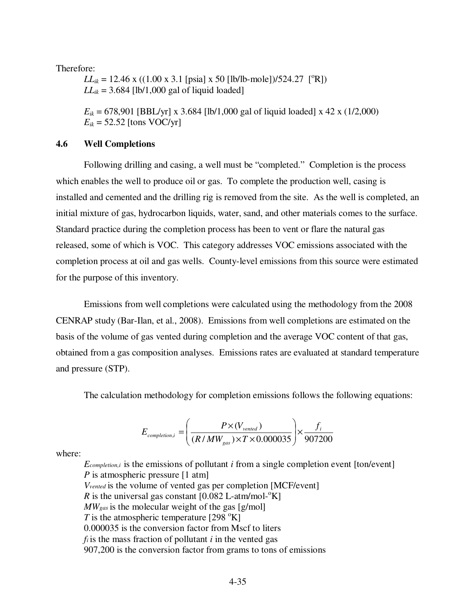Therefore:

 $LL_{ik} = 12.46$  x ((1.00 x 3.1 [psia] x 50 [lb/lb-mole])/524.27 [<sup>o</sup>R])  $LL_{ik} = 3.684$  [lb/1,000 gal of liquid loaded]

 $E_{ik}$  = 678,901 [BBL/yr] x 3.684 [lb/1,000 gal of liquid loaded] x 42 x (1/2,000)  $E_{ik}$  = 52.52 [tons VOC/yr]

#### **4.6 Well Completions**

 Following drilling and casing, a well must be "completed." Completion is the process which enables the well to produce oil or gas. To complete the production well, casing is installed and cemented and the drilling rig is removed from the site. As the well is completed, an initial mixture of gas, hydrocarbon liquids, water, sand, and other materials comes to the surface. Standard practice during the completion process has been to vent or flare the natural gas released, some of which is VOC. This category addresses VOC emissions associated with the completion process at oil and gas wells. County-level emissions from this source were estimated for the purpose of this inventory.

 Emissions from well completions were calculated using the methodology from the 2008 CENRAP study (Bar-Ilan, et al., 2008). Emissions from well completions are estimated on the basis of the volume of gas vented during completion and the average VOC content of that gas, obtained from a gas composition analyses. Emissions rates are evaluated at standard temperature and pressure (STP).

The calculation methodology for completion emissions follows the following equations:

$$
E_{\textit{completion},i} = \left(\frac{P \times (V_{\textit{vented}})}{(R/MW_{\textit{gas}}) \times T \times 0.000035}\right) \times \frac{f_i}{907200}
$$

where:

*Ecompletion,i* is the emissions of pollutant *i* from a single completion event [ton/event] *P* is atmospheric pressure [1 atm] *Vvented* is the volume of vented gas per completion [MCF/event] *R* is the universal gas constant  $[0.082 \text{ L-atm/mol-}^{\circ}\text{K}]$ *MWgas* is the molecular weight of the gas [g/mol] *T* is the atmospheric temperature [298  $\mathrm{K}$ ] 0.000035 is the conversion factor from Mscf to liters  $f_i$  is the mass fraction of pollutant  $i$  in the vented gas 907,200 is the conversion factor from grams to tons of emissions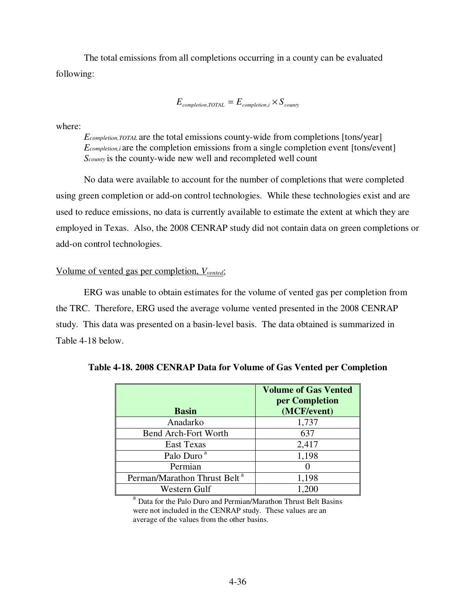The total emissions from all completions occurring in a county can be evaluated following:

 $E_{\text{completion, TOTAL}} = E_{\text{completion,i}} \times S_{\text{countv}}$ 

where:

*Ecompletion,TOTAL* are the total emissions county-wide from completions [tons/year] *E*<sub>completion,i</sub> are the completion emissions from a single completion event [tons/event] *Scounty* is the county-wide new well and recompleted well count

 No data were available to account for the number of completions that were completed using green completion or add-on control technologies. While these technologies exist and are used to reduce emissions, no data is currently available to estimate the extent at which they are employed in Texas. Also, the 2008 CENRAP study did not contain data on green completions or add-on control technologies.

# Volume of vented gas per completion, *Vvented*:

 ERG was unable to obtain estimates for the volume of vented gas per completion from the TRC. Therefore, ERG used the average volume vented presented in the 2008 CENRAP study. This data was presented on a basin-level basis. The data obtained is summarized in Table 4-18 below.

| <b>Basin</b>                             | <b>Volume of Gas Vented</b><br>per Completion<br>(MCF/event) |
|------------------------------------------|--------------------------------------------------------------|
| Anadarko                                 | 1,737                                                        |
| <b>Bend Arch-Fort Worth</b>              | 637                                                          |
| <b>East Texas</b>                        | 2,417                                                        |
| Palo Duro <sup>a</sup>                   | 1,198                                                        |
| Permian                                  |                                                              |
| Perman/Marathon Thrust Belt <sup>a</sup> | 1,198                                                        |
| Western Gulf                             | 1.200                                                        |

**Table 4-18. 2008 CENRAP Data for Volume of Gas Vented per Completion** 

<sup>a</sup> Data for the Palo Duro and Permian/Marathon Thrust Belt Basins were not included in the CENRAP study. These values are an average of the values from the other basins.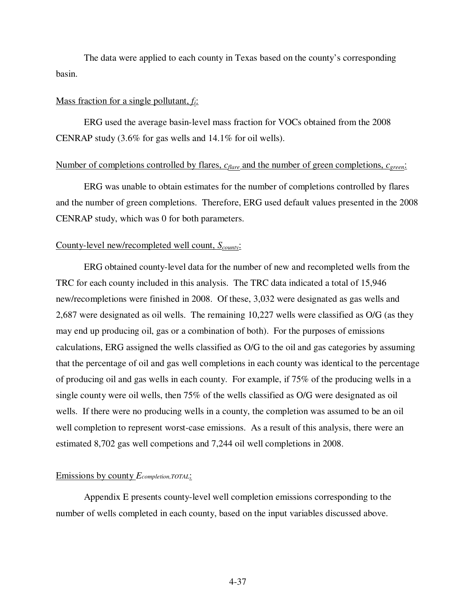The data were applied to each county in Texas based on the county's corresponding basin.

### Mass fraction for a single pollutant, *fi*:

 ERG used the average basin-level mass fraction for VOCs obtained from the 2008 CENRAP study (3.6% for gas wells and 14.1% for oil wells).

#### Number of completions controlled by flares, *c<sub>flare</sub>* and the number of green completions, *c<sub>green</sub>*:

 ERG was unable to obtain estimates for the number of completions controlled by flares and the number of green completions. Therefore, ERG used default values presented in the 2008 CENRAP study, which was 0 for both parameters.

### County-level new/recompleted well count, *Scounty*:

 ERG obtained county-level data for the number of new and recompleted wells from the TRC for each county included in this analysis. The TRC data indicated a total of 15,946 new/recompletions were finished in 2008. Of these, 3,032 were designated as gas wells and 2,687 were designated as oil wells. The remaining 10,227 wells were classified as O/G (as they may end up producing oil, gas or a combination of both). For the purposes of emissions calculations, ERG assigned the wells classified as O/G to the oil and gas categories by assuming that the percentage of oil and gas well completions in each county was identical to the percentage of producing oil and gas wells in each county. For example, if 75% of the producing wells in a single county were oil wells, then 75% of the wells classified as O/G were designated as oil wells. If there were no producing wells in a county, the completion was assumed to be an oil well completion to represent worst-case emissions. As a result of this analysis, there were an estimated 8,702 gas well competions and 7,244 oil well completions in 2008.

### Emissions by county *Ecompletion,TOTAL*:

 Appendix E presents county-level well completion emissions corresponding to the number of wells completed in each county, based on the input variables discussed above.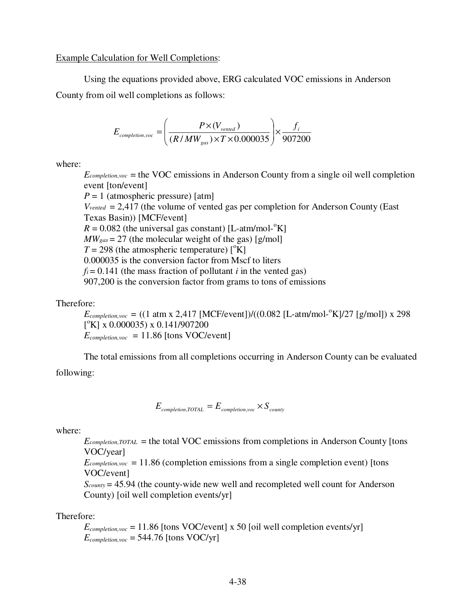Example Calculation for Well Completions:

 Using the equations provided above, ERG calculated VOC emissions in Anderson County from oil well completions as follows:

$$
E_{\textit{completion,} \textit{vac}} = \left(\frac{P \times (V_{\textit{vented}})}{(R/MW_{\textit{gas}}) \times T \times 0.000035}\right) \times \frac{f_i}{907200}
$$

where:

 $E_{\text{completion,}voc}$  = the VOC emissions in Anderson County from a single oil well completion event [ton/event]

 $P = 1$  (atmospheric pressure) [atm]  $V_{vented} = 2,417$  (the volume of vented gas per completion for Anderson County (East Texas Basin)) [MCF/event]  $R = 0.082$  (the universal gas constant) [L-atm/mol-<sup>o</sup>K]  $MW_{gas} = 27$  (the molecular weight of the gas) [g/mol]  $T = 298$  (the atmospheric temperature)  $\binom{6}{K}$ 0.000035 is the conversion factor from Mscf to liters  $f_i = 0.141$  (the mass fraction of pollutant *i* in the vented gas) 907,200 is the conversion factor from grams to tons of emissions

Therefore:

 $E_{completion, voc}$  = ((1 atm x 2,417 [MCF/event])/((0.082 [L-atm/mol-<sup>o</sup>K]/27 [g/mol]) x 298  $\binom{6}{1}$  x 0.000035) x 0.141/907200  $E_{\textit{completion, voc}}$  = 11.86 [tons VOC/event]

 The total emissions from all completions occurring in Anderson County can be evaluated following:

 $E_{\text{completion, TOTAL}} = E_{\text{completion,} \, \text{vac}} \times S_{\text{countv}}$ 

where:

*Ecompletion,TOTAL* = the total VOC emissions from completions in Anderson County [tons VOC/year]

 $E_{completion, voc}$  = 11.86 (completion emissions from a single completion event) [tons VOC/event]

*Scounty* = 45.94 (the county-wide new well and recompleted well count for Anderson County) [oil well completion events/yr]

Therefore:

 $E_{\text{completion,} \text{voc}} = 11.86$  [tons VOC/event] x 50 [oil well completion events/yr]  $E_{completion, voc}$  = 544.76 [tons VOC/yr]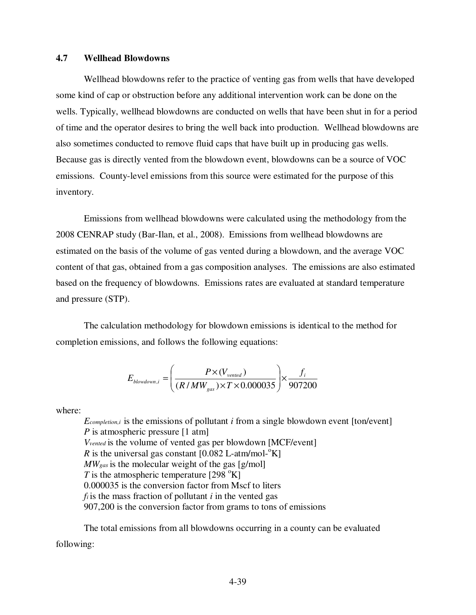#### **4.7 Wellhead Blowdowns**

 Wellhead blowdowns refer to the practice of venting gas from wells that have developed some kind of cap or obstruction before any additional intervention work can be done on the wells. Typically, wellhead blowdowns are conducted on wells that have been shut in for a period of time and the operator desires to bring the well back into production. Wellhead blowdowns are also sometimes conducted to remove fluid caps that have built up in producing gas wells. Because gas is directly vented from the blowdown event, blowdowns can be a source of VOC emissions. County-level emissions from this source were estimated for the purpose of this inventory.

 Emissions from wellhead blowdowns were calculated using the methodology from the 2008 CENRAP study (Bar-Ilan, et al., 2008). Emissions from wellhead blowdowns are estimated on the basis of the volume of gas vented during a blowdown, and the average VOC content of that gas, obtained from a gas composition analyses. The emissions are also estimated based on the frequency of blowdowns. Emissions rates are evaluated at standard temperature and pressure (STP).

 The calculation methodology for blowdown emissions is identical to the method for completion emissions, and follows the following equations:

$$
E_{\text{blowdown,i}} = \left(\frac{P \times (V_{\text{vented}})}{(R/MW_{\text{gas}}) \times T \times 0.000035}\right) \times \frac{f_i}{907200}
$$

where:

*Ecompletion,i* is the emissions of pollutant *i* from a single blowdown event [ton/event] *P* is atmospheric pressure [1 atm] *Vvented* is the volume of vented gas per blowdown [MCF/event] *R* is the universal gas constant  $[0.082 \text{ L-atm/mol-}^{\circ}\text{K}]$ *MWgas* is the molecular weight of the gas [g/mol] *T* is the atmospheric temperature [298  $\mathrm{K}$ ] 0.000035 is the conversion factor from Mscf to liters  $f_i$  is the mass fraction of pollutant  $i$  in the vented gas 907,200 is the conversion factor from grams to tons of emissions

 The total emissions from all blowdowns occurring in a county can be evaluated following: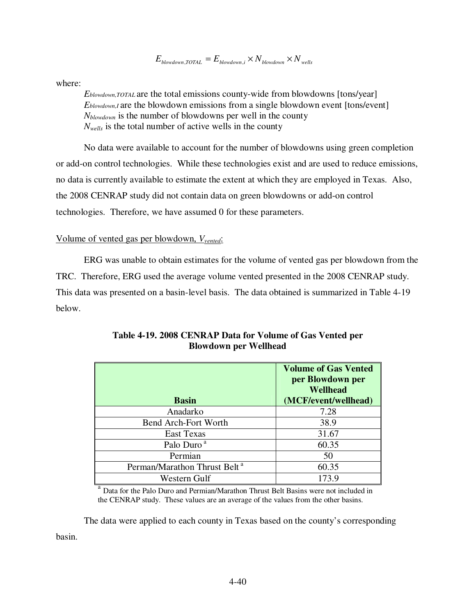$E_{\text{blowdown},\text{TOTAL}} = E_{\text{blowdown},i} \times N_{\text{blowdown}} \times N_{\text{wells}}$ 

where:

*Eblowdown,TOTAL* are the total emissions county-wide from blowdowns [tons/year] *Eblowdown,I* are the blowdown emissions from a single blowdown event [tons/event] *Nblowdown* is the number of blowdowns per well in the county *Nwells* is the total number of active wells in the county

 No data were available to account for the number of blowdowns using green completion or add-on control technologies. While these technologies exist and are used to reduce emissions, no data is currently available to estimate the extent at which they are employed in Texas. Also, the 2008 CENRAP study did not contain data on green blowdowns or add-on control technologies. Therefore, we have assumed 0 for these parameters.

# Volume of vented gas per blowdown, *Vvented*:

 ERG was unable to obtain estimates for the volume of vented gas per blowdown from the TRC. Therefore, ERG used the average volume vented presented in the 2008 CENRAP study. This data was presented on a basin-level basis. The data obtained is summarized in Table 4-19 below.

| <b>Basin</b>                             | <b>Volume of Gas Vented</b><br>per Blowdown per<br><b>Wellhead</b><br>(MCF/event/wellhead) |
|------------------------------------------|--------------------------------------------------------------------------------------------|
| Anadarko                                 | 7.28                                                                                       |
| <b>Bend Arch-Fort Worth</b>              | 38.9                                                                                       |
| <b>East Texas</b>                        | 31.67                                                                                      |
| Palo Duro <sup>a</sup>                   | 60.35                                                                                      |
| Permian                                  | 50                                                                                         |
| Perman/Marathon Thrust Belt <sup>a</sup> | 60.35                                                                                      |
| Western Gulf                             | 173.9                                                                                      |

# **Table 4-19. 2008 CENRAP Data for Volume of Gas Vented per Blowdown per Wellhead**

<sup>a</sup> Data for the Palo Duro and Permian/Marathon Thrust Belt Basins were not included in the CENRAP study. These values are an average of the values from the other basins.

 The data were applied to each county in Texas based on the county's corresponding basin.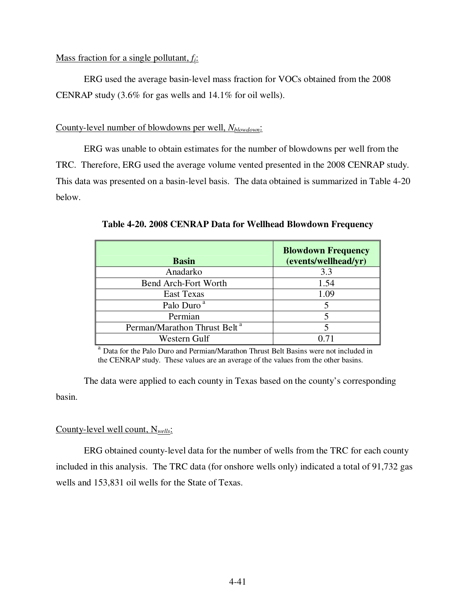## Mass fraction for a single pollutant, *fi*:

 ERG used the average basin-level mass fraction for VOCs obtained from the 2008 CENRAP study (3.6% for gas wells and 14.1% for oil wells).

## County-level number of blowdowns per well, *Nblowdown*:

 ERG was unable to obtain estimates for the number of blowdowns per well from the TRC. Therefore, ERG used the average volume vented presented in the 2008 CENRAP study. This data was presented on a basin-level basis. The data obtained is summarized in Table 4-20 below.

| <b>Basin</b>                             | <b>Blowdown Frequency</b><br>(events/wellhead/yr) |
|------------------------------------------|---------------------------------------------------|
| Anadarko                                 | 3.3                                               |
| <b>Bend Arch-Fort Worth</b>              | 1.54                                              |
| <b>East Texas</b>                        | 1.09                                              |
| Palo Duro <sup>a</sup>                   |                                                   |
| Permian                                  |                                                   |
| Perman/Marathon Thrust Belt <sup>a</sup> |                                                   |
| Western Gulf                             |                                                   |

**Table 4-20. 2008 CENRAP Data for Wellhead Blowdown Frequency** 

<sup>a</sup> Data for the Palo Duro and Permian/Marathon Thrust Belt Basins were not included in the CENRAP study. These values are an average of the values from the other basins.

 The data were applied to each county in Texas based on the county's corresponding basin.

# County-level well count, N*wells*:

 ERG obtained county-level data for the number of wells from the TRC for each county included in this analysis. The TRC data (for onshore wells only) indicated a total of 91,732 gas wells and 153,831 oil wells for the State of Texas.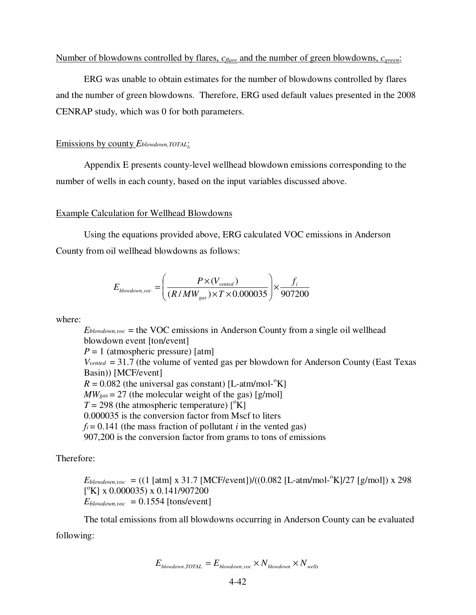#### Number of blowdowns controlled by flares, *cflare* and the number of green blowdowns, *cgreen*:

 ERG was unable to obtain estimates for the number of blowdowns controlled by flares and the number of green blowdowns. Therefore, ERG used default values presented in the 2008 CENRAP study, which was 0 for both parameters.

#### Emissions by county *Eblowdown,TOTAL*:

 Appendix E presents county-level wellhead blowdown emissions corresponding to the number of wells in each county, based on the input variables discussed above.

#### Example Calculation for Wellhead Blowdowns

 Using the equations provided above, ERG calculated VOC emissions in Anderson County from oil wellhead blowdowns as follows:

$$
E_{\text{blowdown},\text{voc}} = \left(\frac{P \times (V_{\text{vented}})}{(R/MW_{\text{gas}}) \times T \times 0.000035}\right) \times \frac{f_i}{907200}
$$

where:

 $E_{\text{blowdown},\text{voc}}$  = the VOC emissions in Anderson County from a single oil wellhead blowdown event [ton/event]  $P = 1$  (atmospheric pressure) [atm] *Vvented* = 31.7 (the volume of vented gas per blowdown for Anderson County (East Texas Basin)) [MCF/event]  $R = 0.082$  (the universal gas constant) [L-atm/mol- $\mathrm{K}$ ]  $MW_{gas} = 27$  (the molecular weight of the gas) [g/mol]  $T = 298$  (the atmospheric temperature)  $\binom{6}{K}$ 0.000035 is the conversion factor from Mscf to liters  $f_i = 0.141$  (the mass fraction of pollutant *i* in the vented gas) 907,200 is the conversion factor from grams to tons of emissions

Therefore:

 $E_{\text{blowdown},\text{voc}} = ((1 \text{ [atm] x } 31.7 \text{ [MCF/event]})/((0.082 \text{ [L-atm/mol-}^{\circ}\text{K})/27 \text{ [g/mol]}) \text{ x } 298$  $[°K]$  x 0.000035) x 0.141/907200  $E_{\text{blowdown},\text{voc}} = 0.1554$  [tons/event]

 The total emissions from all blowdowns occurring in Anderson County can be evaluated following:

$$
E_{\text{blowdown,TOTAL}} = E_{\text{blowdown,}voc} \times N_{\text{blowdown}} \times N_{\text{wells}}
$$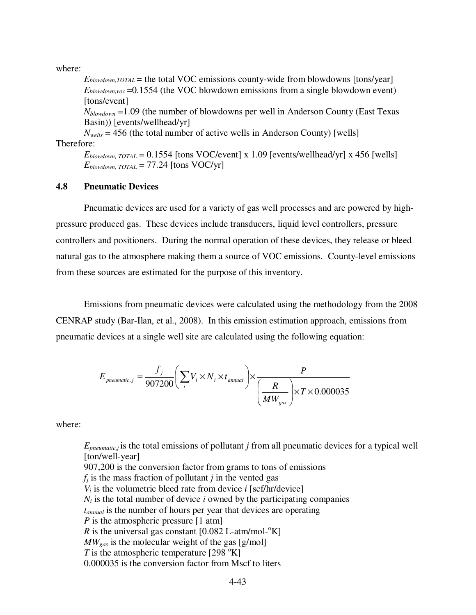where:

*Eblowdown,TOTAL* = the total VOC emissions county-wide from blowdowns [tons/year] *Eblowdown,voc* =0.1554 (the VOC blowdown emissions from a single blowdown event) [tons/event]

*Nblowdown* =1.09 (the number of blowdowns per well in Anderson County (East Texas Basin)) [events/wellhead/yr]

 $N_{\text{wells}} = 456$  (the total number of active wells in Anderson County) [wells] Therefore:

 $E_{\text{blowdown}}$   $_{\text{TOTAL}}$  = 0.1554 [tons VOC/event] x 1.09 [events/wellhead/yr] x 456 [wells]  $E_{\text{blowdown, TOTAL}} = 77.24$  [tons VOC/yr]

#### **4.8 Pneumatic Devices**

 Pneumatic devices are used for a variety of gas well processes and are powered by highpressure produced gas. These devices include transducers, liquid level controllers, pressure controllers and positioners. During the normal operation of these devices, they release or bleed natural gas to the atmosphere making them a source of VOC emissions. County-level emissions from these sources are estimated for the purpose of this inventory.

 Emissions from pneumatic devices were calculated using the methodology from the 2008 CENRAP study (Bar-Ilan, et al., 2008). In this emission estimation approach, emissions from pneumatic devices at a single well site are calculated using the following equation:

$$
E_{pneumatic,j} = \frac{f_j}{907200} \left( \sum_i V_i \times N_i \times t_{annual} \right) \times \frac{P}{\left( \frac{R}{MW_{gas}} \right) \times T \times 0.000035}
$$

where:

*Epneumatic,j* is the total emissions of pollutant *j* from all pneumatic devices for a typical well [ton/well-year]

907,200 is the conversion factor from grams to tons of emissions

 $f_i$  is the mass fraction of pollutant *j* in the vented gas

 $V_i$  is the volumetric bleed rate from device *i* [scf/hr/device]

 $N_i$  is the total number of device *i* owned by the participating companies

*tannual* is the number of hours per year that devices are operating

*P* is the atmospheric pressure [1 atm]

*R* is the universal gas constant  $[0.082 \text{ L-atm/mol-}^{\circ}\text{K}]$ 

*MWgas* is the molecular weight of the gas [g/mol]

*T* is the atmospheric temperature [298  $\mathrm{K}$ ]

0.000035 is the conversion factor from Mscf to liters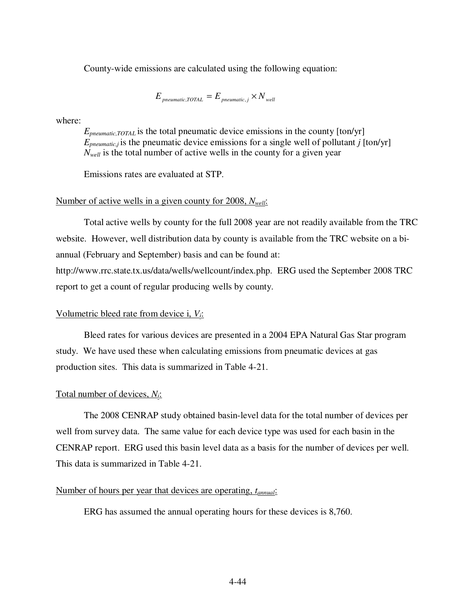County-wide emissions are calculated using the following equation:

 $E_{\text{meumatic.}TOTAL} = E_{\text{meumatic, }i} \times N_{\text{well}}$ 

where:

*Epneumatic,TOTAL* is the total pneumatic device emissions in the county [ton/yr]  $E_{\text{preumatic},i}$  is the pneumatic device emissions for a single well of pollutant *j* [ton/yr] *Nwell* is the total number of active wells in the county for a given year

Emissions rates are evaluated at STP.

### Number of active wells in a given county for 2008, *Nwell*:

 Total active wells by county for the full 2008 year are not readily available from the TRC website. However, well distribution data by county is available from the TRC website on a biannual (February and September) basis and can be found at:

http://www.rrc.state.tx.us/data/wells/wellcount/index.php. ERG used the September 2008 TRC report to get a count of regular producing wells by county.

### Volumetric bleed rate from device i, *Vi*:

 Bleed rates for various devices are presented in a 2004 EPA Natural Gas Star program study. We have used these when calculating emissions from pneumatic devices at gas production sites. This data is summarized in Table 4-21.

#### Total number of devices, *Ni*:

 The 2008 CENRAP study obtained basin-level data for the total number of devices per well from survey data. The same value for each device type was used for each basin in the CENRAP report. ERG used this basin level data as a basis for the number of devices per well. This data is summarized in Table 4-21.

#### Number of hours per year that devices are operating, *tannual*:

ERG has assumed the annual operating hours for these devices is 8,760.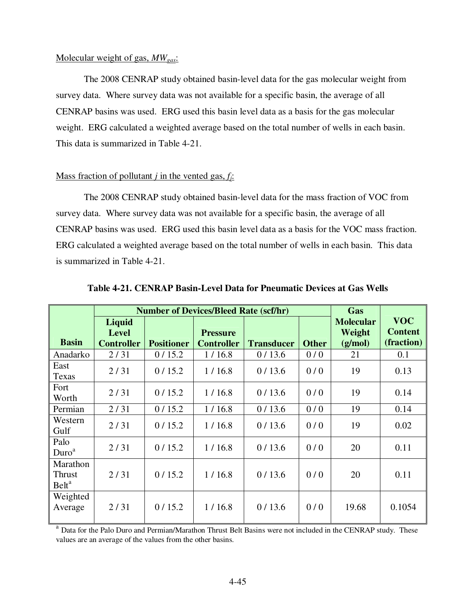#### Molecular weight of gas, *MWgas*:

 The 2008 CENRAP study obtained basin-level data for the gas molecular weight from survey data. Where survey data was not available for a specific basin, the average of all CENRAP basins was used. ERG used this basin level data as a basis for the gas molecular weight. ERG calculated a weighted average based on the total number of wells in each basin. This data is summarized in Table 4-21.

## Mass fraction of pollutant *j* in the vented gas, *fj*:

 The 2008 CENRAP study obtained basin-level data for the mass fraction of VOC from survey data. Where survey data was not available for a specific basin, the average of all CENRAP basins was used. ERG used this basin level data as a basis for the VOC mass fraction. ERG calculated a weighted average based on the total number of wells in each basin. This data is summarized in Table 4-21.

|                                         | <b>Number of Devices/Bleed Rate (scf/hr)</b> |                   |                   |                   |              | Gas              |                |
|-----------------------------------------|----------------------------------------------|-------------------|-------------------|-------------------|--------------|------------------|----------------|
|                                         | Liquid                                       |                   |                   |                   |              | <b>Molecular</b> | <b>VOC</b>     |
|                                         | <b>Level</b>                                 |                   | <b>Pressure</b>   |                   |              | Weight           | <b>Content</b> |
| <b>Basin</b>                            | <b>Controller</b>                            | <b>Positioner</b> | <b>Controller</b> | <b>Transducer</b> | <b>Other</b> | (g/mol)          | (fraction)     |
| Anadarko                                | 2/31                                         | 0/15.2            | 1/16.8            | 0/13.6            | 0/0          | 21               | 0.1            |
| East<br>Texas                           | 2/31                                         | 0/15.2            | 1/16.8            | 0/13.6            | 0/0          | 19               | 0.13           |
| Fort<br>Worth                           | 2/31                                         | 0/15.2            | 1/16.8            | 0/13.6            | 0/0          | 19               | 0.14           |
| Permian                                 | 2/31                                         | 0/15.2            | 1/16.8            | 0/13.6            | 0/0          | 19               | 0.14           |
| Western<br>Gulf                         | 2/31                                         | 0/15.2            | 1/16.8            | 0/13.6            | 0/0          | 19               | 0.02           |
| Palo<br>Duro <sup>a</sup>               | 2/31                                         | 0/15.2            | 1/16.8            | 0/13.6            | 0/0          | 20               | 0.11           |
| Marathon<br>Thrust<br>Belt <sup>a</sup> | 2/31                                         | 0/15.2            | 1/16.8            | 0/13.6            | 0/0          | 20               | 0.11           |
| Weighted<br>Average                     | 2/31                                         | 0/15.2            | 1/16.8            | 0/13.6            | 0/0          | 19.68            | 0.1054         |

**Table 4-21. CENRAP Basin-Level Data for Pneumatic Devices at Gas Wells** 

<sup>a</sup> Data for the Palo Duro and Permian/Marathon Thrust Belt Basins were not included in the CENRAP study. These values are an average of the values from the other basins.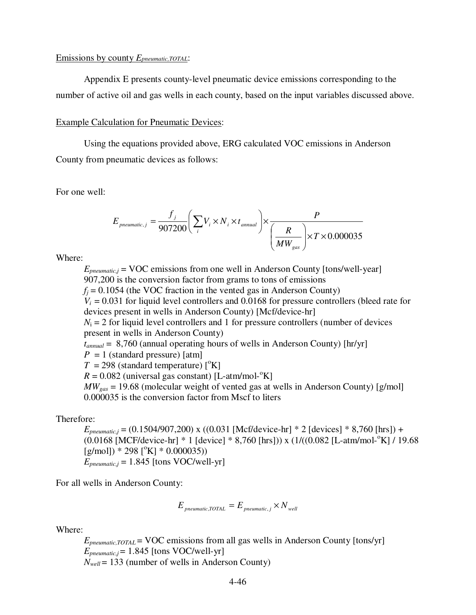#### Emissions by county *Epneumatic,TOTAL*:

 Appendix E presents county-level pneumatic device emissions corresponding to the number of active oil and gas wells in each county, based on the input variables discussed above.

#### Example Calculation for Pneumatic Devices:

 Using the equations provided above, ERG calculated VOC emissions in Anderson County from pneumatic devices as follows:

For one well:

$$
E_{\text{pneumatic},j} = \frac{f_j}{907200} \left( \sum_i V_i \times N_i \times t_{\text{annual}} \right) \times \frac{P}{\left( \frac{R}{MW_{\text{gas}}} \right) \times T \times 0.000035}
$$

Where:

 $E_{\text{preumatic},i}$  = VOC emissions from one well in Anderson County [tons/well-year] 907,200 is the conversion factor from grams to tons of emissions  $f_i = 0.1054$  (the VOC fraction in the vented gas in Anderson County)  $V_i = 0.031$  for liquid level controllers and 0.0168 for pressure controllers (bleed rate for devices present in wells in Anderson County) [Mcf/device-hr]  $N_i = 2$  for liquid level controllers and 1 for pressure controllers (number of devices present in wells in Anderson County) *tannual* = 8,760 (annual operating hours of wells in Anderson County) [hr/yr]  $P = 1$  (standard pressure) [atm]  $T = 298$  (standard temperature)  $\binom{6}{K}$  $R = 0.082$  (universal gas constant) [L-atm/mol-<sup>o</sup>K]  $MW_{gas} = 19.68$  (molecular weight of vented gas at wells in Anderson County) [g/mol] 0.000035 is the conversion factor from Mscf to liters

Therefore:

*Epneumatic,j* = (0.1504/907,200) x ((0.031 [Mcf/device-hr] \* 2 [devices] \* 8,760 [hrs]) +  $(0.0168$  [MCF/device-hr] \* 1 [device] \* 8,760 [hrs])) x  $(1/((0.082$  [L-atm/mol- $\mathrm{K}$ ] / 19.68  $[g/mol]$  \* 298  $[°K]$  \* 0.000035))  $E_{\text{pneumatic},i}$  = 1.845 [tons VOC/well-yr]

For all wells in Anderson County:

$$
E_{\text{pneumatic,TOTAL}} = E_{\text{pneumatic},j} \times N_{\text{well}}
$$

Where:

*Epneumatic,TOTAL* = VOC emissions from all gas wells in Anderson County [tons/yr]  $E_{\text{pneumatic},j}$  = 1.845 [tons VOC/well-yr]  $N_{well}$  = 133 (number of wells in Anderson County)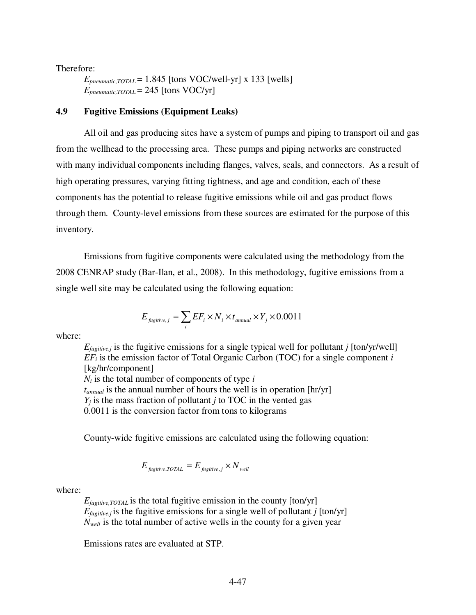Therefore:

 $E_{\text{pneumatic,TOTAL}} = 1.845$  [tons VOC/well-yr] x 133 [wells]  $E_{\text{pneumatic,TOTAL}} = 245$  [tons VOC/yr]

## **4.9 Fugitive Emissions (Equipment Leaks)**

 All oil and gas producing sites have a system of pumps and piping to transport oil and gas from the wellhead to the processing area. These pumps and piping networks are constructed with many individual components including flanges, valves, seals, and connectors. As a result of high operating pressures, varying fitting tightness, and age and condition, each of these components has the potential to release fugitive emissions while oil and gas product flows through them. County-level emissions from these sources are estimated for the purpose of this inventory.

 Emissions from fugitive components were calculated using the methodology from the 2008 CENRAP study (Bar-Ilan, et al., 2008). In this methodology, fugitive emissions from a single well site may be calculated using the following equation:

$$
E_{\text{fugitive},j} = \sum_{i} EF_i \times N_i \times t_{\text{annual}} \times Y_j \times 0.0011
$$

where:

 $E_{\text{fugitive},j}$  is the fugitive emissions for a single typical well for pollutant *j* [ton/yr/well]  $EF_i$  is the emission factor of Total Organic Carbon (TOC) for a single component *i* [kg/hr/component]  $N_i$  is the total number of components of type  $i$ *tannual* is the annual number of hours the well is in operation [hr/yr]  $Y_i$  is the mass fraction of pollutant *j* to TOC in the vented gas 0.0011 is the conversion factor from tons to kilograms

County-wide fugitive emissions are calculated using the following equation:

$$
E_{\text{figitive,TOTAL}} = E_{\text{figitive},j} \times N_{\text{well}}
$$

#### where:

 $E_{\text{fugitive, TOTAL}}$  is the total fugitive emission in the county  $\lceil \text{ton/yr} \rceil$  $E_{\text{fugitive},j}$  is the fugitive emissions for a single well of pollutant *j* [ton/yr] *Nwell* is the total number of active wells in the county for a given year

Emissions rates are evaluated at STP.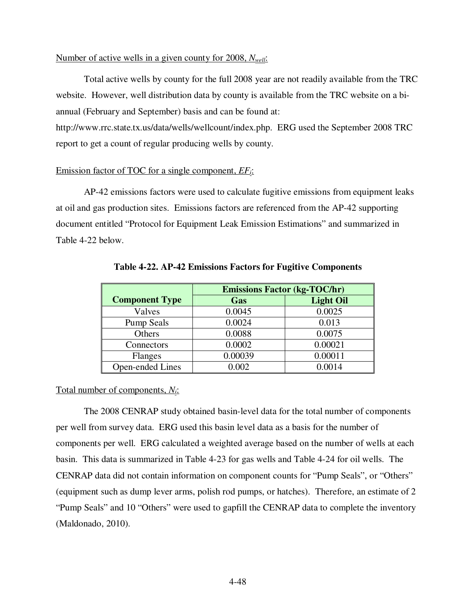#### Number of active wells in a given county for 2008, *Nwell*:

 Total active wells by county for the full 2008 year are not readily available from the TRC website. However, well distribution data by county is available from the TRC website on a biannual (February and September) basis and can be found at:

http://www.rrc.state.tx.us/data/wells/wellcount/index.php. ERG used the September 2008 TRC report to get a count of regular producing wells by county.

### Emission factor of TOC for a single component, *EFi*:

 AP-42 emissions factors were used to calculate fugitive emissions from equipment leaks at oil and gas production sites. Emissions factors are referenced from the AP-42 supporting document entitled "Protocol for Equipment Leak Emission Estimations" and summarized in Table 4-22 below.

|                       | <b>Emissions Factor (kg-TOC/hr)</b> |                  |  |  |  |
|-----------------------|-------------------------------------|------------------|--|--|--|
| <b>Component Type</b> | Gas                                 | <b>Light Oil</b> |  |  |  |
| Valves                | 0.0045                              | 0.0025           |  |  |  |
| <b>Pump Seals</b>     | 0.0024                              | 0.013            |  |  |  |
| Others                | 0.0088                              | 0.0075           |  |  |  |
| Connectors            | 0.0002                              | 0.00021          |  |  |  |
| Flanges               | 0.00039                             | 0.00011          |  |  |  |
| Open-ended Lines      | 0.002                               | 0.0014           |  |  |  |

**Table 4-22. AP-42 Emissions Factors for Fugitive Components** 

# Total number of components, *Ni*:

 The 2008 CENRAP study obtained basin-level data for the total number of components per well from survey data. ERG used this basin level data as a basis for the number of components per well. ERG calculated a weighted average based on the number of wells at each basin. This data is summarized in Table 4-23 for gas wells and Table 4-24 for oil wells. The CENRAP data did not contain information on component counts for "Pump Seals", or "Others" (equipment such as dump lever arms, polish rod pumps, or hatches). Therefore, an estimate of 2 "Pump Seals" and 10 "Others" were used to gapfill the CENRAP data to complete the inventory (Maldonado, 2010).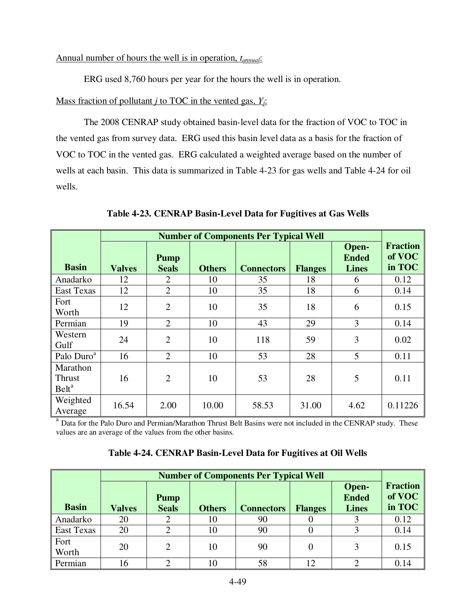# Annual number of hours the well is in operation, *tannual*:

ERG used 8,760 hours per year for the hours the well is in operation.

# Mass fraction of pollutant *j* to TOC in the vented gas, *Yj*:

 The 2008 CENRAP study obtained basin-level data for the fraction of VOC to TOC in the vented gas from survey data. ERG used this basin level data as a basis for the fraction of VOC to TOC in the vented gas. ERG calculated a weighted average based on the number of wells at each basin. This data is summarized in Table 4-23 for gas wells and Table 4-24 for oil wells.

|                                         | <b>Number of Components Per Typical Well</b> |                             |               |                   |                |                                       |                                     |
|-----------------------------------------|----------------------------------------------|-----------------------------|---------------|-------------------|----------------|---------------------------------------|-------------------------------------|
| <b>Basin</b>                            | <b>Valves</b>                                | <b>Pump</b><br><b>Seals</b> | <b>Others</b> | <b>Connectors</b> | <b>Flanges</b> | Open-<br><b>Ended</b><br><b>Lines</b> | <b>Fraction</b><br>of VOC<br>in TOC |
| Anadarko                                | 12                                           | 2                           | 10            | 35                | 18             | 6                                     | 0.12                                |
| <b>East Texas</b>                       | 12                                           | $\overline{2}$              | 10            | 35                | 18             | 6                                     | 0.14                                |
| Fort<br>Worth                           | 12                                           | $\overline{2}$              | 10            | 35                | 18             | 6                                     | 0.15                                |
| Permian                                 | 19                                           | $\overline{2}$              | 10            | 43                | 29             | 3                                     | 0.14                                |
| Western<br>Gulf                         | 24                                           | $\overline{2}$              | 10            | 118               | 59             | 3                                     | 0.02                                |
| Palo Duro <sup>a</sup>                  | 16                                           | $\overline{2}$              | 10            | 53                | 28             | 5                                     | 0.11                                |
| Marathon<br>Thrust<br>Belt <sup>a</sup> | 16                                           | $\overline{2}$              | 10            | 53                | 28             | 5                                     | 0.11                                |
| Weighted<br>Average                     | 16.54                                        | 2.00                        | 10.00         | 58.53             | 31.00          | 4.62                                  | 0.11226                             |

**Table 4-23. CENRAP Basin-Level Data for Fugitives at Gas Wells** 

<sup>a</sup> Data for the Palo Duro and Permian/Marathon Thrust Belt Basins were not included in the CENRAP study. These values are an average of the values from the other basins.

|                   |               | <b>Number of Components Per Typical Well</b> |               |                   |                |                                       |                                     |  |
|-------------------|---------------|----------------------------------------------|---------------|-------------------|----------------|---------------------------------------|-------------------------------------|--|
| <b>Basin</b>      | <b>Valves</b> | <b>Pump</b><br><b>Seals</b>                  | <b>Others</b> | <b>Connectors</b> | <b>Flanges</b> | Open-<br><b>Ended</b><br><b>Lines</b> | <b>Fraction</b><br>of VOC<br>in TOC |  |
| Anadarko          | 20            |                                              | 10            | 90                |                |                                       | 0.12                                |  |
| <b>East Texas</b> | 20            |                                              | 10            | 90                |                |                                       | 0.14                                |  |
| Fort<br>Worth     | 20            | 2                                            | 10            | 90                | 0              | 3                                     | 0.15                                |  |
| Permian           | 16            | ി                                            | 10            | 58                | 12             | ◠                                     | 0.14                                |  |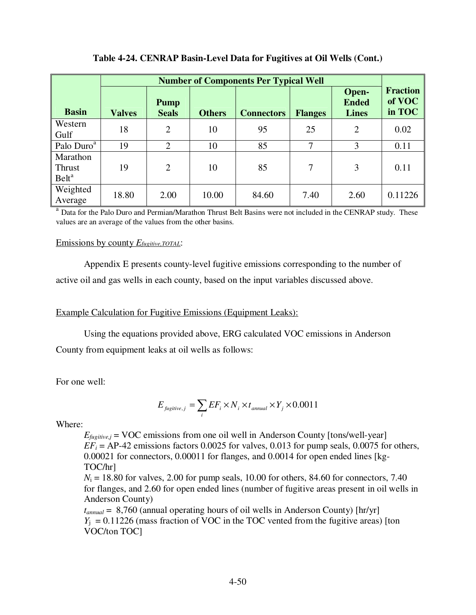|                                                | <b>Number of Components Per Typical Well</b> |                             |               |                   |                |                                       |                                     |
|------------------------------------------------|----------------------------------------------|-----------------------------|---------------|-------------------|----------------|---------------------------------------|-------------------------------------|
| <b>Basin</b>                                   | <b>Valves</b>                                | <b>Pump</b><br><b>Seals</b> | <b>Others</b> | <b>Connectors</b> | <b>Flanges</b> | Open-<br><b>Ended</b><br><b>Lines</b> | <b>Fraction</b><br>of VOC<br>in TOC |
| Western<br>Gulf                                | 18                                           | $\overline{2}$              | 10            | 95                | 25             | $\overline{2}$                        | 0.02                                |
| Palo Duro <sup>a</sup>                         | 19                                           | $\overline{2}$              | 10            | 85                | 7              | 3                                     | 0.11                                |
| Marathon<br><b>Thrust</b><br>Belt <sup>a</sup> | 19                                           | $\overline{2}$              | 10            | 85                | 7              | 3                                     | 0.11                                |
| Weighted<br>Average                            | 18.80                                        | 2.00                        | 10.00         | 84.60             | 7.40           | 2.60                                  | 0.11226                             |

# **Table 4-24. CENRAP Basin-Level Data for Fugitives at Oil Wells (Cont.)**

<sup>a</sup> Data for the Palo Duro and Permian/Marathon Thrust Belt Basins were not included in the CENRAP study. These values are an average of the values from the other basins.

# Emissions by county *Efugitive,TOTAL*:

 Appendix E presents county-level fugitive emissions corresponding to the number of active oil and gas wells in each county, based on the input variables discussed above.

# Example Calculation for Fugitive Emissions (Equipment Leaks):

Using the equations provided above, ERG calculated VOC emissions in Anderson

County from equipment leaks at oil wells as follows:

For one well:

$$
E_{\text{figitive},j} = \sum_{i} EF_i \times N_i \times t_{\text{annual}} \times Y_j \times 0.0011
$$

Where:

 $E_{\text{fugitive},j}$  = VOC emissions from one oil well in Anderson County [tons/well-year]  $EF_i = AP-42$  emissions factors 0.0025 for valves, 0.013 for pump seals, 0.0075 for others, 0.00021 for connectors, 0.00011 for flanges, and 0.0014 for open ended lines [kg-TOC/hr]

 $N_i = 18.80$  for valves, 2.00 for pump seals, 10.00 for others, 84.60 for connectors, 7.40 for flanges, and 2.60 for open ended lines (number of fugitive areas present in oil wells in Anderson County)

*tannual* = 8,760 (annual operating hours of oil wells in Anderson County) [hr/yr]  $Y_i$  = 0.11226 (mass fraction of VOC in the TOC vented from the fugitive areas) [ton VOC/ton TOC]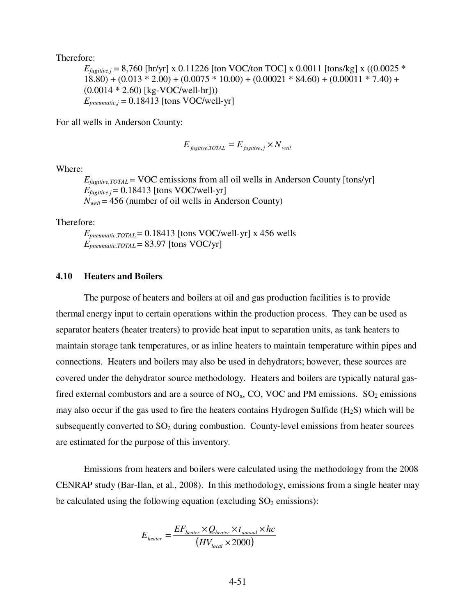Therefore:

 $E_{\text{fueitive},i}$  = 8,760 [hr/yr] x 0.11226 [ton VOC/ton TOC] x 0.0011 [tons/kg] x ((0.0025  $*$  $18.80) + (0.013 * 2.00) + (0.0075 * 10.00) + (0.00021 * 84.60) + (0.00011 * 7.40) +$ (0.0014 \* 2.60) [kg-VOC/well-hr]))  $E_{pneumatic,j} = 0.18413$  [tons VOC/well-yr]

For all wells in Anderson County:

$$
E_{\text{figitive,TOTAL}} = E_{\text{figitive},j} \times N_{\text{well}}
$$

Where:

 $E_{\text{fugitive, TOTAL}} = \text{VOC}$  emissions from all oil wells in Anderson County [tons/yr]  $E_{\text{fugitive},i} = 0.18413$  [tons VOC/well-yr]  $N_{well} = 456$  (number of oil wells in Anderson County)

Therefore:

 $E_{\text{pneumatic,TOTAL}} = 0.18413$  [tons VOC/well-yr] x 456 wells  $E_{\text{pneumatic,TOTAL}} = 83.97$  [tons VOC/yr]

#### **4.10 Heaters and Boilers**

 The purpose of heaters and boilers at oil and gas production facilities is to provide thermal energy input to certain operations within the production process. They can be used as separator heaters (heater treaters) to provide heat input to separation units, as tank heaters to maintain storage tank temperatures, or as inline heaters to maintain temperature within pipes and connections. Heaters and boilers may also be used in dehydrators; however, these sources are covered under the dehydrator source methodology. Heaters and boilers are typically natural gasfired external combustors and are a source of  $NO<sub>x</sub>$ , CO, VOC and PM emissions.  $SO<sub>2</sub>$  emissions may also occur if the gas used to fire the heaters contains Hydrogen Sulfide  $(H_2S)$  which will be subsequently converted to  $SO<sub>2</sub>$  during combustion. County-level emissions from heater sources are estimated for the purpose of this inventory.

 Emissions from heaters and boilers were calculated using the methodology from the 2008 CENRAP study (Bar-Ilan, et al., 2008). In this methodology, emissions from a single heater may be calculated using the following equation (excluding  $SO_2$  emissions):

$$
E_{heater} = \frac{EF_{heater} \times Q_{heater} \times t_{annual} \times hc}{(HV_{local} \times 2000)}
$$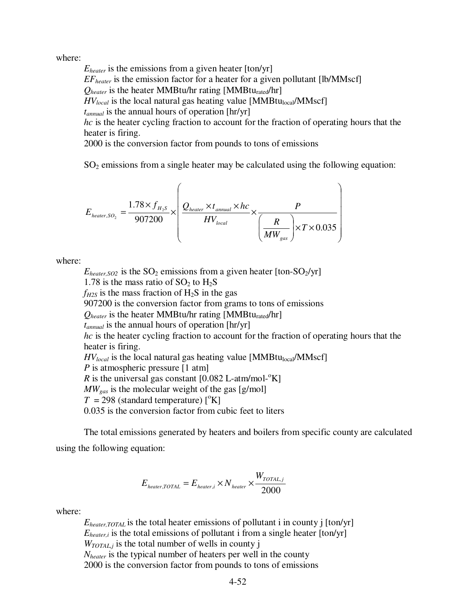where:

*Eheater* is the emissions from a given heater [ton/yr] *EFheater* is the emission factor for a heater for a given pollutant [lb/MMscf]  $Q_{heater}$  is the heater MMBtu/hr rating [MMBtu<sub>rated</sub>/hr]  $HV_{local}$  is the local natural gas heating value [MMBtu<sub>local</sub>/MMscf] *tannual* is the annual hours of operation [hr/yr] *hc* is the heater cycling fraction to account for the fraction of operating hours that the heater is firing. 2000 is the conversion factor from pounds to tons of emissions

 $SO<sub>2</sub>$  emissions from a single heater may be calculated using the following equation:

$$
E_{heater, SO_2} = \frac{1.78 \times f_{H_2S}}{907200} \times \left(\frac{Q_{heater} \times t_{annual} \times hc}{HV_{local}} \times \frac{P}{\left(\frac{R}{MW_{gas}}\right) \times T \times 0.035}\right)
$$

where:

 $E_{heater,SO2}$  is the SO<sub>2</sub> emissions from a given heater [ton-SO<sub>2</sub>/yr] 1.78 is the mass ratio of  $SO_2$  to  $H_2S$  $f_{H2S}$  is the mass fraction of  $H_2S$  in the gas 907200 is the conversion factor from grams to tons of emissions  $Q_{heater}$  is the heater MMBtu/hr rating [MMBtu<sub>rated</sub>/hr] *tannual* is the annual hours of operation [hr/yr] *hc* is the heater cycling fraction to account for the fraction of operating hours that the heater is firing.  $HV_{local}$  is the local natural gas heating value [MMBtu $_{local}/MMscf$ ] *P* is atmospheric pressure [1 atm] *R* is the universal gas constant  $[0.082 \text{ L-atm/mol}^{\circ}\text{K}]$ *MWgas* is the molecular weight of the gas [g/mol]  $T = 298$  (standard temperature)  $\binom{6}{K}$ 0.035 is the conversion factor from cubic feet to liters

 The total emissions generated by heaters and boilers from specific county are calculated using the following equation:

$$
E_{heater, TOTAL} = E_{heater,i} \times N_{heater} \times \frac{W_{TOTAL,j}}{2000}
$$

where:

 $E_{heater, TOTAL}$  is the total heater emissions of pollutant i in county j  $[ton/yr]$ *Eheater,i* is the total emissions of pollutant i from a single heater [ton/yr]  $W_{TOTAL}$  is the total number of wells in county j *Nheater* is the typical number of heaters per well in the county 2000 is the conversion factor from pounds to tons of emissions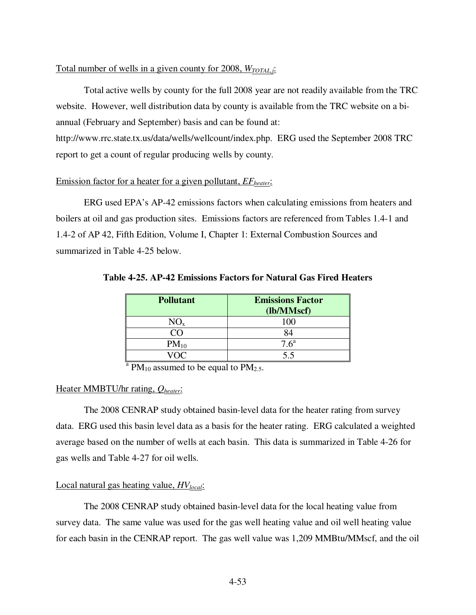## Total number of wells in a given county for 2008, *WTOTAL,j*:

 Total active wells by county for the full 2008 year are not readily available from the TRC website. However, well distribution data by county is available from the TRC website on a biannual (February and September) basis and can be found at:

http://www.rrc.state.tx.us/data/wells/wellcount/index.php. ERG used the September 2008 TRC report to get a count of regular producing wells by county.

# Emission factor for a heater for a given pollutant, *EFheater*:

 ERG used EPA's AP-42 emissions factors when calculating emissions from heaters and boilers at oil and gas production sites. Emissions factors are referenced from Tables 1.4-1 and 1.4-2 of AP 42, Fifth Edition, Volume I, Chapter 1: External Combustion Sources and summarized in Table 4-25 below.

| <b>Pollutant</b> | <b>Emissions Factor</b> |  |  |
|------------------|-------------------------|--|--|
|                  | (lb/MMscf)              |  |  |
| $NO_{x}$         | 100                     |  |  |
| ററ               | 84                      |  |  |
| $PM_{10}$        | 7.6 <sup>a</sup>        |  |  |
| 70C              | 5.5                     |  |  |

**Table 4-25. AP-42 Emissions Factors for Natural Gas Fired Heaters** 

 $\rm{^{a}PM_{10}}$  assumed to be equal to PM<sub>2.5</sub>.

# Heater MMBTU/hr rating, *Qheater*:

 The 2008 CENRAP study obtained basin-level data for the heater rating from survey data. ERG used this basin level data as a basis for the heater rating. ERG calculated a weighted average based on the number of wells at each basin. This data is summarized in Table 4-26 for gas wells and Table 4-27 for oil wells.

# Local natural gas heating value, *HVlocal*:

 The 2008 CENRAP study obtained basin-level data for the local heating value from survey data. The same value was used for the gas well heating value and oil well heating value for each basin in the CENRAP report. The gas well value was 1,209 MMBtu/MMscf, and the oil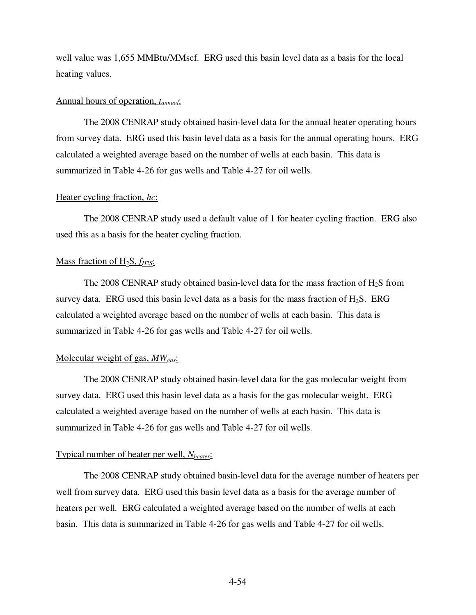well value was 1,655 MMBtu/MMscf. ERG used this basin level data as a basis for the local heating values.

#### Annual hours of operation, *tannual*:

 The 2008 CENRAP study obtained basin-level data for the annual heater operating hours from survey data. ERG used this basin level data as a basis for the annual operating hours. ERG calculated a weighted average based on the number of wells at each basin. This data is summarized in Table 4-26 for gas wells and Table 4-27 for oil wells.

#### Heater cycling fraction, *hc*:

 The 2008 CENRAP study used a default value of 1 for heater cycling fraction. ERG also used this as a basis for the heater cycling fraction.

#### Mass fraction of H2S, *fH2S*:

The 2008 CENRAP study obtained basin-level data for the mass fraction of  $H_2S$  from survey data. ERG used this basin level data as a basis for the mass fraction of  $H_2S$ . ERG calculated a weighted average based on the number of wells at each basin. This data is summarized in Table 4-26 for gas wells and Table 4-27 for oil wells.

## Molecular weight of gas, *MWgas*:

 The 2008 CENRAP study obtained basin-level data for the gas molecular weight from survey data. ERG used this basin level data as a basis for the gas molecular weight. ERG calculated a weighted average based on the number of wells at each basin. This data is summarized in Table 4-26 for gas wells and Table 4-27 for oil wells.

#### Typical number of heater per well, *Nheater*:

 The 2008 CENRAP study obtained basin-level data for the average number of heaters per well from survey data. ERG used this basin level data as a basis for the average number of heaters per well. ERG calculated a weighted average based on the number of wells at each basin. This data is summarized in Table 4-26 for gas wells and Table 4-27 for oil wells.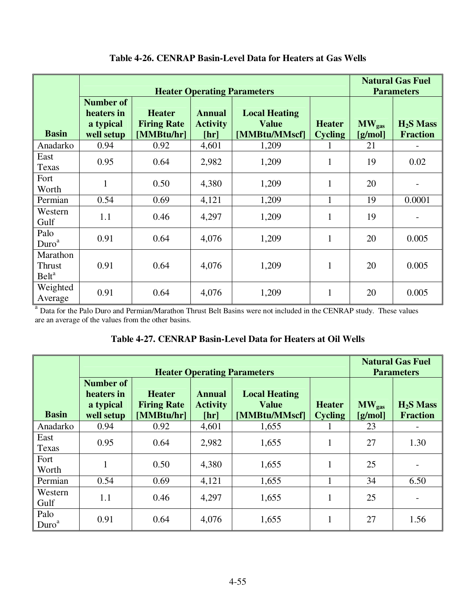|                                         | <b>Heater Operating Parameters</b>                        |                                                   |                                          |                                                       |                                 | <b>Natural Gas Fuel</b><br><b>Parameters</b> |                               |
|-----------------------------------------|-----------------------------------------------------------|---------------------------------------------------|------------------------------------------|-------------------------------------------------------|---------------------------------|----------------------------------------------|-------------------------------|
| <b>Basin</b>                            | <b>Number of</b><br>heaters in<br>a typical<br>well setup | <b>Heater</b><br><b>Firing Rate</b><br>[MMBtu/hr] | <b>Annual</b><br><b>Activity</b><br>[hr] | <b>Local Heating</b><br><b>Value</b><br>[MMBtu/MMscf] | <b>Heater</b><br><b>Cycling</b> | $MW_{gas}$<br>[g/mol]                        | $H2S$ Mass<br><b>Fraction</b> |
| Anadarko                                | 0.94                                                      | 0.92                                              | 4,601                                    | 1,209                                                 |                                 | 21                                           |                               |
| East<br>Texas                           | 0.95                                                      | 0.64                                              | 2,982                                    | 1,209                                                 | $\mathbf{1}$                    | 19                                           | 0.02                          |
| Fort<br>Worth                           | 1                                                         | 0.50                                              | 4,380                                    | 1,209                                                 | 1                               | 20                                           |                               |
| Permian                                 | 0.54                                                      | 0.69                                              | 4,121                                    | 1,209                                                 | 1                               | 19                                           | 0.0001                        |
| Western<br>Gulf                         | 1.1                                                       | 0.46                                              | 4,297                                    | 1,209                                                 | $\mathbf{1}$                    | 19                                           |                               |
| Palo<br>Duro <sup>a</sup>               | 0.91                                                      | 0.64                                              | 4,076                                    | 1,209                                                 | 1                               | 20                                           | 0.005                         |
| Marathon<br>Thrust<br>Belt <sup>a</sup> | 0.91                                                      | 0.64                                              | 4,076                                    | 1,209                                                 | $\mathbf{1}$                    | 20                                           | 0.005                         |
| Weighted<br>Average                     | 0.91                                                      | 0.64                                              | 4,076                                    | 1,209                                                 | $\mathbf{1}$                    | 20                                           | 0.005                         |

# **Table 4-26. CENRAP Basin-Level Data for Heaters at Gas Wells**

<sup>a</sup> Data for the Palo Duro and Permian/Marathon Thrust Belt Basins were not included in the CENRAP study. These values are an average of the values from the other basins.

| Table 4-27. CENRAP Basin-Level Data for Heaters at Oil Wells |
|--------------------------------------------------------------|
|--------------------------------------------------------------|

|                           |                                                           | <b>Natural Gas Fuel</b><br><b>Parameters</b>      |                                                                                                                                      |       |   |    |                               |
|---------------------------|-----------------------------------------------------------|---------------------------------------------------|--------------------------------------------------------------------------------------------------------------------------------------|-------|---|----|-------------------------------|
| <b>Basin</b>              | <b>Number of</b><br>heaters in<br>a typical<br>well setup | <b>Heater</b><br><b>Firing Rate</b><br>[MMBtu/hr] | <b>Annual</b><br><b>Local Heating</b><br><b>Value</b><br><b>Activity</b><br><b>Heater</b><br>[MMBtu/MMscf]<br><b>Cycling</b><br>[hr] |       |   |    | $H2S$ Mass<br><b>Fraction</b> |
| Anadarko                  | 0.94                                                      | 0.92                                              | 4,601                                                                                                                                | 1,655 |   | 23 |                               |
| East<br>Texas             | 0.95                                                      | 0.64                                              | 2,982                                                                                                                                | 1,655 |   | 27 | 1.30                          |
| Fort<br>Worth             |                                                           | 0.50                                              | 4,380                                                                                                                                | 1,655 | 1 | 25 |                               |
| Permian                   | 0.54                                                      | 0.69                                              | 4,121                                                                                                                                | 1,655 |   | 34 | 6.50                          |
| Western<br>Gulf           | 1.1                                                       | 0.46                                              | 4,297                                                                                                                                | 1,655 | 1 | 25 |                               |
| Palo<br>Duro <sup>a</sup> | 0.91                                                      | 0.64                                              | 4,076                                                                                                                                | 1,655 | 1 | 27 | 1.56                          |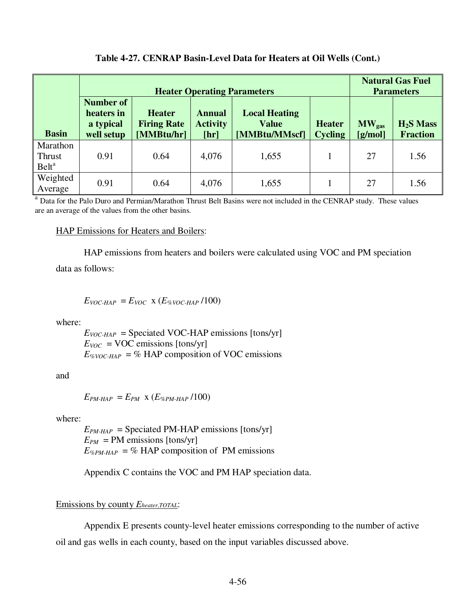## **Table 4-27. CENRAP Basin-Level Data for Heaters at Oil Wells (Cont.)**

|                                         |                                                           | <b>Natural Gas Fuel</b><br><b>Parameters</b>      |                                          |                       |                               |    |      |
|-----------------------------------------|-----------------------------------------------------------|---------------------------------------------------|------------------------------------------|-----------------------|-------------------------------|----|------|
| <b>Basin</b>                            | <b>Number of</b><br>heaters in<br>a typical<br>well setup | <b>Heater</b><br><b>Firing Rate</b><br>[MMBtu/hr] | <b>Annual</b><br><b>Activity</b><br>[hr] | $MW_{gas}$<br>[g/mol] | $H2S$ Mass<br><b>Fraction</b> |    |      |
| Marathon<br>Thrust<br>Belt <sup>a</sup> | 0.91                                                      | 0.64                                              | 4,076                                    | 1,655                 |                               | 27 | 1.56 |
| Weighted<br>Average                     | 0.91                                                      | 0.64                                              | 4,076                                    | 1,655                 |                               | 27 | 1.56 |

<sup>a</sup> Data for the Palo Duro and Permian/Marathon Thrust Belt Basins were not included in the CENRAP study. These values are an average of the values from the other basins.

### HAP Emissions for Heaters and Boilers:

HAP emissions from heaters and boilers were calculated using VOC and PM speciation

data as follows:

# $E_{VOC-HAP} = E_{VOC} \times (E_{\% VOC-HAP}/100)$

where:

 $E_{VOC-HAP}$  = Speciated VOC-HAP emissions [tons/yr]  $E_{VOC}$  = VOC emissions [tons/yr]  $E_{\%VOC-HAP} = \%$  HAP composition of VOC emissions

and

 $E_{PM\text{-}HAP} = E_{PM} \times (E_{\%PM\text{-}HAP}/100)$ 

where:

 $E_{PM\text{-}HAP}$  = Speciated PM-HAP emissions [tons/yr]  $E_{PM}$  = PM emissions [tons/yr]  $E_{\%PM\text{-}HAP} = \%$  HAP composition of PM emissions

Appendix C contains the VOC and PM HAP speciation data.

# Emissions by county *Eheater,TOTAL*:

 Appendix E presents county-level heater emissions corresponding to the number of active oil and gas wells in each county, based on the input variables discussed above.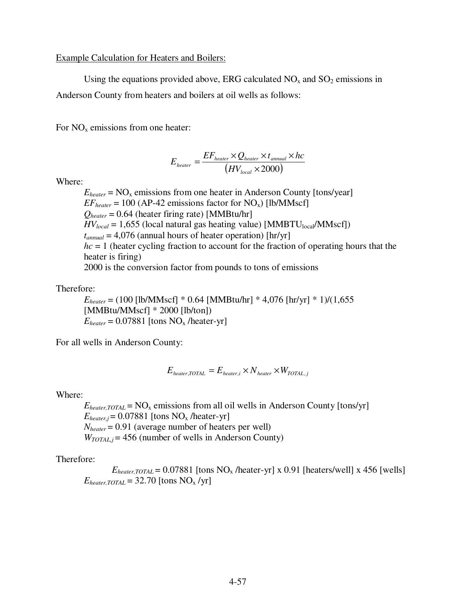Example Calculation for Heaters and Boilers:

Using the equations provided above, ERG calculated  $NO<sub>x</sub>$  and  $SO<sub>2</sub>$  emissions in

Anderson County from heaters and boilers at oil wells as follows:

For  $NO<sub>x</sub>$  emissions from one heater:

$$
E_{heater} = \frac{EF_{heater} \times Q_{heater} \times t_{annual} \times hc}{(HV_{local} \times 2000)}
$$

Where:

 $E_{heater}$  = NO<sub>x</sub> emissions from one heater in Anderson County [tons/year]  $EF_{heater} = 100$  (AP-42 emissions factor for NO<sub>x</sub>) [lb/MMscf]  $Q_{heater} = 0.64$  (heater firing rate) [MMBtu/hr]  $HV_{local} = 1,655$  (local natural gas heating value) [MMBTU<sub>local</sub>/MMscf])  $t_{annual} = 4.076$  (annual hours of heater operation) [hr/yr] *hc* = 1 (heater cycling fraction to account for the fraction of operating hours that the heater is firing) 2000 is the conversion factor from pounds to tons of emissions

Therefore:

*Eheater* = (100 [lb/MMscf] \* 0.64 [MMBtu/hr] \* 4,076 [hr/yr] \* 1)/(1,655 [MMBtu/MMscf] \* 2000 [lb/ton])  $E_{heater} = 0.07881$  [tons NO<sub>x</sub> /heater-yr]

For all wells in Anderson County:

$$
E_{heater, TOTAL} = E_{heater,i} \times N_{heater} \times W_{TOTAL,j}
$$

Where:

 $E_{heater, TOTAL}$  = NO<sub>x</sub> emissions from all oil wells in Anderson County [tons/yr]  $E_{heater,i}$  = 0.07881 [tons NO<sub>x</sub> /heater-yr]  $N_{heater}$  = 0.91 (average number of heaters per well)  $W_{TOTAL,i} = 456$  (number of wells in Anderson County)

Therefore:

 $E_{heater, TOTAL} = 0.07881$  [tons NO<sub>x</sub> /heater-yr] x 0.91 [heaters/well] x 456 [wells]  $E_{heater. TOTAL}$  = 32.70 [tons NO<sub>x</sub> /yr]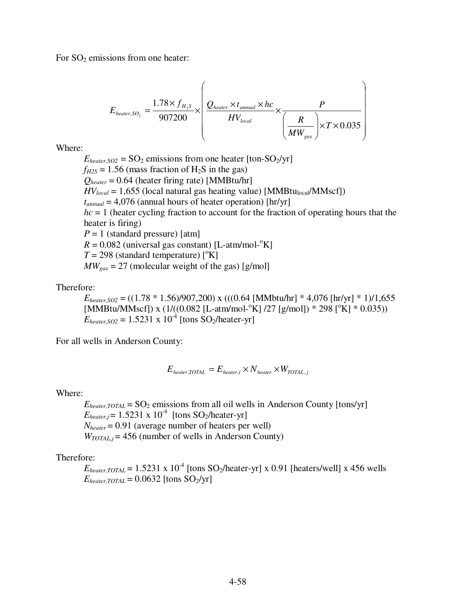For  $SO_2$  emissions from one heater:

$$
E_{heater, SO_2} = \frac{1.78 \times f_{H_2S}}{907200} \times \left(\frac{Q_{heater} \times t_{annual} \times hc}{HV_{local}} \times \frac{P}{\left(\frac{R}{MW_{gas}}\right) \times T \times 0.035}\right)
$$

Where:

 $E_{heater,SO2}$  = SO<sub>2</sub> emissions from one heater [ton-SO<sub>2</sub>/yr]  $f_{H2S} = 1.56$  (mass fraction of H<sub>2</sub>S in the gas)  $Q_{heater} = 0.64$  (heater firing rate) [MMBtu/hr]  $HV_{local} = 1,655$  (local natural gas heating value) [MMBtu<sub>local</sub>/MMscf])  $t_{annual}$  = 4,076 (annual hours of heater operation) [hr/yr] *hc* = 1 (heater cycling fraction to account for the fraction of operating hours that the heater is firing) *P* = 1 (standard pressure) [atm]  $R = 0.082$  (universal gas constant) [L-atm/mol-<sup>o</sup>K]  $T = 298$  (standard temperature)  $\binom{6}{K}$  $MW_{gas} = 27$  (molecular weight of the gas) [g/mol]

Therefore:

 $E_{heater, SO2} = ((1.78 * 1.56)/907,200)$  x (((0.64 [MMbtu/hr] \* 4,076 [hr/yr] \* 1)/1,655  $[MMBtu/MMscf]$ ) x (1/((0.082 [L-atm/mol-<sup>o</sup>K] /27 [g/mol]) \* 298 [<sup>o</sup>K] \* 0.035))  $E_{heater, SO2} = 1.5231 \times 10^{-4}$  [tons SO<sub>2</sub>/heater-yr]

For all wells in Anderson County:

$$
E_{heater, TOTAL} = E_{heater,i} \times N_{heater} \times W_{TOTAL,j}
$$

Where:

 $E_{heater, TOTAL}$  = SO<sub>2</sub> emissions from all oil wells in Anderson County [tons/yr]  $E_{heater,j} = 1.5231 \times 10^{-4}$  [tons SO<sub>2</sub>/heater-yr]  $N_{heater}$  = 0.91 (average number of heaters per well)  $W_{TOTAL,i}$  = 456 (number of wells in Anderson County)

Therefore:

 $E_{heater, TOTAL}$  = 1.5231 x 10<sup>-4</sup> [tons SO<sub>2</sub>/heater-yr] x 0.91 [heaters/well] x 456 wells  $E_{heater, TOTAL} = 0.0632$  [tons SO<sub>2</sub>/yr]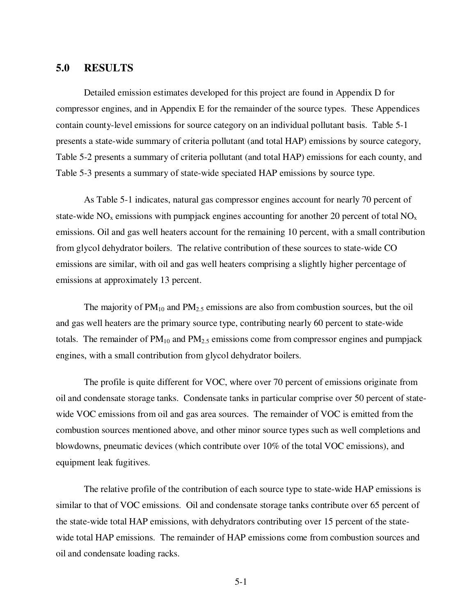## **5.0 RESULTS**

 Detailed emission estimates developed for this project are found in Appendix D for compressor engines, and in Appendix E for the remainder of the source types. These Appendices contain county-level emissions for source category on an individual pollutant basis. Table 5-1 presents a state-wide summary of criteria pollutant (and total HAP) emissions by source category, Table 5-2 presents a summary of criteria pollutant (and total HAP) emissions for each county, and Table 5-3 presents a summary of state-wide speciated HAP emissions by source type.

 As Table 5-1 indicates, natural gas compressor engines account for nearly 70 percent of state-wide  $NO<sub>x</sub>$  emissions with pumpjack engines accounting for another 20 percent of total  $NO<sub>x</sub>$ emissions. Oil and gas well heaters account for the remaining 10 percent, with a small contribution from glycol dehydrator boilers. The relative contribution of these sources to state-wide CO emissions are similar, with oil and gas well heaters comprising a slightly higher percentage of emissions at approximately 13 percent.

The majority of  $PM_{10}$  and  $PM_{2.5}$  emissions are also from combustion sources, but the oil and gas well heaters are the primary source type, contributing nearly 60 percent to state-wide totals. The remainder of  $PM_{10}$  and  $PM_{2.5}$  emissions come from compressor engines and pumpjack engines, with a small contribution from glycol dehydrator boilers.

 The profile is quite different for VOC, where over 70 percent of emissions originate from oil and condensate storage tanks. Condensate tanks in particular comprise over 50 percent of statewide VOC emissions from oil and gas area sources. The remainder of VOC is emitted from the combustion sources mentioned above, and other minor source types such as well completions and blowdowns, pneumatic devices (which contribute over 10% of the total VOC emissions), and equipment leak fugitives.

 The relative profile of the contribution of each source type to state-wide HAP emissions is similar to that of VOC emissions. Oil and condensate storage tanks contribute over 65 percent of the state-wide total HAP emissions, with dehydrators contributing over 15 percent of the statewide total HAP emissions. The remainder of HAP emissions come from combustion sources and oil and condensate loading racks.

5-1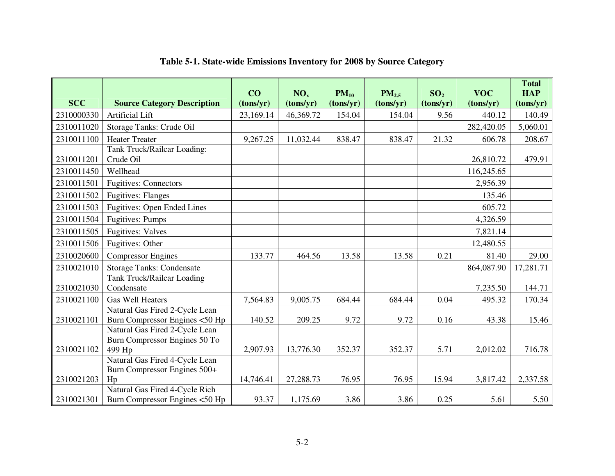| <b>SCC</b> | <b>Source Category Description</b>                                               | CO<br>(tons/yr) | NO <sub>x</sub><br>(tons/yr) | $PM_{10}$<br>(tons/yr) | $PM_{2.5}$<br>(tons/yr) | SO <sub>2</sub><br>(tons/yr) | <b>VOC</b><br>(tons/yr) | <b>Total</b><br><b>HAP</b><br>(tons/yr) |
|------------|----------------------------------------------------------------------------------|-----------------|------------------------------|------------------------|-------------------------|------------------------------|-------------------------|-----------------------------------------|
| 2310000330 | <b>Artificial Lift</b>                                                           | 23,169.14       | 46,369.72                    | 154.04                 | 154.04                  | 9.56                         | 440.12                  | 140.49                                  |
| 2310011020 | Storage Tanks: Crude Oil                                                         |                 |                              |                        |                         |                              | 282,420.05              | 5,060.01                                |
| 2310011100 | <b>Heater Treater</b>                                                            | 9,267.25        | 11,032.44                    | 838.47                 | 838.47                  | 21.32                        | 606.78                  | 208.67                                  |
| 2310011201 | Tank Truck/Railcar Loading:<br>Crude Oil                                         |                 |                              |                        |                         |                              | 26,810.72               | 479.91                                  |
| 2310011450 | Wellhead                                                                         |                 |                              |                        |                         |                              | 116,245.65              |                                         |
| 2310011501 | <b>Fugitives: Connectors</b>                                                     |                 |                              |                        |                         |                              | 2,956.39                |                                         |
| 2310011502 | <b>Fugitives: Flanges</b>                                                        |                 |                              |                        |                         |                              | 135.46                  |                                         |
| 2310011503 | <b>Fugitives: Open Ended Lines</b>                                               |                 |                              |                        |                         |                              | 605.72                  |                                         |
| 2310011504 | <b>Fugitives: Pumps</b>                                                          |                 |                              |                        |                         |                              | 4,326.59                |                                         |
| 2310011505 | <b>Fugitives: Valves</b>                                                         |                 |                              |                        |                         |                              | 7,821.14                |                                         |
| 2310011506 | Fugitives: Other                                                                 |                 |                              |                        |                         |                              | 12,480.55               |                                         |
| 2310020600 | <b>Compressor Engines</b>                                                        | 133.77          | 464.56                       | 13.58                  | 13.58                   | 0.21                         | 81.40                   | 29.00                                   |
| 2310021010 | <b>Storage Tanks: Condensate</b>                                                 |                 |                              |                        |                         |                              | 864,087.90              | 17,281.71                               |
| 2310021030 | <b>Tank Truck/Railcar Loading</b><br>Condensate                                  |                 |                              |                        |                         |                              | 7,235.50                | 144.71                                  |
| 2310021100 | <b>Gas Well Heaters</b>                                                          | 7,564.83        | 9,005.75                     | 684.44                 | 684.44                  | 0.04                         | 495.32                  | 170.34                                  |
| 2310021101 | Natural Gas Fired 2-Cycle Lean<br>Burn Compressor Engines <50 Hp                 | 140.52          | 209.25                       | 9.72                   | 9.72                    | 0.16                         | 43.38                   | 15.46                                   |
| 2310021102 | Natural Gas Fired 2-Cycle Lean<br>Burn Compressor Engines 50 To<br>499 Hp        | 2,907.93        | 13,776.30                    | 352.37                 | 352.37                  | 5.71                         | 2,012.02                | 716.78                                  |
| 2310021203 | Natural Gas Fired 4-Cycle Lean<br>Burn Compressor Engines 500+<br>H <sub>p</sub> | 14,746.41       | 27,288.73                    | 76.95                  | 76.95                   | 15.94                        | 3,817.42                | 2,337.58                                |
| 2310021301 | Natural Gas Fired 4-Cycle Rich<br>Burn Compressor Engines <50 Hp                 | 93.37           | 1,175.69                     | 3.86                   | 3.86                    | 0.25                         | 5.61                    | 5.50                                    |

# **Table 5-1. State-wide Emissions Inventory for 2008 by Source Category**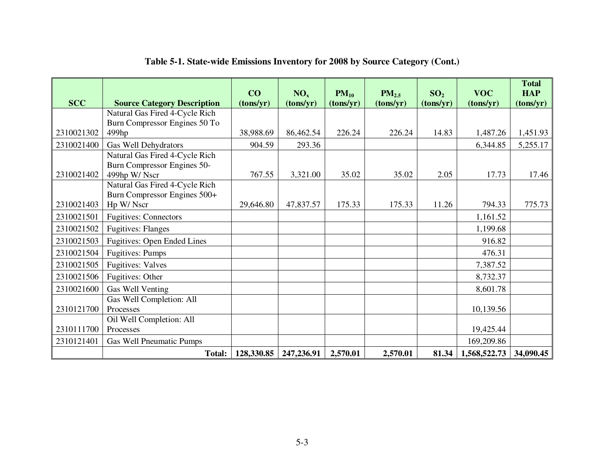|            |                                    | CO         | NO <sub>x</sub> | $PM_{10}$ | $PM_{2.5}$ | SO <sub>2</sub> | <b>VOC</b>   | <b>Total</b><br><b>HAP</b> |
|------------|------------------------------------|------------|-----------------|-----------|------------|-----------------|--------------|----------------------------|
| <b>SCC</b> | <b>Source Category Description</b> | (tons/yr)  | (tons/yr)       | (tons/yr) | (tons/yr)  | (tons/yr)       | (tons/yr)    | (tons/yr)                  |
|            | Natural Gas Fired 4-Cycle Rich     |            |                 |           |            |                 |              |                            |
|            | Burn Compressor Engines 50 To      |            |                 |           |            |                 |              |                            |
| 2310021302 | 499hp                              | 38,988.69  | 86,462.54       | 226.24    | 226.24     | 14.83           | 1,487.26     | 1,451.93                   |
| 2310021400 | Gas Well Dehydrators               | 904.59     | 293.36          |           |            |                 | 6,344.85     | 5,255.17                   |
|            | Natural Gas Fired 4-Cycle Rich     |            |                 |           |            |                 |              |                            |
|            | Burn Compressor Engines 50-        |            |                 |           |            |                 |              |                            |
| 2310021402 | 499hp W/Nscr                       | 767.55     | 3,321.00        | 35.02     | 35.02      | 2.05            | 17.73        | 17.46                      |
|            | Natural Gas Fired 4-Cycle Rich     |            |                 |           |            |                 |              |                            |
| 2310021403 | Burn Compressor Engines 500+       |            |                 |           |            |                 |              |                            |
|            | Hp W/Nscr                          | 29,646.80  | 47,837.57       | 175.33    | 175.33     | 11.26           | 794.33       | 775.73                     |
| 2310021501 | <b>Fugitives: Connectors</b>       |            |                 |           |            |                 | 1,161.52     |                            |
| 2310021502 | <b>Fugitives: Flanges</b>          |            |                 |           |            |                 | 1,199.68     |                            |
| 2310021503 | Fugitives: Open Ended Lines        |            |                 |           |            |                 | 916.82       |                            |
| 2310021504 | <b>Fugitives: Pumps</b>            |            |                 |           |            |                 | 476.31       |                            |
| 2310021505 | <b>Fugitives: Valves</b>           |            |                 |           |            |                 | 7,387.52     |                            |
| 2310021506 | Fugitives: Other                   |            |                 |           |            |                 | 8,732.37     |                            |
| 2310021600 | Gas Well Venting                   |            |                 |           |            |                 | 8,601.78     |                            |
|            | Gas Well Completion: All           |            |                 |           |            |                 |              |                            |
| 2310121700 | Processes                          |            |                 |           |            |                 | 10,139.56    |                            |
|            | Oil Well Completion: All           |            |                 |           |            |                 |              |                            |
| 2310111700 | Processes                          |            |                 |           |            |                 | 19,425.44    |                            |
| 2310121401 | Gas Well Pneumatic Pumps           |            |                 |           |            |                 | 169,209.86   |                            |
|            | <b>Total:</b>                      | 128,330.85 | 247,236.91      | 2,570.01  | 2,570.01   | 81.34           | 1,568,522.73 | 34,090.45                  |

# **Table 5-1. State-wide Emissions Inventory for 2008 by Source Category (Cont.)**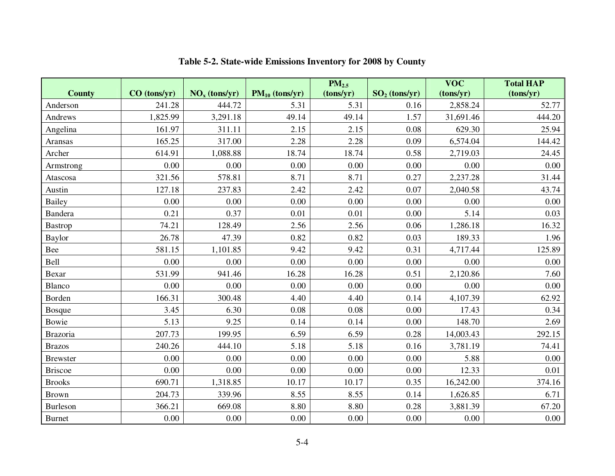|                 |                |                 |                     | PM <sub>2.5</sub> |                 | <b>VOC</b> | <b>Total HAP</b> |
|-----------------|----------------|-----------------|---------------------|-------------------|-----------------|------------|------------------|
| <b>County</b>   | $CO$ (tons/yr) | $NOx$ (tons/yr) | $PM_{10}$ (tons/yr) | (tons/yr)         | $SO2$ (tons/yr) | (tons/yr)  | (tons/yr)        |
| Anderson        | 241.28         | 444.72          | 5.31                | 5.31              | 0.16            | 2,858.24   | 52.77            |
| Andrews         | 1,825.99       | 3,291.18        | 49.14               | 49.14             | 1.57            | 31,691.46  | 444.20           |
| Angelina        | 161.97         | 311.11          | 2.15                | 2.15              | 0.08            | 629.30     | 25.94            |
| Aransas         | 165.25         | 317.00          | 2.28                | 2.28              | 0.09            | 6,574.04   | 144.42           |
| Archer          | 614.91         | 1,088.88        | 18.74               | 18.74             | 0.58            | 2,719.03   | 24.45            |
| Armstrong       | 0.00           | 0.00            | 0.00                | 0.00              | 0.00            | 0.00       | 0.00             |
| Atascosa        | 321.56         | 578.81          | 8.71                | 8.71              | 0.27            | 2,237.28   | 31.44            |
| Austin          | 127.18         | 237.83          | 2.42                | 2.42              | 0.07            | 2,040.58   | 43.74            |
| <b>Bailey</b>   | 0.00           | 0.00            | 0.00                | 0.00              | 0.00            | 0.00       | 0.00             |
| Bandera         | 0.21           | 0.37            | 0.01                | 0.01              | 0.00            | 5.14       | 0.03             |
| <b>Bastrop</b>  | 74.21          | 128.49          | 2.56                | 2.56              | 0.06            | 1,286.18   | 16.32            |
| <b>Baylor</b>   | 26.78          | 47.39           | 0.82                | 0.82              | 0.03            | 189.33     | 1.96             |
| Bee             | 581.15         | 1,101.85        | 9.42                | 9.42              | 0.31            | 4,717.44   | 125.89           |
| Bell            | 0.00           | 0.00            | 0.00                | 0.00              | 0.00            | 0.00       | 0.00             |
| Bexar           | 531.99         | 941.46          | 16.28               | 16.28             | 0.51            | 2,120.86   | 7.60             |
| Blanco          | 0.00           | 0.00            | 0.00                | 0.00              | 0.00            | 0.00       | 0.00             |
| Borden          | 166.31         | 300.48          | 4.40                | 4.40              | 0.14            | 4,107.39   | 62.92            |
| <b>Bosque</b>   | 3.45           | 6.30            | 0.08                | 0.08              | 0.00            | 17.43      | 0.34             |
| Bowie           | 5.13           | 9.25            | 0.14                | 0.14              | 0.00            | 148.70     | 2.69             |
| <b>Brazoria</b> | 207.73         | 199.95          | 6.59                | 6.59              | 0.28            | 14,003.43  | 292.15           |
| <b>Brazos</b>   | 240.26         | 444.10          | 5.18                | 5.18              | 0.16            | 3,781.19   | 74.41            |
| <b>Brewster</b> | 0.00           | 0.00            | 0.00                | 0.00              | 0.00            | 5.88       | 0.00             |
| <b>Briscoe</b>  | 0.00           | 0.00            | $0.00\,$            | 0.00              | 0.00            | 12.33      | 0.01             |
| <b>Brooks</b>   | 690.71         | 1,318.85        | 10.17               | 10.17             | 0.35            | 16,242.00  | 374.16           |
| <b>Brown</b>    | 204.73         | 339.96          | 8.55                | 8.55              | 0.14            | 1,626.85   | 6.71             |
| Burleson        | 366.21         | 669.08          | 8.80                | 8.80              | 0.28            | 3,881.39   | 67.20            |
| <b>Burnet</b>   | 0.00           | 0.00            | 0.00                | 0.00              | 0.00            | 0.00       | $0.00\,$         |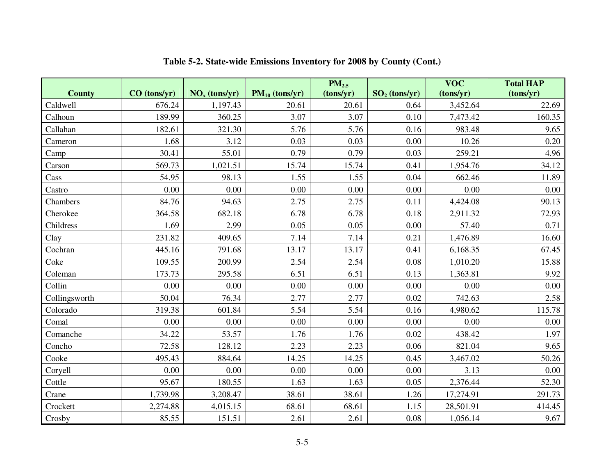|               |              |                                    |                     | PM <sub>2.5</sub> |                 | $\overline{\text{VOC}}$ | <b>Total HAP</b> |
|---------------|--------------|------------------------------------|---------------------|-------------------|-----------------|-------------------------|------------------|
| <b>County</b> | CO (tons/yr) | $\overline{\text{NO}_x}$ (tons/yr) | $PM_{10}$ (tons/yr) | (tons/yr)         | $SO2$ (tons/yr) | (tons/yr)               | (tons/yr)        |
| Caldwell      | 676.24       | 1,197.43                           | 20.61               | 20.61             | 0.64            | 3,452.64                | 22.69            |
| Calhoun       | 189.99       | 360.25                             | 3.07                | 3.07              | 0.10            | 7,473.42                | 160.35           |
| Callahan      | 182.61       | 321.30                             | 5.76                | 5.76              | 0.16            | 983.48                  | 9.65             |
| Cameron       | 1.68         | 3.12                               | 0.03                | 0.03              | 0.00            | 10.26                   | 0.20             |
| Camp          | 30.41        | 55.01                              | 0.79                | 0.79              | 0.03            | 259.21                  | 4.96             |
| Carson        | 569.73       | 1,021.51                           | 15.74               | 15.74             | 0.41            | 1,954.76                | 34.12            |
| Cass          | 54.95        | 98.13                              | 1.55                | 1.55              | 0.04            | 662.46                  | 11.89            |
| Castro        | 0.00         | 0.00                               | 0.00                | 0.00              | 0.00            | 0.00                    | 0.00             |
| Chambers      | 84.76        | 94.63                              | 2.75                | 2.75              | 0.11            | 4,424.08                | 90.13            |
| Cherokee      | 364.58       | 682.18                             | 6.78                | 6.78              | 0.18            | 2,911.32                | 72.93            |
| Childress     | 1.69         | 2.99                               | 0.05                | 0.05              | 0.00            | 57.40                   | 0.71             |
| Clay          | 231.82       | 409.65                             | 7.14                | 7.14              | 0.21            | 1,476.89                | 16.60            |
| Cochran       | 445.16       | 791.68                             | 13.17               | 13.17             | 0.41            | 6,168.35                | 67.45            |
| Coke          | 109.55       | 200.99                             | 2.54                | 2.54              | 0.08            | 1,010.20                | 15.88            |
| Coleman       | 173.73       | 295.58                             | 6.51                | 6.51              | 0.13            | 1,363.81                | 9.92             |
| Collin        | 0.00         | $0.00\,$                           | 0.00                | 0.00              | 0.00            | 0.00                    | 0.00             |
| Collingsworth | 50.04        | 76.34                              | 2.77                | 2.77              | 0.02            | 742.63                  | 2.58             |
| Colorado      | 319.38       | 601.84                             | 5.54                | 5.54              | 0.16            | 4,980.62                | 115.78           |
| Comal         | 0.00         | 0.00                               | 0.00                | 0.00              | 0.00            | 0.00                    | 0.00             |
| Comanche      | 34.22        | 53.57                              | 1.76                | 1.76              | 0.02            | 438.42                  | 1.97             |
| Concho        | 72.58        | 128.12                             | 2.23                | 2.23              | 0.06            | 821.04                  | 9.65             |
| Cooke         | 495.43       | 884.64                             | 14.25               | 14.25             | 0.45            | 3,467.02                | 50.26            |
| Coryell       | 0.00         | $0.00\,$                           | 0.00                | $0.00\,$          | 0.00            | 3.13                    | 0.00             |
| Cottle        | 95.67        | 180.55                             | 1.63                | 1.63              | 0.05            | 2,376.44                | 52.30            |
| Crane         | 1,739.98     | 3,208.47                           | 38.61               | 38.61             | 1.26            | 17,274.91               | 291.73           |
| Crockett      | 2,274.88     | 4,015.15                           | 68.61               | 68.61             | 1.15            | 28,501.91               | 414.45           |
| Crosby        | 85.55        | 151.51                             | 2.61                | 2.61              | 0.08            | 1,056.14                | 9.67             |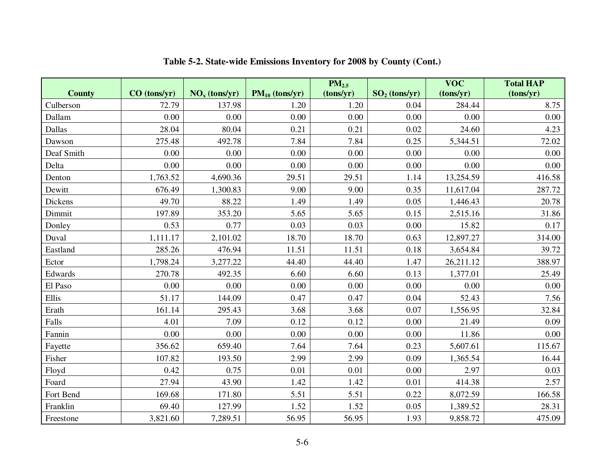|               |                |                                    |                     | PM <sub>2.5</sub> |                 | $\overline{\text{VOC}}$ | <b>Total HAP</b> |
|---------------|----------------|------------------------------------|---------------------|-------------------|-----------------|-------------------------|------------------|
| <b>County</b> | $CO$ (tons/yr) | $\overline{\text{NO}_x}$ (tons/yr) | $PM_{10}$ (tons/yr) | (tons/yr)         | $SO2$ (tons/yr) | (tons/yr)               | (tons/yr)        |
| Culberson     | 72.79          | 137.98                             | 1.20                | 1.20              | 0.04            | 284.44                  | 8.75             |
| Dallam        | 0.00           | 0.00                               | 0.00                | 0.00              | 0.00            | 0.00                    | 0.00             |
| Dallas        | 28.04          | 80.04                              | 0.21                | 0.21              | 0.02            | 24.60                   | 4.23             |
| Dawson        | 275.48         | 492.78                             | 7.84                | 7.84              | 0.25            | 5,344.51                | 72.02            |
| Deaf Smith    | 0.00           | 0.00                               | 0.00                | 0.00              | 0.00            | 0.00                    | 0.00             |
| Delta         | 0.00           | 0.00                               | 0.00                | 0.00              | 0.00            | 0.00                    | 0.00             |
| Denton        | 1,763.52       | 4,690.36                           | 29.51               | 29.51             | 1.14            | 13,254.59               | 416.58           |
| Dewitt        | 676.49         | 1,300.83                           | 9.00                | 9.00              | 0.35            | 11,617.04               | 287.72           |
| Dickens       | 49.70          | 88.22                              | 1.49                | 1.49              | 0.05            | 1,446.43                | 20.78            |
| Dimmit        | 197.89         | 353.20                             | 5.65                | 5.65              | 0.15            | 2,515.16                | 31.86            |
| Donley        | 0.53           | 0.77                               | 0.03                | 0.03              | 0.00            | 15.82                   | 0.17             |
| Duval         | 1,111.17       | 2,101.02                           | 18.70               | 18.70             | 0.63            | 12,897.27               | 314.00           |
| Eastland      | 285.26         | 476.94                             | 11.51               | 11.51             | 0.18            | 3,654.84                | 39.72            |
| Ector         | 1,798.24       | 3,277.22                           | 44.40               | 44.40             | 1.47            | 26,211.12               | 388.97           |
| Edwards       | 270.78         | 492.35                             | 6.60                | 6.60              | 0.13            | 1,377.01                | 25.49            |
| El Paso       | 0.00           | 0.00                               | 0.00                | 0.00              | 0.00            | 0.00                    | 0.00             |
| Ellis         | 51.17          | 144.09                             | 0.47                | 0.47              | 0.04            | 52.43                   | 7.56             |
| Erath         | 161.14         | 295.43                             | 3.68                | 3.68              | 0.07            | 1,556.95                | 32.84            |
| Falls         | 4.01           | 7.09                               | 0.12                | 0.12              | 0.00            | 21.49                   | 0.09             |
| Fannin        | 0.00           | 0.00                               | 0.00                | 0.00              | 0.00            | 11.86                   | 0.00             |
| Fayette       | 356.62         | 659.40                             | 7.64                | 7.64              | 0.23            | 5,607.61                | 115.67           |
| Fisher        | 107.82         | 193.50                             | 2.99                | 2.99              | 0.09            | 1,365.54                | 16.44            |
| Floyd         | 0.42           | 0.75                               | 0.01                | 0.01              | 0.00            | 2.97                    | 0.03             |
| Foard         | 27.94          | 43.90                              | 1.42                | 1.42              | 0.01            | 414.38                  | 2.57             |
| Fort Bend     | 169.68         | 171.80                             | 5.51                | 5.51              | 0.22            | 8,072.59                | 166.58           |
| Franklin      | 69.40          | 127.99                             | 1.52                | 1.52              | 0.05            | 1,389.52                | 28.31            |
| Freestone     | 3,821.60       | 7,289.51                           | 56.95               | 56.95             | 1.93            | 9,858.72                | 475.09           |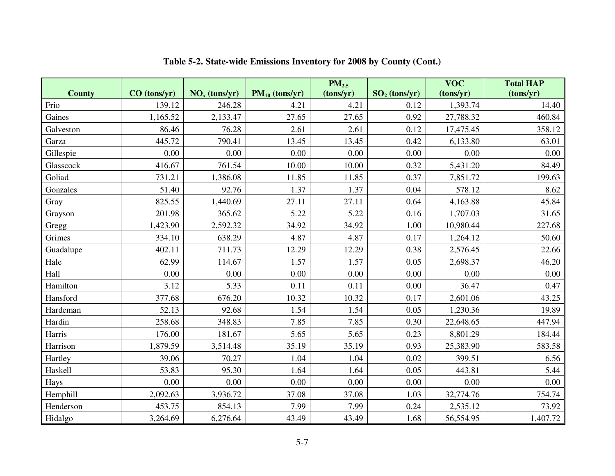|               |              |                 |                     | PM <sub>2.5</sub> |                 | $\overline{\text{VOC}}$ | <b>Total HAP</b> |
|---------------|--------------|-----------------|---------------------|-------------------|-----------------|-------------------------|------------------|
| <b>County</b> | CO (tons/yr) | $NOx$ (tons/yr) | $PM_{10}$ (tons/yr) | (tons/yr)         | $SO2$ (tons/yr) | (tons/yr)               | (tons/yr)        |
| Frio          | 139.12       | 246.28          | 4.21                | 4.21              | 0.12            | 1,393.74                | 14.40            |
| Gaines        | 1,165.52     | 2,133.47        | 27.65               | 27.65             | 0.92            | 27,788.32               | 460.84           |
| Galveston     | 86.46        | 76.28           | 2.61                | 2.61              | 0.12            | 17,475.45               | 358.12           |
| Garza         | 445.72       | 790.41          | 13.45               | 13.45             | 0.42            | 6,133.80                | 63.01            |
| Gillespie     | 0.00         | 0.00            | 0.00                | 0.00              | 0.00            | 0.00                    | 0.00             |
| Glasscock     | 416.67       | 761.54          | 10.00               | 10.00             | 0.32            | 5,431.20                | 84.49            |
| Goliad        | 731.21       | 1,386.08        | 11.85               | 11.85             | 0.37            | 7,851.72                | 199.63           |
| Gonzales      | 51.40        | 92.76           | 1.37                | 1.37              | 0.04            | 578.12                  | 8.62             |
| Gray          | 825.55       | 1,440.69        | 27.11               | 27.11             | 0.64            | 4,163.88                | 45.84            |
| Grayson       | 201.98       | 365.62          | 5.22                | 5.22              | 0.16            | 1,707.03                | 31.65            |
| Gregg         | 1,423.90     | 2,592.32        | 34.92               | 34.92             | 1.00            | 10,980.44               | 227.68           |
| Grimes        | 334.10       | 638.29          | 4.87                | 4.87              | 0.17            | 1,264.12                | 50.60            |
| Guadalupe     | 402.11       | 711.73          | 12.29               | 12.29             | 0.38            | 2,576.45                | 22.66            |
| Hale          | 62.99        | 114.67          | 1.57                | 1.57              | 0.05            | 2,698.37                | 46.20            |
| Hall          | 0.00         | 0.00            | 0.00                | 0.00              | 0.00            | 0.00                    | 0.00             |
| Hamilton      | 3.12         | 5.33            | 0.11                | 0.11              | 0.00            | 36.47                   | 0.47             |
| Hansford      | 377.68       | 676.20          | 10.32               | 10.32             | 0.17            | 2,601.06                | 43.25            |
| Hardeman      | 52.13        | 92.68           | 1.54                | 1.54              | 0.05            | 1,230.36                | 19.89            |
| Hardin        | 258.68       | 348.83          | 7.85                | 7.85              | 0.30            | 22,648.65               | 447.94           |
| Harris        | 176.00       | 181.67          | 5.65                | 5.65              | 0.23            | 8,801.29                | 184.44           |
| Harrison      | 1,879.59     | 3,514.48        | 35.19               | 35.19             | 0.93            | 25,383.90               | 583.58           |
| Hartley       | 39.06        | 70.27           | 1.04                | 1.04              | 0.02            | 399.51                  | 6.56             |
| Haskell       | 53.83        | 95.30           | 1.64                | 1.64              | 0.05            | 443.81                  | 5.44             |
| Hays          | 0.00         | 0.00            | 0.00                | 0.00              | 0.00            | 0.00                    | 0.00             |
| Hemphill      | 2,092.63     | 3,936.72        | 37.08               | 37.08             | 1.03            | 32,774.76               | 754.74           |
| Henderson     | 453.75       | 854.13          | 7.99                | 7.99              | 0.24            | 2,535.12                | 73.92            |
| Hidalgo       | 3,264.69     | 6,276.64        | 43.49               | 43.49             | 1.68            | 56,554.95               | 1,407.72         |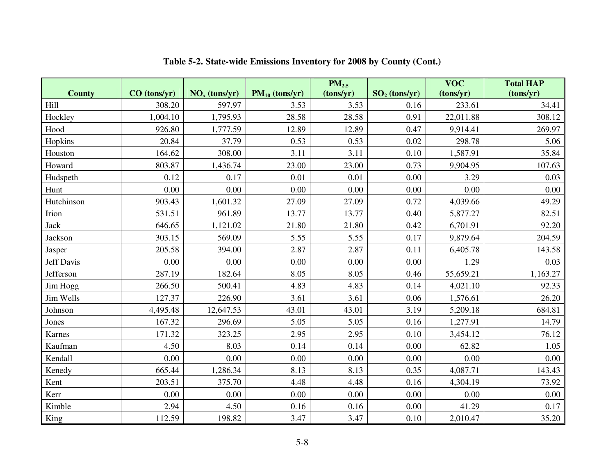|                  |              |                 |                     | PM <sub>2.5</sub> |                 | $\overline{\text{VOC}}$ | <b>Total HAP</b> |
|------------------|--------------|-----------------|---------------------|-------------------|-----------------|-------------------------|------------------|
| <b>County</b>    | CO (tons/yr) | $NOx$ (tons/yr) | $PM_{10}$ (tons/yr) | (tons/yr)         | $SO2$ (tons/yr) | (tons/yr)               | (tons/yr)        |
| Hill             | 308.20       | 597.97          | 3.53                | 3.53              | 0.16            | 233.61                  | 34.41            |
| Hockley          | 1,004.10     | 1,795.93        | 28.58               | 28.58             | 0.91            | 22,011.88               | 308.12           |
| Hood             | 926.80       | 1,777.59        | 12.89               | 12.89             | 0.47            | 9,914.41                | 269.97           |
| Hopkins          | 20.84        | 37.79           | 0.53                | 0.53              | 0.02            | 298.78                  | 5.06             |
| Houston          | 164.62       | 308.00          | 3.11                | 3.11              | 0.10            | 1,587.91                | 35.84            |
| Howard           | 803.87       | 1,436.74        | 23.00               | 23.00             | 0.73            | 9,904.95                | 107.63           |
| Hudspeth         | 0.12         | 0.17            | 0.01                | 0.01              | 0.00            | 3.29                    | 0.03             |
| Hunt             | 0.00         | 0.00            | 0.00                | 0.00              | 0.00            | 0.00                    | 0.00             |
| Hutchinson       | 903.43       | 1,601.32        | 27.09               | 27.09             | 0.72            | 4,039.66                | 49.29            |
| Irion            | 531.51       | 961.89          | 13.77               | 13.77             | 0.40            | 5,877.27                | 82.51            |
| Jack             | 646.65       | 1,121.02        | $21.80\,$           | 21.80             | 0.42            | 6,701.91                | 92.20            |
| Jackson          | 303.15       | 569.09          | 5.55                | 5.55              | 0.17            | 9,879.64                | 204.59           |
| Jasper           | 205.58       | 394.00          | 2.87                | 2.87              | 0.11            | 6,405.78                | 143.58           |
| Jeff Davis       | 0.00         | 0.00            | 0.00                | 0.00              | 0.00            | 1.29                    | 0.03             |
| <b>Jefferson</b> | 287.19       | 182.64          | 8.05                | 8.05              | 0.46            | 55,659.21               | 1,163.27         |
| Jim Hogg         | 266.50       | 500.41          | 4.83                | 4.83              | 0.14            | 4,021.10                | 92.33            |
| Jim Wells        | 127.37       | 226.90          | 3.61                | 3.61              | 0.06            | 1,576.61                | 26.20            |
| Johnson          | 4,495.48     | 12,647.53       | 43.01               | 43.01             | 3.19            | 5,209.18                | 684.81           |
| Jones            | 167.32       | 296.69          | 5.05                | 5.05              | 0.16            | 1,277.91                | 14.79            |
| Karnes           | 171.32       | 323.25          | 2.95                | 2.95              | 0.10            | 3,454.12                | 76.12            |
| Kaufman          | 4.50         | 8.03            | 0.14                | 0.14              | 0.00            | 62.82                   | 1.05             |
| Kendall          | 0.00         | 0.00            | 0.00                | 0.00              | 0.00            | 0.00                    | 0.00             |
| Kenedy           | 665.44       | 1,286.34        | 8.13                | 8.13              | 0.35            | 4,087.71                | 143.43           |
| Kent             | 203.51       | 375.70          | 4.48                | 4.48              | 0.16            | 4,304.19                | 73.92            |
| Kerr             | 0.00         | 0.00            | 0.00                | 0.00              | 0.00            | 0.00                    | 0.00             |
| Kimble           | 2.94         | 4.50            | 0.16                | 0.16              | 0.00            | 41.29                   | 0.17             |
| King             | 112.59       | 198.82          | 3.47                | 3.47              | 0.10            | 2,010.47                | 35.20            |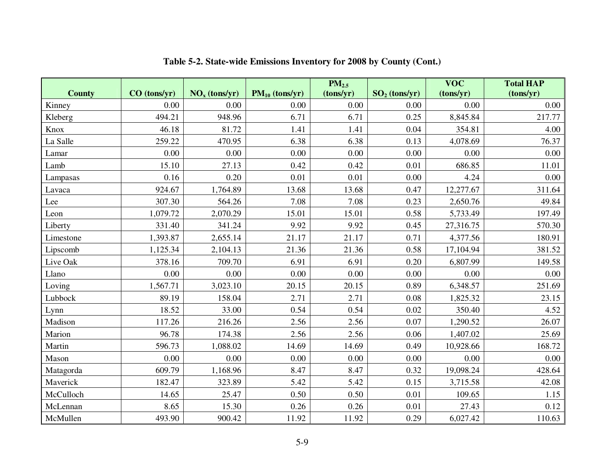|               |                |                 |                     | $\overline{PM}_{2.5}$ |                 | <b>VOC</b> | <b>Total HAP</b> |
|---------------|----------------|-----------------|---------------------|-----------------------|-----------------|------------|------------------|
| <b>County</b> | $CO$ (tons/yr) | $NOx$ (tons/yr) | $PM_{10}$ (tons/yr) | (tons/yr)             | $SO2$ (tons/yr) | (tons/yr)  | (tons/yr)        |
| Kinney        | 0.00           | 0.00            | 0.00                | 0.00                  | 0.00            | 0.00       | 0.00             |
| Kleberg       | 494.21         | 948.96          | 6.71                | 6.71                  | 0.25            | 8,845.84   | 217.77           |
| Knox          | 46.18          | 81.72           | 1.41                | 1.41                  | 0.04            | 354.81     | 4.00             |
| La Salle      | 259.22         | 470.95          | 6.38                | 6.38                  | 0.13            | 4,078.69   | 76.37            |
| Lamar         | 0.00           | 0.00            | 0.00                | 0.00                  | 0.00            | 0.00       | 0.00             |
| Lamb          | 15.10          | 27.13           | 0.42                | 0.42                  | 0.01            | 686.85     | 11.01            |
| Lampasas      | 0.16           | 0.20            | 0.01                | 0.01                  | 0.00            | 4.24       | 0.00             |
| Lavaca        | 924.67         | 1,764.89        | 13.68               | 13.68                 | 0.47            | 12,277.67  | 311.64           |
| Lee           | 307.30         | 564.26          | 7.08                | 7.08                  | 0.23            | 2,650.76   | 49.84            |
| Leon          | 1,079.72       | 2,070.29        | 15.01               | 15.01                 | 0.58            | 5,733.49   | 197.49           |
| Liberty       | 331.40         | 341.24          | 9.92                | 9.92                  | 0.45            | 27,316.75  | 570.30           |
| Limestone     | 1,393.87       | 2,655.14        | 21.17               | 21.17                 | 0.71            | 4,377.56   | 180.91           |
| Lipscomb      | 1,125.34       | 2,104.13        | 21.36               | 21.36                 | 0.58            | 17,104.94  | 381.52           |
| Live Oak      | 378.16         | 709.70          | 6.91                | 6.91                  | 0.20            | 6,807.99   | 149.58           |
| Llano         | 0.00           | 0.00            | 0.00                | 0.00                  | 0.00            | 0.00       | 0.00             |
| Loving        | 1,567.71       | 3,023.10        | 20.15               | 20.15                 | 0.89            | 6,348.57   | 251.69           |
| Lubbock       | 89.19          | 158.04          | 2.71                | 2.71                  | 0.08            | 1,825.32   | 23.15            |
| Lynn          | 18.52          | 33.00           | 0.54                | 0.54                  | 0.02            | 350.40     | 4.52             |
| Madison       | 117.26         | 216.26          | 2.56                | 2.56                  | 0.07            | 1,290.52   | 26.07            |
| Marion        | 96.78          | 174.38          | 2.56                | 2.56                  | 0.06            | 1,407.02   | 25.69            |
| Martin        | 596.73         | 1,088.02        | 14.69               | 14.69                 | 0.49            | 10,928.66  | 168.72           |
| Mason         | 0.00           | 0.00            | 0.00                | 0.00                  | 0.00            | 0.00       | 0.00             |
| Matagorda     | 609.79         | 1,168.96        | 8.47                | 8.47                  | 0.32            | 19,098.24  | 428.64           |
| Maverick      | 182.47         | 323.89          | 5.42                | 5.42                  | 0.15            | 3,715.58   | 42.08            |
| McCulloch     | 14.65          | 25.47           | 0.50                | 0.50                  | 0.01            | 109.65     | 1.15             |
| McLennan      | 8.65           | 15.30           | 0.26                | 0.26                  | 0.01            | 27.43      | 0.12             |
| McMullen      | 493.90         | 900.42          | 11.92               | 11.92                 | 0.29            | 6,027.42   | 110.63           |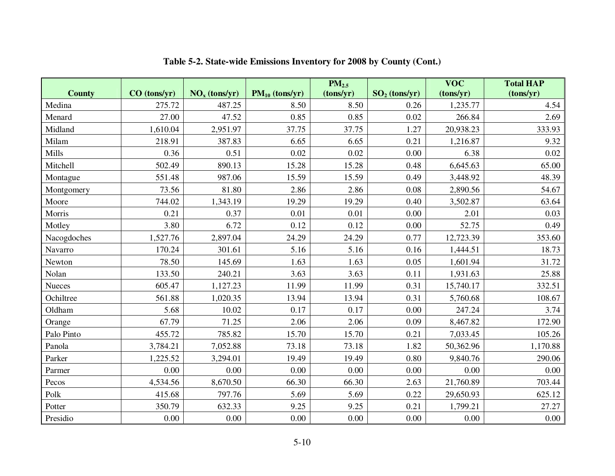|               |              |                 |                     | PM <sub>2.5</sub> |                 | <b>VOC</b> | <b>Total HAP</b> |
|---------------|--------------|-----------------|---------------------|-------------------|-----------------|------------|------------------|
| <b>County</b> | CO (tons/yr) | $NOx$ (tons/yr) | $PM_{10}$ (tons/yr) | (tons/yr)         | $SO2$ (tons/yr) | (tons/yr)  | (tons/yr)        |
| Medina        | 275.72       | 487.25          | 8.50                | 8.50              | 0.26            | 1,235.77   | 4.54             |
| Menard        | 27.00        | 47.52           | 0.85                | 0.85              | 0.02            | 266.84     | 2.69             |
| Midland       | 1,610.04     | 2,951.97        | 37.75               | 37.75             | 1.27            | 20,938.23  | 333.93           |
| Milam         | 218.91       | 387.83          | 6.65                | 6.65              | 0.21            | 1,216.87   | 9.32             |
| Mills         | 0.36         | 0.51            | 0.02                | 0.02              | 0.00            | 6.38       | 0.02             |
| Mitchell      | 502.49       | 890.13          | 15.28               | 15.28             | 0.48            | 6,645.63   | 65.00            |
| Montague      | 551.48       | 987.06          | 15.59               | 15.59             | 0.49            | 3,448.92   | 48.39            |
| Montgomery    | 73.56        | 81.80           | 2.86                | 2.86              | 0.08            | 2,890.56   | 54.67            |
| Moore         | 744.02       | 1,343.19        | 19.29               | 19.29             | 0.40            | 3,502.87   | 63.64            |
| Morris        | 0.21         | 0.37            | 0.01                | 0.01              | 0.00            | 2.01       | 0.03             |
| Motley        | 3.80         | 6.72            | 0.12                | 0.12              | 0.00            | 52.75      | 0.49             |
| Nacogdoches   | 1,527.76     | 2,897.04        | 24.29               | 24.29             | 0.77            | 12,723.39  | 353.60           |
| Navarro       | 170.24       | 301.61          | 5.16                | 5.16              | 0.16            | 1,444.51   | 18.73            |
| Newton        | 78.50        | 145.69          | 1.63                | 1.63              | 0.05            | 1,601.94   | 31.72            |
| Nolan         | 133.50       | 240.21          | 3.63                | 3.63              | 0.11            | 1,931.63   | 25.88            |
| Nueces        | 605.47       | 1,127.23        | 11.99               | 11.99             | 0.31            | 15,740.17  | 332.51           |
| Ochiltree     | 561.88       | 1,020.35        | 13.94               | 13.94             | 0.31            | 5,760.68   | 108.67           |
| Oldham        | 5.68         | 10.02           | 0.17                | 0.17              | 0.00            | 247.24     | 3.74             |
| Orange        | 67.79        | 71.25           | 2.06                | 2.06              | 0.09            | 8,467.82   | 172.90           |
| Palo Pinto    | 455.72       | 785.82          | 15.70               | 15.70             | 0.21            | 7,033.45   | 105.26           |
| Panola        | 3,784.21     | 7,052.88        | 73.18               | 73.18             | 1.82            | 50,362.96  | 1,170.88         |
| Parker        | 1,225.52     | 3,294.01        | 19.49               | 19.49             | 0.80            | 9,840.76   | 290.06           |
| Parmer        | 0.00         | 0.00            | 0.00                | 0.00              | $0.00\,$        | 0.00       | 0.00             |
| Pecos         | 4,534.56     | 8,670.50        | 66.30               | 66.30             | 2.63            | 21,760.89  | 703.44           |
| Polk          | 415.68       | 797.76          | 5.69                | 5.69              | 0.22            | 29,650.93  | 625.12           |
| Potter        | 350.79       | 632.33          | 9.25                | 9.25              | 0.21            | 1,799.21   | 27.27            |
| Presidio      | $0.00\,$     | 0.00            | $0.00\,$            | 0.00              | $0.00\,$        | 0.00       | $0.00\,$         |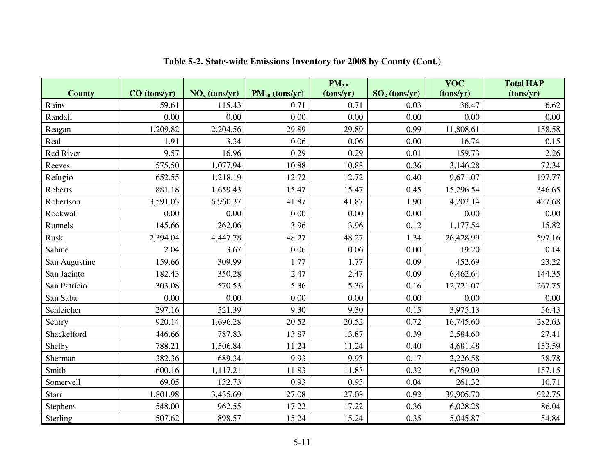|               |              |                 |                     | PM <sub>2.5</sub> |                 | <b>VOC</b> | <b>Total HAP</b> |
|---------------|--------------|-----------------|---------------------|-------------------|-----------------|------------|------------------|
| <b>County</b> | CO (tons/yr) | $NOx$ (tons/yr) | $PM_{10}$ (tons/yr) | (tons/yr)         | $SO2$ (tons/yr) | (tons/yr)  | (tons/yr)        |
| Rains         | 59.61        | 115.43          | 0.71                | 0.71              | 0.03            | 38.47      | 6.62             |
| Randall       | 0.00         | 0.00            | 0.00                | 0.00              | 0.00            | 0.00       | 0.00             |
| Reagan        | 1,209.82     | 2,204.56        | 29.89               | 29.89             | 0.99            | 11,808.61  | 158.58           |
| Real          | 1.91         | 3.34            | 0.06                | 0.06              | 0.00            | 16.74      | 0.15             |
| Red River     | 9.57         | 16.96           | 0.29                | 0.29              | 0.01            | 159.73     | 2.26             |
| Reeves        | 575.50       | 1,077.94        | 10.88               | 10.88             | 0.36            | 3,146.28   | 72.34            |
| Refugio       | 652.55       | 1,218.19        | 12.72               | 12.72             | 0.40            | 9,671.07   | 197.77           |
| Roberts       | 881.18       | 1,659.43        | 15.47               | 15.47             | 0.45            | 15,296.54  | 346.65           |
| Robertson     | 3,591.03     | 6,960.37        | 41.87               | 41.87             | 1.90            | 4,202.14   | 427.68           |
| Rockwall      | 0.00         | 0.00            | 0.00                | 0.00              | 0.00            | 0.00       | 0.00             |
| Runnels       | 145.66       | 262.06          | 3.96                | 3.96              | 0.12            | 1,177.54   | 15.82            |
| Rusk          | 2,394.04     | 4,447.78        | 48.27               | 48.27             | 1.34            | 26,428.99  | 597.16           |
| Sabine        | 2.04         | 3.67            | 0.06                | 0.06              | 0.00            | 19.20      | 0.14             |
| San Augustine | 159.66       | 309.99          | 1.77                | 1.77              | 0.09            | 452.69     | 23.22            |
| San Jacinto   | 182.43       | 350.28          | 2.47                | 2.47              | 0.09            | 6,462.64   | 144.35           |
| San Patricio  | 303.08       | 570.53          | 5.36                | 5.36              | 0.16            | 12,721.07  | 267.75           |
| San Saba      | 0.00         | 0.00            | 0.00                | 0.00              | 0.00            | 0.00       | 0.00             |
| Schleicher    | 297.16       | 521.39          | 9.30                | 9.30              | 0.15            | 3,975.13   | 56.43            |
| Scurry        | 920.14       | 1,696.28        | 20.52               | 20.52             | 0.72            | 16,745.60  | 282.63           |
| Shackelford   | 446.66       | 787.83          | 13.87               | 13.87             | 0.39            | 2,584.60   | 27.41            |
| Shelby        | 788.21       | 1,506.84        | 11.24               | 11.24             | 0.40            | 4,681.48   | 153.59           |
| Sherman       | 382.36       | 689.34          | 9.93                | 9.93              | 0.17            | 2,226.58   | 38.78            |
| Smith         | 600.16       | 1,117.21        | 11.83               | 11.83             | 0.32            | 6,759.09   | 157.15           |
| Somervell     | 69.05        | 132.73          | 0.93                | 0.93              | 0.04            | 261.32     | 10.71            |
| Starr         | 1,801.98     | 3,435.69        | 27.08               | 27.08             | 0.92            | 39,905.70  | 922.75           |
| Stephens      | 548.00       | 962.55          | 17.22               | 17.22             | 0.36            | 6,028.28   | 86.04            |
| Sterling      | 507.62       | 898.57          | 15.24               | 15.24             | 0.35            | 5,045.87   | 54.84            |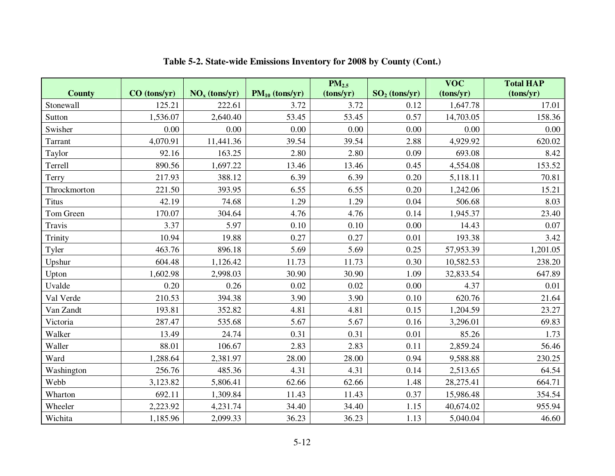|               |                |                 |                     | PM <sub>2.5</sub> |                 | $\overline{\text{VOC}}$ | <b>Total HAP</b> |
|---------------|----------------|-----------------|---------------------|-------------------|-----------------|-------------------------|------------------|
| <b>County</b> | $CO$ (tons/yr) | $NOx$ (tons/yr) | $PM_{10}$ (tons/yr) | (tons/yr)         | $SO2$ (tons/yr) | (tons/yr)               | (tons/yr)        |
| Stonewall     | 125.21         | 222.61          | 3.72                | 3.72              | 0.12            | 1,647.78                | 17.01            |
| Sutton        | 1,536.07       | 2,640.40        | 53.45               | 53.45             | 0.57            | 14,703.05               | 158.36           |
| Swisher       | 0.00           | 0.00            | 0.00                | 0.00              | 0.00            | 0.00                    | 0.00             |
| Tarrant       | 4,070.91       | 11,441.36       | 39.54               | 39.54             | 2.88            | 4,929.92                | 620.02           |
| Taylor        | 92.16          | 163.25          | 2.80                | 2.80              | 0.09            | 693.08                  | 8.42             |
| Terrell       | 890.56         | 1,697.22        | 13.46               | 13.46             | 0.45            | 4,554.08                | 153.52           |
| Terry         | 217.93         | 388.12          | 6.39                | 6.39              | 0.20            | 5,118.11                | 70.81            |
| Throckmorton  | 221.50         | 393.95          | 6.55                | 6.55              | 0.20            | 1,242.06                | 15.21            |
| <b>Titus</b>  | 42.19          | 74.68           | 1.29                | 1.29              | 0.04            | 506.68                  | 8.03             |
| Tom Green     | 170.07         | 304.64          | 4.76                | 4.76              | 0.14            | 1,945.37                | 23.40            |
| Travis        | 3.37           | 5.97            | 0.10                | 0.10              | 0.00            | 14.43                   | 0.07             |
| Trinity       | 10.94          | 19.88           | 0.27                | 0.27              | 0.01            | 193.38                  | 3.42             |
| Tyler         | 463.76         | 896.18          | 5.69                | 5.69              | 0.25            | 57,953.39               | 1,201.05         |
| Upshur        | 604.48         | 1,126.42        | 11.73               | 11.73             | 0.30            | 10,582.53               | 238.20           |
| Upton         | 1,602.98       | 2,998.03        | 30.90               | 30.90             | 1.09            | 32,833.54               | 647.89           |
| Uvalde        | 0.20           | 0.26            | 0.02                | 0.02              | 0.00            | 4.37                    | 0.01             |
| Val Verde     | 210.53         | 394.38          | 3.90                | 3.90              | 0.10            | 620.76                  | 21.64            |
| Van Zandt     | 193.81         | 352.82          | 4.81                | 4.81              | 0.15            | 1,204.59                | 23.27            |
| Victoria      | 287.47         | 535.68          | 5.67                | 5.67              | 0.16            | 3,296.01                | 69.83            |
| Walker        | 13.49          | 24.74           | 0.31                | 0.31              | 0.01            | 85.26                   | 1.73             |
| Waller        | 88.01          | 106.67          | 2.83                | 2.83              | 0.11            | 2,859.24                | 56.46            |
| Ward          | 1,288.64       | 2,381.97        | 28.00               | 28.00             | 0.94            | 9,588.88                | 230.25           |
| Washington    | 256.76         | 485.36          | 4.31                | 4.31              | 0.14            | 2,513.65                | 64.54            |
| Webb          | 3,123.82       | 5,806.41        | 62.66               | 62.66             | 1.48            | 28,275.41               | 664.71           |
| Wharton       | 692.11         | 1,309.84        | 11.43               | 11.43             | 0.37            | 15,986.48               | 354.54           |
| Wheeler       | 2,223.92       | 4,231.74        | 34.40               | 34.40             | 1.15            | 40,674.02               | 955.94           |
| Wichita       | 1,185.96       | 2,099.33        | 36.23               | 36.23             | 1.13            | 5,040.04                | 46.60            |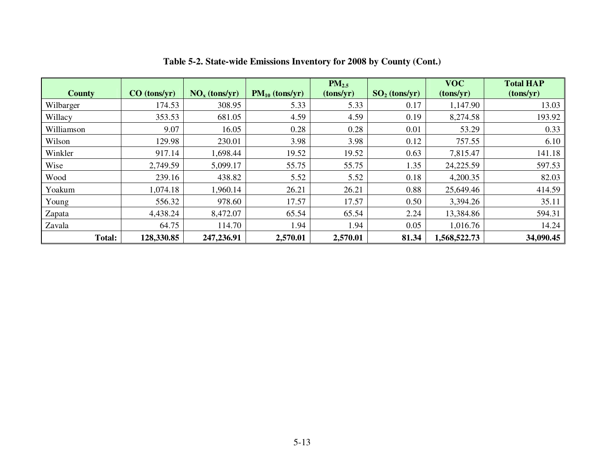|               |              |                 |                     | $PM_{2.5}$ |                 | <b>VOC</b>   | <b>Total HAP</b> |
|---------------|--------------|-----------------|---------------------|------------|-----------------|--------------|------------------|
| <b>County</b> | CO (tons/yr) | $NOx$ (tons/yr) | $PM_{10}$ (tons/yr) | (tons/yr)  | $SO2$ (tons/yr) | (tons/yr)    | (tons/yr)        |
| Wilbarger     | 174.53       | 308.95          | 5.33                | 5.33       | 0.17            | 1,147.90     | 13.03            |
| Willacy       | 353.53       | 681.05          | 4.59                | 4.59       | 0.19            | 8,274.58     | 193.92           |
| Williamson    | 9.07         | 16.05           | 0.28                | 0.28       | 0.01            | 53.29        | 0.33             |
| Wilson        | 129.98       | 230.01          | 3.98                | 3.98       | 0.12            | 757.55       | 6.10             |
| Winkler       | 917.14       | 1,698.44        | 19.52               | 19.52      | 0.63            | 7,815.47     | 141.18           |
| Wise          | 2,749.59     | 5,099.17        | 55.75               | 55.75      | 1.35            | 24,225.59    | 597.53           |
| Wood          | 239.16       | 438.82          | 5.52                | 5.52       | 0.18            | 4,200.35     | 82.03            |
| Yoakum        | 1,074.18     | 1,960.14        | 26.21               | 26.21      | 0.88            | 25,649.46    | 414.59           |
| Young         | 556.32       | 978.60          | 17.57               | 17.57      | 0.50            | 3,394.26     | 35.11            |
| Zapata        | 4,438.24     | 8,472.07        | 65.54               | 65.54      | 2.24            | 13,384.86    | 594.31           |
| Zavala        | 64.75        | 114.70          | 1.94                | 1.94       | 0.05            | 1,016.76     | 14.24            |
| <b>Total:</b> | 128,330.85   | 247,236.91      | 2,570.01            | 2,570.01   | 81.34           | 1,568,522.73 | 34,090.45        |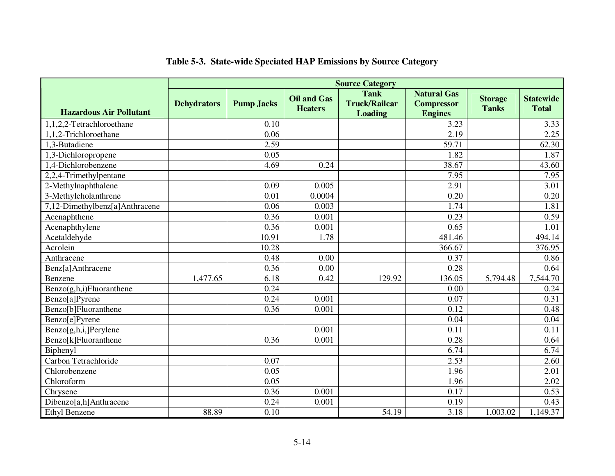|                                | <b>Source Category</b> |                   |                                      |                                                       |                                                           |                                |                                  |
|--------------------------------|------------------------|-------------------|--------------------------------------|-------------------------------------------------------|-----------------------------------------------------------|--------------------------------|----------------------------------|
| <b>Hazardous Air Pollutant</b> | <b>Dehydrators</b>     | <b>Pump Jacks</b> | <b>Oil and Gas</b><br><b>Heaters</b> | <b>Tank</b><br><b>Truck/Railcar</b><br><b>Loading</b> | <b>Natural Gas</b><br><b>Compressor</b><br><b>Engines</b> | <b>Storage</b><br><b>Tanks</b> | <b>Statewide</b><br><b>Total</b> |
| 1,1,2,2-Tetrachloroethane      |                        | 0.10              |                                      |                                                       | 3.23                                                      |                                | 3.33                             |
| 1,1,2-Trichloroethane          |                        | 0.06              |                                      |                                                       | $\overline{2.19}$                                         |                                | 2.25                             |
| 1,3-Butadiene                  |                        | 2.59              |                                      |                                                       | 59.71                                                     |                                | 62.30                            |
| 1,3-Dichloropropene            |                        | 0.05              |                                      |                                                       | 1.82                                                      |                                | 1.87                             |
| 1,4-Dichlorobenzene            |                        | 4.69              | 0.24                                 |                                                       | 38.67                                                     |                                | 43.60                            |
| 2,2,4-Trimethylpentane         |                        |                   |                                      |                                                       | 7.95                                                      |                                | 7.95                             |
| 2-Methylnaphthalene            |                        | 0.09              | 0.005                                |                                                       | 2.91                                                      |                                | 3.01                             |
| 3-Methylcholanthrene           |                        | 0.01              | 0.0004                               |                                                       | 0.20                                                      |                                | 0.20                             |
| 7,12-Dimethylbenz[a]Anthracene |                        | 0.06              | 0.003                                |                                                       | 1.74                                                      |                                | 1.81                             |
| Acenaphthene                   |                        | 0.36              | 0.001                                |                                                       | 0.23                                                      |                                | 0.59                             |
| Acenaphthylene                 |                        | 0.36              | 0.001                                |                                                       | 0.65                                                      |                                | 1.01                             |
| Acetaldehyde                   |                        | 10.91             | 1.78                                 |                                                       | 481.46                                                    |                                | 494.14                           |
| Acrolein                       |                        | 10.28             |                                      |                                                       | 366.67                                                    |                                | 376.95                           |
| Anthracene                     |                        | 0.48              | 0.00                                 |                                                       | 0.37                                                      |                                | 0.86                             |
| Benz[a]Anthracene              |                        | 0.36              | 0.00                                 |                                                       | 0.28                                                      |                                | 0.64                             |
| Benzene                        | 1,477.65               | 6.18              | 0.42                                 | 129.92                                                | 136.05                                                    | 5,794.48                       | 7,544.70                         |
| Benzo(g,h,i)Fluoranthene       |                        | 0.24              |                                      |                                                       | 0.00                                                      |                                | 0.24                             |
| Benzo[a]Pyrene                 |                        | 0.24              | 0.001                                |                                                       | 0.07                                                      |                                | 0.31                             |
| Benzo[b]Fluoranthene           |                        | 0.36              | 0.001                                |                                                       | $0.1\overline{2}$                                         |                                | 0.48                             |
| Benzo[e]Pyrene                 |                        |                   |                                      |                                                       | 0.04                                                      |                                | 0.04                             |
| Benzo[g,h,i,]Perylene          |                        |                   | 0.001                                |                                                       | 0.11                                                      |                                | 0.11                             |
| Benzo[k]Fluoranthene           |                        | 0.36              | 0.001                                |                                                       | 0.28                                                      |                                | 0.64                             |
| Biphenyl                       |                        |                   |                                      |                                                       | 6.74                                                      |                                | 6.74                             |
| Carbon Tetrachloride           |                        | 0.07              |                                      |                                                       | 2.53                                                      |                                | 2.60                             |
| Chlorobenzene                  |                        | 0.05              |                                      |                                                       | 1.96                                                      |                                | 2.01                             |
| Chloroform                     |                        | 0.05              |                                      |                                                       | 1.96                                                      |                                | 2.02                             |
| Chrysene                       |                        | 0.36              | 0.001                                |                                                       | 0.17                                                      |                                | 0.53                             |
| Dibenzo[a,h]Anthracene         |                        | 0.24              | 0.001                                |                                                       | 0.19                                                      |                                | 0.43                             |
| <b>Ethyl Benzene</b>           | 88.89                  | 0.10              |                                      | 54.19                                                 | 3.18                                                      | 1,003.02                       | 1,149.37                         |

#### **Table 5-3. State-wide Speciated HAP Emissions by Source Category**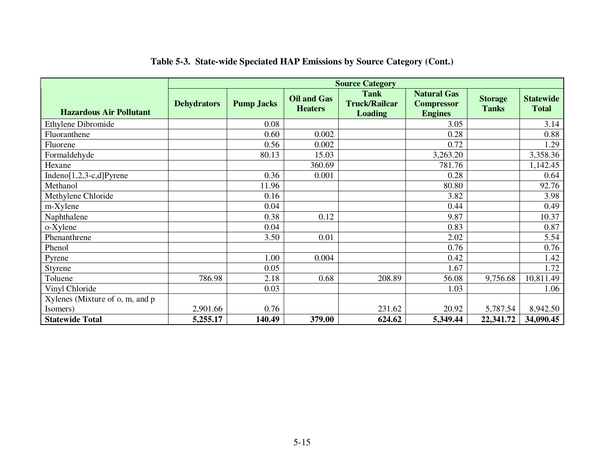|                                 | <b>Source Category</b> |                   |                                      |                                                       |                                                           |                                |                                  |
|---------------------------------|------------------------|-------------------|--------------------------------------|-------------------------------------------------------|-----------------------------------------------------------|--------------------------------|----------------------------------|
| <b>Hazardous Air Pollutant</b>  | <b>Dehydrators</b>     | <b>Pump Jacks</b> | <b>Oil and Gas</b><br><b>Heaters</b> | <b>Tank</b><br><b>Truck/Railcar</b><br><b>Loading</b> | <b>Natural Gas</b><br><b>Compressor</b><br><b>Engines</b> | <b>Storage</b><br><b>Tanks</b> | <b>Statewide</b><br><b>Total</b> |
| Ethylene Dibromide              |                        | 0.08              |                                      |                                                       | 3.05                                                      |                                | 3.14                             |
| Fluoranthene                    |                        | 0.60              | 0.002                                |                                                       | 0.28                                                      |                                | 0.88                             |
| Fluorene                        |                        | 0.56              | 0.002                                |                                                       | 0.72                                                      |                                | 1.29                             |
| Formaldehyde                    |                        | 80.13             | 15.03                                |                                                       | 3,263.20                                                  |                                | 3,358.36                         |
| Hexane                          |                        |                   | 360.69                               |                                                       | 781.76                                                    |                                | 1,142.45                         |
| Indeno $[1,2,3-c,d]$ Pyrene     |                        | 0.36              | 0.001                                |                                                       | 0.28                                                      |                                | 0.64                             |
| Methanol                        |                        | 11.96             |                                      |                                                       | 80.80                                                     |                                | 92.76                            |
| Methylene Chloride              |                        | 0.16              |                                      |                                                       | 3.82                                                      |                                | 3.98                             |
| m-Xylene                        |                        | 0.04              |                                      |                                                       | 0.44                                                      |                                | 0.49                             |
| Naphthalene                     |                        | 0.38              | 0.12                                 |                                                       | 9.87                                                      |                                | 10.37                            |
| o-Xylene                        |                        | 0.04              |                                      |                                                       | 0.83                                                      |                                | 0.87                             |
| Phenanthrene                    |                        | 3.50              | 0.01                                 |                                                       | 2.02                                                      |                                | 5.54                             |
| Phenol                          |                        |                   |                                      |                                                       | 0.76                                                      |                                | 0.76                             |
| Pyrene                          |                        | 1.00              | 0.004                                |                                                       | 0.42                                                      |                                | 1.42                             |
| Styrene                         |                        | 0.05              |                                      |                                                       | 1.67                                                      |                                | 1.72                             |
| Toluene                         | 786.98                 | 2.18              | 0.68                                 | 208.89                                                | 56.08                                                     | 9,756.68                       | 10,811.49                        |
| Vinyl Chloride                  |                        | 0.03              |                                      |                                                       | 1.03                                                      |                                | 1.06                             |
| Xylenes (Mixture of o, m, and p |                        |                   |                                      |                                                       |                                                           |                                |                                  |
| Isomers)                        | 2,901.66               | 0.76              |                                      | 231.62                                                | 20.92                                                     | 5,787.54                       | 8,942.50                         |
| <b>Statewide Total</b>          | 5,255.17               | 140.49            | 379.00                               | 624.62                                                | 5,349.44                                                  | 22,341.72                      | 34,090.45                        |

#### **Table 5-3. State-wide Speciated HAP Emissions by Source Category (Cont.)**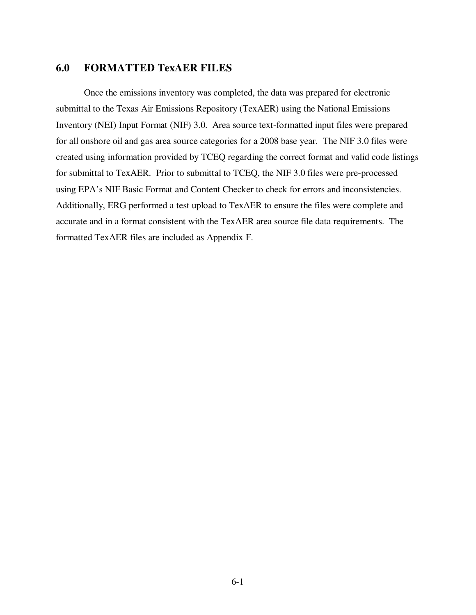#### **6.0 FORMATTED TexAER FILES**

Once the emissions inventory was completed, the data was prepared for electronic submittal to the Texas Air Emissions Repository (TexAER) using the National Emissions Inventory (NEI) Input Format (NIF) 3.0. Area source text-formatted input files were prepared for all onshore oil and gas area source categories for a 2008 base year. The NIF 3.0 files were created using information provided by TCEQ regarding the correct format and valid code listings for submittal to TexAER. Prior to submittal to TCEQ, the NIF 3.0 files were pre-processed using EPA's NIF Basic Format and Content Checker to check for errors and inconsistencies. Additionally, ERG performed a test upload to TexAER to ensure the files were complete and accurate and in a format consistent with the TexAER area source file data requirements. The formatted TexAER files are included as Appendix F.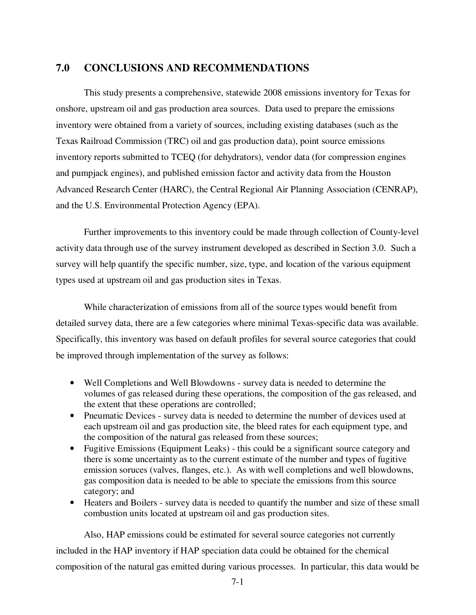#### **7.0 CONCLUSIONS AND RECOMMENDATIONS**

 This study presents a comprehensive, statewide 2008 emissions inventory for Texas for onshore, upstream oil and gas production area sources. Data used to prepare the emissions inventory were obtained from a variety of sources, including existing databases (such as the Texas Railroad Commission (TRC) oil and gas production data), point source emissions inventory reports submitted to TCEQ (for dehydrators), vendor data (for compression engines and pumpjack engines), and published emission factor and activity data from the Houston Advanced Research Center (HARC), the Central Regional Air Planning Association (CENRAP), and the U.S. Environmental Protection Agency (EPA).

 Further improvements to this inventory could be made through collection of County-level activity data through use of the survey instrument developed as described in Section 3.0. Such a survey will help quantify the specific number, size, type, and location of the various equipment types used at upstream oil and gas production sites in Texas.

 While characterization of emissions from all of the source types would benefit from detailed survey data, there are a few categories where minimal Texas-specific data was available. Specifically, this inventory was based on default profiles for several source categories that could be improved through implementation of the survey as follows:

- Well Completions and Well Blowdowns survey data is needed to determine the volumes of gas released during these operations, the composition of the gas released, and the extent that these operations are controlled;
- Pneumatic Devices survey data is needed to determine the number of devices used at each upstream oil and gas production site, the bleed rates for each equipment type, and the composition of the natural gas released from these sources;
- Fugitive Emissions (Equipment Leaks) this could be a significant source category and there is some uncertainty as to the current estimate of the number and types of fugitive emission soruces (valves, flanges, etc.). As with well completions and well blowdowns, gas composition data is needed to be able to speciate the emissions from this source category; and
- Heaters and Boilers survey data is needed to quantify the number and size of these small combustion units located at upstream oil and gas production sites.

Also, HAP emissions could be estimated for several source categories not currently included in the HAP inventory if HAP speciation data could be obtained for the chemical composition of the natural gas emitted during various processes. In particular, this data would be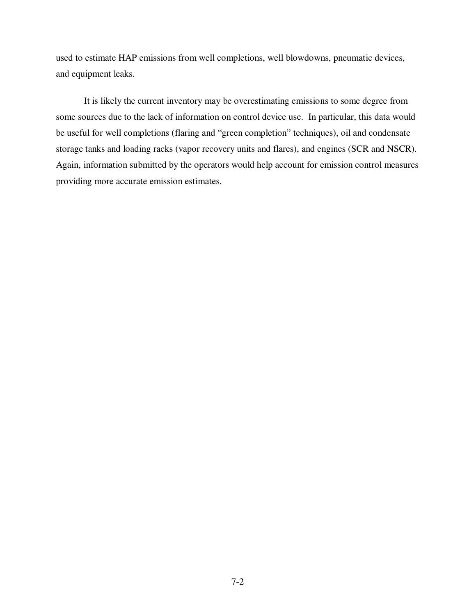used to estimate HAP emissions from well completions, well blowdowns, pneumatic devices, and equipment leaks.

It is likely the current inventory may be overestimating emissions to some degree from some sources due to the lack of information on control device use. In particular, this data would be useful for well completions (flaring and "green completion" techniques), oil and condensate storage tanks and loading racks (vapor recovery units and flares), and engines (SCR and NSCR). Again, information submitted by the operators would help account for emission control measures providing more accurate emission estimates.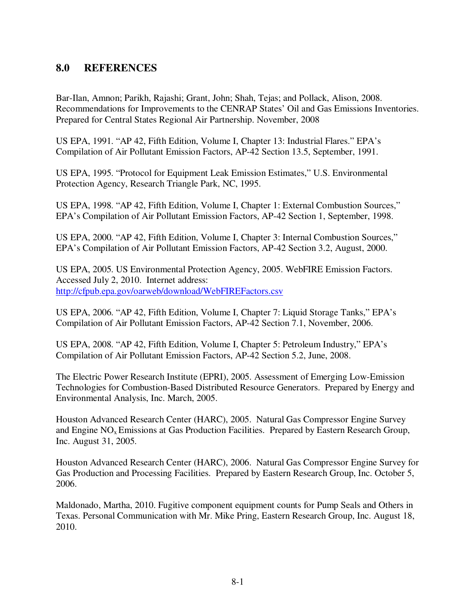### **8.0 REFERENCES**

Bar-Ilan, Amnon; Parikh, Rajashi; Grant, John; Shah, Tejas; and Pollack, Alison, 2008. Recommendations for Improvements to the CENRAP States' Oil and Gas Emissions Inventories. Prepared for Central States Regional Air Partnership. November, 2008

US EPA, 1991. "AP 42, Fifth Edition, Volume I, Chapter 13: Industrial Flares." EPA's Compilation of Air Pollutant Emission Factors, AP-42 Section 13.5, September, 1991.

US EPA, 1995. "Protocol for Equipment Leak Emission Estimates," U.S. Environmental Protection Agency, Research Triangle Park, NC, 1995.

US EPA, 1998. "AP 42, Fifth Edition, Volume I, Chapter 1: External Combustion Sources," EPA's Compilation of Air Pollutant Emission Factors, AP-42 Section 1, September, 1998.

US EPA, 2000. "AP 42, Fifth Edition, Volume I, Chapter 3: Internal Combustion Sources," EPA's Compilation of Air Pollutant Emission Factors, AP-42 Section 3.2, August, 2000.

US EPA, 2005. US Environmental Protection Agency, 2005. WebFIRE Emission Factors. Accessed July 2, 2010. Internet address: http://cfpub.epa.gov/oarweb/download/WebFIREFactors.csv

US EPA, 2006. "AP 42, Fifth Edition, Volume I, Chapter 7: Liquid Storage Tanks," EPA's Compilation of Air Pollutant Emission Factors, AP-42 Section 7.1, November, 2006.

US EPA, 2008. "AP 42, Fifth Edition, Volume I, Chapter 5: Petroleum Industry," EPA's Compilation of Air Pollutant Emission Factors, AP-42 Section 5.2, June, 2008.

The Electric Power Research Institute (EPRI), 2005. Assessment of Emerging Low-Emission Technologies for Combustion-Based Distributed Resource Generators. Prepared by Energy and Environmental Analysis, Inc. March, 2005.

Houston Advanced Research Center (HARC), 2005. Natural Gas Compressor Engine Survey and Engine  $NO<sub>x</sub>$  Emissions at Gas Production Facilities. Prepared by Eastern Research Group, Inc. August 31, 2005.

Houston Advanced Research Center (HARC), 2006. Natural Gas Compressor Engine Survey for Gas Production and Processing Facilities. Prepared by Eastern Research Group, Inc. October 5, 2006.

Maldonado, Martha, 2010. Fugitive component equipment counts for Pump Seals and Others in Texas. Personal Communication with Mr. Mike Pring, Eastern Research Group, Inc. August 18, 2010.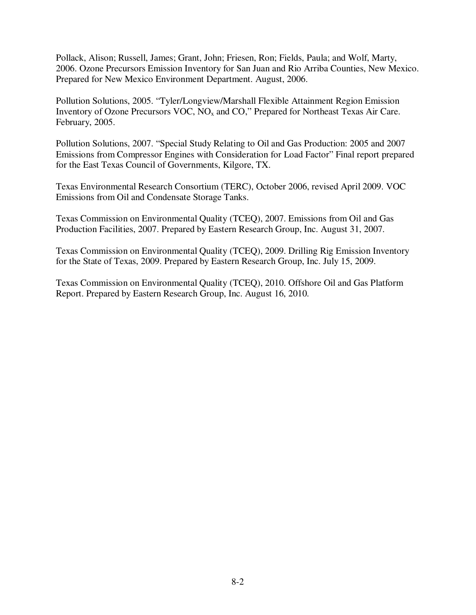Pollack, Alison; Russell, James; Grant, John; Friesen, Ron; Fields, Paula; and Wolf, Marty, 2006. Ozone Precursors Emission Inventory for San Juan and Rio Arriba Counties, New Mexico. Prepared for New Mexico Environment Department. August, 2006.

Pollution Solutions, 2005. "Tyler/Longview/Marshall Flexible Attainment Region Emission Inventory of Ozone Precursors VOC, NOx and CO," Prepared for Northeast Texas Air Care. February, 2005.

Pollution Solutions, 2007. "Special Study Relating to Oil and Gas Production: 2005 and 2007 Emissions from Compressor Engines with Consideration for Load Factor" Final report prepared for the East Texas Council of Governments, Kilgore, TX.

Texas Environmental Research Consortium (TERC), October 2006, revised April 2009. VOC Emissions from Oil and Condensate Storage Tanks.

Texas Commission on Environmental Quality (TCEQ), 2007. Emissions from Oil and Gas Production Facilities, 2007. Prepared by Eastern Research Group, Inc. August 31, 2007.

Texas Commission on Environmental Quality (TCEQ), 2009. Drilling Rig Emission Inventory for the State of Texas, 2009. Prepared by Eastern Research Group, Inc. July 15, 2009.

Texas Commission on Environmental Quality (TCEQ), 2010. Offshore Oil and Gas Platform Report. Prepared by Eastern Research Group, Inc. August 16, 2010.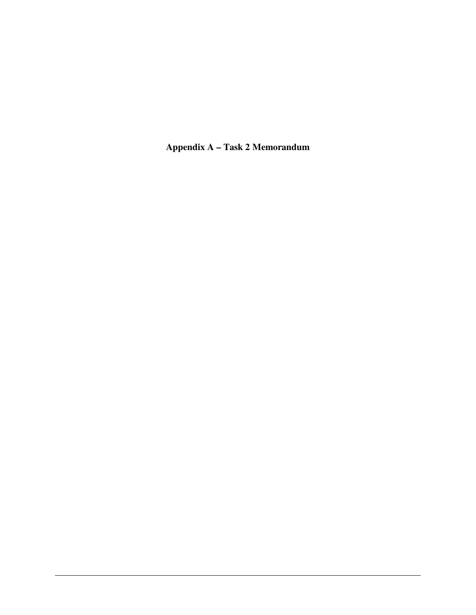**Appendix A – Task 2 Memorandum**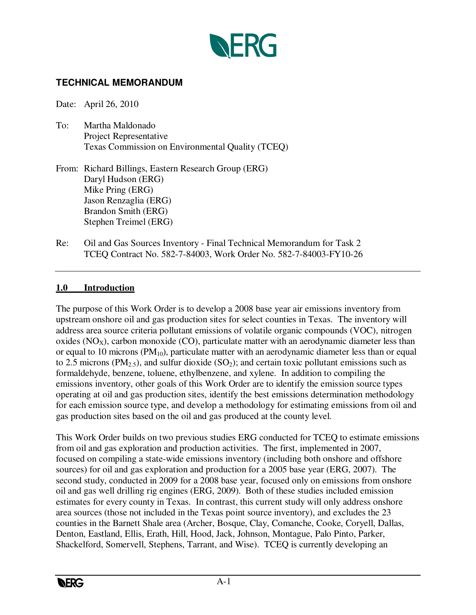

#### **TECHNICAL MEMORANDUM**

Date: April 26, 2010

- To: Martha Maldonado Project Representative Texas Commission on Environmental Quality (TCEQ)
- From: Richard Billings, Eastern Research Group (ERG) Daryl Hudson (ERG) Mike Pring (ERG) Jason Renzaglia (ERG) Brandon Smith (ERG) Stephen Treimel (ERG)
- Re: Oil and Gas Sources Inventory Final Technical Memorandum for Task 2 TCEQ Contract No. 582-7-84003, Work Order No. 582-7-84003-FY10-26

#### **1.0 Introduction**

The purpose of this Work Order is to develop a 2008 base year air emissions inventory from upstream onshore oil and gas production sites for select counties in Texas. The inventory will address area source criteria pollutant emissions of volatile organic compounds (VOC), nitrogen oxides  $(NO<sub>X</sub>)$ , carbon monoxide  $(CO)$ , particulate matter with an aerodynamic diameter less than or equal to 10 microns ( $PM_{10}$ ), particulate matter with an aerodynamic diameter less than or equal to 2.5 microns ( $PM_{2.5}$ ), and sulfur dioxide ( $SO_2$ ); and certain toxic pollutant emissions such as formaldehyde, benzene, toluene, ethylbenzene, and xylene. In addition to compiling the emissions inventory, other goals of this Work Order are to identify the emission source types operating at oil and gas production sites, identify the best emissions determination methodology for each emission source type, and develop a methodology for estimating emissions from oil and gas production sites based on the oil and gas produced at the county level.

This Work Order builds on two previous studies ERG conducted for TCEQ to estimate emissions from oil and gas exploration and production activities. The first, implemented in 2007, focused on compiling a state-wide emissions inventory (including both onshore and offshore sources) for oil and gas exploration and production for a 2005 base year (ERG, 2007). The second study, conducted in 2009 for a 2008 base year, focused only on emissions from onshore oil and gas well drilling rig engines (ERG, 2009). Both of these studies included emission estimates for every county in Texas. In contrast, this current study will only address onshore area sources (those not included in the Texas point source inventory), and excludes the 23 counties in the Barnett Shale area (Archer, Bosque, Clay, Comanche, Cooke, Coryell, Dallas, Denton, Eastland, Ellis, Erath, Hill, Hood, Jack, Johnson, Montague, Palo Pinto, Parker, Shackelford, Somervell, Stephens, Tarrant, and Wise). TCEQ is currently developing an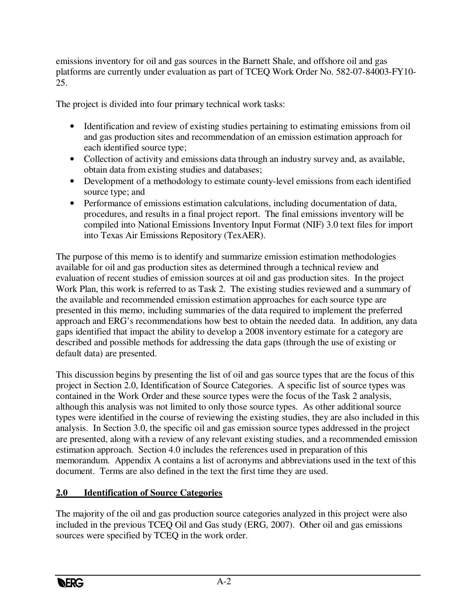emissions inventory for oil and gas sources in the Barnett Shale, and offshore oil and gas platforms are currently under evaluation as part of TCEQ Work Order No. 582-07-84003-FY10- 25.

The project is divided into four primary technical work tasks:

- Identification and review of existing studies pertaining to estimating emissions from oil and gas production sites and recommendation of an emission estimation approach for each identified source type;
- Collection of activity and emissions data through an industry survey and, as available, obtain data from existing studies and databases;
- Development of a methodology to estimate county-level emissions from each identified source type; and
- Performance of emissions estimation calculations, including documentation of data, procedures, and results in a final project report. The final emissions inventory will be compiled into National Emissions Inventory Input Format (NIF) 3.0 text files for import into Texas Air Emissions Repository (TexAER).

The purpose of this memo is to identify and summarize emission estimation methodologies available for oil and gas production sites as determined through a technical review and evaluation of recent studies of emission sources at oil and gas production sites. In the project Work Plan, this work is referred to as Task 2. The existing studies reviewed and a summary of the available and recommended emission estimation approaches for each source type are presented in this memo, including summaries of the data required to implement the preferred approach and ERG's recommendations how best to obtain the needed data. In addition, any data gaps identified that impact the ability to develop a 2008 inventory estimate for a category are described and possible methods for addressing the data gaps (through the use of existing or default data) are presented.

This discussion begins by presenting the list of oil and gas source types that are the focus of this project in Section 2.0, Identification of Source Categories. A specific list of source types was contained in the Work Order and these source types were the focus of the Task 2 analysis, although this analysis was not limited to only those source types. As other additional source types were identified in the course of reviewing the existing studies, they are also included in this analysis. In Section 3.0, the specific oil and gas emission source types addressed in the project are presented, along with a review of any relevant existing studies, and a recommended emission estimation approach. Section 4.0 includes the references used in preparation of this memorandum. Appendix A contains a list of acronyms and abbreviations used in the text of this document. Terms are also defined in the text the first time they are used.

### **2.0 Identification of Source Categories**

The majority of the oil and gas production source categories analyzed in this project were also included in the previous TCEQ Oil and Gas study (ERG, 2007). Other oil and gas emissions sources were specified by TCEQ in the work order.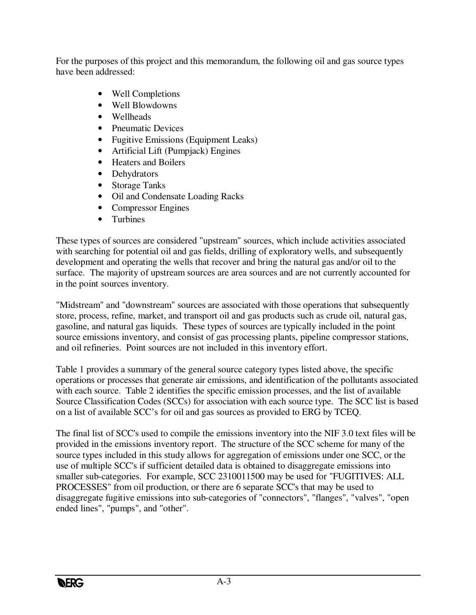For the purposes of this project and this memorandum, the following oil and gas source types have been addressed:

- Well Completions
- Well Blowdowns
- Wellheads
- Pneumatic Devices
- Fugitive Emissions (Equipment Leaks)
- Artificial Lift (Pumpjack) Engines
- Heaters and Boilers
- Dehydrators
- Storage Tanks
- Oil and Condensate Loading Racks
- Compressor Engines
- Turbines

These types of sources are considered "upstream" sources, which include activities associated with searching for potential oil and gas fields, drilling of exploratory wells, and subsequently development and operating the wells that recover and bring the natural gas and/or oil to the surface. The majority of upstream sources are area sources and are not currently accounted for in the point sources inventory.

"Midstream" and "downstream" sources are associated with those operations that subsequently store, process, refine, market, and transport oil and gas products such as crude oil, natural gas, gasoline, and natural gas liquids. These types of sources are typically included in the point source emissions inventory, and consist of gas processing plants, pipeline compressor stations, and oil refineries. Point sources are not included in this inventory effort.

Table 1 provides a summary of the general source category types listed above, the specific operations or processes that generate air emissions, and identification of the pollutants associated with each source. Table 2 identifies the specific emission processes, and the list of available Source Classification Codes (SCCs) for association with each source type. The SCC list is based on a list of available SCC's for oil and gas sources as provided to ERG by TCEQ.

The final list of SCC's used to compile the emissions inventory into the NIF 3.0 text files will be provided in the emissions inventory report. The structure of the SCC scheme for many of the source types included in this study allows for aggregation of emissions under one SCC, or the use of multiple SCC's if sufficient detailed data is obtained to disaggregate emissions into smaller sub-categories. For example, SCC 2310011500 may be used for "FUGITIVES: ALL PROCESSES" from oil production, or there are 6 separate SCC's that may be used to disaggregate fugitive emissions into sub-categories of "connectors", "flanges", "valves", "open ended lines", "pumps", and "other".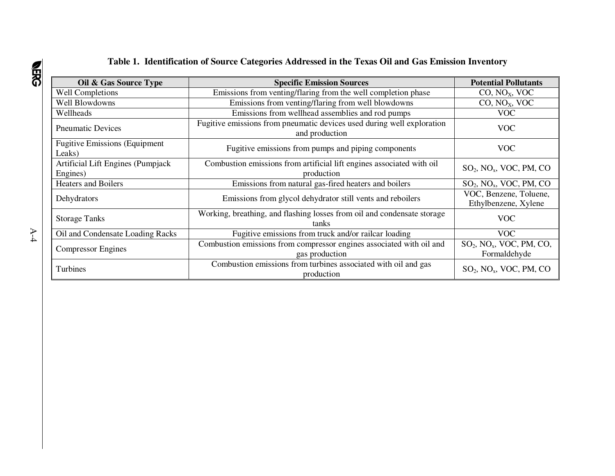#### **Table 1. Identification of Source Categories Addressed in the Texas Oil and Gas Emission Inventory**

| Oil & Gas Source Type                                                                                               | <b>Specific Emission Sources</b>                                                         | <b>Potential Pollutants</b>                             |
|---------------------------------------------------------------------------------------------------------------------|------------------------------------------------------------------------------------------|---------------------------------------------------------|
| <b>Well Completions</b>                                                                                             | Emissions from venting/flaring from the well completion phase                            | CO, NO <sub>X</sub> , VOC                               |
| Well Blowdowns                                                                                                      | Emissions from venting/flaring from well blowdowns                                       | CO, NO <sub>X</sub> , VOC                               |
| Wellheads                                                                                                           | Emissions from wellhead assemblies and rod pumps                                         | <b>VOC</b>                                              |
| <b>Pneumatic Devices</b>                                                                                            | Fugitive emissions from pneumatic devices used during well exploration<br>and production | VOC                                                     |
| <b>Fugitive Emissions (Equipment</b><br>Leaks)                                                                      | Fugitive emissions from pumps and piping components                                      | VOC                                                     |
| Artificial Lift Engines (Pumpjack<br>Engines)                                                                       | Combustion emissions from artificial lift engines associated with oil<br>production      |                                                         |
| <b>Heaters and Boilers</b>                                                                                          | Emissions from natural gas-fired heaters and boilers                                     |                                                         |
| Emissions from glycol dehydrator still vents and reboilers<br>Dehydrators                                           |                                                                                          | VOC, Benzene, Toluene,<br>Ethylbenzene, Xylene          |
| Working, breathing, and flashing losses from oil and condensate storage<br><b>Storage Tanks</b><br>tanks            |                                                                                          | VOC                                                     |
| Fugitive emissions from truck and/or railcar loading<br>Oil and Condensate Loading Racks                            |                                                                                          | <b>VOC</b>                                              |
| Combustion emissions from compressor engines associated with oil and<br><b>Compressor Engines</b><br>gas production |                                                                                          | $SO_2$ , NO <sub>x</sub> , VOC, PM, CO,<br>Formaldehyde |
| Turbines                                                                                                            | Combustion emissions from turbines associated with oil and gas<br>production             |                                                         |

**ORRG**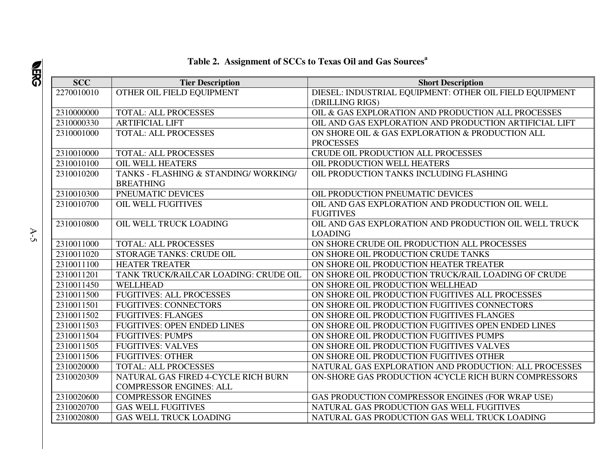#### **SCC Tier Description Short Description** 2270010010 | OTHER OIL FIELD EQUIPMENT | DIESEL: INDUSTRIAL EQUIPMENT: OTHER OIL FIELD EQUIPMENT (DRILLING RIGS) 2310000000 TOTAL: ALL PROCESSES OIL & GAS EXPLORATION AND PRODUCTION ALL PROCESSES 2310000330 ARTIFICIAL LIFT OIL AND GAS EXPLORATION AND PRODUCTION ARTIFICIAL LIFT 2310001000 TOTAL: ALL PROCESSES ON SHORE OIL & GAS EXPLORATION & PRODUCTION ALL PROCESSES 2310010000 | TOTAL: ALL PROCESSES CRUDE OIL PRODUCTION ALL PROCESSES 2310010100 OIL WELL HEATERS OIL PRODUCTION WELL HEATERS OIL PRODUCTION TANKS INCLUDING FLASHING 2310010200 TANKS - FLASHING & STANDING/ WORKING/ BREATHING PNEUMATIC DEVICES 2310010300 PNEUMATIC DEVICES OIL PRODUCTION PNEUMATIC DEVICES 2310010700 OIL WELL FUGITIVES OIL AND GAS EXPLORATION AND PRODUCTION OIL WELL FUGITIVES 2310010800 OIL WELL TRUCK LOADING QUE AND GAS EXPLORATION AND PRODUCTION OIL WELL TRUCK LOADING 2310011000 | TOTAL: ALL PROCESSES ON SHORE CRUDE OIL PRODUCTION ALL PROCESSES 2310011020 STORAGE TANKS: CRUDE OIL CON SHORE OIL PRODUCTION CRUDE TANKS 2310011100 HEATER TREATER ON SHORE OIL PRODUCTION HEATER TREATER 2310011201 TANK TRUCK/RAILCAR LOADING: CRUDE OIL ON SHORE OIL PRODUCTION TRUCK/RAIL LOADING OF CRUDE 2310011450 WELLHEAD ON SHORE OIL PRODUCTION WELLHEAD 2310011500 FUGITIVES: ALL PROCESSES ON SHORE OIL PRODUCTION FUGITIVES ALL PROCESSES 2310011501 | FUGITIVES: CONNECTORS | ON SHORE OIL PRODUCTION FUGITIVES CONNECTORS 2310011502 FUGITIVES: FLANGES ON SHORE OIL PRODUCTION FUGITIVES FLANGES 2310011503 FUGITIVES: OPEN ENDED LINES ON SHORE OIL PRODUCTION FUGITIVES OPEN ENDED LINES 2310011504 | FUGITIVES: PUMPS | ON SHORE OIL PRODUCTION FUGITIVES PUMPS 2310011505 FUGITIVES: VALVES CONSTRUCTION FUGITIVES VALVES 2310011506 FUGITIVES: OTHER ON SHORE OIL PRODUCTION FUGITIVES OTHER 2310020000 | TOTAL: ALL PROCESSES | NATURAL GAS EXPLORATION AND PRODUCTION: ALL PROCESSES 2310020309 NATURAL GAS FIRED 4-CYCLE RICH BURN COMPRESSOR ENGINES: ALL ON-SHORE GAS PRODUCTION 4CYCLE RICH BURN COMPRESSORS2310020600 COMPRESSOR ENGINES GAS PRODUCTION COMPRESSOR ENGINES (FOR WRAP USE) 2310020700 GAS WELL FUGITIVES NATURAL GAS PRODUCTION GAS WELL FUGITIVES 2310020800 GAS WELL TRUCK LOADING NATURAL GAS PRODUCTION GAS WELL TRUCK LOADING

#### **Table 2. Assignment of SCCs to Texas Oil and Gas Sources<sup>a</sup>**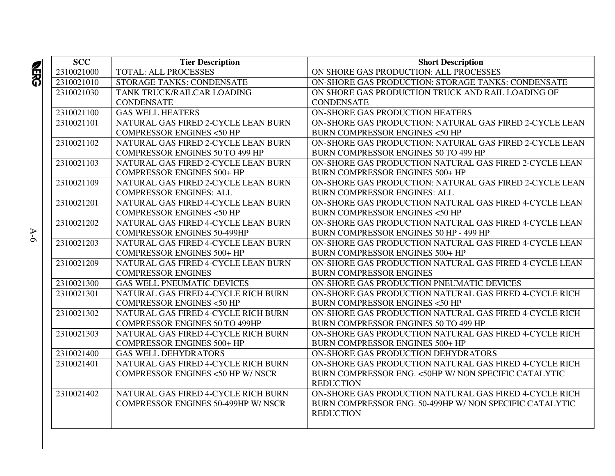| <b>SCC</b> | <b>Tier Description</b>                     | <b>Short Description</b>                                |
|------------|---------------------------------------------|---------------------------------------------------------|
| 2310021000 | <b>TOTAL: ALL PROCESSES</b>                 | ON SHORE GAS PRODUCTION: ALL PROCESSES                  |
| 2310021010 | STORAGE TANKS: CONDENSATE                   | ON-SHORE GAS PRODUCTION: STORAGE TANKS: CONDENSATE      |
| 2310021030 | TANK TRUCK/RAILCAR LOADING                  | ON SHORE GAS PRODUCTION TRUCK AND RAIL LOADING OF       |
|            | <b>CONDENSATE</b>                           | <b>CONDENSATE</b>                                       |
| 2310021100 | <b>GAS WELL HEATERS</b>                     | ON-SHORE GAS PRODUCTION HEATERS                         |
| 2310021101 | NATURAL GAS FIRED 2-CYCLE LEAN BURN         | ON-SHORE GAS PRODUCTION: NATURAL GAS FIRED 2-CYCLE LEAN |
|            | <b>COMPRESSOR ENGINES &lt;50 HP</b>         | <b>BURN COMPRESSOR ENGINES &lt;50 HP</b>                |
| 2310021102 | NATURAL GAS FIRED 2-CYCLE LEAN BURN         | ON-SHORE GAS PRODUCTION: NATURAL GAS FIRED 2-CYCLE LEAN |
|            | <b>COMPRESSOR ENGINES 50 TO 499 HP</b>      | BURN COMPRESSOR ENGINES 50 TO 499 HP                    |
| 2310021103 | NATURAL GAS FIRED 2-CYCLE LEAN BURN         | ON-SHORE GAS PRODUCTION NATURAL GAS FIRED 2-CYCLE LEAN  |
|            | <b>COMPRESSOR ENGINES 500+ HP</b>           | <b>BURN COMPRESSOR ENGINES 500+ HP</b>                  |
| 2310021109 | NATURAL GAS FIRED 2-CYCLE LEAN BURN         | ON-SHORE GAS PRODUCTION: NATURAL GAS FIRED 2-CYCLE LEAN |
|            | <b>COMPRESSOR ENGINES: ALL</b>              | <b>BURN COMPRESSOR ENGINES: ALL</b>                     |
| 2310021201 | NATURAL GAS FIRED 4-CYCLE LEAN BURN         | ON-SHORE GAS PRODUCTION NATURAL GAS FIRED 4-CYCLE LEAN  |
|            | <b>COMPRESSOR ENGINES &lt;50 HP</b>         | <b>BURN COMPRESSOR ENGINES &lt;50 HP</b>                |
| 2310021202 | NATURAL GAS FIRED 4-CYCLE LEAN BURN         | ON-SHORE GAS PRODUCTION NATURAL GAS FIRED 4-CYCLE LEAN  |
|            | <b>COMPRESSOR ENGINES 50-499HP</b>          | BURN COMPRESSOR ENGINES 50 HP - 499 HP                  |
| 2310021203 | NATURAL GAS FIRED 4-CYCLE LEAN BURN         | ON-SHORE GAS PRODUCTION NATURAL GAS FIRED 4-CYCLE LEAN  |
|            | <b>COMPRESSOR ENGINES 500+ HP</b>           | <b>BURN COMPRESSOR ENGINES 500+ HP</b>                  |
| 2310021209 | NATURAL GAS FIRED 4-CYCLE LEAN BURN         | ON-SHORE GAS PRODUCTION NATURAL GAS FIRED 4-CYCLE LEAN  |
|            | <b>COMPRESSOR ENGINES</b>                   | <b>BURN COMPRESSOR ENGINES</b>                          |
| 2310021300 | <b>GAS WELL PNEUMATIC DEVICES</b>           | ON-SHORE GAS PRODUCTION PNEUMATIC DEVICES               |
| 2310021301 | NATURAL GAS FIRED 4-CYCLE RICH BURN         | ON-SHORE GAS PRODUCTION NATURAL GAS FIRED 4-CYCLE RICH  |
|            | <b>COMPRESSOR ENGINES &lt;50 HP</b>         | <b>BURN COMPRESSOR ENGINES &lt;50 HP</b>                |
| 2310021302 | NATURAL GAS FIRED 4-CYCLE RICH BURN         | ON-SHORE GAS PRODUCTION NATURAL GAS FIRED 4-CYCLE RICH  |
|            | <b>COMPRESSOR ENGINES 50 TO 499HP</b>       | BURN COMPRESSOR ENGINES 50 TO 499 HP                    |
| 2310021303 | NATURAL GAS FIRED 4-CYCLE RICH BURN         | ON-SHORE GAS PRODUCTION NATURAL GAS FIRED 4-CYCLE RICH  |
|            | <b>COMPRESSOR ENGINES 500+ HP</b>           | <b>BURN COMPRESSOR ENGINES 500+ HP</b>                  |
| 2310021400 | <b>GAS WELL DEHYDRATORS</b>                 | ON-SHORE GAS PRODUCTION DEHYDRATORS                     |
| 2310021401 | NATURAL GAS FIRED 4-CYCLE RICH BURN         | ON-SHORE GAS PRODUCTION NATURAL GAS FIRED 4-CYCLE RICH  |
|            | <b>COMPRESSOR ENGINES &lt;50 HP W/ NSCR</b> | BURN COMPRESSOR ENG. <50HP W/ NON SPECIFIC CATALYTIC    |
|            |                                             | <b>REDUCTION</b>                                        |
| 2310021402 | NATURAL GAS FIRED 4-CYCLE RICH BURN         | ON-SHORE GAS PRODUCTION NATURAL GAS FIRED 4-CYCLE RICH  |
|            | COMPRESSOR ENGINES 50-499HP W/ NSCR         | BURN COMPRESSOR ENG. 50-499HP W/ NON SPECIFIC CATALYTIC |
|            |                                             | <b>REDUCTION</b>                                        |
|            |                                             |                                                         |

 A-6  $A-6$ 

**SHES**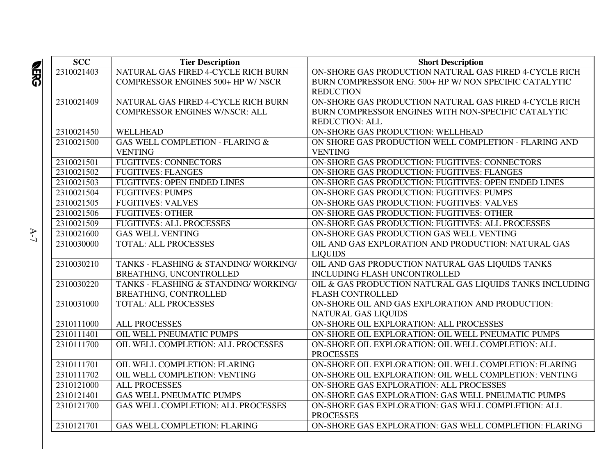| <b>SCC</b> | <b>Tier Description</b>                   | <b>Short Description</b>                                 |
|------------|-------------------------------------------|----------------------------------------------------------|
| 2310021403 | NATURAL GAS FIRED 4-CYCLE RICH BURN       | ON-SHORE GAS PRODUCTION NATURAL GAS FIRED 4-CYCLE RICH   |
|            | <b>COMPRESSOR ENGINES 500+ HP W/ NSCR</b> | BURN COMPRESSOR ENG. 500+ HP W/ NON SPECIFIC CATALYTIC   |
|            |                                           | <b>REDUCTION</b>                                         |
| 2310021409 | NATURAL GAS FIRED 4-CYCLE RICH BURN       | ON-SHORE GAS PRODUCTION NATURAL GAS FIRED 4-CYCLE RICH   |
|            | <b>COMPRESSOR ENGINES W/NSCR: ALL</b>     | BURN COMPRESSOR ENGINES WITH NON-SPECIFIC CATALYTIC      |
|            |                                           | <b>REDUCTION: ALL</b>                                    |
| 2310021450 | <b>WELLHEAD</b>                           | ON-SHORE GAS PRODUCTION: WELLHEAD                        |
| 2310021500 | GAS WELL COMPLETION - FLARING &           | ON SHORE GAS PRODUCTION WELL COMPLETION - FLARING AND    |
|            | <b>VENTING</b>                            | <b>VENTING</b>                                           |
| 2310021501 | <b>FUGITIVES: CONNECTORS</b>              | ON-SHORE GAS PRODUCTION: FUGITIVES: CONNECTORS           |
| 2310021502 | <b>FUGITIVES: FLANGES</b>                 | ON-SHORE GAS PRODUCTION: FUGITIVES: FLANGES              |
| 2310021503 | <b>FUGITIVES: OPEN ENDED LINES</b>        | ON-SHORE GAS PRODUCTION: FUGITIVES: OPEN ENDED LINES     |
| 2310021504 | <b>FUGITIVES: PUMPS</b>                   | ON-SHORE GAS PRODUCTION: FUGITIVES: PUMPS                |
| 2310021505 | <b>FUGITIVES: VALVES</b>                  | ON-SHORE GAS PRODUCTION: FUGITIVES: VALVES               |
| 2310021506 | <b>FUGITIVES: OTHER</b>                   | ON-SHORE GAS PRODUCTION: FUGITIVES: OTHER                |
| 2310021509 | <b>FUGITIVES: ALL PROCESSES</b>           | ON-SHORE GAS PRODUCTION: FUGITIVES: ALL PROCESSES        |
| 2310021600 | <b>GAS WELL VENTING</b>                   | ON-SHORE GAS PRODUCTION GAS WELL VENTING                 |
| 2310030000 | TOTAL: ALL PROCESSES                      | OIL AND GAS EXPLORATION AND PRODUCTION: NATURAL GAS      |
|            |                                           | <b>LIQUIDS</b>                                           |
| 2310030210 | TANKS - FLASHING & STANDING/WORKING/      | OIL AND GAS PRODUCTION NATURAL GAS LIQUIDS TANKS         |
|            | BREATHING, UNCONTROLLED                   | INCLUDING FLASH UNCONTROLLED                             |
| 2310030220 | TANKS - FLASHING & STANDING/WORKING/      | OIL & GAS PRODUCTION NATURAL GAS LIQUIDS TANKS INCLUDING |
|            | BREATHING, CONTROLLED                     | <b>FLASH CONTROLLED</b>                                  |
| 2310031000 | TOTAL: ALL PROCESSES                      | ON-SHORE OIL AND GAS EXPLORATION AND PRODUCTION:         |
|            |                                           | <b>NATURAL GAS LIQUIDS</b>                               |
| 2310111000 | <b>ALL PROCESSES</b>                      | ON-SHORE OIL EXPLORATION: ALL PROCESSES                  |
| 2310111401 | OIL WELL PNEUMATIC PUMPS                  | ON-SHORE OIL EXPLORATION: OIL WELL PNEUMATIC PUMPS       |
| 2310111700 | OIL WELL COMPLETION: ALL PROCESSES        | ON-SHORE OIL EXPLORATION: OIL WELL COMPLETION: ALL       |
|            |                                           | <b>PROCESSES</b>                                         |
| 2310111701 | OIL WELL COMPLETION: FLARING              | ON-SHORE OIL EXPLORATION: OIL WELL COMPLETION: FLARING   |
| 2310111702 | OIL WELL COMPLETION: VENTING              | ON-SHORE OIL EXPLORATION: OIL WELL COMPLETION: VENTING   |
| 2310121000 | ALL PROCESSES                             | ON-SHORE GAS EXPLORATION: ALL PROCESSES                  |
| 2310121401 | <b>GAS WELL PNEUMATIC PUMPS</b>           | ON-SHORE GAS EXPLORATION: GAS WELL PNEUMATIC PUMPS       |
| 2310121700 | GAS WELL COMPLETION: ALL PROCESSES        | ON-SHORE GAS EXPLORATION: GAS WELL COMPLETION: ALL       |
|            |                                           | <b>PROCESSES</b>                                         |
| 2310121701 | <b>GAS WELL COMPLETION: FLARING</b>       | ON-SHORE GAS EXPLORATION: GAS WELL COMPLETION: FLARING   |

A-7

 $\mathbf{A}\text{-}\mathbf{7}$ 

 $\frac{2}{3}$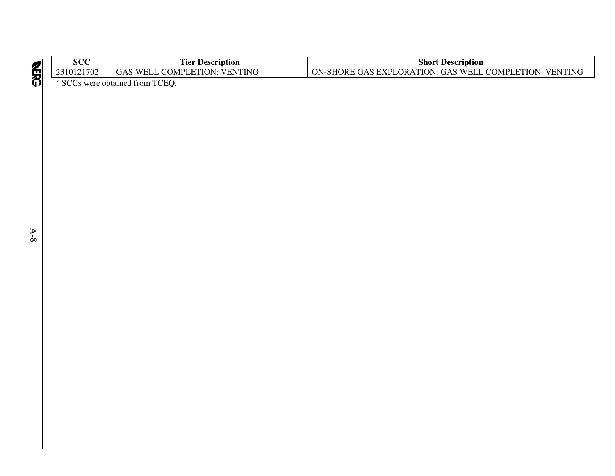| ממח<br>ovc                                   | m.<br><b>Description</b><br>1 ier                                                 | Short<br><b>Description</b>                                                                                         |  |  |
|----------------------------------------------|-----------------------------------------------------------------------------------|---------------------------------------------------------------------------------------------------------------------|--|--|
| 2310121702                                   | <b>VENTING</b><br>ETION:<br>$\gamma$ OMPL <sub>L</sub><br>$W_{\text{ELL}}$<br>JAS | <b>COMPI</b><br>ETION:<br>WEI<br><b>VENTING</b><br>ON-<br>$LORA^T$<br>GAS<br>. eXPL<br>ORE<br>ATION:<br>·SHC<br>GAS |  |  |
| $\sim$ $\sim$ $\sim$<br>$\sim$ $\sim$ $\sim$ |                                                                                   |                                                                                                                     |  |  |

<sup>a</sup> SCCs were obtained from TCEQ.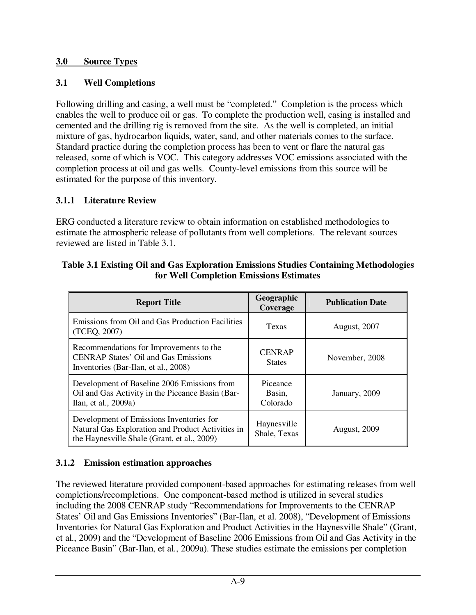#### **3.0 Source Types**

### **3.1 Well Completions**

Following drilling and casing, a well must be "completed." Completion is the process which enables the well to produce oil or gas. To complete the production well, casing is installed and cemented and the drilling rig is removed from the site. As the well is completed, an initial mixture of gas, hydrocarbon liquids, water, sand, and other materials comes to the surface. Standard practice during the completion process has been to vent or flare the natural gas released, some of which is VOC. This category addresses VOC emissions associated with the completion process at oil and gas wells. County-level emissions from this source will be estimated for the purpose of this inventory.

### **3.1.1 Literature Review**

ERG conducted a literature review to obtain information on established methodologies to estimate the atmospheric release of pollutants from well completions. The relevant sources reviewed are listed in Table 3.1.

| Table 3.1 Existing Oil and Gas Exploration Emissions Studies Containing Methodologies |
|---------------------------------------------------------------------------------------|
| for Well Completion Emissions Estimates                                               |

| <b>Report Title</b>                                                                                                                          | Geographic<br>Coverage         | <b>Publication Date</b> |
|----------------------------------------------------------------------------------------------------------------------------------------------|--------------------------------|-------------------------|
| Emissions from Oil and Gas Production Facilities<br>(TCEQ, 2007)                                                                             | Texas                          | <b>August, 2007</b>     |
| Recommendations for Improvements to the<br><b>CENRAP States' Oil and Gas Emissions</b><br>Inventories (Bar-Ilan, et al., 2008)               | <b>CENRAP</b><br><b>States</b> | November, 2008          |
| Development of Baseline 2006 Emissions from<br>Oil and Gas Activity in the Piceance Basin (Bar-<br>Ilan, et al., 2009a)                      | Piceance<br>Basin,<br>Colorado | January, 2009           |
| Development of Emissions Inventories for<br>Natural Gas Exploration and Product Activities in<br>the Haynesville Shale (Grant, et al., 2009) | Haynesville<br>Shale, Texas    | <b>August, 2009</b>     |

### **3.1.2 Emission estimation approaches**

The reviewed literature provided component-based approaches for estimating releases from well completions/recompletions. One component-based method is utilized in several studies including the 2008 CENRAP study "Recommendations for Improvements to the CENRAP States' Oil and Gas Emissions Inventories" (Bar-Ilan, et al. 2008), "Development of Emissions Inventories for Natural Gas Exploration and Product Activities in the Haynesville Shale" (Grant, et al., 2009) and the "Development of Baseline 2006 Emissions from Oil and Gas Activity in the Piceance Basin" (Bar-Ilan, et al., 2009a). These studies estimate the emissions per completion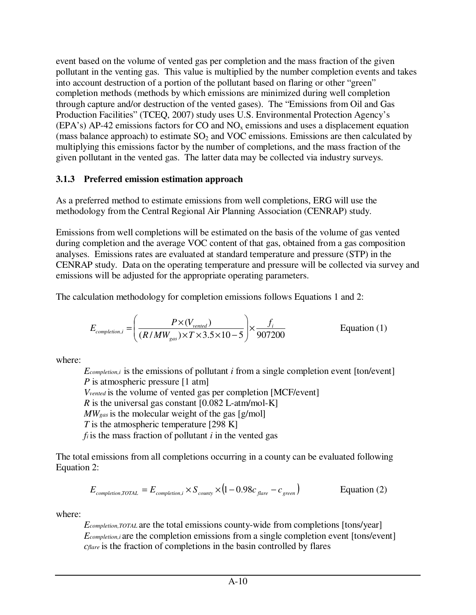event based on the volume of vented gas per completion and the mass fraction of the given pollutant in the venting gas. This value is multiplied by the number completion events and takes into account destruction of a portion of the pollutant based on flaring or other "green" completion methods (methods by which emissions are minimized during well completion through capture and/or destruction of the vented gases). The "Emissions from Oil and Gas Production Facilities" (TCEQ, 2007) study uses U.S. Environmental Protection Agency's (EPA's) AP-42 emissions factors for CO and  $NO<sub>x</sub>$  emissions and uses a displacement equation (mass balance approach) to estimate  $SO<sub>2</sub>$  and VOC emissions. Emissions are then calculated by multiplying this emissions factor by the number of completions, and the mass fraction of the given pollutant in the vented gas. The latter data may be collected via industry surveys.

#### **3.1.3 Preferred emission estimation approach**

As a preferred method to estimate emissions from well completions, ERG will use the methodology from the Central Regional Air Planning Association (CENRAP) study.

Emissions from well completions will be estimated on the basis of the volume of gas vented during completion and the average VOC content of that gas, obtained from a gas composition analyses. Emissions rates are evaluated at standard temperature and pressure (STP) in the CENRAP study. Data on the operating temperature and pressure will be collected via survey and emissions will be adjusted for the appropriate operating parameters.

The calculation methodology for completion emissions follows Equations 1 and 2:

$$
E_{\textit{completion},i} = \left(\frac{P \times (V_{\textit{vented}})}{(R/MW_{\textit{gas}}) \times T \times 3.5 \times 10 - 5}\right) \times \frac{f_i}{907200}
$$
 Equation (1)

where:

*Ecompletion,i* is the emissions of pollutant *i* from a single completion event [ton/event] *P* is atmospheric pressure [1 atm] *Vvented* is the volume of vented gas per completion [MCF/event] *R* is the universal gas constant  $[0.082 \text{ L-atm/mol-K}]$ *MWgas* is the molecular weight of the gas [g/mol] *T* is the atmospheric temperature [298 K]

 $f_i$  is the mass fraction of pollutant  $i$  in the vented gas

The total emissions from all completions occurring in a county can be evaluated following Equation 2:

$$
E_{\textit{completion,TOTAL}} = E_{\textit{completion,}i} \times S_{\textit{county}} \times (1 - 0.98c_{\textit{flare}} - c_{\textit{green}})
$$
 Equation (2)

where:

*Ecompletion,TOTAL* are the total emissions county-wide from completions [tons/year] *E*<sub>completion,*i* are the completion emissions from a single completion event [tons/event]</sub> *cflare* is the fraction of completions in the basin controlled by flares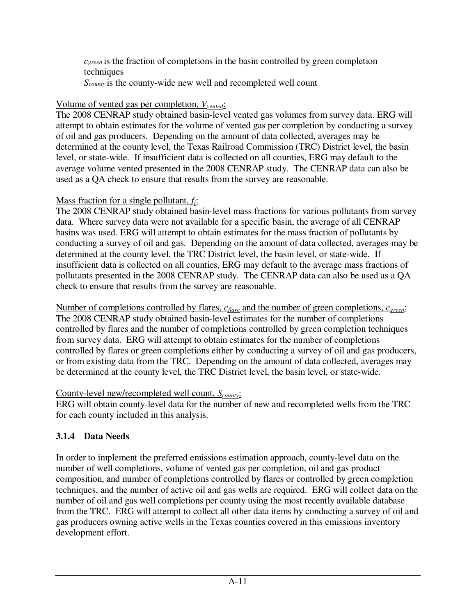*cgreen* is the fraction of completions in the basin controlled by green completion techniques

*Scounty* is the county-wide new well and recompleted well count

### Volume of vented gas per completion, *Vvented*:

The 2008 CENRAP study obtained basin-level vented gas volumes from survey data. ERG will attempt to obtain estimates for the volume of vented gas per completion by conducting a survey of oil and gas producers. Depending on the amount of data collected, averages may be determined at the county level, the Texas Railroad Commission (TRC) District level, the basin level, or state-wide. If insufficient data is collected on all counties, ERG may default to the average volume vented presented in the 2008 CENRAP study. The CENRAP data can also be used as a QA check to ensure that results from the survey are reasonable.

# Mass fraction for a single pollutant, *fi*:

The 2008 CENRAP study obtained basin-level mass fractions for various pollutants from survey data. Where survey data were not available for a specific basin, the average of all CENRAP basins was used. ERG will attempt to obtain estimates for the mass fraction of pollutants by conducting a survey of oil and gas. Depending on the amount of data collected, averages may be determined at the county level, the TRC District level, the basin level, or state-wide. If insufficient data is collected on all counties, ERG may default to the average mass fractions of pollutants presented in the 2008 CENRAP study. The CENRAP data can also be used as a QA check to ensure that results from the survey are reasonable.

Number of completions controlled by flares, *c<sub>flare</sub>* and the number of green completions, *c<sub>green</sub>*: The 2008 CENRAP study obtained basin-level estimates for the number of completions controlled by flares and the number of completions controlled by green completion techniques from survey data. ERG will attempt to obtain estimates for the number of completions controlled by flares or green completions either by conducting a survey of oil and gas producers, or from existing data from the TRC. Depending on the amount of data collected, averages may be determined at the county level, the TRC District level, the basin level, or state-wide.

# County-level new/recompleted well count, *Scounty*:

ERG will obtain county-level data for the number of new and recompleted wells from the TRC for each county included in this analysis.

# **3.1.4 Data Needs**

In order to implement the preferred emissions estimation approach, county-level data on the number of well completions, volume of vented gas per completion, oil and gas product composition, and number of completions controlled by flares or controlled by green completion techniques, and the number of active oil and gas wells are required. ERG will collect data on the number of oil and gas well completions per county using the most recently available database from the TRC. ERG will attempt to collect all other data items by conducting a survey of oil and gas producers owning active wells in the Texas counties covered in this emissions inventory development effort.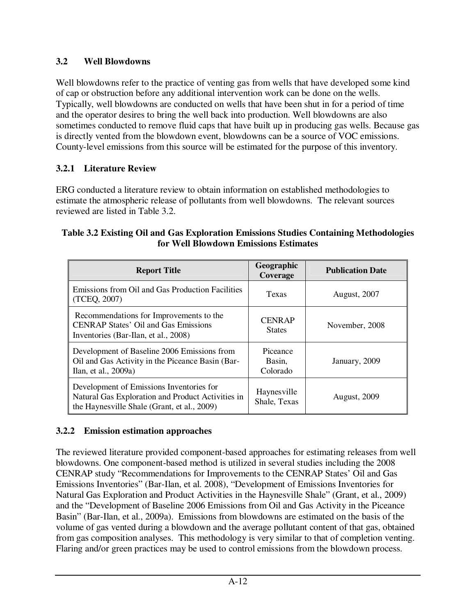### **3.2 Well Blowdowns**

Well blowdowns refer to the practice of venting gas from wells that have developed some kind of cap or obstruction before any additional intervention work can be done on the wells. Typically, well blowdowns are conducted on wells that have been shut in for a period of time and the operator desires to bring the well back into production. Well blowdowns are also sometimes conducted to remove fluid caps that have built up in producing gas wells. Because gas is directly vented from the blowdown event, blowdowns can be a source of VOC emissions. County-level emissions from this source will be estimated for the purpose of this inventory.

# **3.2.1 Literature Review**

ERG conducted a literature review to obtain information on established methodologies to estimate the atmospheric release of pollutants from well blowdowns. The relevant sources reviewed are listed in Table 3.2.

#### **Table 3.2 Existing Oil and Gas Exploration Emissions Studies Containing Methodologies for Well Blowdown Emissions Estimates**

| <b>Report Title</b>                                                                                                                          | Geographic<br>Coverage         | <b>Publication Date</b> |
|----------------------------------------------------------------------------------------------------------------------------------------------|--------------------------------|-------------------------|
| Emissions from Oil and Gas Production Facilities<br>(TCEQ, 2007)                                                                             | Texas                          | <b>August, 2007</b>     |
| Recommendations for Improvements to the<br><b>CENRAP States' Oil and Gas Emissions</b><br>Inventories (Bar-Ilan, et al., 2008)               | <b>CENRAP</b><br><b>States</b> | November, 2008          |
| Development of Baseline 2006 Emissions from<br>Oil and Gas Activity in the Piceance Basin (Bar-<br>Ilan, et al., 2009a)                      | Piceance<br>Basin,<br>Colorado | January, 2009           |
| Development of Emissions Inventories for<br>Natural Gas Exploration and Product Activities in<br>the Haynesville Shale (Grant, et al., 2009) | Haynesville<br>Shale, Texas    | <b>August, 2009</b>     |

# **3.2.2 Emission estimation approaches**

The reviewed literature provided component-based approaches for estimating releases from well blowdowns. One component-based method is utilized in several studies including the 2008 CENRAP study "Recommendations for Improvements to the CENRAP States' Oil and Gas Emissions Inventories" (Bar-Ilan, et al. 2008), "Development of Emissions Inventories for Natural Gas Exploration and Product Activities in the Haynesville Shale" (Grant, et al., 2009) and the "Development of Baseline 2006 Emissions from Oil and Gas Activity in the Piceance Basin" (Bar-Ilan, et al., 2009a). Emissions from blowdowns are estimated on the basis of the volume of gas vented during a blowdown and the average pollutant content of that gas, obtained from gas composition analyses. This methodology is very similar to that of completion venting. Flaring and/or green practices may be used to control emissions from the blowdown process.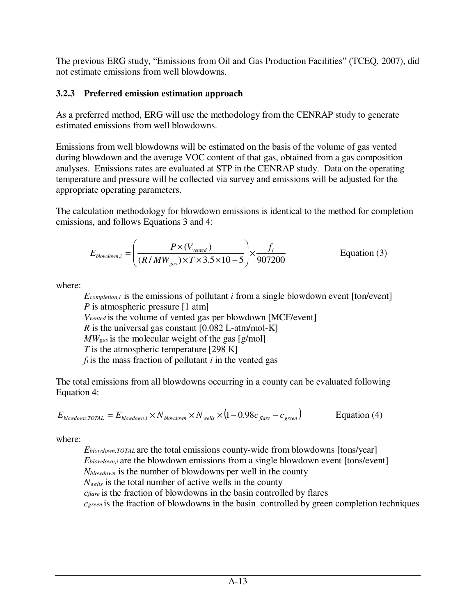The previous ERG study, "Emissions from Oil and Gas Production Facilities" (TCEQ, 2007), did not estimate emissions from well blowdowns.

### **3.2.3 Preferred emission estimation approach**

As a preferred method, ERG will use the methodology from the CENRAP study to generate estimated emissions from well blowdowns.

Emissions from well blowdowns will be estimated on the basis of the volume of gas vented during blowdown and the average VOC content of that gas, obtained from a gas composition analyses. Emissions rates are evaluated at STP in the CENRAP study. Data on the operating temperature and pressure will be collected via survey and emissions will be adjusted for the appropriate operating parameters.

The calculation methodology for blowdown emissions is identical to the method for completion emissions, and follows Equations 3 and 4:

$$
E_{\text{blowdown,i}} = \left(\frac{P \times (V_{\text{vented}})}{(R/MW_{\text{gas}}) \times T \times 3.5 \times 10 - 5}\right) \times \frac{f_i}{907200}
$$
 Equation (3)

where:

*Ecompletion,i* is the emissions of pollutant *i* from a single blowdown event [ton/event] *P* is atmospheric pressure [1 atm] *Vvented* is the volume of vented gas per blowdown [MCF/event] *R* is the universal gas constant [0.082 L-atm/mol-K] *MWgas* is the molecular weight of the gas [g/mol] *T* is the atmospheric temperature [298 K]  $f_i$  is the mass fraction of pollutant  $i$  in the vented gas

The total emissions from all blowdowns occurring in a county can be evaluated following Equation 4:

$$
E_{\text{blowdown,TOTAL}} = E_{\text{blowdown,i}} \times N_{\text{blowdown}} \times N_{\text{wells}} \times (1 - 0.98c_{\text{flare}} - c_{\text{green}})
$$
 Equation (4)

where:

*Eblowdown,TOTAL* are the total emissions county-wide from blowdowns [tons/year] *Eblowdown,i* are the blowdown emissions from a single blowdown event [tons/event] *Nblowdown* is the number of blowdowns per well in the county *Nwells* is the total number of active wells in the county *cflare* is the fraction of blowdowns in the basin controlled by flares *c*<sub>green</sub> is the fraction of blowdowns in the basin controlled by green completion techniques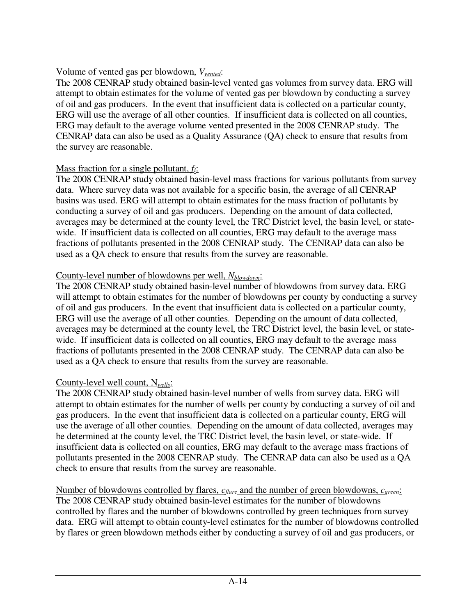### Volume of vented gas per blowdown, *Vvented*:

The 2008 CENRAP study obtained basin-level vented gas volumes from survey data. ERG will attempt to obtain estimates for the volume of vented gas per blowdown by conducting a survey of oil and gas producers. In the event that insufficient data is collected on a particular county, ERG will use the average of all other counties. If insufficient data is collected on all counties, ERG may default to the average volume vented presented in the 2008 CENRAP study. The CENRAP data can also be used as a Quality Assurance (QA) check to ensure that results from the survey are reasonable.

### Mass fraction for a single pollutant, *fi*:

The 2008 CENRAP study obtained basin-level mass fractions for various pollutants from survey data. Where survey data was not available for a specific basin, the average of all CENRAP basins was used. ERG will attempt to obtain estimates for the mass fraction of pollutants by conducting a survey of oil and gas producers. Depending on the amount of data collected, averages may be determined at the county level, the TRC District level, the basin level, or statewide. If insufficient data is collected on all counties, ERG may default to the average mass fractions of pollutants presented in the 2008 CENRAP study. The CENRAP data can also be used as a QA check to ensure that results from the survey are reasonable.

#### County-level number of blowdowns per well, *Nblowdown*:

The 2008 CENRAP study obtained basin-level number of blowdowns from survey data. ERG will attempt to obtain estimates for the number of blowdowns per county by conducting a survey of oil and gas producers. In the event that insufficient data is collected on a particular county, ERG will use the average of all other counties. Depending on the amount of data collected, averages may be determined at the county level, the TRC District level, the basin level, or statewide. If insufficient data is collected on all counties, ERG may default to the average mass fractions of pollutants presented in the 2008 CENRAP study. The CENRAP data can also be used as a QA check to ensure that results from the survey are reasonable.

### County-level well count, N*wells*:

The 2008 CENRAP study obtained basin-level number of wells from survey data. ERG will attempt to obtain estimates for the number of wells per county by conducting a survey of oil and gas producers. In the event that insufficient data is collected on a particular county, ERG will use the average of all other counties. Depending on the amount of data collected, averages may be determined at the county level, the TRC District level, the basin level, or state-wide. If insufficient data is collected on all counties, ERG may default to the average mass fractions of pollutants presented in the 2008 CENRAP study. The CENRAP data can also be used as a QA check to ensure that results from the survey are reasonable.

Number of blowdowns controlled by flares, *cflare* and the number of green blowdowns, *cgreen*: The 2008 CENRAP study obtained basin-level estimates for the number of blowdowns controlled by flares and the number of blowdowns controlled by green techniques from survey data. ERG will attempt to obtain county-level estimates for the number of blowdowns controlled by flares or green blowdown methods either by conducting a survey of oil and gas producers, or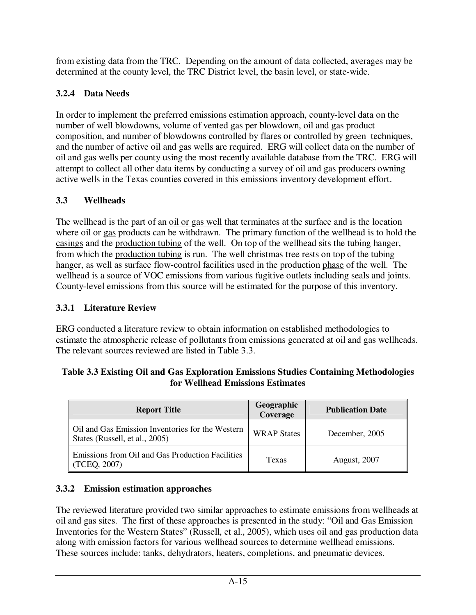from existing data from the TRC. Depending on the amount of data collected, averages may be determined at the county level, the TRC District level, the basin level, or state-wide.

# **3.2.4 Data Needs**

In order to implement the preferred emissions estimation approach, county-level data on the number of well blowdowns, volume of vented gas per blowdown, oil and gas product composition, and number of blowdowns controlled by flares or controlled by green techniques, and the number of active oil and gas wells are required. ERG will collect data on the number of oil and gas wells per county using the most recently available database from the TRC. ERG will attempt to collect all other data items by conducting a survey of oil and gas producers owning active wells in the Texas counties covered in this emissions inventory development effort.

# **3.3 Wellheads**

The wellhead is the part of an oil or gas well that terminates at the surface and is the location where oil or gas products can be withdrawn. The primary function of the wellhead is to hold the casings and the production tubing of the well. On top of the wellhead sits the tubing hanger, from which the production tubing is run. The well christmas tree rests on top of the tubing hanger, as well as surface flow-control facilities used in the production phase of the well. The wellhead is a source of VOC emissions from various fugitive outlets including seals and joints. County-level emissions from this source will be estimated for the purpose of this inventory.

### **3.3.1 Literature Review**

ERG conducted a literature review to obtain information on established methodologies to estimate the atmospheric release of pollutants from emissions generated at oil and gas wellheads. The relevant sources reviewed are listed in Table 3.3.

#### **Table 3.3 Existing Oil and Gas Exploration Emissions Studies Containing Methodologies for Wellhead Emissions Estimates**

| <b>Report Title</b>                                                                | Geographic<br>Coverage | <b>Publication Date</b> |
|------------------------------------------------------------------------------------|------------------------|-------------------------|
| Oil and Gas Emission Inventories for the Western<br>States (Russell, et al., 2005) | <b>WRAP States</b>     | December, 2005          |
| Emissions from Oil and Gas Production Facilities<br>(TCEQ, 2007)                   | Texas                  | <b>August, 2007</b>     |

# **3.3.2 Emission estimation approaches**

The reviewed literature provided two similar approaches to estimate emissions from wellheads at oil and gas sites. The first of these approaches is presented in the study: "Oil and Gas Emission Inventories for the Western States" (Russell, et al., 2005), which uses oil and gas production data along with emission factors for various wellhead sources to determine wellhead emissions. These sources include: tanks, dehydrators, heaters, completions, and pneumatic devices.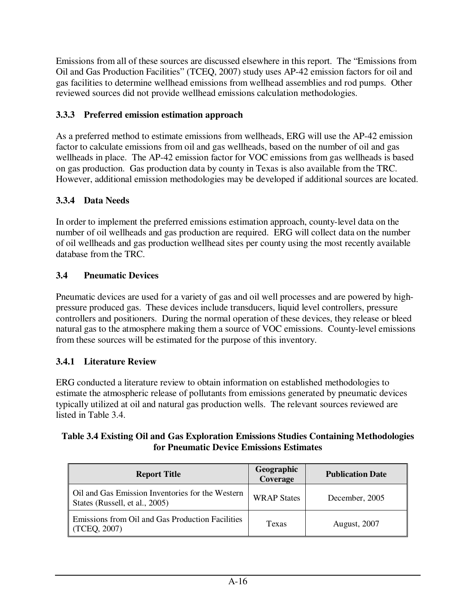Emissions from all of these sources are discussed elsewhere in this report. The "Emissions from Oil and Gas Production Facilities" (TCEQ, 2007) study uses AP-42 emission factors for oil and gas facilities to determine wellhead emissions from wellhead assemblies and rod pumps. Other reviewed sources did not provide wellhead emissions calculation methodologies.

### **3.3.3 Preferred emission estimation approach**

As a preferred method to estimate emissions from wellheads, ERG will use the AP-42 emission factor to calculate emissions from oil and gas wellheads, based on the number of oil and gas wellheads in place. The AP-42 emission factor for VOC emissions from gas wellheads is based on gas production. Gas production data by county in Texas is also available from the TRC. However, additional emission methodologies may be developed if additional sources are located.

### **3.3.4 Data Needs**

In order to implement the preferred emissions estimation approach, county-level data on the number of oil wellheads and gas production are required. ERG will collect data on the number of oil wellheads and gas production wellhead sites per county using the most recently available database from the TRC.

#### **3.4 Pneumatic Devices**

Pneumatic devices are used for a variety of gas and oil well processes and are powered by highpressure produced gas. These devices include transducers, liquid level controllers, pressure controllers and positioners. During the normal operation of these devices, they release or bleed natural gas to the atmosphere making them a source of VOC emissions. County-level emissions from these sources will be estimated for the purpose of this inventory.

#### **3.4.1 Literature Review**

ERG conducted a literature review to obtain information on established methodologies to estimate the atmospheric release of pollutants from emissions generated by pneumatic devices typically utilized at oil and natural gas production wells. The relevant sources reviewed are listed in Table 3.4.

#### **Table 3.4 Existing Oil and Gas Exploration Emissions Studies Containing Methodologies for Pneumatic Device Emissions Estimates**

| <b>Report Title</b>                                                                | Geographic<br>Coverage | <b>Publication Date</b> |
|------------------------------------------------------------------------------------|------------------------|-------------------------|
| Oil and Gas Emission Inventories for the Western<br>States (Russell, et al., 2005) | <b>WRAP States</b>     | December, 2005          |
| Emissions from Oil and Gas Production Facilities<br>(TCEQ, 2007)                   | Texas                  | <b>August</b> , 2007    |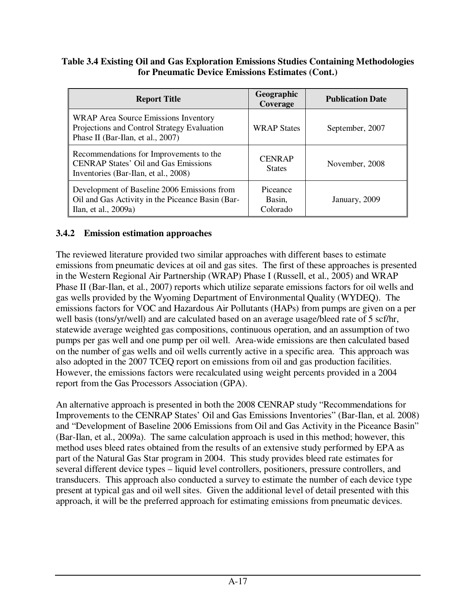#### **Table 3.4 Existing Oil and Gas Exploration Emissions Studies Containing Methodologies for Pneumatic Device Emissions Estimates (Cont.)**

| <b>Report Title</b>                                                                                                            | Geographic<br>Coverage         | <b>Publication Date</b> |
|--------------------------------------------------------------------------------------------------------------------------------|--------------------------------|-------------------------|
| WRAP Area Source Emissions Inventory<br>Projections and Control Strategy Evaluation<br>Phase II (Bar-Ilan, et al., 2007)       | <b>WRAP States</b>             | September, 2007         |
| Recommendations for Improvements to the<br><b>CENRAP States' Oil and Gas Emissions</b><br>Inventories (Bar-Ilan, et al., 2008) | <b>CENRAP</b><br><b>States</b> | November, 2008          |
| Development of Baseline 2006 Emissions from<br>Oil and Gas Activity in the Piceance Basin (Bar-<br>Ilan, et al., 2009a)        | Piceance<br>Basin,<br>Colorado | January, 2009           |

#### **3.4.2 Emission estimation approaches**

The reviewed literature provided two similar approaches with different bases to estimate emissions from pneumatic devices at oil and gas sites. The first of these approaches is presented in the Western Regional Air Partnership (WRAP) Phase I (Russell, et al., 2005) and WRAP Phase II (Bar-Ilan, et al., 2007) reports which utilize separate emissions factors for oil wells and gas wells provided by the Wyoming Department of Environmental Quality (WYDEQ). The emissions factors for VOC and Hazardous Air Pollutants (HAPs) from pumps are given on a per well basis (tons/yr/well) and are calculated based on an average usage/bleed rate of 5 scf/hr, statewide average weighted gas compositions, continuous operation, and an assumption of two pumps per gas well and one pump per oil well. Area-wide emissions are then calculated based on the number of gas wells and oil wells currently active in a specific area. This approach was also adopted in the 2007 TCEQ report on emissions from oil and gas production facilities. However, the emissions factors were recalculated using weight percents provided in a 2004 report from the Gas Processors Association (GPA).

An alternative approach is presented in both the 2008 CENRAP study "Recommendations for Improvements to the CENRAP States' Oil and Gas Emissions Inventories" (Bar-Ilan, et al. 2008) and "Development of Baseline 2006 Emissions from Oil and Gas Activity in the Piceance Basin" (Bar-Ilan, et al., 2009a). The same calculation approach is used in this method; however, this method uses bleed rates obtained from the results of an extensive study performed by EPA as part of the Natural Gas Star program in 2004. This study provides bleed rate estimates for several different device types – liquid level controllers, positioners, pressure controllers, and transducers. This approach also conducted a survey to estimate the number of each device type present at typical gas and oil well sites. Given the additional level of detail presented with this approach, it will be the preferred approach for estimating emissions from pneumatic devices.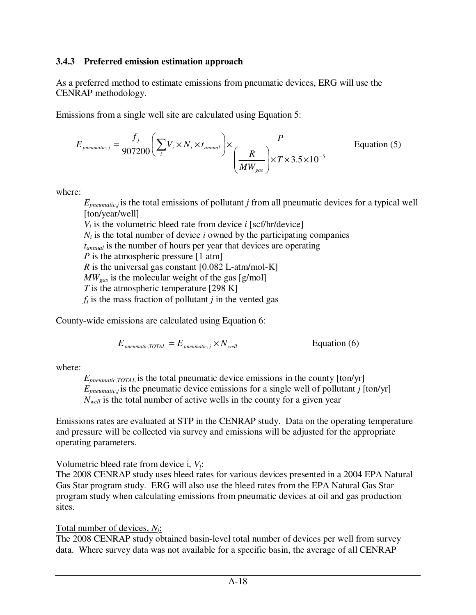#### **3.4.3 Preferred emission estimation approach**

As a preferred method to estimate emissions from pneumatic devices, ERG will use the CENRAP methodology.

Emissions from a single well site are calculated using Equation 5:

$$
E_{pneumatic,j} = \frac{f_j}{907200} \left( \sum_i V_i \times N_i \times t_{annual} \right) \times \frac{P}{\left( \frac{R}{MW_{gas}} \right) \times T \times 3.5 \times 10^{-5}}
$$
 Equation (5)

where:

*Epneumatic,j* is the total emissions of pollutant *j* from all pneumatic devices for a typical well [ton/year/well]  $V_i$  is the volumetric bleed rate from device *i* [scf/hr/device]  $N_i$  is the total number of device *i* owned by the participating companies

*tannual* is the number of hours per year that devices are operating

*P* is the atmospheric pressure [1 atm]

*R* is the universal gas constant [0.082 L-atm/mol-K]

*MWgas* is the molecular weight of the gas [g/mol]

- *T* is the atmospheric temperature [298 K]
- $f_i$  is the mass fraction of pollutant *j* in the vented gas

County-wide emissions are calculated using Equation 6:

$$
E_{\text{pneumatic, TOTAL}} = E_{\text{pneumatic, j}} \times N_{\text{well}} \qquad \qquad \text{Equation (6)}
$$

where:

*Epneumatic,TOTAL* is the total pneumatic device emissions in the county [ton/yr]  $E_{\text{preumatic},j}$  is the pneumatic device emissions for a single well of pollutant *j* [ton/yr] *Nwell* is the total number of active wells in the county for a given year

Emissions rates are evaluated at STP in the CENRAP study. Data on the operating temperature and pressure will be collected via survey and emissions will be adjusted for the appropriate operating parameters.

# Volumetric bleed rate from device i, *Vi*:

The 2008 CENRAP study uses bleed rates for various devices presented in a 2004 EPA Natural Gas Star program study. ERG will also use the bleed rates from the EPA Natural Gas Star program study when calculating emissions from pneumatic devices at oil and gas production sites.

### Total number of devices, *Ni*:

The 2008 CENRAP study obtained basin-level total number of devices per well from survey data. Where survey data was not available for a specific basin, the average of all CENRAP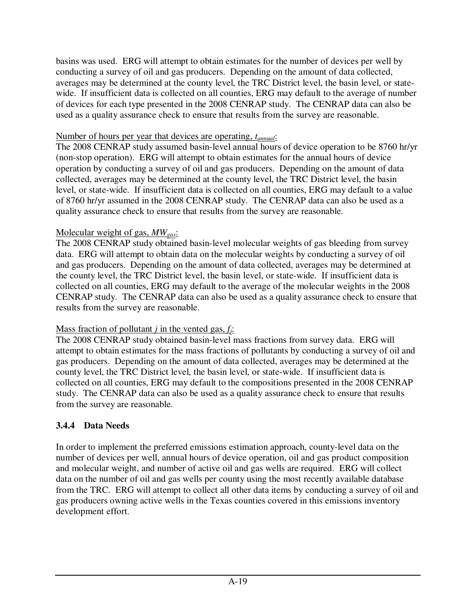basins was used. ERG will attempt to obtain estimates for the number of devices per well by conducting a survey of oil and gas producers. Depending on the amount of data collected, averages may be determined at the county level, the TRC District level, the basin level, or statewide. If insufficient data is collected on all counties, ERG may default to the average of number of devices for each type presented in the 2008 CENRAP study. The CENRAP data can also be used as a quality assurance check to ensure that results from the survey are reasonable.

#### Number of hours per year that devices are operating, *tannual*:

The 2008 CENRAP study assumed basin-level annual hours of device operation to be 8760 hr/yr (non-stop operation). ERG will attempt to obtain estimates for the annual hours of device operation by conducting a survey of oil and gas producers. Depending on the amount of data collected, averages may be determined at the county level, the TRC District level, the basin level, or state-wide. If insufficient data is collected on all counties, ERG may default to a value of 8760 hr/yr assumed in the 2008 CENRAP study. The CENRAP data can also be used as a quality assurance check to ensure that results from the survey are reasonable.

#### Molecular weight of gas, *MWgas*:

The 2008 CENRAP study obtained basin-level molecular weights of gas bleeding from survey data. ERG will attempt to obtain data on the molecular weights by conducting a survey of oil and gas producers. Depending on the amount of data collected, averages may be determined at the county level, the TRC District level, the basin level, or state-wide. If insufficient data is collected on all counties, ERG may default to the average of the molecular weights in the 2008 CENRAP study. The CENRAP data can also be used as a quality assurance check to ensure that results from the survey are reasonable.

#### Mass fraction of pollutant *j* in the vented gas, *fj*:

The 2008 CENRAP study obtained basin-level mass fractions from survey data. ERG will attempt to obtain estimates for the mass fractions of pollutants by conducting a survey of oil and gas producers. Depending on the amount of data collected, averages may be determined at the county level, the TRC District level, the basin level, or state-wide. If insufficient data is collected on all counties, ERG may default to the compositions presented in the 2008 CENRAP study. The CENRAP data can also be used as a quality assurance check to ensure that results from the survey are reasonable.

#### **3.4.4 Data Needs**

In order to implement the preferred emissions estimation approach, county-level data on the number of devices per well, annual hours of device operation, oil and gas product composition and molecular weight, and number of active oil and gas wells are required. ERG will collect data on the number of oil and gas wells per county using the most recently available database from the TRC. ERG will attempt to collect all other data items by conducting a survey of oil and gas producers owning active wells in the Texas counties covered in this emissions inventory development effort.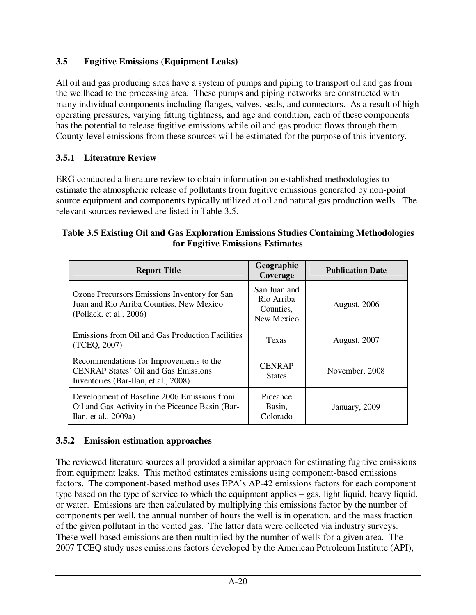### **3.5 Fugitive Emissions (Equipment Leaks)**

All oil and gas producing sites have a system of pumps and piping to transport oil and gas from the wellhead to the processing area. These pumps and piping networks are constructed with many individual components including flanges, valves, seals, and connectors. As a result of high operating pressures, varying fitting tightness, and age and condition, each of these components has the potential to release fugitive emissions while oil and gas product flows through them. County-level emissions from these sources will be estimated for the purpose of this inventory.

### **3.5.1 Literature Review**

ERG conducted a literature review to obtain information on established methodologies to estimate the atmospheric release of pollutants from fugitive emissions generated by non-point source equipment and components typically utilized at oil and natural gas production wells. The relevant sources reviewed are listed in Table 3.5.

#### **Table 3.5 Existing Oil and Gas Exploration Emissions Studies Containing Methodologies for Fugitive Emissions Estimates**

| <b>Report Title</b>                                                                                                            | Geographic<br>Coverage                                | <b>Publication Date</b> |
|--------------------------------------------------------------------------------------------------------------------------------|-------------------------------------------------------|-------------------------|
| Ozone Precursors Emissions Inventory for San<br>Juan and Rio Arriba Counties, New Mexico<br>(Pollack, et al., 2006)            | San Juan and<br>Rio Arriba<br>Counties,<br>New Mexico | <b>August</b> , 2006    |
| Emissions from Oil and Gas Production Facilities<br>(TCEQ, 2007)                                                               | Texas                                                 | <b>August, 2007</b>     |
| Recommendations for Improvements to the<br><b>CENRAP States' Oil and Gas Emissions</b><br>Inventories (Bar-Ilan, et al., 2008) | <b>CENRAP</b><br><b>States</b>                        | November, 2008          |
| Development of Baseline 2006 Emissions from<br>Oil and Gas Activity in the Piceance Basin (Bar-<br>Ilan, et al., 2009a)        | Piceance<br>Basin,<br>Colorado                        | January, 2009           |

#### **3.5.2 Emission estimation approaches**

The reviewed literature sources all provided a similar approach for estimating fugitive emissions from equipment leaks. This method estimates emissions using component-based emissions factors. The component-based method uses EPA's AP-42 emissions factors for each component type based on the type of service to which the equipment applies – gas, light liquid, heavy liquid, or water. Emissions are then calculated by multiplying this emissions factor by the number of components per well, the annual number of hours the well is in operation, and the mass fraction of the given pollutant in the vented gas. The latter data were collected via industry surveys. These well-based emissions are then multiplied by the number of wells for a given area. The 2007 TCEQ study uses emissions factors developed by the American Petroleum Institute (API),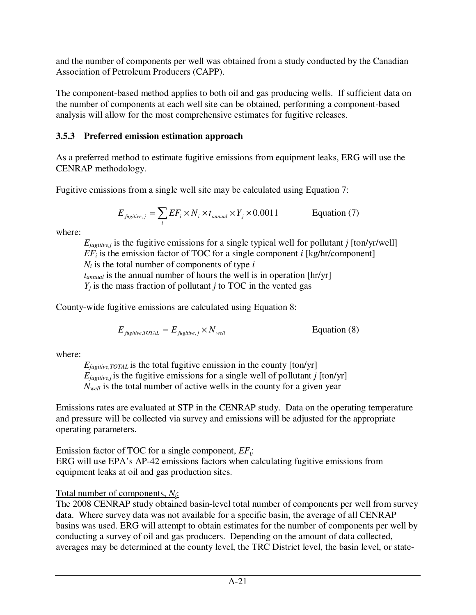and the number of components per well was obtained from a study conducted by the Canadian Association of Petroleum Producers (CAPP).

The component-based method applies to both oil and gas producing wells. If sufficient data on the number of components at each well site can be obtained, performing a component-based analysis will allow for the most comprehensive estimates for fugitive releases.

### **3.5.3 Preferred emission estimation approach**

As a preferred method to estimate fugitive emissions from equipment leaks, ERG will use the CENRAP methodology.

Fugitive emissions from a single well site may be calculated using Equation 7:

$$
E_{\text{fugitive},j} = \sum_{i} EF_i \times N_i \times t_{\text{annual}} \times Y_j \times 0.0011
$$
 Equation (7)

where:

 $E_{\text{fueitive},i}$  is the fugitive emissions for a single typical well for pollutant *j* [ton/yr/well]  $EF_i$  is the emission factor of TOC for a single component *i* [kg/hr/component]  $N_i$  is the total number of components of type  $i$ 

*tannual* is the annual number of hours the well is in operation [hr/yr]

 $Y_i$  is the mass fraction of pollutant *j* to TOC in the vented gas

County-wide fugitive emissions are calculated using Equation 8:

 $E_{\text{fucitive TOTAL}} = E_{\text{fucitive}} \times N_{\text{well}}$  Equation (8)

where:

*Efugitive,TOTAL* is the total fugitive emission in the county [ton/yr]  $E_{\text{fugitive},i}$  is the fugitive emissions for a single well of pollutant *j* [ton/yr]  $N_{well}$  is the total number of active wells in the county for a given year

Emissions rates are evaluated at STP in the CENRAP study. Data on the operating temperature and pressure will be collected via survey and emissions will be adjusted for the appropriate operating parameters.

Emission factor of TOC for a single component, *EFi*: ERG will use EPA's AP-42 emissions factors when calculating fugitive emissions from equipment leaks at oil and gas production sites.

# Total number of components, *Ni*:

The 2008 CENRAP study obtained basin-level total number of components per well from survey data. Where survey data was not available for a specific basin, the average of all CENRAP basins was used. ERG will attempt to obtain estimates for the number of components per well by conducting a survey of oil and gas producers. Depending on the amount of data collected, averages may be determined at the county level, the TRC District level, the basin level, or state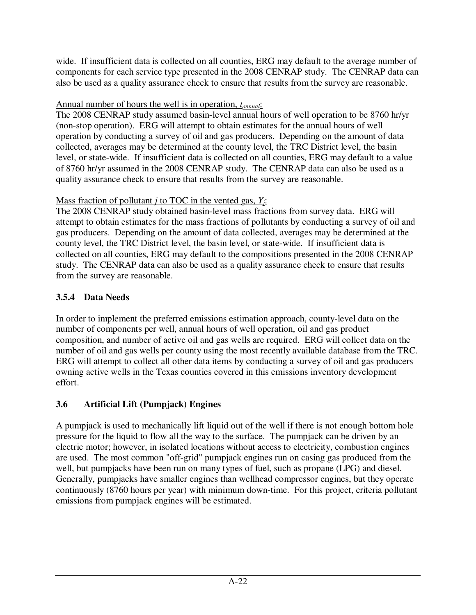wide. If insufficient data is collected on all counties, ERG may default to the average number of components for each service type presented in the 2008 CENRAP study. The CENRAP data can also be used as a quality assurance check to ensure that results from the survey are reasonable.

### Annual number of hours the well is in operation, *tannual*:

The 2008 CENRAP study assumed basin-level annual hours of well operation to be 8760 hr/yr (non-stop operation). ERG will attempt to obtain estimates for the annual hours of well operation by conducting a survey of oil and gas producers. Depending on the amount of data collected, averages may be determined at the county level, the TRC District level, the basin level, or state-wide. If insufficient data is collected on all counties, ERG may default to a value of 8760 hr/yr assumed in the 2008 CENRAP study. The CENRAP data can also be used as a quality assurance check to ensure that results from the survey are reasonable.

### Mass fraction of pollutant *j* to TOC in the vented gas, *Yj*:

The 2008 CENRAP study obtained basin-level mass fractions from survey data. ERG will attempt to obtain estimates for the mass fractions of pollutants by conducting a survey of oil and gas producers. Depending on the amount of data collected, averages may be determined at the county level, the TRC District level, the basin level, or state-wide. If insufficient data is collected on all counties, ERG may default to the compositions presented in the 2008 CENRAP study. The CENRAP data can also be used as a quality assurance check to ensure that results from the survey are reasonable.

# **3.5.4 Data Needs**

In order to implement the preferred emissions estimation approach, county-level data on the number of components per well, annual hours of well operation, oil and gas product composition, and number of active oil and gas wells are required. ERG will collect data on the number of oil and gas wells per county using the most recently available database from the TRC. ERG will attempt to collect all other data items by conducting a survey of oil and gas producers owning active wells in the Texas counties covered in this emissions inventory development effort.

# **3.6 Artificial Lift (Pumpjack) Engines**

A pumpjack is used to mechanically lift liquid out of the well if there is not enough bottom hole pressure for the liquid to flow all the way to the surface. The pumpjack can be driven by an electric motor; however, in isolated locations without access to electricity, combustion engines are used. The most common "off-grid" pumpjack engines run on casing gas produced from the well, but pumpjacks have been run on many types of fuel, such as propane (LPG) and diesel. Generally, pumpjacks have smaller engines than wellhead compressor engines, but they operate continuously (8760 hours per year) with minimum down-time. For this project, criteria pollutant emissions from pumpjack engines will be estimated.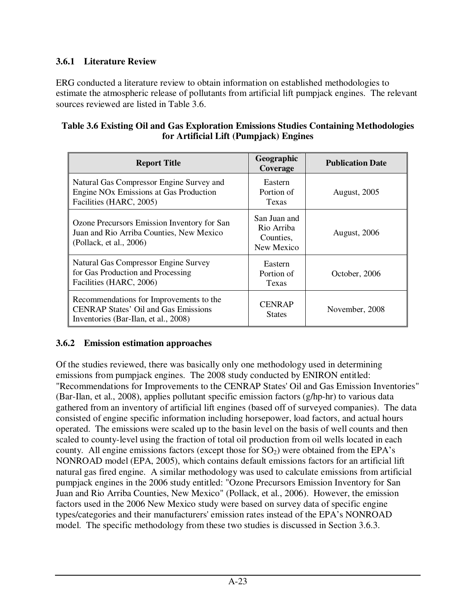### **3.6.1 Literature Review**

ERG conducted a literature review to obtain information on established methodologies to estimate the atmospheric release of pollutants from artificial lift pumpjack engines. The relevant sources reviewed are listed in Table 3.6.

| Table 3.6 Existing Oil and Gas Exploration Emissions Studies Containing Methodologies |
|---------------------------------------------------------------------------------------|
| for Artificial Lift (Pumpjack) Engines                                                |

| <b>Report Title</b>                                                                                                            | Geographic<br>Coverage                                | <b>Publication Date</b> |
|--------------------------------------------------------------------------------------------------------------------------------|-------------------------------------------------------|-------------------------|
| Natural Gas Compressor Engine Survey and<br>Engine NO <sub>x</sub> Emissions at Gas Production<br>Facilities (HARC, 2005)      | Eastern<br>Portion of<br>Texas                        | <b>August, 2005</b>     |
| Ozone Precursors Emission Inventory for San<br>Juan and Rio Arriba Counties, New Mexico<br>(Pollack, et al., 2006)             | San Juan and<br>Rio Arriba<br>Counties,<br>New Mexico | <b>August</b> , 2006    |
| Natural Gas Compressor Engine Survey<br>for Gas Production and Processing<br>Facilities (HARC, 2006)                           | Eastern<br>Portion of<br>Texas                        | October, 2006           |
| Recommendations for Improvements to the<br><b>CENRAP States' Oil and Gas Emissions</b><br>Inventories (Bar-Ilan, et al., 2008) | <b>CENRAP</b><br><b>States</b>                        | November, 2008          |

### **3.6.2 Emission estimation approaches**

Of the studies reviewed, there was basically only one methodology used in determining emissions from pumpjack engines. The 2008 study conducted by ENIRON entitled: "Recommendations for Improvements to the CENRAP States' Oil and Gas Emission Inventories" (Bar-Ilan, et al., 2008), applies pollutant specific emission factors (g/hp-hr) to various data gathered from an inventory of artificial lift engines (based off of surveyed companies). The data consisted of engine specific information including horsepower, load factors, and actual hours operated. The emissions were scaled up to the basin level on the basis of well counts and then scaled to county-level using the fraction of total oil production from oil wells located in each county. All engine emissions factors (except those for  $SO<sub>2</sub>$ ) were obtained from the EPA's NONROAD model (EPA, 2005), which contains default emissions factors for an artificial lift natural gas fired engine. A similar methodology was used to calculate emissions from artificial pumpjack engines in the 2006 study entitled: "Ozone Precursors Emission Inventory for San Juan and Rio Arriba Counties, New Mexico" (Pollack, et al., 2006). However, the emission factors used in the 2006 New Mexico study were based on survey data of specific engine types/categories and their manufacturers' emission rates instead of the EPA's NONROAD model. The specific methodology from these two studies is discussed in Section 3.6.3.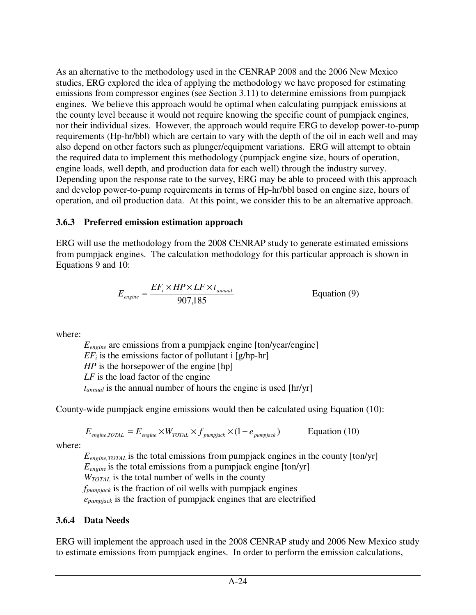As an alternative to the methodology used in the CENRAP 2008 and the 2006 New Mexico studies, ERG explored the idea of applying the methodology we have proposed for estimating emissions from compressor engines (see Section 3.11) to determine emissions from pumpjack engines. We believe this approach would be optimal when calculating pumpjack emissions at the county level because it would not require knowing the specific count of pumpjack engines, nor their individual sizes. However, the approach would require ERG to develop power-to-pump requirements (Hp-hr/bbl) which are certain to vary with the depth of the oil in each well and may also depend on other factors such as plunger/equipment variations. ERG will attempt to obtain the required data to implement this methodology (pumpjack engine size, hours of operation, engine loads, well depth, and production data for each well) through the industry survey. Depending upon the response rate to the survey, ERG may be able to proceed with this approach and develop power-to-pump requirements in terms of Hp-hr/bbl based on engine size, hours of operation, and oil production data. At this point, we consider this to be an alternative approach.

#### **3.6.3 Preferred emission estimation approach**

ERG will use the methodology from the 2008 CENRAP study to generate estimated emissions from pumpjack engines. The calculation methodology for this particular approach is shown in Equations 9 and 10:

$$
E_{engine} = \frac{EF_i \times HP \times LF \times t_{annual}}{907,185}
$$
 Equation (9)

where:

*Eengine* are emissions from a pumpjack engine [ton/year/engine]  $EF_i$  is the emissions factor of pollutant i [g/hp-hr] *HP* is the horsepower of the engine [hp] *LF* is the load factor of the engine *tannual* is the annual number of hours the engine is used [hr/yr]

County-wide pumpjack engine emissions would then be calculated using Equation (10):

$$
E_{\text{engine,TOTAL}} = E_{\text{engine}} \times W_{\text{TOTAL}} \times f_{\text{pumpjack}} \times (1 - e_{\text{pumpjack}})
$$
 Equation (10)

where:

 $E_{\text{engine,TOTAL}}$  is the total emissions from pumpjack engines in the county  $[ton/yr]$  $E_{engine}$  is the total emissions from a pumpjack engine  $[ton/yr]$ *WTOTAL* is the total number of wells in the county *fpumpjack* is the fraction of oil wells with pumpjack engines  *epumpjack* is the fraction of pumpjack engines that are electrified

### **3.6.4 Data Needs**

ERG will implement the approach used in the 2008 CENRAP study and 2006 New Mexico study to estimate emissions from pumpjack engines. In order to perform the emission calculations,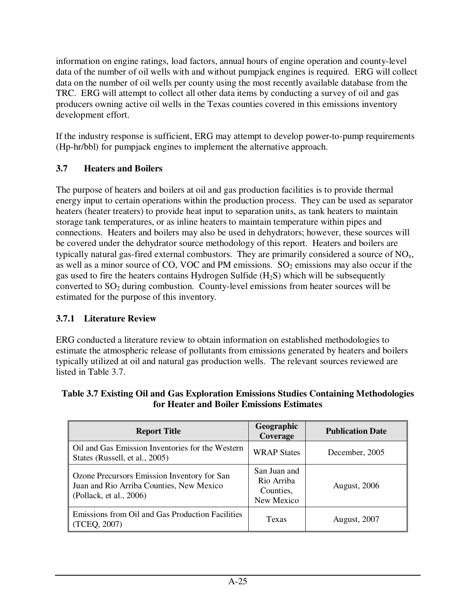information on engine ratings, load factors, annual hours of engine operation and county-level data of the number of oil wells with and without pumpjack engines is required. ERG will collect data on the number of oil wells per county using the most recently available database from the TRC. ERG will attempt to collect all other data items by conducting a survey of oil and gas producers owning active oil wells in the Texas counties covered in this emissions inventory development effort.

If the industry response is sufficient, ERG may attempt to develop power-to-pump requirements (Hp-hr/bbl) for pumpjack engines to implement the alternative approach.

### **3.7 Heaters and Boilers**

The purpose of heaters and boilers at oil and gas production facilities is to provide thermal energy input to certain operations within the production process. They can be used as separator heaters (heater treaters) to provide heat input to separation units, as tank heaters to maintain storage tank temperatures, or as inline heaters to maintain temperature within pipes and connections. Heaters and boilers may also be used in dehydrators; however, these sources will be covered under the dehydrator source methodology of this report. Heaters and boilers are typically natural gas-fired external combustors. They are primarily considered a source of  $NO<sub>x</sub>$ , as well as a minor source of CO, VOC and PM emissions.  $SO<sub>2</sub>$  emissions may also occur if the gas used to fire the heaters contains Hydrogen Sulfide  $(H_2S)$  which will be subsequently converted to  $SO_2$  during combustion. County-level emissions from heater sources will be estimated for the purpose of this inventory.

# **3.7.1 Literature Review**

ERG conducted a literature review to obtain information on established methodologies to estimate the atmospheric release of pollutants from emissions generated by heaters and boilers typically utilized at oil and natural gas production wells. The relevant sources reviewed are listed in Table 3.7.

| Table 3.7 Existing Oil and Gas Exploration Emissions Studies Containing Methodologies |  |
|---------------------------------------------------------------------------------------|--|
| for Heater and Boiler Emissions Estimates                                             |  |

| <b>Report Title</b>                                                                                                | Geographic<br>Coverage                                | <b>Publication Date</b> |
|--------------------------------------------------------------------------------------------------------------------|-------------------------------------------------------|-------------------------|
| Oil and Gas Emission Inventories for the Western<br>States (Russell, et al., 2005)                                 | <b>WRAP States</b>                                    | December, 2005          |
| Ozone Precursors Emission Inventory for San<br>Juan and Rio Arriba Counties, New Mexico<br>(Pollack, et al., 2006) | San Juan and<br>Rio Arriba<br>Counties,<br>New Mexico | <b>August</b> , 2006    |
| Emissions from Oil and Gas Production Facilities<br>(TCEQ, 2007)                                                   | Texas                                                 | <b>August, 2007</b>     |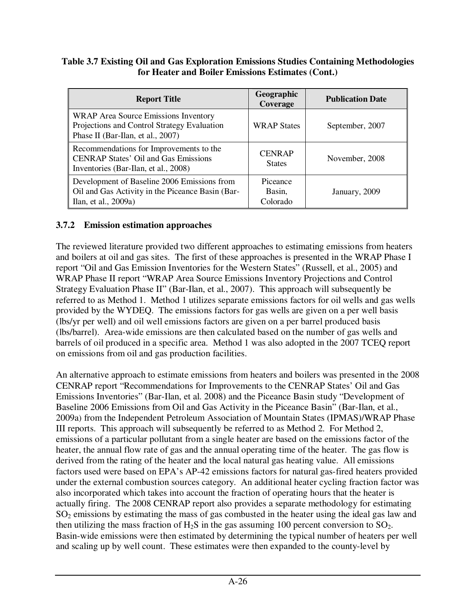#### **Table 3.7 Existing Oil and Gas Exploration Emissions Studies Containing Methodologies for Heater and Boiler Emissions Estimates (Cont.)**

| <b>Report Title</b>                                                                                                             | Geographic<br>Coverage         | <b>Publication Date</b> |
|---------------------------------------------------------------------------------------------------------------------------------|--------------------------------|-------------------------|
| <b>WRAP</b> Area Source Emissions Inventory<br>Projections and Control Strategy Evaluation<br>Phase II (Bar-Ilan, et al., 2007) | <b>WRAP States</b>             | September, 2007         |
| Recommendations for Improvements to the<br><b>CENRAP States' Oil and Gas Emissions</b><br>Inventories (Bar-Ilan, et al., 2008)  | <b>CENRAP</b><br><b>States</b> | November, 2008          |
| Development of Baseline 2006 Emissions from<br>Oil and Gas Activity in the Piceance Basin (Bar-<br>Ilan, et al., 2009a)         | Piceance<br>Basin,<br>Colorado | January, 2009           |

#### **3.7.2 Emission estimation approaches**

The reviewed literature provided two different approaches to estimating emissions from heaters and boilers at oil and gas sites. The first of these approaches is presented in the WRAP Phase I report "Oil and Gas Emission Inventories for the Western States" (Russell, et al., 2005) and WRAP Phase II report "WRAP Area Source Emissions Inventory Projections and Control Strategy Evaluation Phase II" (Bar-Ilan, et al., 2007). This approach will subsequently be referred to as Method 1. Method 1 utilizes separate emissions factors for oil wells and gas wells provided by the WYDEQ. The emissions factors for gas wells are given on a per well basis (lbs/yr per well) and oil well emissions factors are given on a per barrel produced basis (lbs/barrel). Area-wide emissions are then calculated based on the number of gas wells and barrels of oil produced in a specific area. Method 1 was also adopted in the 2007 TCEQ report on emissions from oil and gas production facilities.

An alternative approach to estimate emissions from heaters and boilers was presented in the 2008 CENRAP report "Recommendations for Improvements to the CENRAP States' Oil and Gas Emissions Inventories" (Bar-Ilan, et al. 2008) and the Piceance Basin study "Development of Baseline 2006 Emissions from Oil and Gas Activity in the Piceance Basin" (Bar-Ilan, et al., 2009a) from the Independent Petroleum Association of Mountain States (IPMAS)/WRAP Phase III reports. This approach will subsequently be referred to as Method 2. For Method 2, emissions of a particular pollutant from a single heater are based on the emissions factor of the heater, the annual flow rate of gas and the annual operating time of the heater. The gas flow is derived from the rating of the heater and the local natural gas heating value. All emissions factors used were based on EPA's AP-42 emissions factors for natural gas-fired heaters provided under the external combustion sources category. An additional heater cycling fraction factor was also incorporated which takes into account the fraction of operating hours that the heater is actually firing. The 2008 CENRAP report also provides a separate methodology for estimating SO2 emissions by estimating the mass of gas combusted in the heater using the ideal gas law and then utilizing the mass fraction of  $H_2S$  in the gas assuming 100 percent conversion to  $SO_2$ . Basin-wide emissions were then estimated by determining the typical number of heaters per well and scaling up by well count. These estimates were then expanded to the county-level by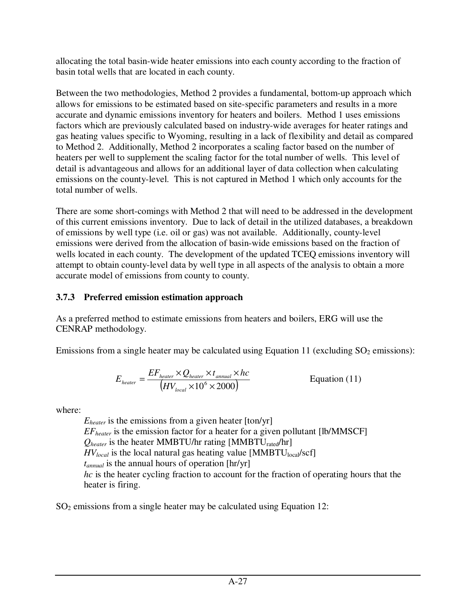allocating the total basin-wide heater emissions into each county according to the fraction of basin total wells that are located in each county.

Between the two methodologies, Method 2 provides a fundamental, bottom-up approach which allows for emissions to be estimated based on site-specific parameters and results in a more accurate and dynamic emissions inventory for heaters and boilers. Method 1 uses emissions factors which are previously calculated based on industry-wide averages for heater ratings and gas heating values specific to Wyoming, resulting in a lack of flexibility and detail as compared to Method 2. Additionally, Method 2 incorporates a scaling factor based on the number of heaters per well to supplement the scaling factor for the total number of wells. This level of detail is advantageous and allows for an additional layer of data collection when calculating emissions on the county-level. This is not captured in Method 1 which only accounts for the total number of wells.

There are some short-comings with Method 2 that will need to be addressed in the development of this current emissions inventory. Due to lack of detail in the utilized databases, a breakdown of emissions by well type (i.e. oil or gas) was not available. Additionally, county-level emissions were derived from the allocation of basin-wide emissions based on the fraction of wells located in each county. The development of the updated TCEQ emissions inventory will attempt to obtain county-level data by well type in all aspects of the analysis to obtain a more accurate model of emissions from county to county.

# **3.7.3 Preferred emission estimation approach**

As a preferred method to estimate emissions from heaters and boilers, ERG will use the CENRAP methodology.

Emissions from a single heater may be calculated using Equation 11 (excluding  $SO<sub>2</sub>$  emissions):

$$
E_{heater} = \frac{EF_{heater} \times Q_{heater} \times t_{annual} \times hc}{\left(HV_{local} \times 10^6 \times 2000\right)}
$$
 Equation (11)

where:

 $E_{heater}$  is the emissions from a given heater  $[ton/yr]$ *EFheater* is the emission factor for a heater for a given pollutant [lb/MMSCF]  $Q_{heater}$  is the heater MMBTU/hr rating [MMBTU<sub>rated</sub>/hr]  $HV_{local}$  is the local natural gas heating value [MMBTU<sub>local</sub>/scf] *tannual* is the annual hours of operation [hr/yr] *hc* is the heater cycling fraction to account for the fraction of operating hours that the heater is firing.

 $SO<sub>2</sub>$  emissions from a single heater may be calculated using Equation 12: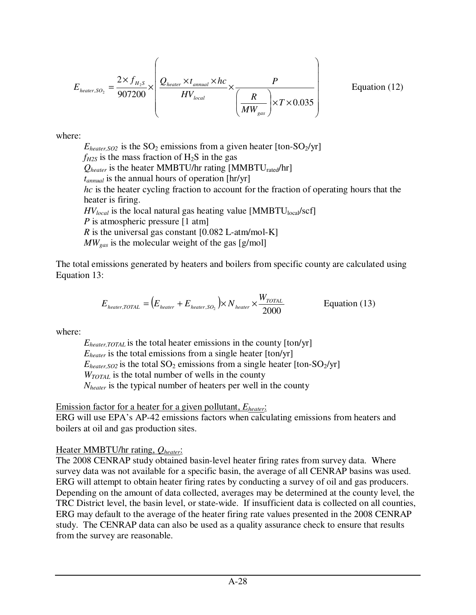$$
E_{heater, SO_2} = \frac{2 \times f_{H_2S}}{907200} \times \left( \frac{Q_{heater} \times t_{annual} \times hc}{HV_{local}} \times \frac{P}{\left(\frac{R}{MW_{gas}}\right) \times T \times 0.035} \right)
$$
Equation (12)

where:

 $E_{heater,SO2}$  is the SO<sub>2</sub> emissions from a given heater [ton-SO<sub>2</sub>/yr]  $f_{H2S}$  is the mass fraction of  $H_2S$  in the gas  $Q_{heater}$  is the heater MMBTU/hr rating [MMBTU<sub>rated</sub>/hr] *tannual* is the annual hours of operation [hr/yr] *hc* is the heater cycling fraction to account for the fraction of operating hours that the heater is firing.  $HV_{local}$  is the local natural gas heating value [MMBTU<sub>local</sub>/scf] *P* is atmospheric pressure [1 atm] *R* is the universal gas constant  $[0.082 \text{ L-atm/mol-K}]$ *MWgas* is the molecular weight of the gas [g/mol]

The total emissions generated by heaters and boilers from specific county are calculated using Equation 13:

$$
E_{heater, TOTAL} = (E_{heater} + E_{heater, SO_2}) \times N_{heater} \times \frac{W_{TOTAL}}{2000}
$$
 Equation (13)

where:

*Eheater,TOTAL* is the total heater emissions in the county [ton/yr] *Eheater* is the total emissions from a single heater [ton/yr]  $E_{heater, SO2}$  is the total SO<sub>2</sub> emissions from a single heater [ton-SO<sub>2</sub>/yr] *WTOTAL* is the total number of wells in the county *Nheater* is the typical number of heaters per well in the county

Emission factor for a heater for a given pollutant, *Eheater*:

ERG will use EPA's AP-42 emissions factors when calculating emissions from heaters and boilers at oil and gas production sites.

Heater MMBTU/hr rating, *Qheater*:

The 2008 CENRAP study obtained basin-level heater firing rates from survey data. Where survey data was not available for a specific basin, the average of all CENRAP basins was used. ERG will attempt to obtain heater firing rates by conducting a survey of oil and gas producers. Depending on the amount of data collected, averages may be determined at the county level, the TRC District level, the basin level, or state-wide. If insufficient data is collected on all counties, ERG may default to the average of the heater firing rate values presented in the 2008 CENRAP study. The CENRAP data can also be used as a quality assurance check to ensure that results from the survey are reasonable.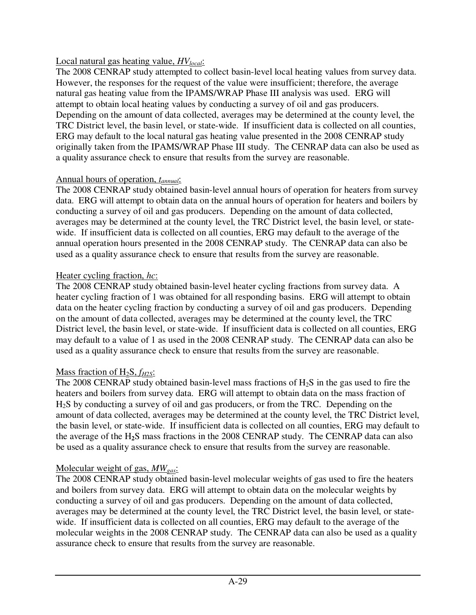#### Local natural gas heating value, *HVlocal*:

The 2008 CENRAP study attempted to collect basin-level local heating values from survey data. However, the responses for the request of the value were insufficient; therefore, the average natural gas heating value from the IPAMS/WRAP Phase III analysis was used. ERG will attempt to obtain local heating values by conducting a survey of oil and gas producers. Depending on the amount of data collected, averages may be determined at the county level, the TRC District level, the basin level, or state-wide. If insufficient data is collected on all counties, ERG may default to the local natural gas heating value presented in the 2008 CENRAP study originally taken from the IPAMS/WRAP Phase III study. The CENRAP data can also be used as a quality assurance check to ensure that results from the survey are reasonable.

#### Annual hours of operation, *tannual*:

The 2008 CENRAP study obtained basin-level annual hours of operation for heaters from survey data. ERG will attempt to obtain data on the annual hours of operation for heaters and boilers by conducting a survey of oil and gas producers. Depending on the amount of data collected, averages may be determined at the county level, the TRC District level, the basin level, or statewide. If insufficient data is collected on all counties, ERG may default to the average of the annual operation hours presented in the 2008 CENRAP study. The CENRAP data can also be used as a quality assurance check to ensure that results from the survey are reasonable.

#### Heater cycling fraction, *hc*:

The 2008 CENRAP study obtained basin-level heater cycling fractions from survey data. A heater cycling fraction of 1 was obtained for all responding basins. ERG will attempt to obtain data on the heater cycling fraction by conducting a survey of oil and gas producers. Depending on the amount of data collected, averages may be determined at the county level, the TRC District level, the basin level, or state-wide. If insufficient data is collected on all counties, ERG may default to a value of 1 as used in the 2008 CENRAP study. The CENRAP data can also be used as a quality assurance check to ensure that results from the survey are reasonable.

## Mass fraction of H2S, *fH2S*:

The 2008 CENRAP study obtained basin-level mass fractions of H2S in the gas used to fire the heaters and boilers from survey data. ERG will attempt to obtain data on the mass fraction of H2S by conducting a survey of oil and gas producers, or from the TRC. Depending on the amount of data collected, averages may be determined at the county level, the TRC District level, the basin level, or state-wide. If insufficient data is collected on all counties, ERG may default to the average of the H**2**S mass fractions in the 2008 CENRAP study. The CENRAP data can also be used as a quality assurance check to ensure that results from the survey are reasonable.

## Molecular weight of gas, *MWgas*:

The 2008 CENRAP study obtained basin-level molecular weights of gas used to fire the heaters and boilers from survey data. ERG will attempt to obtain data on the molecular weights by conducting a survey of oil and gas producers. Depending on the amount of data collected, averages may be determined at the county level, the TRC District level, the basin level, or statewide. If insufficient data is collected on all counties, ERG may default to the average of the molecular weights in the 2008 CENRAP study. The CENRAP data can also be used as a quality assurance check to ensure that results from the survey are reasonable.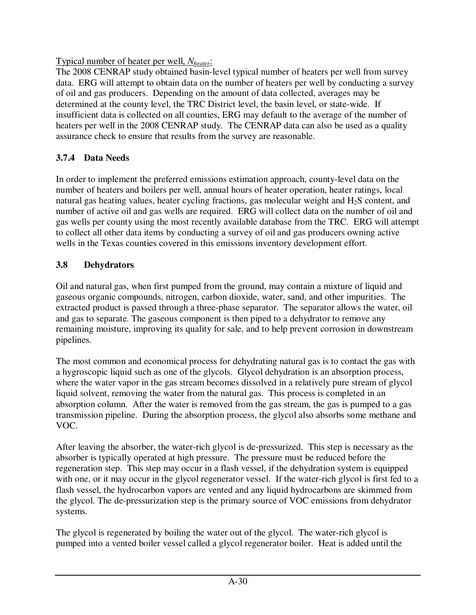Typical number of heater per well, *Nheater*:

The 2008 CENRAP study obtained basin-level typical number of heaters per well from survey data. ERG will attempt to obtain data on the number of heaters per well by conducting a survey of oil and gas producers. Depending on the amount of data collected, averages may be determined at the county level, the TRC District level, the basin level, or state-wide. If insufficient data is collected on all counties, ERG may default to the average of the number of heaters per well in the 2008 CENRAP study. The CENRAP data can also be used as a quality assurance check to ensure that results from the survey are reasonable.

# **3.7.4 Data Needs**

In order to implement the preferred emissions estimation approach, county-level data on the number of heaters and boilers per well, annual hours of heater operation, heater ratings, local natural gas heating values, heater cycling fractions, gas molecular weight and  $H_2S$  content, and number of active oil and gas wells are required. ERG will collect data on the number of oil and gas wells per county using the most recently available database from the TRC. ERG will attempt to collect all other data items by conducting a survey of oil and gas producers owning active wells in the Texas counties covered in this emissions inventory development effort.

# **3.8 Dehydrators**

Oil and natural gas, when first pumped from the ground, may contain a mixture of liquid and gaseous organic compounds, nitrogen, carbon dioxide, water, sand, and other impurities. The extracted product is passed through a three-phase separator. The separator allows the water, oil and gas to separate. The gaseous component is then piped to a dehydrator to remove any remaining moisture, improving its quality for sale, and to help prevent corrosion in downstream pipelines.

The most common and economical process for dehydrating natural gas is to contact the gas with a hygroscopic liquid such as one of the glycols. Glycol dehydration is an absorption process, where the water vapor in the gas stream becomes dissolved in a relatively pure stream of glycol liquid solvent, removing the water from the natural gas. This process is completed in an absorption column. After the water is removed from the gas stream, the gas is pumped to a gas transmission pipeline. During the absorption process, the glycol also absorbs some methane and VOC.

After leaving the absorber, the water-rich glycol is de-pressurized. This step is necessary as the absorber is typically operated at high pressure. The pressure must be reduced before the regeneration step. This step may occur in a flash vessel, if the dehydration system is equipped with one, or it may occur in the glycol regenerator vessel. If the water-rich glycol is first fed to a flash vessel, the hydrocarbon vapors are vented and any liquid hydrocarbons are skimmed from the glycol. The de-pressurization step is the primary source of VOC emissions from dehydrator systems.

The glycol is regenerated by boiling the water out of the glycol. The water-rich glycol is pumped into a vented boiler vessel called a glycol regenerator boiler. Heat is added until the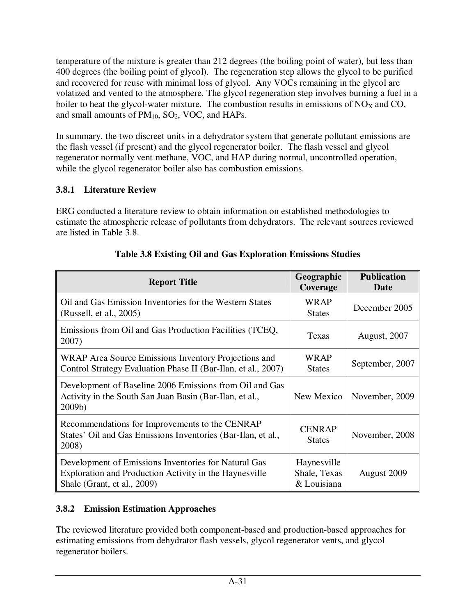temperature of the mixture is greater than 212 degrees (the boiling point of water), but less than 400 degrees (the boiling point of glycol). The regeneration step allows the glycol to be purified and recovered for reuse with minimal loss of glycol. Any VOCs remaining in the glycol are volatized and vented to the atmosphere. The glycol regeneration step involves burning a fuel in a boiler to heat the glycol-water mixture. The combustion results in emissions of  $NO<sub>X</sub>$  and CO, and small amounts of  $PM_{10}$ ,  $SO_2$ , VOC, and HAPs.

In summary, the two discreet units in a dehydrator system that generate pollutant emissions are the flash vessel (if present) and the glycol regenerator boiler. The flash vessel and glycol regenerator normally vent methane, VOC, and HAP during normal, uncontrolled operation, while the glycol regenerator boiler also has combustion emissions.

# **3.8.1 Literature Review**

ERG conducted a literature review to obtain information on established methodologies to estimate the atmospheric release of pollutants from dehydrators. The relevant sources reviewed are listed in Table 3.8.

| <b>Report Title</b>                                                                                                                           | Geographic<br>Coverage                     | <b>Publication</b><br>Date |
|-----------------------------------------------------------------------------------------------------------------------------------------------|--------------------------------------------|----------------------------|
| Oil and Gas Emission Inventories for the Western States<br>(Russell, et al., 2005)                                                            | <b>WRAP</b><br><b>States</b>               | December 2005              |
| Emissions from Oil and Gas Production Facilities (TCEQ,<br>2007)                                                                              | Texas                                      | <b>August, 2007</b>        |
| WRAP Area Source Emissions Inventory Projections and<br>Control Strategy Evaluation Phase II (Bar-Ilan, et al., 2007)                         | WRAP<br><b>States</b>                      | September, 2007            |
| Development of Baseline 2006 Emissions from Oil and Gas<br>Activity in the South San Juan Basin (Bar-Ilan, et al.,<br>$2009b$ )               | New Mexico                                 | November, 2009             |
| Recommendations for Improvements to the CENRAP<br>States' Oil and Gas Emissions Inventories (Bar-Ilan, et al.,<br>2008)                       | <b>CENRAP</b><br><b>States</b>             | November, 2008             |
| Development of Emissions Inventories for Natural Gas<br>Exploration and Production Activity in the Haynesville<br>Shale (Grant, et al., 2009) | Haynesville<br>Shale, Texas<br>& Louisiana | August 2009                |

# **Table 3.8 Existing Oil and Gas Exploration Emissions Studies**

# **3.8.2 Emission Estimation Approaches**

The reviewed literature provided both component-based and production-based approaches for estimating emissions from dehydrator flash vessels, glycol regenerator vents, and glycol regenerator boilers.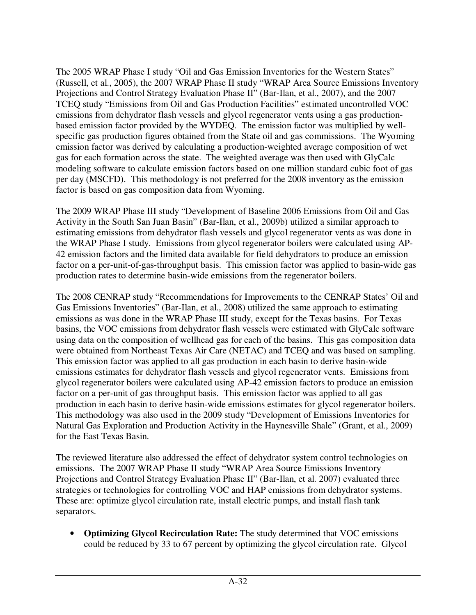The 2005 WRAP Phase I study "Oil and Gas Emission Inventories for the Western States" (Russell, et al., 2005), the 2007 WRAP Phase II study "WRAP Area Source Emissions Inventory Projections and Control Strategy Evaluation Phase II" (Bar-Ilan, et al., 2007), and the 2007 TCEQ study "Emissions from Oil and Gas Production Facilities" estimated uncontrolled VOC emissions from dehydrator flash vessels and glycol regenerator vents using a gas productionbased emission factor provided by the WYDEQ. The emission factor was multiplied by wellspecific gas production figures obtained from the State oil and gas commissions. The Wyoming emission factor was derived by calculating a production-weighted average composition of wet gas for each formation across the state. The weighted average was then used with GlyCalc modeling software to calculate emission factors based on one million standard cubic foot of gas per day (MSCFD). This methodology is not preferred for the 2008 inventory as the emission factor is based on gas composition data from Wyoming.

The 2009 WRAP Phase III study "Development of Baseline 2006 Emissions from Oil and Gas Activity in the South San Juan Basin" (Bar-Ilan, et al., 2009b) utilized a similar approach to estimating emissions from dehydrator flash vessels and glycol regenerator vents as was done in the WRAP Phase I study. Emissions from glycol regenerator boilers were calculated using AP-42 emission factors and the limited data available for field dehydrators to produce an emission factor on a per-unit-of-gas-throughput basis. This emission factor was applied to basin-wide gas production rates to determine basin-wide emissions from the regenerator boilers.

The 2008 CENRAP study "Recommendations for Improvements to the CENRAP States' Oil and Gas Emissions Inventories" (Bar-Ilan, et al., 2008) utilized the same approach to estimating emissions as was done in the WRAP Phase III study, except for the Texas basins. For Texas basins, the VOC emissions from dehydrator flash vessels were estimated with GlyCalc software using data on the composition of wellhead gas for each of the basins. This gas composition data were obtained from Northeast Texas Air Care (NETAC) and TCEQ and was based on sampling. This emission factor was applied to all gas production in each basin to derive basin-wide emissions estimates for dehydrator flash vessels and glycol regenerator vents. Emissions from glycol regenerator boilers were calculated using AP-42 emission factors to produce an emission factor on a per-unit of gas throughput basis. This emission factor was applied to all gas production in each basin to derive basin-wide emissions estimates for glycol regenerator boilers. This methodology was also used in the 2009 study "Development of Emissions Inventories for Natural Gas Exploration and Production Activity in the Haynesville Shale" (Grant, et al., 2009) for the East Texas Basin.

The reviewed literature also addressed the effect of dehydrator system control technologies on emissions. The 2007 WRAP Phase II study "WRAP Area Source Emissions Inventory Projections and Control Strategy Evaluation Phase II" (Bar-Ilan, et al. 2007) evaluated three strategies or technologies for controlling VOC and HAP emissions from dehydrator systems. These are: optimize glycol circulation rate, install electric pumps, and install flash tank separators.

• **Optimizing Glycol Recirculation Rate:** The study determined that VOC emissions could be reduced by 33 to 67 percent by optimizing the glycol circulation rate. Glycol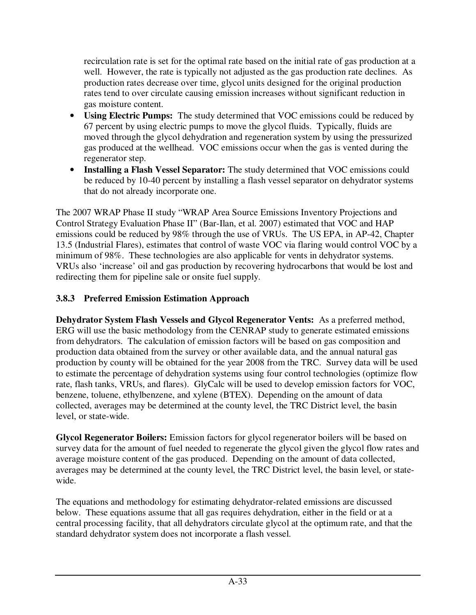recirculation rate is set for the optimal rate based on the initial rate of gas production at a well. However, the rate is typically not adjusted as the gas production rate declines. As production rates decrease over time, glycol units designed for the original production rates tend to over circulate causing emission increases without significant reduction in gas moisture content.

- **Using Electric Pumps:** The study determined that VOC emissions could be reduced by 67 percent by using electric pumps to move the glycol fluids. Typically, fluids are moved through the glycol dehydration and regeneration system by using the pressurized gas produced at the wellhead. VOC emissions occur when the gas is vented during the regenerator step.
- **Installing a Flash Vessel Separator:** The study determined that VOC emissions could be reduced by 10-40 percent by installing a flash vessel separator on dehydrator systems that do not already incorporate one.

The 2007 WRAP Phase II study "WRAP Area Source Emissions Inventory Projections and Control Strategy Evaluation Phase II" (Bar-Ilan, et al. 2007) estimated that VOC and HAP emissions could be reduced by 98% through the use of VRUs. The US EPA, in AP-42, Chapter 13.5 (Industrial Flares), estimates that control of waste VOC via flaring would control VOC by a minimum of 98%. These technologies are also applicable for vents in dehydrator systems. VRUs also 'increase' oil and gas production by recovering hydrocarbons that would be lost and redirecting them for pipeline sale or onsite fuel supply.

# **3.8.3 Preferred Emission Estimation Approach**

**Dehydrator System Flash Vessels and Glycol Regenerator Vents:** As a preferred method, ERG will use the basic methodology from the CENRAP study to generate estimated emissions from dehydrators. The calculation of emission factors will be based on gas composition and production data obtained from the survey or other available data, and the annual natural gas production by county will be obtained for the year 2008 from the TRC. Survey data will be used to estimate the percentage of dehydration systems using four control technologies (optimize flow rate, flash tanks, VRUs, and flares). GlyCalc will be used to develop emission factors for VOC, benzene, toluene, ethylbenzene, and xylene (BTEX). Depending on the amount of data collected, averages may be determined at the county level, the TRC District level, the basin level, or state-wide.

**Glycol Regenerator Boilers:** Emission factors for glycol regenerator boilers will be based on survey data for the amount of fuel needed to regenerate the glycol given the glycol flow rates and average moisture content of the gas produced. Depending on the amount of data collected, averages may be determined at the county level, the TRC District level, the basin level, or statewide.

The equations and methodology for estimating dehydrator-related emissions are discussed below. These equations assume that all gas requires dehydration, either in the field or at a central processing facility, that all dehydrators circulate glycol at the optimum rate, and that the standard dehydrator system does not incorporate a flash vessel.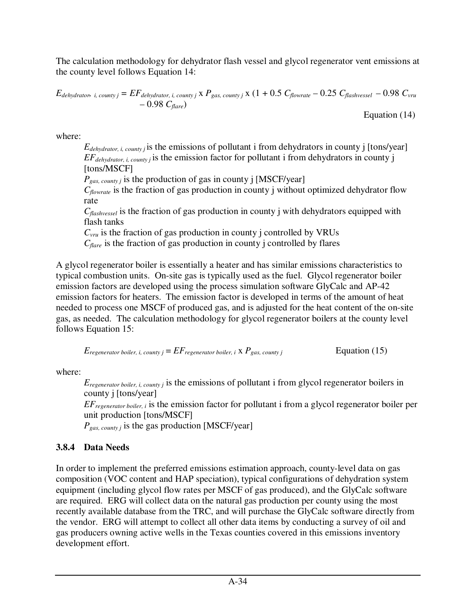The calculation methodology for dehydrator flash vessel and glycol regenerator vent emissions at the county level follows Equation 14:

$$
E_{dehydroth, i, \text{county}j} = EF_{dehydroth, i, \text{county}j} \times P_{gas, \text{county}j} \times (1 + 0.5 \, C_{flowrate} - 0.25 \, C_{flashvessel} - 0.98 \, C_{vru} - 0.98 \, C_{flare})
$$

Equation (14)

where:

*Edehydrator, i, county j* is the emissions of pollutant i from dehydrators in county j [tons/year] *EFdehydrator, i, county j* is the emission factor for pollutant i from dehydrators in county j [tons/MSCF]

*Pgas, county j* is the production of gas in county j [MSCF/year]

*Cflowrate* is the fraction of gas production in county j without optimized dehydrator flow rate

*Cflashvessel* is the fraction of gas production in county j with dehydrators equipped with flash tanks

 $C_{\text{vru}}$  is the fraction of gas production in county j controlled by VRUs

*Cflare* is the fraction of gas production in county j controlled by flares

A glycol regenerator boiler is essentially a heater and has similar emissions characteristics to typical combustion units. On-site gas is typically used as the fuel. Glycol regenerator boiler emission factors are developed using the process simulation software GlyCalc and AP-42 emission factors for heaters. The emission factor is developed in terms of the amount of heat needed to process one MSCF of produced gas, and is adjusted for the heat content of the on-site gas, as needed. The calculation methodology for glycol regenerator boilers at the county level follows Equation 15:

$$
E_{regenerator\,boiler,\,i,\,county\,j} = EF_{regenerator\,boiler,\,i} \times P_{gas,\,county\,j}
$$
  $Equation (15)$ 

where:

*E*<sub>regenerator boiler, i, county *j* is the emissions of pollutant *i* from glycol regenerator boilers in</sub> county j [tons/year]

*EFregenerator boiler, i* is the emission factor for pollutant i from a glycol regenerator boiler per unit production [tons/MSCF]

*Pgas, county j* is the gas production [MSCF/year]

## **3.8.4 Data Needs**

In order to implement the preferred emissions estimation approach, county-level data on gas composition (VOC content and HAP speciation), typical configurations of dehydration system equipment (including glycol flow rates per MSCF of gas produced), and the GlyCalc software are required. ERG will collect data on the natural gas production per county using the most recently available database from the TRC, and will purchase the GlyCalc software directly from the vendor. ERG will attempt to collect all other data items by conducting a survey of oil and gas producers owning active wells in the Texas counties covered in this emissions inventory development effort.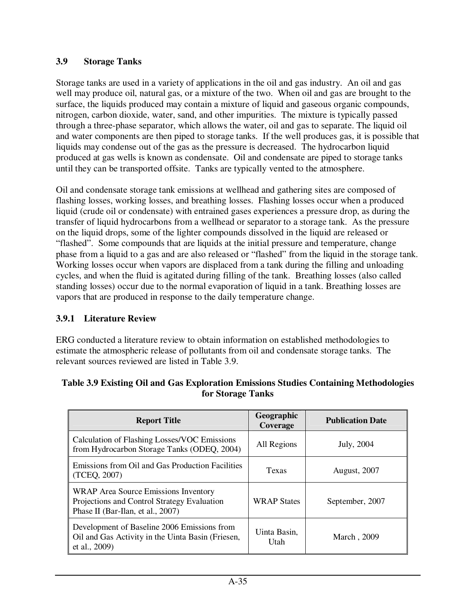#### **3.9 Storage Tanks**

Storage tanks are used in a variety of applications in the oil and gas industry. An oil and gas well may produce oil, natural gas, or a mixture of the two. When oil and gas are brought to the surface, the liquids produced may contain a mixture of liquid and gaseous organic compounds, nitrogen, carbon dioxide, water, sand, and other impurities. The mixture is typically passed through a three-phase separator, which allows the water, oil and gas to separate. The liquid oil and water components are then piped to storage tanks. If the well produces gas, it is possible that liquids may condense out of the gas as the pressure is decreased. The hydrocarbon liquid produced at gas wells is known as condensate.Oil and condensate are piped to storage tanks until they can be transported offsite. Tanks are typically vented to the atmosphere.

Oil and condensate storage tank emissions at wellhead and gathering sites are composed of flashing losses, working losses, and breathing losses. Flashing losses occur when a produced liquid (crude oil or condensate) with entrained gases experiences a pressure drop, as during the transfer of liquid hydrocarbons from a wellhead or separator to a storage tank. As the pressure on the liquid drops, some of the lighter compounds dissolved in the liquid are released or "flashed". Some compounds that are liquids at the initial pressure and temperature, change phase from a liquid to a gas and are also released or "flashed" from the liquid in the storage tank. Working losses occur when vapors are displaced from a tank during the filling and unloading cycles, and when the fluid is agitated during filling of the tank. Breathing losses (also called standing losses) occur due to the normal evaporation of liquid in a tank. Breathing losses are vapors that are produced in response to the daily temperature change.

#### **3.9.1 Literature Review**

ERG conducted a literature review to obtain information on established methodologies to estimate the atmospheric release of pollutants from oil and condensate storage tanks. The relevant sources reviewed are listed in Table 3.9.

| <b>Report Title</b>                                                                                                             | Geographic<br>Coverage | <b>Publication Date</b> |
|---------------------------------------------------------------------------------------------------------------------------------|------------------------|-------------------------|
| Calculation of Flashing Losses/VOC Emissions<br>from Hydrocarbon Storage Tanks (ODEQ, 2004)                                     | All Regions            | July, 2004              |
| Emissions from Oil and Gas Production Facilities<br>(TCEQ, 2007)                                                                | Texas                  | <b>August, 2007</b>     |
| <b>WRAP</b> Area Source Emissions Inventory<br>Projections and Control Strategy Evaluation<br>Phase II (Bar-Ilan, et al., 2007) | <b>WRAP States</b>     | September, 2007         |
| Development of Baseline 2006 Emissions from<br>Oil and Gas Activity in the Uinta Basin (Friesen,<br>et al., 2009)               | Uinta Basin,<br>Utah   | March, 2009             |

#### **Table 3.9 Existing Oil and Gas Exploration Emissions Studies Containing Methodologies for Storage Tanks**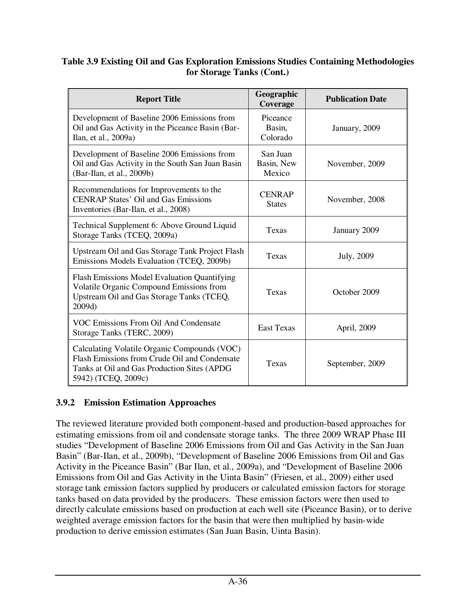#### **Table 3.9 Existing Oil and Gas Exploration Emissions Studies Containing Methodologies for Storage Tanks (Cont.)**

| <b>Report Title</b>                                                                                                                                                 | Geographic<br>Coverage           | <b>Publication Date</b> |
|---------------------------------------------------------------------------------------------------------------------------------------------------------------------|----------------------------------|-------------------------|
| Development of Baseline 2006 Emissions from<br>Oil and Gas Activity in the Piceance Basin (Bar-<br>Ilan, et al., 2009a)                                             | Piceance<br>Basin,<br>Colorado   | January, 2009           |
| Development of Baseline 2006 Emissions from<br>Oil and Gas Activity in the South San Juan Basin<br>(Bar-Ilan, et al., 2009b)                                        | San Juan<br>Basin, New<br>Mexico | November, 2009          |
| Recommendations for Improvements to the<br><b>CENRAP States' Oil and Gas Emissions</b><br>Inventories (Bar-Ilan, et al., 2008)                                      | <b>CENRAP</b><br><b>States</b>   | November, 2008          |
| Technical Supplement 6: Above Ground Liquid<br>Storage Tanks (TCEQ, 2009a)                                                                                          | Texas                            | January 2009            |
| Upstream Oil and Gas Storage Tank Project Flash<br>Emissions Models Evaluation (TCEQ, 2009b)                                                                        | Texas                            | <b>July</b> , 2009      |
| Flash Emissions Model Evaluation Quantifying<br>Volatile Organic Compound Emissions from<br>Upstream Oil and Gas Storage Tanks (TCEQ,<br>2009d)                     | Texas                            | October 2009            |
| <b>VOC Emissions From Oil And Condensate</b><br>Storage Tanks (TERC, 2009)                                                                                          | <b>East Texas</b>                | April, 2009             |
| Calculating Volatile Organic Compounds (VOC)<br>Flash Emissions from Crude Oil and Condensate<br>Tanks at Oil and Gas Production Sites (APDG<br>5942) (TCEQ, 2009c) | Texas                            | September, 2009         |

## **3.9.2 Emission Estimation Approaches**

The reviewed literature provided both component-based and production-based approaches for estimating emissions from oil and condensate storage tanks. The three 2009 WRAP Phase III studies "Development of Baseline 2006 Emissions from Oil and Gas Activity in the San Juan Basin" (Bar-Ilan, et al., 2009b), "Development of Baseline 2006 Emissions from Oil and Gas Activity in the Piceance Basin" (Bar Ilan, et al., 2009a), and "Development of Baseline 2006 Emissions from Oil and Gas Activity in the Uinta Basin" (Friesen, et al., 2009) either used storage tank emission factors supplied by producers or calculated emission factors for storage tanks based on data provided by the producers. These emission factors were then used to directly calculate emissions based on production at each well site (Piceance Basin), or to derive weighted average emission factors for the basin that were then multiplied by basin-wide production to derive emission estimates (San Juan Basin, Uinta Basin).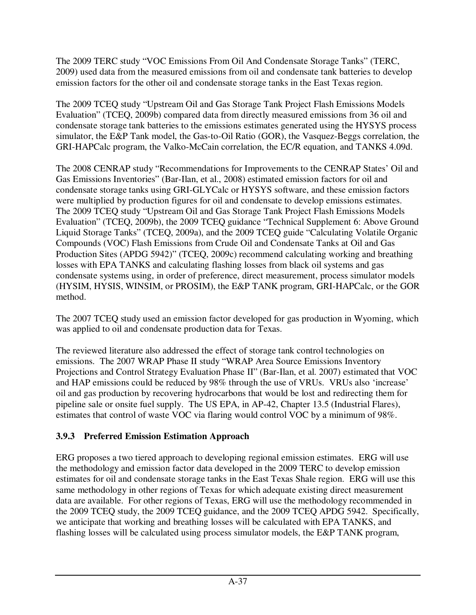The 2009 TERC study "VOC Emissions From Oil And Condensate Storage Tanks" (TERC, 2009) used data from the measured emissions from oil and condensate tank batteries to develop emission factors for the other oil and condensate storage tanks in the East Texas region.

The 2009 TCEQ study "Upstream Oil and Gas Storage Tank Project Flash Emissions Models Evaluation" (TCEQ, 2009b) compared data from directly measured emissions from 36 oil and condensate storage tank batteries to the emissions estimates generated using the HYSYS process simulator, the E&P Tank model, the Gas-to-Oil Ratio (GOR), the Vasquez-Beggs correlation, the GRI-HAPCalc program, the Valko-McCain correlation, the EC/R equation, and TANKS 4.09d.

The 2008 CENRAP study "Recommendations for Improvements to the CENRAP States' Oil and Gas Emissions Inventories" (Bar-Ilan, et al., 2008) estimated emission factors for oil and condensate storage tanks using GRI-GLYCalc or HYSYS software, and these emission factors were multiplied by production figures for oil and condensate to develop emissions estimates. The 2009 TCEQ study "Upstream Oil and Gas Storage Tank Project Flash Emissions Models Evaluation" (TCEQ, 2009b), the 2009 TCEQ guidance "Technical Supplement 6: Above Ground Liquid Storage Tanks" (TCEQ, 2009a), and the 2009 TCEQ guide "Calculating Volatile Organic Compounds (VOC) Flash Emissions from Crude Oil and Condensate Tanks at Oil and Gas Production Sites (APDG 5942)" (TCEQ, 2009c) recommend calculating working and breathing losses with EPA TANKS and calculating flashing losses from black oil systems and gas condensate systems using, in order of preference, direct measurement, process simulator models (HYSIM, HYSIS, WINSIM, or PROSIM), the E&P TANK program, GRI-HAPCalc, or the GOR method.

The 2007 TCEQ study used an emission factor developed for gas production in Wyoming, which was applied to oil and condensate production data for Texas.

The reviewed literature also addressed the effect of storage tank control technologies on emissions. The 2007 WRAP Phase II study "WRAP Area Source Emissions Inventory Projections and Control Strategy Evaluation Phase II" (Bar-Ilan, et al. 2007) estimated that VOC and HAP emissions could be reduced by 98% through the use of VRUs. VRUs also 'increase' oil and gas production by recovering hydrocarbons that would be lost and redirecting them for pipeline sale or onsite fuel supply. The US EPA, in AP-42, Chapter 13.5 (Industrial Flares), estimates that control of waste VOC via flaring would control VOC by a minimum of 98%.

## **3.9.3 Preferred Emission Estimation Approach**

ERG proposes a two tiered approach to developing regional emission estimates. ERG will use the methodology and emission factor data developed in the 2009 TERC to develop emission estimates for oil and condensate storage tanks in the East Texas Shale region. ERG will use this same methodology in other regions of Texas for which adequate existing direct measurement data are available. For other regions of Texas, ERG will use the methodology recommended in the 2009 TCEQ study, the 2009 TCEQ guidance, and the 2009 TCEQ APDG 5942. Specifically, we anticipate that working and breathing losses will be calculated with EPA TANKS, and flashing losses will be calculated using process simulator models, the E&P TANK program,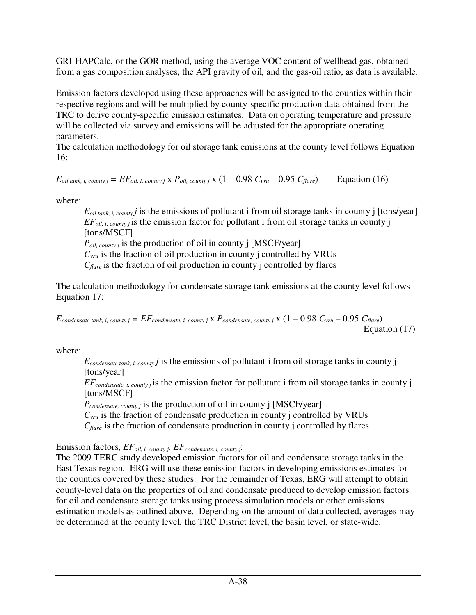GRI-HAPCalc, or the GOR method, using the average VOC content of wellhead gas, obtained from a gas composition analyses, the API gravity of oil, and the gas-oil ratio, as data is available.

Emission factors developed using these approaches will be assigned to the counties within their respective regions and will be multiplied by county-specific production data obtained from the TRC to derive county-specific emission estimates. Data on operating temperature and pressure will be collected via survey and emissions will be adjusted for the appropriate operating parameters.

The calculation methodology for oil storage tank emissions at the county level follows Equation 16:

 $E_{\text{oil tank, i, country}} = EF_{\text{oil, i, country}} \times P_{\text{oil, country}} \times (1 - 0.98 \ C_{\text{vru}} - 0.95 \ C_{\text{flare}})$  Equation (16)

where:

 $E_{\text{oil tank, i, country}}$  *j* is the emissions of pollutant *i* from oil storage tanks in county *j* [tons/year]  $EF_{oil, i, \text{county}}$  is the emission factor for pollutant i from oil storage tanks in county j [tons/MSCF] *Poil, county j* is the production of oil in county j [MSCF/year]  $C_{\text{vru}}$  is the fraction of oil production in county j controlled by VRUs *Cflare* is the fraction of oil production in county j controlled by flares

The calculation methodology for condensate storage tank emissions at the county level follows Equation 17:

 $E_{condensate tank, i, country = EF_{condensate, i, country}$  x  $P_{condensate, country}$  x  $(1 - 0.98 C_{vru} - 0.95 C_{flare})$ Equation (17)

where:

 $E_{condensate tank, i, country}$  *j* is the emissions of pollutant *i* from oil storage tanks in county *j* [tons/year]

*EFcondensate, i, county j* is the emission factor for pollutant i from oil storage tanks in county j [tons/MSCF]

*Pcondensate, county j* is the production of oil in county j [MSCF/year]

 $C_{\text{vru}}$  is the fraction of condensate production in county j controlled by VRUs

*Cflare* is the fraction of condensate production in county j controlled by flares

Emission factors, *EFoil, i, county j, EFcondensate, i, county j*:

The 2009 TERC study developed emission factors for oil and condensate storage tanks in the East Texas region. ERG will use these emission factors in developing emissions estimates for the counties covered by these studies. For the remainder of Texas, ERG will attempt to obtain county-level data on the properties of oil and condensate produced to develop emission factors for oil and condensate storage tanks using process simulation models or other emissions estimation models as outlined above. Depending on the amount of data collected, averages may be determined at the county level, the TRC District level, the basin level, or state-wide.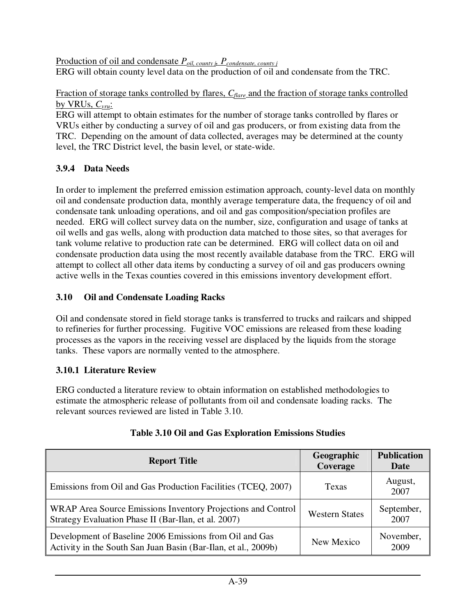Production of oil and condensate *Poil, county j, Pcondensate, county j* ERG will obtain county level data on the production of oil and condensate from the TRC.

Fraction of storage tanks controlled by flares, *Cflare* and the fraction of storage tanks controlled by VRUs, *Cvru*:

ERG will attempt to obtain estimates for the number of storage tanks controlled by flares or VRUs either by conducting a survey of oil and gas producers, or from existing data from the TRC. Depending on the amount of data collected, averages may be determined at the county level, the TRC District level, the basin level, or state-wide.

# **3.9.4 Data Needs**

In order to implement the preferred emission estimation approach, county-level data on monthly oil and condensate production data, monthly average temperature data, the frequency of oil and condensate tank unloading operations, and oil and gas composition/speciation profiles are needed. ERG will collect survey data on the number, size, configuration and usage of tanks at oil wells and gas wells, along with production data matched to those sites, so that averages for tank volume relative to production rate can be determined. ERG will collect data on oil and condensate production data using the most recently available database from the TRC. ERG will attempt to collect all other data items by conducting a survey of oil and gas producers owning active wells in the Texas counties covered in this emissions inventory development effort.

# **3.10 Oil and Condensate Loading Racks**

Oil and condensate stored in field storage tanks is transferred to trucks and railcars and shipped to refineries for further processing. Fugitive VOC emissions are released from these loading processes as the vapors in the receiving vessel are displaced by the liquids from the storage tanks. These vapors are normally vented to the atmosphere.

## **3.10.1 Literature Review**

ERG conducted a literature review to obtain information on established methodologies to estimate the atmospheric release of pollutants from oil and condensate loading racks. The relevant sources reviewed are listed in Table 3.10.

| <b>Report Title</b>                                                                                                       | Geographic<br>Coverage | <b>Publication</b><br>Date |
|---------------------------------------------------------------------------------------------------------------------------|------------------------|----------------------------|
| Emissions from Oil and Gas Production Facilities (TCEQ, 2007)                                                             | Texas                  | August,<br>2007            |
| WRAP Area Source Emissions Inventory Projections and Control<br>Strategy Evaluation Phase II (Bar-Ilan, et al. 2007)      | <b>Western States</b>  | September,<br>2007         |
| Development of Baseline 2006 Emissions from Oil and Gas<br>Activity in the South San Juan Basin (Bar-Ilan, et al., 2009b) | New Mexico             | November,<br>2009          |

# **Table 3.10 Oil and Gas Exploration Emissions Studies**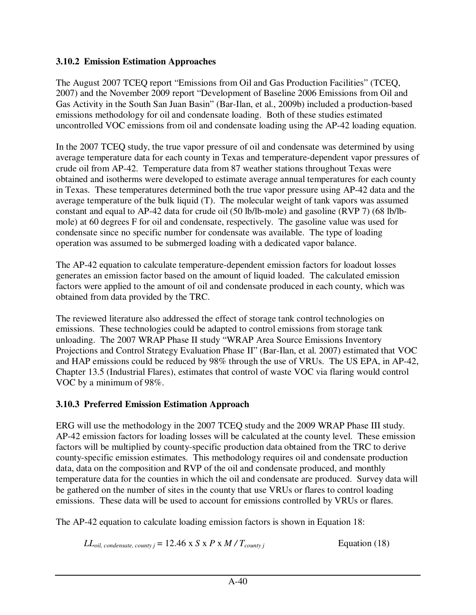#### **3.10.2 Emission Estimation Approaches**

The August 2007 TCEQ report "Emissions from Oil and Gas Production Facilities" (TCEQ, 2007) and the November 2009 report "Development of Baseline 2006 Emissions from Oil and Gas Activity in the South San Juan Basin" (Bar-Ilan, et al., 2009b) included a production-based emissions methodology for oil and condensate loading. Both of these studies estimated uncontrolled VOC emissions from oil and condensate loading using the AP-42 loading equation.

In the 2007 TCEQ study, the true vapor pressure of oil and condensate was determined by using average temperature data for each county in Texas and temperature-dependent vapor pressures of crude oil from AP-42. Temperature data from 87 weather stations throughout Texas were obtained and isotherms were developed to estimate average annual temperatures for each county in Texas. These temperatures determined both the true vapor pressure using AP-42 data and the average temperature of the bulk liquid (T). The molecular weight of tank vapors was assumed constant and equal to AP-42 data for crude oil (50 lb/lb-mole) and gasoline (RVP 7) (68 lb/lbmole) at 60 degrees F for oil and condensate, respectively. The gasoline value was used for condensate since no specific number for condensate was available. The type of loading operation was assumed to be submerged loading with a dedicated vapor balance.

The AP-42 equation to calculate temperature-dependent emission factors for loadout losses generates an emission factor based on the amount of liquid loaded. The calculated emission factors were applied to the amount of oil and condensate produced in each county, which was obtained from data provided by the TRC.

The reviewed literature also addressed the effect of storage tank control technologies on emissions. These technologies could be adapted to control emissions from storage tank unloading. The 2007 WRAP Phase II study "WRAP Area Source Emissions Inventory Projections and Control Strategy Evaluation Phase II" (Bar-Ilan, et al. 2007) estimated that VOC and HAP emissions could be reduced by 98% through the use of VRUs. The US EPA, in AP-42, Chapter 13.5 (Industrial Flares), estimates that control of waste VOC via flaring would control VOC by a minimum of 98%.

## **3.10.3 Preferred Emission Estimation Approach**

ERG will use the methodology in the 2007 TCEQ study and the 2009 WRAP Phase III study. AP-42 emission factors for loading losses will be calculated at the county level. These emission factors will be multiplied by county-specific production data obtained from the TRC to derive county-specific emission estimates. This methodology requires oil and condensate production data, data on the composition and RVP of the oil and condensate produced, and monthly temperature data for the counties in which the oil and condensate are produced. Survey data will be gathered on the number of sites in the county that use VRUs or flares to control loading emissions. These data will be used to account for emissions controlled by VRUs or flares.

The AP-42 equation to calculate loading emission factors is shown in Equation 18:

*LL*<sub>oil, condensate, county  $i = 12.46 \times S \times P \times M / T_{\text{countv}}$  *j* Equation (18)</sub>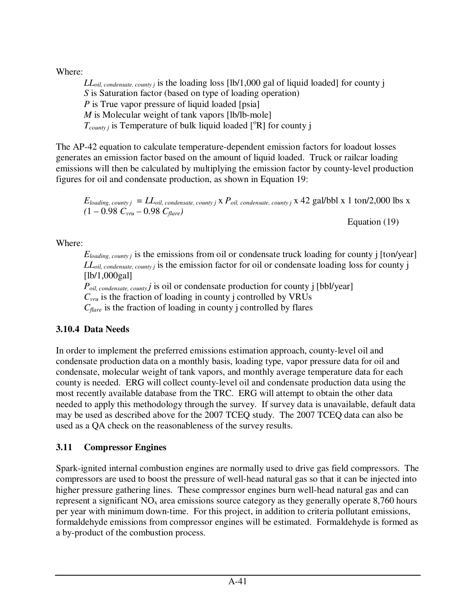Where:

*LLoil, condensate, county j* is the loading loss [lb/1,000 gal of liquid loaded] for county j *S* is Saturation factor (based on type of loading operation) *P* is True vapor pressure of liquid loaded [psia] *M* is Molecular weight of tank vapors [lb/lb-mole]  $T_{\text{countv}}$  is Temperature of bulk liquid loaded  $[{}^{\circ}R]$  for county j

The AP-42 equation to calculate temperature-dependent emission factors for loadout losses generates an emission factor based on the amount of liquid loaded. Truck or railcar loading emissions will then be calculated by multiplying the emission factor by county-level production figures for oil and condensate production, as shown in Equation 19:

 $E_{loading, \textit{county} j} = LL_{oil, \textit{condensate, country} j}$  x  $P_{oil, \textit{condensate, country} j}$  x 42 gal/bbl x 1 ton/2,000 lbs x  $(1 - 0.98 C_{\text{vru}} - 0.98 C_{\text{flare}})$ 

Equation (19)

Where:

*E*<sub>loading, county *j* is the emissions from oil or condensate truck loading for county *j* [ton/year]</sub> *LLoil, condensate, county j* is the emission factor for oil or condensate loading loss for county j  $[lb/1,000 gal]$ 

*Poil, condensate, county j* is oil or condensate production for county j [bbl/year] *Cvru* is the fraction of loading in county j controlled by VRUs *Cflare* is the fraction of loading in county j controlled by flares

# **3.10.4 Data Needs**

In order to implement the preferred emissions estimation approach, county-level oil and condensate production data on a monthly basis, loading type, vapor pressure data for oil and condensate, molecular weight of tank vapors, and monthly average temperature data for each county is needed. ERG will collect county-level oil and condensate production data using the most recently available database from the TRC. ERG will attempt to obtain the other data needed to apply this methodology through the survey. If survey data is unavailable, default data may be used as described above for the 2007 TCEQ study. The 2007 TCEQ data can also be used as a QA check on the reasonableness of the survey results.

# **3.11 Compressor Engines**

Spark-ignited internal combustion engines are normally used to drive gas field compressors. The compressors are used to boost the pressure of well-head natural gas so that it can be injected into higher pressure gathering lines. These compressor engines burn well-head natural gas and can represent a significant  $NO<sub>x</sub>$  area emissions source category as they generally operate 8,760 hours per year with minimum down-time. For this project, in addition to criteria pollutant emissions, formaldehyde emissions from compressor engines will be estimated. Formaldehyde is formed as a by-product of the combustion process.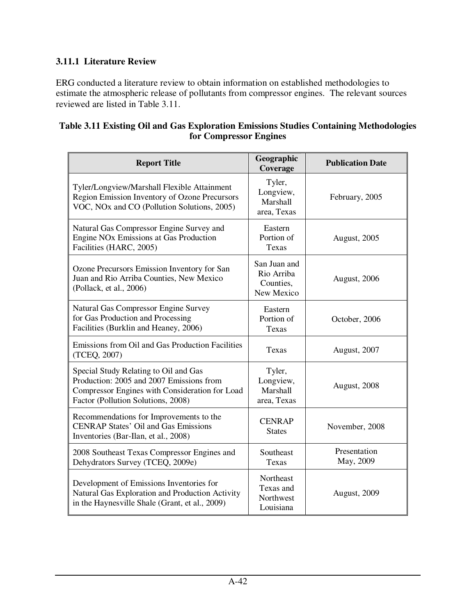## **3.11.1 Literature Review**

ERG conducted a literature review to obtain information on established methodologies to estimate the atmospheric release of pollutants from compressor engines. The relevant sources reviewed are listed in Table 3.11.

#### **Table 3.11 Existing Oil and Gas Exploration Emissions Studies Containing Methodologies for Compressor Engines**

| <b>Report Title</b>                                                                                                                                                       | Geographic<br>Coverage                                | <b>Publication Date</b>   |
|---------------------------------------------------------------------------------------------------------------------------------------------------------------------------|-------------------------------------------------------|---------------------------|
| Tyler/Longview/Marshall Flexible Attainment<br>Region Emission Inventory of Ozone Precursors<br>VOC, NOx and CO (Pollution Solutions, 2005)                               | Tyler,<br>Longview,<br>Marshall<br>area, Texas        | February, 2005            |
| Natural Gas Compressor Engine Survey and<br>Engine NO <sub>x</sub> Emissions at Gas Production<br>Facilities (HARC, 2005)                                                 | Eastern<br>Portion of<br>Texas                        | <b>August, 2005</b>       |
| Ozone Precursors Emission Inventory for San<br>Juan and Rio Arriba Counties, New Mexico<br>(Pollack, et al., 2006)                                                        | San Juan and<br>Rio Arriba<br>Counties,<br>New Mexico | August, 2006              |
| Natural Gas Compressor Engine Survey<br>for Gas Production and Processing<br>Facilities (Burklin and Heaney, 2006)                                                        | Eastern<br>Portion of<br>Texas                        | October, 2006             |
| Emissions from Oil and Gas Production Facilities<br>(TCEQ, 2007)                                                                                                          | <b>Texas</b>                                          | August, 2007              |
| Special Study Relating to Oil and Gas<br>Production: 2005 and 2007 Emissions from<br>Compressor Engines with Consideration for Load<br>Factor (Pollution Solutions, 2008) | Tyler,<br>Longview,<br>Marshall<br>area, Texas        | August, 2008              |
| Recommendations for Improvements to the<br><b>CENRAP States' Oil and Gas Emissions</b><br>Inventories (Bar-Ilan, et al., 2008)                                            | <b>CENRAP</b><br><b>States</b>                        | November, 2008            |
| 2008 Southeast Texas Compressor Engines and<br>Dehydrators Survey (TCEQ, 2009e)                                                                                           | Southeast<br>Texas                                    | Presentation<br>May, 2009 |
| Development of Emissions Inventories for<br>Natural Gas Exploration and Production Activity<br>in the Haynesville Shale (Grant, et al., 2009)                             | Northeast<br>Texas and<br>Northwest<br>Louisiana      | August, 2009              |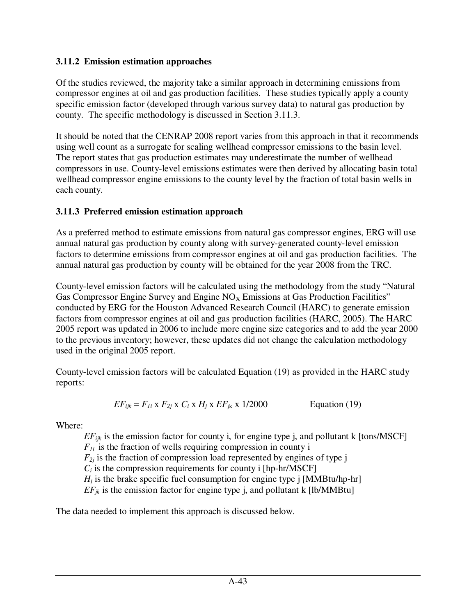#### **3.11.2 Emission estimation approaches**

Of the studies reviewed, the majority take a similar approach in determining emissions from compressor engines at oil and gas production facilities. These studies typically apply a county specific emission factor (developed through various survey data) to natural gas production by county. The specific methodology is discussed in Section 3.11.3.

It should be noted that the CENRAP 2008 report varies from this approach in that it recommends using well count as a surrogate for scaling wellhead compressor emissions to the basin level. The report states that gas production estimates may underestimate the number of wellhead compressors in use. County-level emissions estimates were then derived by allocating basin total wellhead compressor engine emissions to the county level by the fraction of total basin wells in each county.

# **3.11.3 Preferred emission estimation approach**

As a preferred method to estimate emissions from natural gas compressor engines, ERG will use annual natural gas production by county along with survey-generated county-level emission factors to determine emissions from compressor engines at oil and gas production facilities. The annual natural gas production by county will be obtained for the year 2008 from the TRC.

County-level emission factors will be calculated using the methodology from the study "Natural Gas Compressor Engine Survey and Engine  $NO<sub>x</sub>$  Emissions at Gas Production Facilities" conducted by ERG for the Houston Advanced Research Council (HARC) to generate emission factors from compressor engines at oil and gas production facilities (HARC, 2005). The HARC 2005 report was updated in 2006 to include more engine size categories and to add the year 2000 to the previous inventory; however, these updates did not change the calculation methodology used in the original 2005 report.

County-level emission factors will be calculated Equation (19) as provided in the HARC study reports:

$$
EF_{ijk} = F_{1i} \times F_{2j} \times C_i \times H_j \times EF_{jk} \times 1/2000
$$
 Equation (19)

Where:

*EFijk* is the emission factor for county i, for engine type j, and pollutant k [tons/MSCF]  $F_{1i}$  is the fraction of wells requiring compression in county i  $F_{2i}$  is the fraction of compression load represented by engines of type j  $C_i$  is the compression requirements for county i [hp-hr/MSCF]  $H_i$  is the brake specific fuel consumption for engine type  $\mathbf{i}$  [MMBtu/hp-hr]  $EF_{jk}$  is the emission factor for engine type j, and pollutant k [lb/MMBtu]

The data needed to implement this approach is discussed below.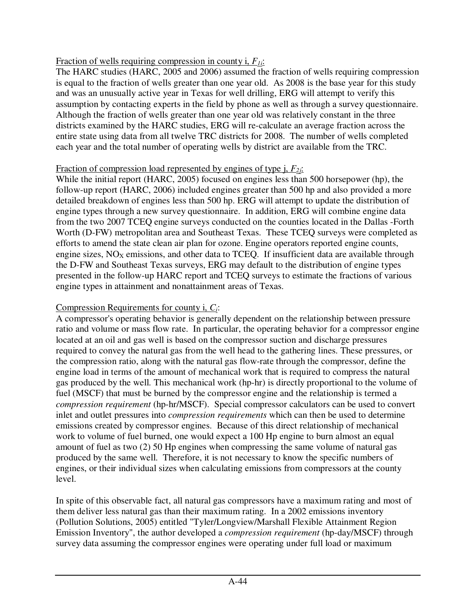#### Fraction of wells requiring compression in county i, *F1i*:

The HARC studies (HARC, 2005 and 2006) assumed the fraction of wells requiring compression is equal to the fraction of wells greater than one year old. As 2008 is the base year for this study and was an unusually active year in Texas for well drilling, ERG will attempt to verify this assumption by contacting experts in the field by phone as well as through a survey questionnaire. Although the fraction of wells greater than one year old was relatively constant in the three districts examined by the HARC studies, ERG will re-calculate an average fraction across the entire state using data from all twelve TRC districts for 2008. The number of wells completed each year and the total number of operating wells by district are available from the TRC.

#### Fraction of compression load represented by engines of type j, *F2j*:

While the initial report (HARC, 2005) focused on engines less than 500 horsepower (hp), the follow-up report (HARC, 2006) included engines greater than 500 hp and also provided a more detailed breakdown of engines less than 500 hp. ERG will attempt to update the distribution of engine types through a new survey questionnaire. In addition, ERG will combine engine data from the two 2007 TCEQ engine surveys conducted on the counties located in the Dallas -Forth Worth (D-FW) metropolitan area and Southeast Texas. These TCEQ surveys were completed as efforts to amend the state clean air plan for ozone. Engine operators reported engine counts, engine sizes,  $NO<sub>x</sub>$  emissions, and other data to TCEQ. If insufficient data are available through the D-FW and Southeast Texas surveys, ERG may default to the distribution of engine types presented in the follow-up HARC report and TCEQ surveys to estimate the fractions of various engine types in attainment and nonattainment areas of Texas.

### Compression Requirements for county i, *Ci*:

A compressor's operating behavior is generally dependent on the relationship between pressure ratio and volume or mass flow rate. In particular, the operating behavior for a compressor engine located at an oil and gas well is based on the compressor suction and discharge pressures required to convey the natural gas from the well head to the gathering lines. These pressures, or the compression ratio, along with the natural gas flow-rate through the compressor, define the engine load in terms of the amount of mechanical work that is required to compress the natural gas produced by the well. This mechanical work (hp-hr) is directly proportional to the volume of fuel (MSCF) that must be burned by the compressor engine and the relationship is termed a *compression requirement* (hp-hr/MSCF). Special compressor calculators can be used to convert inlet and outlet pressures into *compression requirements* which can then be used to determine emissions created by compressor engines. Because of this direct relationship of mechanical work to volume of fuel burned, one would expect a 100 Hp engine to burn almost an equal amount of fuel as two (2) 50 Hp engines when compressing the same volume of natural gas produced by the same well. Therefore, it is not necessary to know the specific numbers of engines, or their individual sizes when calculating emissions from compressors at the county level.

In spite of this observable fact, all natural gas compressors have a maximum rating and most of them deliver less natural gas than their maximum rating. In a 2002 emissions inventory (Pollution Solutions, 2005) entitled "Tyler/Longview/Marshall Flexible Attainment Region Emission Inventory", the author developed a *compression requirement* (hp-day/MSCF) through survey data assuming the compressor engines were operating under full load or maximum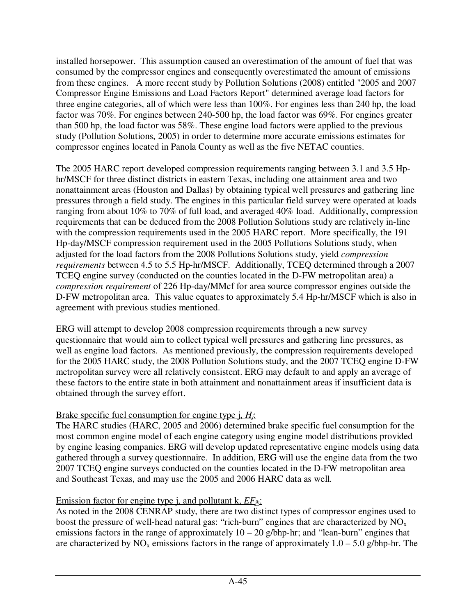installed horsepower. This assumption caused an overestimation of the amount of fuel that was consumed by the compressor engines and consequently overestimated the amount of emissions from these engines. A more recent study by Pollution Solutions (2008) entitled "2005 and 2007 Compressor Engine Emissions and Load Factors Report" determined average load factors for three engine categories, all of which were less than 100%. For engines less than 240 hp, the load factor was 70%. For engines between 240-500 hp, the load factor was 69%. For engines greater than 500 hp, the load factor was 58%. These engine load factors were applied to the previous study (Pollution Solutions, 2005) in order to determine more accurate emissions estimates for compressor engines located in Panola County as well as the five NETAC counties.

The 2005 HARC report developed compression requirements ranging between 3.1 and 3.5 Hphr/MSCF for three distinct districts in eastern Texas, including one attainment area and two nonattainment areas (Houston and Dallas) by obtaining typical well pressures and gathering line pressures through a field study. The engines in this particular field survey were operated at loads ranging from about 10% to 70% of full load, and averaged 40% load. Additionally, compression requirements that can be deduced from the 2008 Pollution Solutions study are relatively in-line with the compression requirements used in the 2005 HARC report. More specifically, the 191 Hp-day/MSCF compression requirement used in the 2005 Pollutions Solutions study, when adjusted for the load factors from the 2008 Pollutions Solutions study, yield *compression requirements* between 4.5 to 5.5 Hp-hr/MSCF. Additionally, TCEQ determined through a 2007 TCEQ engine survey (conducted on the counties located in the D-FW metropolitan area) a *compression requirement* of 226 Hp-day/MMcf for area source compressor engines outside the D-FW metropolitan area. This value equates to approximately 5.4 Hp-hr/MSCF which is also in agreement with previous studies mentioned.

ERG will attempt to develop 2008 compression requirements through a new survey questionnaire that would aim to collect typical well pressures and gathering line pressures, as well as engine load factors. As mentioned previously, the compression requirements developed for the 2005 HARC study, the 2008 Pollution Solutions study, and the 2007 TCEQ engine D-FW metropolitan survey were all relatively consistent. ERG may default to and apply an average of these factors to the entire state in both attainment and nonattainment areas if insufficient data is obtained through the survey effort.

## Brake specific fuel consumption for engine type j, *Hj*:

The HARC studies (HARC, 2005 and 2006) determined brake specific fuel consumption for the most common engine model of each engine category using engine model distributions provided by engine leasing companies. ERG will develop updated representative engine models using data gathered through a survey questionnaire. In addition, ERG will use the engine data from the two 2007 TCEQ engine surveys conducted on the counties located in the D-FW metropolitan area and Southeast Texas, and may use the 2005 and 2006 HARC data as well.

## Emission factor for engine type j, and pollutant k, *EFjk*:

As noted in the 2008 CENRAP study, there are two distinct types of compressor engines used to boost the pressure of well-head natural gas: "rich-burn" engines that are characterized by  $NO<sub>x</sub>$ emissions factors in the range of approximately  $10 - 20$  g/bhp-hr; and "lean-burn" engines that are characterized by  $NO_x$  emissions factors in the range of approximately  $1.0 - 5.0$  g/bhp-hr. The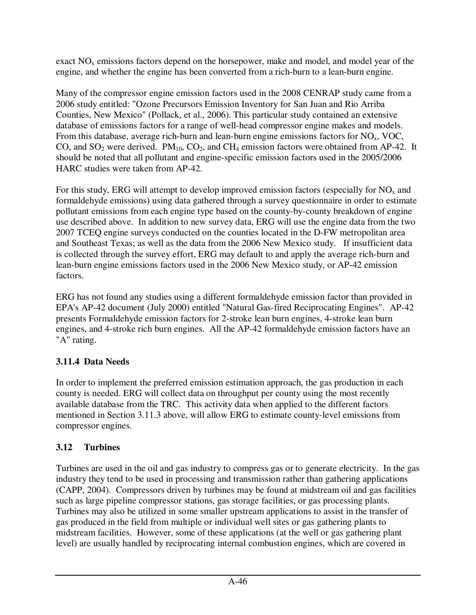exact  $NO<sub>x</sub>$  emissions factors depend on the horsepower, make and model, and model year of the engine, and whether the engine has been converted from a rich-burn to a lean-burn engine.

Many of the compressor engine emission factors used in the 2008 CENRAP study came from a 2006 study entitled: "Ozone Precursors Emission Inventory for San Juan and Rio Arriba Counties, New Mexico" (Pollack, et al., 2006). This particular study contained an extensive database of emissions factors for a range of well-head compressor engine makes and models. From this database, average rich-burn and lean-burn engine emissions factors for  $NO<sub>x</sub>$ , VOC, CO, and  $SO_2$  were derived.  $PM_{10}$ ,  $CO_2$ , and  $CH_4$  emission factors were obtained from AP-42. It should be noted that all pollutant and engine-specific emission factors used in the 2005/2006 HARC studies were taken from AP-42.

For this study, ERG will attempt to develop improved emission factors (especially for  $NO<sub>x</sub>$  and formaldehyde emissions) using data gathered through a survey questionnaire in order to estimate pollutant emissions from each engine type based on the county-by-county breakdown of engine use described above. In addition to new survey data, ERG will use the engine data from the two 2007 TCEQ engine surveys conducted on the counties located in the D-FW metropolitan area and Southeast Texas; as well as the data from the 2006 New Mexico study. If insufficient data is collected through the survey effort, ERG may default to and apply the average rich-burn and lean-burn engine emissions factors used in the 2006 New Mexico study, or AP-42 emission factors.

ERG has not found any studies using a different formaldehyde emission factor than provided in EPA's AP-42 document (July 2000) entitled "Natural Gas-fired Reciprocating Engines". AP-42 presents Formaldehyde emission factors for 2-stroke lean burn engines, 4-stroke lean burn engines, and 4-stroke rich burn engines. All the AP-42 formaldehyde emission factors have an "A" rating.

# **3.11.4 Data Needs**

In order to implement the preferred emission estimation approach, the gas production in each county is needed. ERG will collect data on throughput per county using the most recently available database from the TRC. This activity data when applied to the different factors mentioned in Section 3.11.3 above, will allow ERG to estimate county-level emissions from compressor engines.

# **3.12 Turbines**

Turbines are used in the oil and gas industry to compress gas or to generate electricity. In the gas industry they tend to be used in processing and transmission rather than gathering applications (CAPP, 2004). Compressors driven by turbines may be found at midstream oil and gas facilities such as large pipeline compressor stations, gas storage facilities, or gas processing plants. Turbines may also be utilized in some smaller upstream applications to assist in the transfer of gas produced in the field from multiple or individual well sites or gas gathering plants to midstream facilities. However, some of these applications (at the well or gas gathering plant level) are usually handled by reciprocating internal combustion engines, which are covered in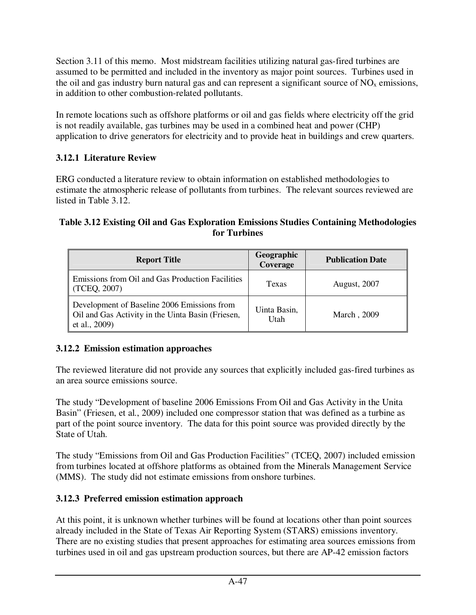Section 3.11 of this memo. Most midstream facilities utilizing natural gas-fired turbines are assumed to be permitted and included in the inventory as major point sources. Turbines used in the oil and gas industry burn natural gas and can represent a significant source of  $NO<sub>x</sub>$  emissions, in addition to other combustion-related pollutants.

In remote locations such as offshore platforms or oil and gas fields where electricity off the grid is not readily available, gas turbines may be used in a combined heat and power (CHP) application to drive generators for electricity and to provide heat in buildings and crew quarters.

# **3.12.1 Literature Review**

ERG conducted a literature review to obtain information on established methodologies to estimate the atmospheric release of pollutants from turbines. The relevant sources reviewed are listed in Table 3.12.

#### **Table 3.12 Existing Oil and Gas Exploration Emissions Studies Containing Methodologies for Turbines**

| <b>Report Title</b>                                                                                               | Geographic<br>Coverage | <b>Publication Date</b> |
|-------------------------------------------------------------------------------------------------------------------|------------------------|-------------------------|
| Emissions from Oil and Gas Production Facilities<br>(TCEQ, 2007)                                                  | Texas                  | <b>August, 2007</b>     |
| Development of Baseline 2006 Emissions from<br>Oil and Gas Activity in the Uinta Basin (Friesen,<br>et al., 2009) | Uinta Basin,<br>Utah   | March, 2009             |

#### **3.12.2 Emission estimation approaches**

The reviewed literature did not provide any sources that explicitly included gas-fired turbines as an area source emissions source.

The study "Development of baseline 2006 Emissions From Oil and Gas Activity in the Unita Basin" (Friesen, et al., 2009) included one compressor station that was defined as a turbine as part of the point source inventory. The data for this point source was provided directly by the State of Utah.

The study "Emissions from Oil and Gas Production Facilities" (TCEQ, 2007) included emission from turbines located at offshore platforms as obtained from the Minerals Management Service (MMS). The study did not estimate emissions from onshore turbines.

## **3.12.3 Preferred emission estimation approach**

At this point, it is unknown whether turbines will be found at locations other than point sources already included in the State of Texas Air Reporting System (STARS) emissions inventory. There are no existing studies that present approaches for estimating area sources emissions from turbines used in oil and gas upstream production sources, but there are AP-42 emission factors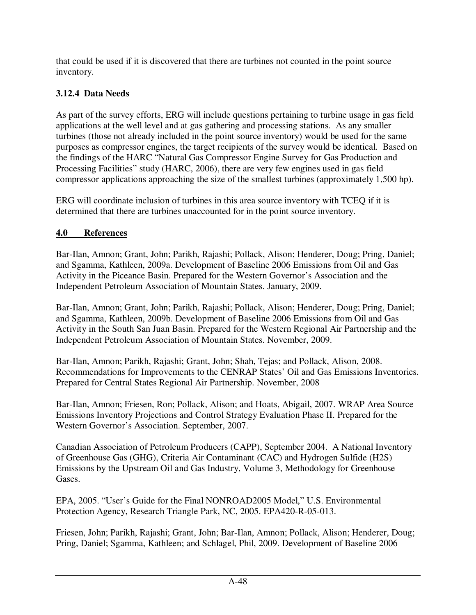that could be used if it is discovered that there are turbines not counted in the point source inventory.

# **3.12.4 Data Needs**

As part of the survey efforts, ERG will include questions pertaining to turbine usage in gas field applications at the well level and at gas gathering and processing stations. As any smaller turbines (those not already included in the point source inventory) would be used for the same purposes as compressor engines, the target recipients of the survey would be identical. Based on the findings of the HARC "Natural Gas Compressor Engine Survey for Gas Production and Processing Facilities" study (HARC, 2006), there are very few engines used in gas field compressor applications approaching the size of the smallest turbines (approximately 1,500 hp).

ERG will coordinate inclusion of turbines in this area source inventory with TCEQ if it is determined that there are turbines unaccounted for in the point source inventory.

# **4.0 References**

Bar-Ilan, Amnon; Grant, John; Parikh, Rajashi; Pollack, Alison; Henderer, Doug; Pring, Daniel; and Sgamma, Kathleen, 2009a. Development of Baseline 2006 Emissions from Oil and Gas Activity in the Piceance Basin. Prepared for the Western Governor's Association and the Independent Petroleum Association of Mountain States. January, 2009.

Bar-Ilan, Amnon; Grant, John; Parikh, Rajashi; Pollack, Alison; Henderer, Doug; Pring, Daniel; and Sgamma, Kathleen, 2009b. Development of Baseline 2006 Emissions from Oil and Gas Activity in the South San Juan Basin. Prepared for the Western Regional Air Partnership and the Independent Petroleum Association of Mountain States. November, 2009.

Bar-Ilan, Amnon; Parikh, Rajashi; Grant, John; Shah, Tejas; and Pollack, Alison, 2008. Recommendations for Improvements to the CENRAP States' Oil and Gas Emissions Inventories. Prepared for Central States Regional Air Partnership. November, 2008

Bar-Ilan, Amnon; Friesen, Ron; Pollack, Alison; and Hoats, Abigail, 2007. WRAP Area Source Emissions Inventory Projections and Control Strategy Evaluation Phase II. Prepared for the Western Governor's Association. September, 2007.

Canadian Association of Petroleum Producers (CAPP), September 2004. A National Inventory of Greenhouse Gas (GHG), Criteria Air Contaminant (CAC) and Hydrogen Sulfide (H2S) Emissions by the Upstream Oil and Gas Industry, Volume 3, Methodology for Greenhouse Gases.

EPA, 2005. "User's Guide for the Final NONROAD2005 Model," U.S. Environmental Protection Agency, Research Triangle Park, NC, 2005. EPA420-R-05-013.

Friesen, John; Parikh, Rajashi; Grant, John; Bar-Ilan, Amnon; Pollack, Alison; Henderer, Doug; Pring, Daniel; Sgamma, Kathleen; and Schlagel, Phil, 2009. Development of Baseline 2006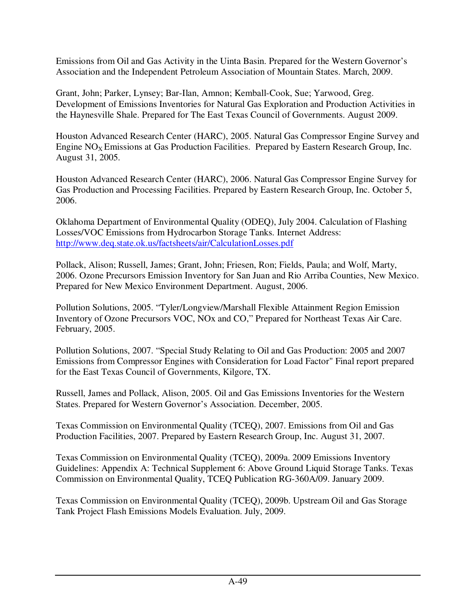Emissions from Oil and Gas Activity in the Uinta Basin. Prepared for the Western Governor's Association and the Independent Petroleum Association of Mountain States. March, 2009.

Grant, John; Parker, Lynsey; Bar-Ilan, Amnon; Kemball-Cook, Sue; Yarwood, Greg. Development of Emissions Inventories for Natural Gas Exploration and Production Activities in the Haynesville Shale. Prepared for The East Texas Council of Governments. August 2009.

Houston Advanced Research Center (HARC), 2005. Natural Gas Compressor Engine Survey and Engine  $NO<sub>x</sub>$  Emissions at Gas Production Facilities. Prepared by Eastern Research Group, Inc. August 31, 2005.

Houston Advanced Research Center (HARC), 2006. Natural Gas Compressor Engine Survey for Gas Production and Processing Facilities. Prepared by Eastern Research Group, Inc. October 5, 2006.

Oklahoma Department of Environmental Quality (ODEQ), July 2004. Calculation of Flashing Losses/VOC Emissions from Hydrocarbon Storage Tanks. Internet Address: http://www.deq.state.ok.us/factsheets/air/CalculationLosses.pdf

Pollack, Alison; Russell, James; Grant, John; Friesen, Ron; Fields, Paula; and Wolf, Marty, 2006. Ozone Precursors Emission Inventory for San Juan and Rio Arriba Counties, New Mexico. Prepared for New Mexico Environment Department. August, 2006.

Pollution Solutions, 2005. "Tyler/Longview/Marshall Flexible Attainment Region Emission Inventory of Ozone Precursors VOC, NOx and CO," Prepared for Northeast Texas Air Care. February, 2005.

Pollution Solutions, 2007. "Special Study Relating to Oil and Gas Production: 2005 and 2007 Emissions from Compressor Engines with Consideration for Load Factor" Final report prepared for the East Texas Council of Governments, Kilgore, TX.

Russell, James and Pollack, Alison, 2005. Oil and Gas Emissions Inventories for the Western States. Prepared for Western Governor's Association. December, 2005.

Texas Commission on Environmental Quality (TCEQ), 2007. Emissions from Oil and Gas Production Facilities, 2007. Prepared by Eastern Research Group, Inc. August 31, 2007.

Texas Commission on Environmental Quality (TCEQ), 2009a. 2009 Emissions Inventory Guidelines: Appendix A: Technical Supplement 6: Above Ground Liquid Storage Tanks. Texas Commission on Environmental Quality, TCEQ Publication RG-360A/09. January 2009.

Texas Commission on Environmental Quality (TCEQ), 2009b. Upstream Oil and Gas Storage Tank Project Flash Emissions Models Evaluation. July, 2009.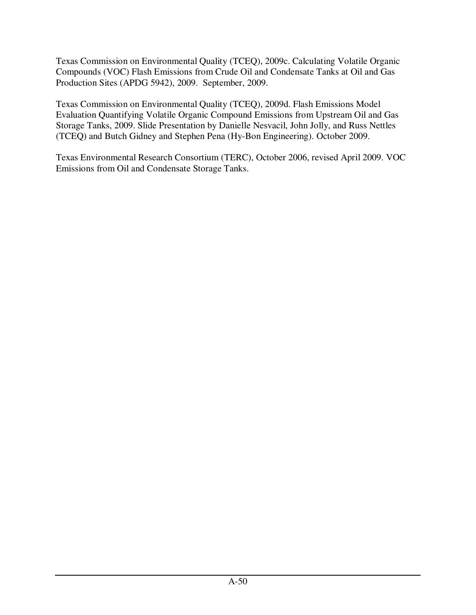Texas Commission on Environmental Quality (TCEQ), 2009c. Calculating Volatile Organic Compounds (VOC) Flash Emissions from Crude Oil and Condensate Tanks at Oil and Gas Production Sites (APDG 5942), 2009. September, 2009.

Texas Commission on Environmental Quality (TCEQ), 2009d. Flash Emissions Model Evaluation Quantifying Volatile Organic Compound Emissions from Upstream Oil and Gas Storage Tanks, 2009. Slide Presentation by Danielle Nesvacil, John Jolly, and Russ Nettles (TCEQ) and Butch Gidney and Stephen Pena (Hy-Bon Engineering). October 2009.

Texas Environmental Research Consortium (TERC), October 2006, revised April 2009. VOC Emissions from Oil and Condensate Storage Tanks.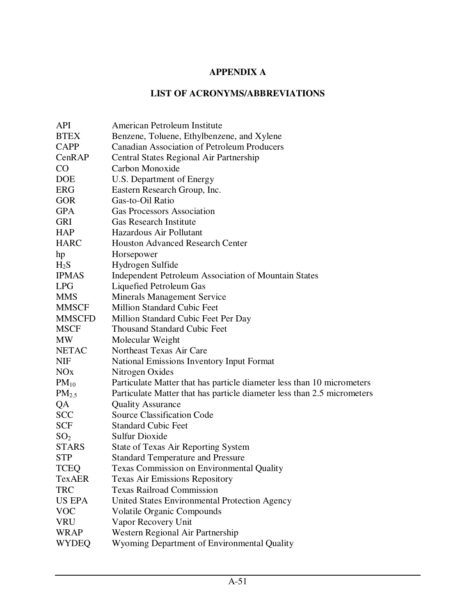# **APPENDIX A**

#### **LIST OF ACRONYMS/ABBREVIATIONS**

| <b>API</b>      | American Petroleum Institute                                            |
|-----------------|-------------------------------------------------------------------------|
| <b>BTEX</b>     | Benzene, Toluene, Ethylbenzene, and Xylene                              |
| <b>CAPP</b>     | <b>Canadian Association of Petroleum Producers</b>                      |
| CenRAP          | Central States Regional Air Partnership                                 |
| $\rm CO$        | Carbon Monoxide                                                         |
| <b>DOE</b>      | U.S. Department of Energy                                               |
| <b>ERG</b>      | Eastern Research Group, Inc.                                            |
| <b>GOR</b>      | Gas-to-Oil Ratio                                                        |
| <b>GPA</b>      | <b>Gas Processors Association</b>                                       |
| <b>GRI</b>      | <b>Gas Research Institute</b>                                           |
| <b>HAP</b>      | Hazardous Air Pollutant                                                 |
| <b>HARC</b>     | <b>Houston Advanced Research Center</b>                                 |
| hp              | Horsepower                                                              |
| $H_2S$          | Hydrogen Sulfide                                                        |
| <b>IPMAS</b>    | <b>Independent Petroleum Association of Mountain States</b>             |
| <b>LPG</b>      | Liquefied Petroleum Gas                                                 |
| <b>MMS</b>      | <b>Minerals Management Service</b>                                      |
| <b>MMSCF</b>    | <b>Million Standard Cubic Feet</b>                                      |
| <b>MMSCFD</b>   | Million Standard Cubic Feet Per Day                                     |
| <b>MSCF</b>     | <b>Thousand Standard Cubic Feet</b>                                     |
| <b>MW</b>       | Molecular Weight                                                        |
| <b>NETAC</b>    | Northeast Texas Air Care                                                |
| <b>NIF</b>      | <b>National Emissions Inventory Input Format</b>                        |
| NOx             | Nitrogen Oxides                                                         |
| $PM_{10}$       | Particulate Matter that has particle diameter less than 10 micrometers  |
| $PM_{2.5}$      | Particulate Matter that has particle diameter less than 2.5 micrometers |
| QA              | <b>Quality Assurance</b>                                                |
| <b>SCC</b>      | <b>Source Classification Code</b>                                       |
| <b>SCF</b>      | <b>Standard Cubic Feet</b>                                              |
| SO <sub>2</sub> | Sulfur Dioxide                                                          |
| <b>STARS</b>    | State of Texas Air Reporting System                                     |
| <b>STP</b>      | <b>Standard Temperature and Pressure</b>                                |
| <b>TCEQ</b>     | <b>Texas Commission on Environmental Quality</b>                        |
| <b>TexAER</b>   | <b>Texas Air Emissions Repository</b>                                   |
| <b>TRC</b>      | <b>Texas Railroad Commission</b>                                        |
| US EPA          | United States Environmental Protection Agency                           |
| <b>VOC</b>      | <b>Volatile Organic Compounds</b>                                       |
| <b>VRU</b>      | Vapor Recovery Unit                                                     |
| <b>WRAP</b>     | Western Regional Air Partnership                                        |
| <b>WYDEQ</b>    | Wyoming Department of Environmental Quality                             |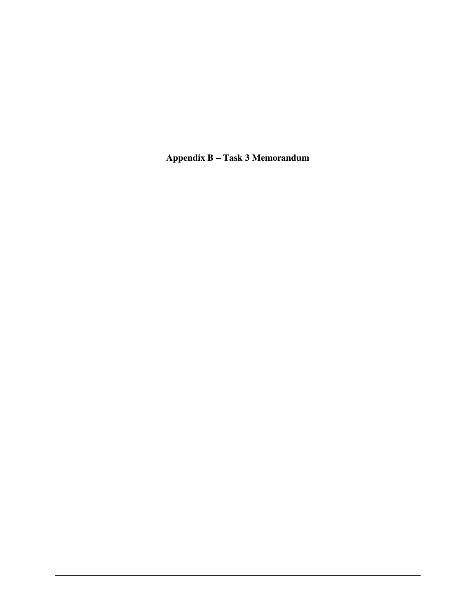**Appendix B – Task 3 Memorandum**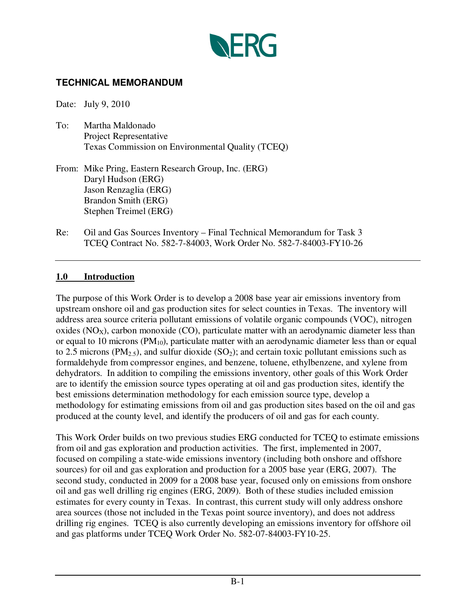

## **TECHNICAL MEMORANDUM**

Date: July 9, 2010

- To: Martha Maldonado Project Representative Texas Commission on Environmental Quality (TCEQ)
- From: Mike Pring, Eastern Research Group, Inc. (ERG) Daryl Hudson (ERG) Jason Renzaglia (ERG) Brandon Smith (ERG) Stephen Treimel (ERG)
- Re: Oil and Gas Sources Inventory Final Technical Memorandum for Task 3 TCEQ Contract No. 582-7-84003, Work Order No. 582-7-84003-FY10-26

#### **1.0 Introduction**

The purpose of this Work Order is to develop a 2008 base year air emissions inventory from upstream onshore oil and gas production sites for select counties in Texas. The inventory will address area source criteria pollutant emissions of volatile organic compounds (VOC), nitrogen oxides ( $NO<sub>X</sub>$ ), carbon monoxide (CO), particulate matter with an aerodynamic diameter less than or equal to 10 microns ( $PM_{10}$ ), particulate matter with an aerodynamic diameter less than or equal to 2.5 microns (PM<sub>2.5</sub>), and sulfur dioxide (SO<sub>2</sub>); and certain toxic pollutant emissions such as formaldehyde from compressor engines, and benzene, toluene, ethylbenzene, and xylene from dehydrators. In addition to compiling the emissions inventory, other goals of this Work Order are to identify the emission source types operating at oil and gas production sites, identify the best emissions determination methodology for each emission source type, develop a methodology for estimating emissions from oil and gas production sites based on the oil and gas produced at the county level, and identify the producers of oil and gas for each county.

This Work Order builds on two previous studies ERG conducted for TCEQ to estimate emissions from oil and gas exploration and production activities. The first, implemented in 2007, focused on compiling a state-wide emissions inventory (including both onshore and offshore sources) for oil and gas exploration and production for a 2005 base year (ERG, 2007). The second study, conducted in 2009 for a 2008 base year, focused only on emissions from onshore oil and gas well drilling rig engines (ERG, 2009). Both of these studies included emission estimates for every county in Texas. In contrast, this current study will only address onshore area sources (those not included in the Texas point source inventory), and does not address drilling rig engines. TCEQ is also currently developing an emissions inventory for offshore oil and gas platforms under TCEQ Work Order No. 582-07-84003-FY10-25.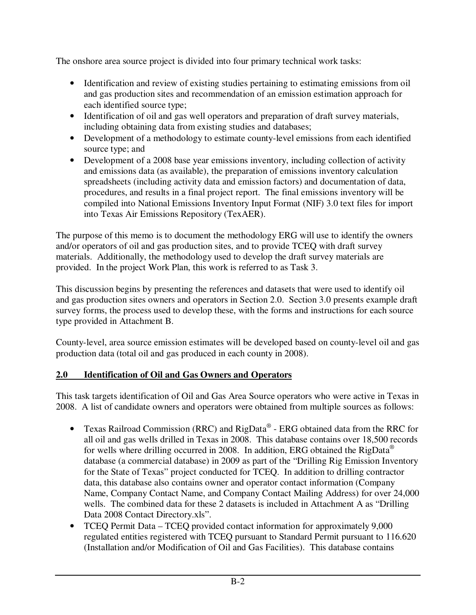The onshore area source project is divided into four primary technical work tasks:

- Identification and review of existing studies pertaining to estimating emissions from oil and gas production sites and recommendation of an emission estimation approach for each identified source type;
- Identification of oil and gas well operators and preparation of draft survey materials, including obtaining data from existing studies and databases;
- Development of a methodology to estimate county-level emissions from each identified source type; and
- Development of a 2008 base year emissions inventory, including collection of activity and emissions data (as available), the preparation of emissions inventory calculation spreadsheets (including activity data and emission factors) and documentation of data, procedures, and results in a final project report. The final emissions inventory will be compiled into National Emissions Inventory Input Format (NIF) 3.0 text files for import into Texas Air Emissions Repository (TexAER).

The purpose of this memo is to document the methodology ERG will use to identify the owners and/or operators of oil and gas production sites, and to provide TCEQ with draft survey materials. Additionally, the methodology used to develop the draft survey materials are provided. In the project Work Plan, this work is referred to as Task 3.

This discussion begins by presenting the references and datasets that were used to identify oil and gas production sites owners and operators in Section 2.0. Section 3.0 presents example draft survey forms, the process used to develop these, with the forms and instructions for each source type provided in Attachment B.

County-level, area source emission estimates will be developed based on county-level oil and gas production data (total oil and gas produced in each county in 2008).

## **2.0 Identification of Oil and Gas Owners and Operators**

This task targets identification of Oil and Gas Area Source operators who were active in Texas in 2008. A list of candidate owners and operators were obtained from multiple sources as follows:

- Texas Railroad Commission (RRC) and RigData® ERG obtained data from the RRC for all oil and gas wells drilled in Texas in 2008. This database contains over 18,500 records for wells where drilling occurred in 2008. In addition, ERG obtained the RigData<sup>®</sup> database (a commercial database) in 2009 as part of the "Drilling Rig Emission Inventory for the State of Texas" project conducted for TCEQ. In addition to drilling contractor data, this database also contains owner and operator contact information (Company Name, Company Contact Name, and Company Contact Mailing Address) for over 24,000 wells. The combined data for these 2 datasets is included in Attachment A as "Drilling Data 2008 Contact Directory.xls".
- TCEO Permit Data TCEO provided contact information for approximately 9,000 regulated entities registered with TCEQ pursuant to Standard Permit pursuant to 116.620 (Installation and/or Modification of Oil and Gas Facilities). This database contains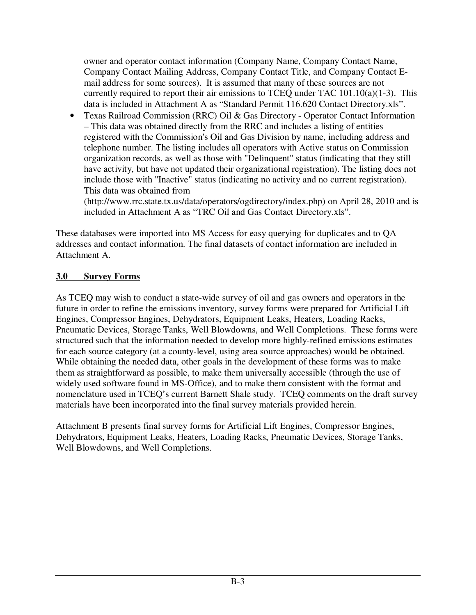owner and operator contact information (Company Name, Company Contact Name, Company Contact Mailing Address, Company Contact Title, and Company Contact Email address for some sources). It is assumed that many of these sources are not currently required to report their air emissions to TCEQ under TAC 101.10(a)(1-3). This data is included in Attachment A as "Standard Permit 116.620 Contact Directory.xls".

• Texas Railroad Commission (RRC) Oil & Gas Directory - Operator Contact Information – This data was obtained directly from the RRC and includes a listing of entities registered with the Commission's Oil and Gas Division by name, including address and telephone number. The listing includes all operators with Active status on Commission organization records, as well as those with "Delinquent" status (indicating that they still have activity, but have not updated their organizational registration). The listing does not include those with "Inactive" status (indicating no activity and no current registration). This data was obtained from

(http://www.rrc.state.tx.us/data/operators/ogdirectory/index.php) on April 28, 2010 and is included in Attachment A as "TRC Oil and Gas Contact Directory.xls".

These databases were imported into MS Access for easy querying for duplicates and to QA addresses and contact information. The final datasets of contact information are included in Attachment A.

#### **3.0 Survey Forms**

As TCEQ may wish to conduct a state-wide survey of oil and gas owners and operators in the future in order to refine the emissions inventory, survey forms were prepared for Artificial Lift Engines, Compressor Engines, Dehydrators, Equipment Leaks, Heaters, Loading Racks, Pneumatic Devices, Storage Tanks, Well Blowdowns, and Well Completions. These forms were structured such that the information needed to develop more highly-refined emissions estimates for each source category (at a county-level, using area source approaches) would be obtained. While obtaining the needed data, other goals in the development of these forms was to make them as straightforward as possible, to make them universally accessible (through the use of widely used software found in MS-Office), and to make them consistent with the format and nomenclature used in TCEQ's current Barnett Shale study. TCEQ comments on the draft survey materials have been incorporated into the final survey materials provided herein.

Attachment B presents final survey forms for Artificial Lift Engines, Compressor Engines, Dehydrators, Equipment Leaks, Heaters, Loading Racks, Pneumatic Devices, Storage Tanks, Well Blowdowns, and Well Completions.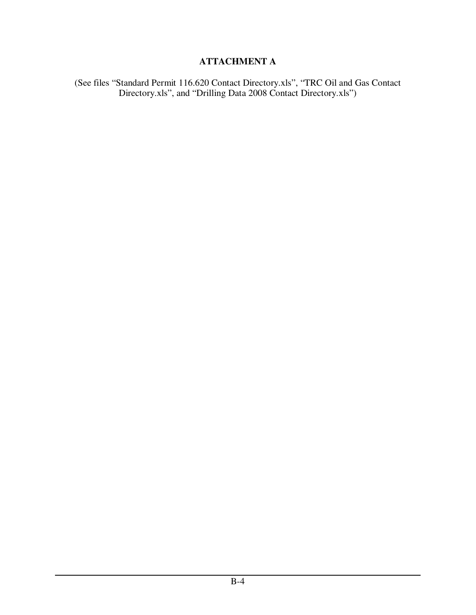# **ATTACHMENT A**

(See files "Standard Permit 116.620 Contact Directory.xls", "TRC Oil and Gas Contact Directory.xls", and "Drilling Data 2008 Contact Directory.xls")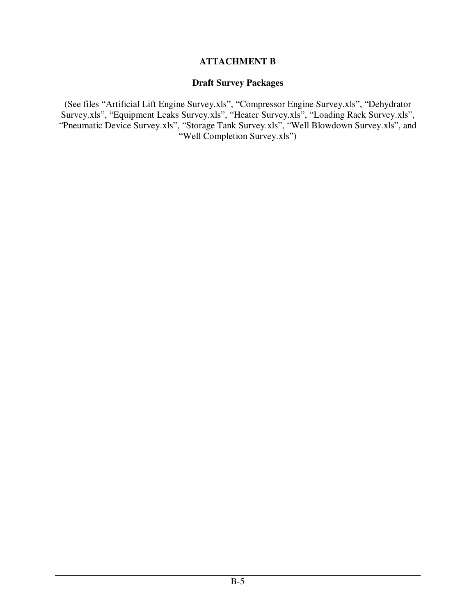#### **ATTACHMENT B**

#### **Draft Survey Packages**

(See files "Artificial Lift Engine Survey.xls", "Compressor Engine Survey.xls", "Dehydrator Survey.xls", "Equipment Leaks Survey.xls", "Heater Survey.xls", "Loading Rack Survey.xls", "Pneumatic Device Survey.xls", "Storage Tank Survey.xls", "Well Blowdown Survey.xls", and "Well Completion Survey.xls")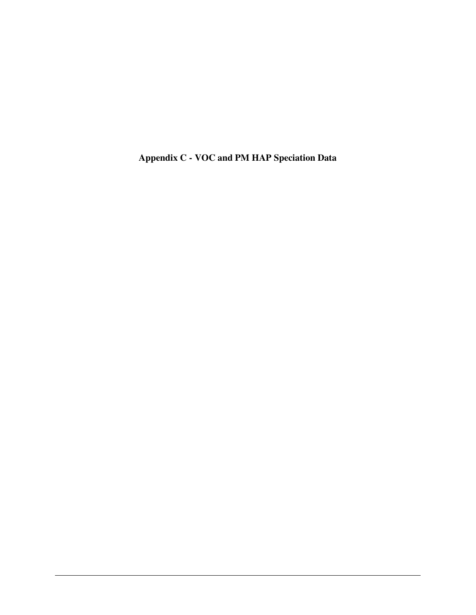**Appendix C - VOC and PM HAP Speciation Data**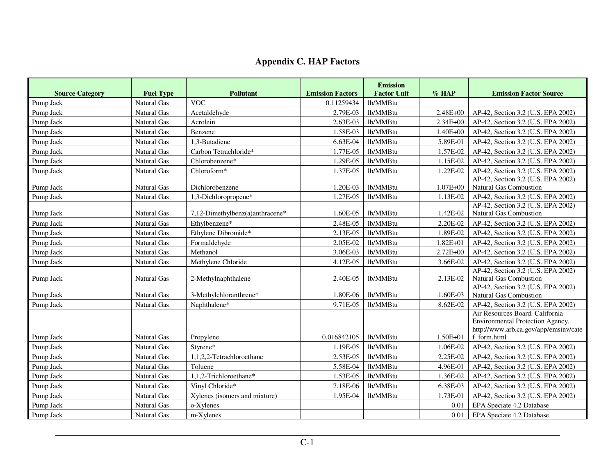#### **Appendix C. HAP Factors**

| <b>Source Category</b> | <b>Fuel Type</b>   | <b>Pollutant</b>                | <b>Emission Factors</b> | <b>Emission</b><br><b>Factor Unit</b> | $%$ HAP      | <b>Emission Factor Source</b>                                                                                               |
|------------------------|--------------------|---------------------------------|-------------------------|---------------------------------------|--------------|-----------------------------------------------------------------------------------------------------------------------------|
| Pump Jack              | Natural Gas        | <b>VOC</b>                      | 0.11259434              | lb/MMBtu                              |              |                                                                                                                             |
| Pump Jack              | <b>Natural Gas</b> | Acetaldehyde                    | 2.79E-03                | lb/MMBtu                              | $2.48E + 00$ | AP-42, Section 3.2 (U.S. EPA 2002)                                                                                          |
| Pump Jack              | Natural Gas        | Acrolein                        | 2.63E-03                | lb/MMBtu                              | 2.34E+00     | AP-42, Section 3.2 (U.S. EPA 2002)                                                                                          |
| Pump Jack              | Natural Gas        | Benzene                         | 1.58E-03                | lb/MMBtu                              | 1.40E+00     | AP-42, Section 3.2 (U.S. EPA 2002)                                                                                          |
| Pump Jack              | Natural Gas        | 1,3-Butadiene                   | 6.63E-04                | lb/MMBtu                              | 5.89E-01     | AP-42, Section 3.2 (U.S. EPA 2002)                                                                                          |
| Pump Jack              | Natural Gas        | Carbon Tetrachloride*           | 1.77E-05                | lb/MMBtu                              | 1.57E-02     | AP-42, Section 3.2 (U.S. EPA 2002)                                                                                          |
| Pump Jack              | Natural Gas        | Chlorobenzene*                  | 1.29E-05                | lb/MMBtu                              | 1.15E-02     | AP-42, Section 3.2 (U.S. EPA 2002)                                                                                          |
| Pump Jack              | Natural Gas        | Chloroform*                     | 1.37E-05                | lb/MMBtu                              | 1.22E-02     | AP-42, Section 3.2 (U.S. EPA 2002)                                                                                          |
| Pump Jack              | Natural Gas        | Dichlorobenzene                 | 1.20E-03                | lb/MMBtu                              | $1.07E + 00$ | AP-42, Section 3.2 (U.S. EPA 2002)<br>Natural Gas Combustion                                                                |
| Pump Jack              | Natural Gas        | 1,3-Dichloropropene*            | 1.27E-05                | lb/MMBtu                              | 1.13E-02     | AP-42, Section 3.2 (U.S. EPA 2002)                                                                                          |
| Pump Jack              | Natural Gas        | 7,12-Dimethylbenz(a)anthracene* | 1.60E-05                | lb/MMBtu                              | 1.42E-02     | AP-42, Section 3.2 (U.S. EPA 2002)<br>Natural Gas Combustion                                                                |
| Pump Jack              | <b>Natural Gas</b> | Ethylbenzene*                   | 2.48E-05                | lb/MMBtu                              | 2.20E-02     | AP-42, Section 3.2 (U.S. EPA 2002)                                                                                          |
| Pump Jack              | Natural Gas        | Ethylene Dibromide*             | 2.13E-05                | lb/MMBtu                              | 1.89E-02     | AP-42, Section 3.2 (U.S. EPA 2002)                                                                                          |
| Pump Jack              | Natural Gas        | Formaldehyde                    | 2.05E-02                | lb/MMBtu                              | $1.82E + 01$ | AP-42, Section 3.2 (U.S. EPA 2002)                                                                                          |
| Pump Jack              | Natural Gas        | Methanol                        | 3.06E-03                | lb/MMBtu                              | $2.72E + 00$ | AP-42, Section 3.2 (U.S. EPA 2002)                                                                                          |
| Pump Jack              | Natural Gas        | Methylene Chloride              | 4.12E-05                | lb/MMBtu                              | 3.66E-02     | AP-42, Section 3.2 (U.S. EPA 2002)                                                                                          |
| Pump Jack              | Natural Gas        | 2-Methylnaphthalene             | 2.40E-05                | lb/MMBtu                              | 2.13E-02     | AP-42, Section 3.2 (U.S. EPA 2002)<br>Natural Gas Combustion                                                                |
| Pump Jack              | Natural Gas        | 3-Methylchloranthrene*          | 1.80E-06                | lb/MMBtu                              | 1.60E-03     | AP-42, Section 3.2 (U.S. EPA 2002)<br>Natural Gas Combustion                                                                |
| Pump Jack              | Natural Gas        | Naphthalene*                    | 9.71E-05                | lb/MMBtu                              | 8.62E-02     | AP-42, Section 3.2 (U.S. EPA 2002)                                                                                          |
| Pump Jack              | <b>Natural Gas</b> | Propylene                       | 0.016842105             | lb/MMBtu                              | $1.50E + 01$ | Air Resources Board. California<br>Environmental Protection Agency.<br>http://www.arb.ca.gov/app/emsinv/cate<br>f form.html |
| Pump Jack              | Natural Gas        | Styrene*                        | 1.19E-05                | lb/MMBtu                              | 1.06E-02     | AP-42, Section 3.2 (U.S. EPA 2002)                                                                                          |
| Pump Jack              | <b>Natural Gas</b> | 1,1,2,2-Tetrachloroethane       | 2.53E-05                | lb/MMBtu                              | 2.25E-02     | AP-42, Section 3.2 (U.S. EPA 2002)                                                                                          |
| Pump Jack              | Natural Gas        | Toluene                         | 5.58E-04                | lb/MMBtu                              | 4.96E-01     | AP-42, Section 3.2 (U.S. EPA 2002)                                                                                          |
| Pump Jack              | <b>Natural Gas</b> | 1,1,2-Trichloroethane*          | 1.53E-05                | lb/MMBtu                              | 1.36E-02     | AP-42, Section 3.2 (U.S. EPA 2002)                                                                                          |
| Pump Jack              | Natural Gas        | Vinyl Chloride*                 | 7.18E-06                | lb/MMBtu                              | 6.38E-03     | AP-42, Section 3.2 (U.S. EPA 2002)                                                                                          |
| Pump Jack              | Natural Gas        | Xylenes (isomers and mixture)   | 1.95E-04                | lb/MMBtu                              | 1.73E-01     | AP-42, Section 3.2 (U.S. EPA 2002)                                                                                          |
| Pump Jack              | Natural Gas        | o-Xylenes                       |                         |                                       | 0.01         | EPA Speciate 4.2 Database                                                                                                   |
| Pump Jack              | Natural Gas        | m-Xylenes                       |                         |                                       | 0.01         | EPA Speciate 4.2 Database                                                                                                   |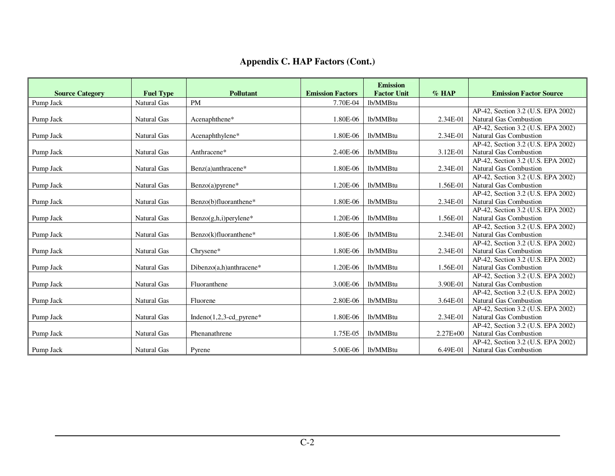|                        |                  |                             |                         | <b>Emission</b>    |              |                                    |
|------------------------|------------------|-----------------------------|-------------------------|--------------------|--------------|------------------------------------|
| <b>Source Category</b> | <b>Fuel Type</b> | <b>Pollutant</b>            | <b>Emission Factors</b> | <b>Factor Unit</b> | $%$ HAP      | <b>Emission Factor Source</b>      |
| Pump Jack              | Natural Gas      | <b>PM</b>                   | 7.70E-04                | lb/MMBtu           |              |                                    |
|                        |                  |                             |                         |                    |              | AP-42, Section 3.2 (U.S. EPA 2002) |
| Pump Jack              | Natural Gas      | Acenaphthene*               | 1.80E-06                | lb/MMBtu           | 2.34E-01     | Natural Gas Combustion             |
|                        |                  |                             |                         |                    |              | AP-42, Section 3.2 (U.S. EPA 2002) |
| Pump Jack              | Natural Gas      | Acenaphthylene*             | 1.80E-06                | lb/MMBtu           | 2.34E-01     | <b>Natural Gas Combustion</b>      |
|                        |                  |                             |                         |                    |              | AP-42, Section 3.2 (U.S. EPA 2002) |
| Pump Jack              | Natural Gas      | Anthracene*                 | 2.40E-06                | lb/MMBtu           | 3.12E-01     | <b>Natural Gas Combustion</b>      |
|                        |                  |                             |                         |                    |              | AP-42, Section 3.2 (U.S. EPA 2002) |
| Pump Jack              | Natural Gas      | Benz(a)anthracene*          | 1.80E-06                | lb/MMBtu           | 2.34E-01     | <b>Natural Gas Combustion</b>      |
|                        |                  |                             |                         |                    |              | AP-42, Section 3.2 (U.S. EPA 2002) |
| Pump Jack              | Natural Gas      | $Benzo(a)pyrene*$           | 1.20E-06                | lb/MMBtu           | 1.56E-01     | Natural Gas Combustion             |
|                        |                  |                             |                         |                    |              | AP-42, Section 3.2 (U.S. EPA 2002) |
| Pump Jack              | Natural Gas      | Benzo(b)fluoranthene*       | 1.80E-06                | lb/MMBtu           | 2.34E-01     | <b>Natural Gas Combustion</b>      |
|                        |                  |                             |                         |                    |              | AP-42, Section 3.2 (U.S. EPA 2002) |
| Pump Jack              | Natural Gas      | $Benzo(g,h,i)$ per ylene*   | 1.20E-06                | lb/MMBtu           | 1.56E-01     | Natural Gas Combustion             |
|                        |                  |                             |                         |                    |              | AP-42, Section 3.2 (U.S. EPA 2002) |
| Pump Jack              | Natural Gas      | Benzo(k)fluoranthene*       | 1.80E-06                | lb/MMBtu           | 2.34E-01     | Natural Gas Combustion             |
|                        |                  |                             |                         |                    |              | AP-42, Section 3.2 (U.S. EPA 2002) |
| Pump Jack              | Natural Gas      | Chrysene*                   | 1.80E-06                | lb/MMBtu           | 2.34E-01     | Natural Gas Combustion             |
|                        |                  |                             |                         |                    |              | AP-42, Section 3.2 (U.S. EPA 2002) |
| Pump Jack              | Natural Gas      | Dibenzo(a,h)anthracene*     | 1.20E-06                | lb/MMBtu           | 1.56E-01     | <b>Natural Gas Combustion</b>      |
|                        |                  |                             |                         |                    |              | AP-42, Section 3.2 (U.S. EPA 2002) |
| Pump Jack              | Natural Gas      | Fluoranthene                | 3.00E-06                | lb/MMBtu           | 3.90E-01     | Natural Gas Combustion             |
|                        |                  |                             |                         |                    |              | AP-42, Section 3.2 (U.S. EPA 2002) |
| Pump Jack              | Natural Gas      | Fluorene                    | 2.80E-06                | lb/MMBtu           | 3.64E-01     | Natural Gas Combustion             |
|                        |                  |                             |                         |                    |              | AP-42, Section 3.2 (U.S. EPA 2002) |
| Pump Jack              | Natural Gas      | Indeno $(1,2,3$ -cd_pyrene* | 1.80E-06                | lb/MMBtu           | 2.34E-01     | Natural Gas Combustion             |
|                        |                  |                             |                         |                    |              | AP-42, Section 3.2 (U.S. EPA 2002) |
| Pump Jack              | Natural Gas      | Phenanathrene               | 1.75E-05                | lb/MMBtu           | $2.27E + 00$ | Natural Gas Combustion             |
|                        |                  |                             |                         |                    |              | AP-42, Section 3.2 (U.S. EPA 2002) |
| Pump Jack              | Natural Gas      | Pyrene                      | 5.00E-06                | lb/MMBtu           | 6.49E-01     | <b>Natural Gas Combustion</b>      |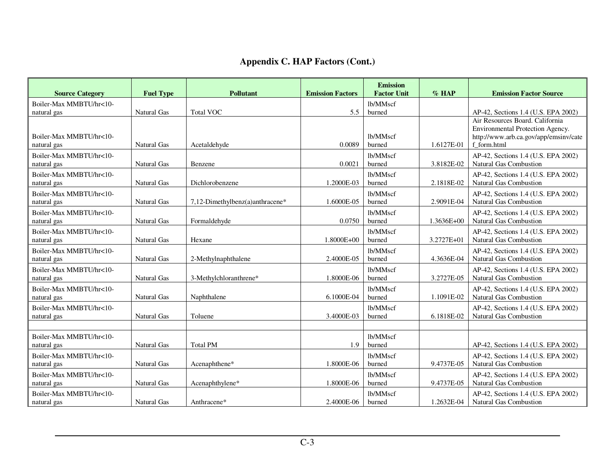| <b>Source Category</b>                 | <b>Fuel Type</b>   | <b>Pollutant</b>                | <b>Emission Factors</b> | <b>Emission</b><br><b>Factor Unit</b> | $%$ HAP    | <b>Emission Factor Source</b>                                                                                               |
|----------------------------------------|--------------------|---------------------------------|-------------------------|---------------------------------------|------------|-----------------------------------------------------------------------------------------------------------------------------|
| Boiler-Max MMBTU/hr<10-                |                    |                                 |                         | lb/MMscf                              |            |                                                                                                                             |
| natural gas                            | Natural Gas        | <b>Total VOC</b>                | 5.5                     | burned                                |            | AP-42, Sections 1.4 (U.S. EPA 2002)                                                                                         |
| Boiler-Max MMBTU/hr<10-<br>natural gas | Natural Gas        | Acetaldehyde                    | 0.0089                  | lb/MMscf<br>burned                    | 1.6127E-01 | Air Resources Board. California<br>Environmental Protection Agency.<br>http://www.arb.ca.gov/app/emsinv/cate<br>f form.html |
| Boiler-Max MMBTU/hr<10-<br>natural gas | Natural Gas        | Benzene                         | 0.0021                  | lb/MMscf<br>burned                    | 3.8182E-02 | AP-42, Sections 1.4 (U.S. EPA 2002)<br>Natural Gas Combustion                                                               |
| Boiler-Max MMBTU/hr<10-<br>natural gas | <b>Natural Gas</b> | Dichlorobenzene                 | 1.2000E-03              | lb/MMscf<br>burned                    | 2.1818E-02 | AP-42, Sections 1.4 (U.S. EPA 2002)<br>Natural Gas Combustion                                                               |
| Boiler-Max MMBTU/hr<10-<br>natural gas | <b>Natural Gas</b> | 7,12-Dimethylbenz(a)anthracene* | 1.6000E-05              | lb/MMscf<br>burned                    | 2.9091E-04 | AP-42, Sections 1.4 (U.S. EPA 2002)<br>Natural Gas Combustion                                                               |
| Boiler-Max MMBTU/hr<10-<br>natural gas | Natural Gas        | Formaldehyde                    | 0.0750                  | lb/MMscf<br>burned                    | 1.3636E+00 | AP-42, Sections 1.4 (U.S. EPA 2002)<br>Natural Gas Combustion                                                               |
| Boiler-Max MMBTU/hr<10-<br>natural gas | Natural Gas        | Hexane                          | 1.8000E+00              | lb/MMscf<br>burned                    | 3.2727E+01 | AP-42, Sections 1.4 (U.S. EPA 2002)<br>Natural Gas Combustion                                                               |
| Boiler-Max MMBTU/hr<10-<br>natural gas | Natural Gas        | 2-Methylnaphthalene             | 2.4000E-05              | lb/MMscf<br>burned                    | 4.3636E-04 | AP-42, Sections 1.4 (U.S. EPA 2002)<br>Natural Gas Combustion                                                               |
| Boiler-Max MMBTU/hr<10-<br>natural gas | <b>Natural Gas</b> | 3-Methylchloranthrene*          | 1.8000E-06              | lb/MMscf<br>burned                    | 3.2727E-05 | AP-42, Sections 1.4 (U.S. EPA 2002)<br>Natural Gas Combustion                                                               |
| Boiler-Max MMBTU/hr<10-<br>natural gas | Natural Gas        | Naphthalene                     | 6.1000E-04              | lb/MMscf<br>burned                    | 1.1091E-02 | AP-42, Sections 1.4 (U.S. EPA 2002)<br><b>Natural Gas Combustion</b>                                                        |
| Boiler-Max MMBTU/hr<10-<br>natural gas | Natural Gas        | Toluene                         | 3.4000E-03              | lb/MMscf<br>burned                    | 6.1818E-02 | AP-42, Sections 1.4 (U.S. EPA 2002)<br>Natural Gas Combustion                                                               |
|                                        |                    |                                 |                         |                                       |            |                                                                                                                             |
| Boiler-Max MMBTU/hr<10-<br>natural gas | Natural Gas        | <b>Total PM</b>                 | 1.9                     | lb/MMscf<br>burned                    |            | AP-42, Sections 1.4 (U.S. EPA 2002)                                                                                         |
| Boiler-Max MMBTU/hr<10-<br>natural gas | <b>Natural Gas</b> | Acenaphthene*                   | 1.8000E-06              | lb/MMscf<br>burned                    | 9.4737E-05 | AP-42, Sections 1.4 (U.S. EPA 2002)<br>Natural Gas Combustion                                                               |
| Boiler-Max MMBTU/hr<10-<br>natural gas | <b>Natural Gas</b> | Acenaphthylene*                 | 1.8000E-06              | lb/MMscf<br>burned                    | 9.4737E-05 | AP-42, Sections 1.4 (U.S. EPA 2002)<br>Natural Gas Combustion                                                               |
| Boiler-Max MMBTU/hr<10-<br>natural gas | Natural Gas        | Anthracene*                     | 2.4000E-06              | lb/MMscf<br>burned                    | 1.2632E-04 | AP-42, Sections 1.4 (U.S. EPA 2002)<br>Natural Gas Combustion                                                               |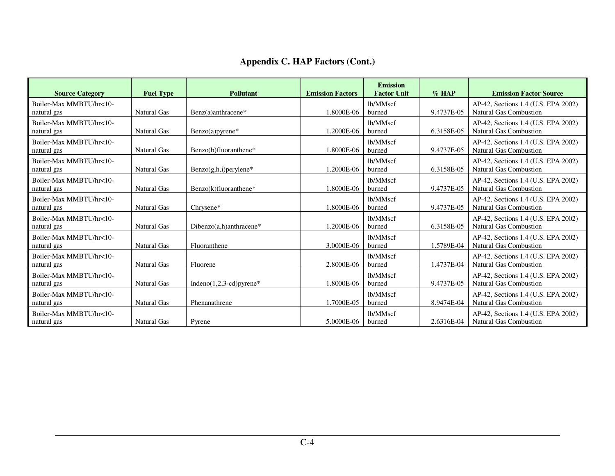| <b>Source Category</b>                 | <b>Fuel Type</b>   | <b>Pollutant</b>            | <b>Emission Factors</b> | <b>Emission</b><br><b>Factor Unit</b> | $\%$ HAP   | <b>Emission Factor Source</b>                                        |
|----------------------------------------|--------------------|-----------------------------|-------------------------|---------------------------------------|------------|----------------------------------------------------------------------|
| Boiler-Max MMBTU/hr<10-<br>natural gas | Natural Gas        | Benz(a)anthracene*          | 1.8000E-06              | lb/MMscf<br>burned                    | 9.4737E-05 | AP-42, Sections 1.4 (U.S. EPA 2002)<br><b>Natural Gas Combustion</b> |
| Boiler-Max MMBTU/hr<10-<br>natural gas | Natural Gas        | $Benzo(a)pyrene*$           | 1.2000E-06              | lb/MMscf<br>burned                    | 6.3158E-05 | AP-42, Sections 1.4 (U.S. EPA 2002)<br>Natural Gas Combustion        |
| Boiler-Max MMBTU/hr<10-<br>natural gas | Natural Gas        | Benzo(b)fluoranthene*       | 1.8000E-06              | lb/MMscf<br>burned                    | 9.4737E-05 | AP-42, Sections 1.4 (U.S. EPA 2002)<br><b>Natural Gas Combustion</b> |
| Boiler-Max MMBTU/hr<10-<br>natural gas | Natural Gas        | $Benzo(g,h,i)$ per ylene*   | 1.2000E-06              | lb/MMscf<br>burned                    | 6.3158E-05 | AP-42, Sections 1.4 (U.S. EPA 2002)<br><b>Natural Gas Combustion</b> |
| Boiler-Max MMBTU/hr<10-<br>natural gas | <b>Natural Gas</b> | Benzo(k)fluoranthene*       | 1.8000E-06              | lb/MMscf<br>burned                    | 9.4737E-05 | AP-42, Sections 1.4 (U.S. EPA 2002)<br><b>Natural Gas Combustion</b> |
| Boiler-Max MMBTU/hr<10-<br>natural gas | Natural Gas        | Chrysene*                   | 1.8000E-06              | lb/MMscf<br>burned                    | 9.4737E-05 | AP-42, Sections 1.4 (U.S. EPA 2002)<br><b>Natural Gas Combustion</b> |
| Boiler-Max MMBTU/hr<10-<br>natural gas | <b>Natural Gas</b> | Dibenzo(a,h)anthracene*     | 1.2000E-06              | lb/MMscf<br>burned                    | 6.3158E-05 | AP-42, Sections 1.4 (U.S. EPA 2002)<br>Natural Gas Combustion        |
| Boiler-Max MMBTU/hr<10-<br>natural gas | <b>Natural Gas</b> | Fluoranthene                | 3.0000E-06              | lb/MMscf<br>burned                    | 1.5789E-04 | AP-42, Sections 1.4 (U.S. EPA 2002)<br><b>Natural Gas Combustion</b> |
| Boiler-Max MMBTU/hr<10-<br>natural gas | <b>Natural Gas</b> | Fluorene                    | 2.8000E-06              | lb/MMscf<br>burned                    | 1.4737E-04 | AP-42, Sections 1.4 (U.S. EPA 2002)<br><b>Natural Gas Combustion</b> |
| Boiler-Max MMBTU/hr<10-<br>natural gas | Natural Gas        | Indeno $(1,2,3$ -cd)pyrene* | 1.8000E-06              | lb/MMscf<br>burned                    | 9.4737E-05 | AP-42, Sections 1.4 (U.S. EPA 2002)<br><b>Natural Gas Combustion</b> |
| Boiler-Max MMBTU/hr<10-<br>natural gas | <b>Natural Gas</b> | Phenanathrene               | 1.7000E-05              | lb/MMscf<br>burned                    | 8.9474E-04 | AP-42, Sections 1.4 (U.S. EPA 2002)<br><b>Natural Gas Combustion</b> |
| Boiler-Max MMBTU/hr<10-<br>natural gas | <b>Natural Gas</b> | Pyrene                      | 5.0000E-06              | lb/MMscf<br>burned                    | 2.6316E-04 | AP-42, Sections 1.4 (U.S. EPA 2002)<br><b>Natural Gas Combustion</b> |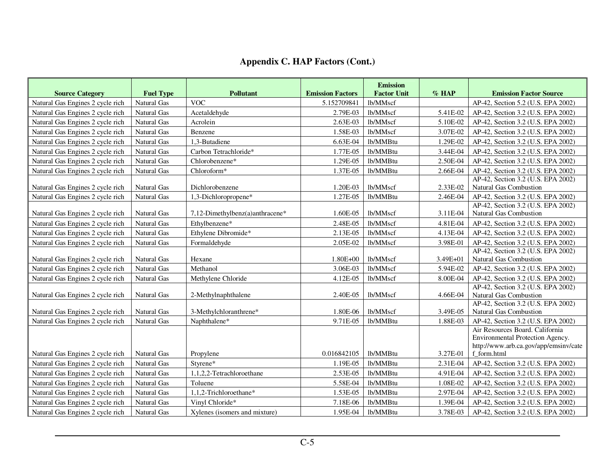| <b>Source Category</b>           | <b>Fuel Type</b>   | <b>Pollutant</b>                | <b>Emission Factors</b> | <b>Emission</b><br><b>Factor Unit</b> | $%$ HAP  | <b>Emission Factor Source</b>                                                                                               |
|----------------------------------|--------------------|---------------------------------|-------------------------|---------------------------------------|----------|-----------------------------------------------------------------------------------------------------------------------------|
| Natural Gas Engines 2 cycle rich | Natural Gas        | <b>VOC</b>                      | 5.152709841             | lb/MMscf                              |          | AP-42, Section 5.2 (U.S. EPA 2002)                                                                                          |
| Natural Gas Engines 2 cycle rich | <b>Natural Gas</b> | Acetaldehyde                    | 2.79E-03                | lb/MMscf                              | 5.41E-02 | AP-42, Section 3.2 (U.S. EPA 2002)                                                                                          |
| Natural Gas Engines 2 cycle rich | <b>Natural Gas</b> | Acrolein                        | 2.63E-03                | lb/MMscf                              | 5.10E-02 | AP-42, Section 3.2 (U.S. EPA 2002)                                                                                          |
| Natural Gas Engines 2 cycle rich | Natural Gas        | Benzene                         | 1.58E-03                | lb/MMscf                              | 3.07E-02 | AP-42, Section 3.2 (U.S. EPA 2002)                                                                                          |
| Natural Gas Engines 2 cycle rich | Natural Gas        | 1,3-Butadiene                   | 6.63E-04                | lb/MMBtu                              | 1.29E-02 | AP-42, Section 3.2 (U.S. EPA 2002)                                                                                          |
| Natural Gas Engines 2 cycle rich | <b>Natural Gas</b> | Carbon Tetrachloride*           | 1.77E-05                | lb/MMBtu                              | 3.44E-04 | AP-42, Section 3.2 (U.S. EPA 2002)                                                                                          |
| Natural Gas Engines 2 cycle rich | <b>Natural Gas</b> | Chlorobenzene*                  | 1.29E-05                | lb/MMBtu                              | 2.50E-04 | AP-42, Section 3.2 (U.S. EPA 2002)                                                                                          |
| Natural Gas Engines 2 cycle rich | Natural Gas        | Chloroform*                     | 1.37E-05                | lb/MMBtu                              | 2.66E-04 | AP-42, Section 3.2 (U.S. EPA 2002)                                                                                          |
| Natural Gas Engines 2 cycle rich | Natural Gas        | Dichlorobenzene                 | 1.20E-03                | lb/MMscf                              | 2.33E-02 | AP-42, Section 3.2 (U.S. EPA 2002)<br>Natural Gas Combustion                                                                |
| Natural Gas Engines 2 cycle rich | <b>Natural Gas</b> | 1,3-Dichloropropene*            | 1.27E-05                | lb/MMBtu                              | 2.46E-04 | AP-42, Section 3.2 (U.S. EPA 2002)                                                                                          |
| Natural Gas Engines 2 cycle rich | Natural Gas        | 7,12-Dimethylbenz(a)anthracene* | 1.60E-05                | lb/MMscf                              | 3.11E-04 | AP-42, Section 3.2 (U.S. EPA 2002)<br>Natural Gas Combustion                                                                |
| Natural Gas Engines 2 cycle rich | <b>Natural Gas</b> | Ethylbenzene*                   | 2.48E-05                | lb/MMscf                              | 4.81E-04 | AP-42, Section 3.2 (U.S. EPA 2002)                                                                                          |
| Natural Gas Engines 2 cycle rich | <b>Natural Gas</b> | Ethylene Dibromide*             | 2.13E-05                | lb/MMscf                              | 4.13E-04 | AP-42, Section 3.2 (U.S. EPA 2002)                                                                                          |
| Natural Gas Engines 2 cycle rich | Natural Gas        | Formaldehyde                    | 2.05E-02                | lb/MMscf                              | 3.98E-01 | AP-42, Section 3.2 (U.S. EPA 2002)                                                                                          |
| Natural Gas Engines 2 cycle rich | Natural Gas        | Hexane                          | 1.80E+00                | lb/MMscf                              | 3.49E+01 | AP-42, Section 3.2 (U.S. EPA 2002)<br>Natural Gas Combustion                                                                |
| Natural Gas Engines 2 cycle rich | <b>Natural Gas</b> | Methanol                        | 3.06E-03                | lb/MMscf                              | 5.94E-02 | AP-42, Section 3.2 (U.S. EPA 2002)                                                                                          |
| Natural Gas Engines 2 cycle rich | Natural Gas        | Methylene Chloride              | 4.12E-05                | lb/MMscf                              | 8.00E-04 | AP-42, Section 3.2 (U.S. EPA 2002)                                                                                          |
| Natural Gas Engines 2 cycle rich | Natural Gas        | 2-Methylnaphthalene             | 2.40E-05                | lb/MMscf                              | 4.66E-04 | AP-42, Section 3.2 (U.S. EPA 2002)<br>Natural Gas Combustion                                                                |
| Natural Gas Engines 2 cycle rich | <b>Natural Gas</b> | 3-Methylchloranthrene*          | 1.80E-06                | lb/MMscf                              | 3.49E-05 | AP-42, Section 3.2 (U.S. EPA 2002)<br><b>Natural Gas Combustion</b>                                                         |
| Natural Gas Engines 2 cycle rich | Natural Gas        | Naphthalene*                    | 9.71E-05                | lb/MMBtu                              | 1.88E-03 | AP-42, Section 3.2 (U.S. EPA 2002)                                                                                          |
| Natural Gas Engines 2 cycle rich | Natural Gas        | Propylene                       | 0.016842105             | lb/MMBtu                              | 3.27E-01 | Air Resources Board. California<br>Environmental Protection Agency.<br>http://www.arb.ca.gov/app/emsinv/cate<br>f_form.html |
| Natural Gas Engines 2 cycle rich | Natural Gas        | Styrene*                        | 1.19E-05                | lb/MMBtu                              | 2.31E-04 | AP-42, Section 3.2 (U.S. EPA 2002)                                                                                          |
| Natural Gas Engines 2 cycle rich | Natural Gas        | 1,1,2,2-Tetrachloroethane       | 2.53E-05                | lb/MMBtu                              | 4.91E-04 | AP-42, Section 3.2 (U.S. EPA 2002)                                                                                          |
| Natural Gas Engines 2 cycle rich | <b>Natural Gas</b> | Toluene                         | 5.58E-04                | lb/MMBtu                              | 1.08E-02 | AP-42, Section 3.2 (U.S. EPA 2002)                                                                                          |
| Natural Gas Engines 2 cycle rich | <b>Natural Gas</b> | 1,1,2-Trichloroethane*          | 1.53E-05                | lb/MMBtu                              | 2.97E-04 | AP-42, Section 3.2 (U.S. EPA 2002)                                                                                          |
| Natural Gas Engines 2 cycle rich | Natural Gas        | Vinyl Chloride*                 | 7.18E-06                | lb/MMBtu                              | 1.39E-04 | AP-42, Section 3.2 (U.S. EPA 2002)                                                                                          |
| Natural Gas Engines 2 cycle rich | Natural Gas        | Xylenes (isomers and mixture)   | 1.95E-04                | lb/MMBtu                              | 3.78E-03 | AP-42, Section 3.2 (U.S. EPA 2002)                                                                                          |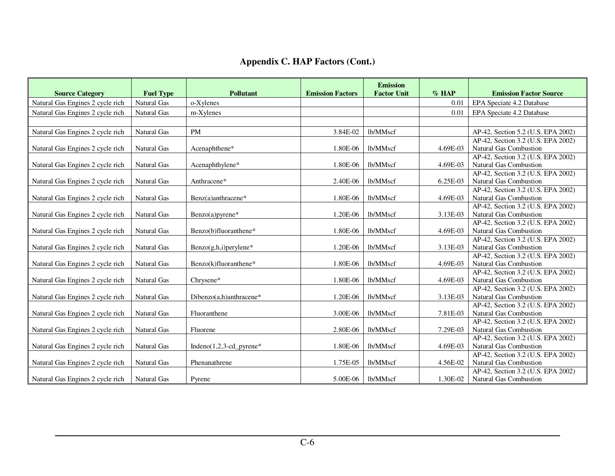| <b>Source Category</b>           | <b>Fuel Type</b>   | <b>Pollutant</b>            | <b>Emission Factors</b> | <b>Emission</b><br><b>Factor Unit</b> | $%$ HAP  | <b>Emission Factor Source</b>                                       |
|----------------------------------|--------------------|-----------------------------|-------------------------|---------------------------------------|----------|---------------------------------------------------------------------|
| Natural Gas Engines 2 cycle rich | Natural Gas        | o-Xylenes                   |                         |                                       | 0.01     | EPA Speciate 4.2 Database                                           |
| Natural Gas Engines 2 cycle rich | Natural Gas        | m-Xylenes                   |                         |                                       | 0.01     | EPA Speciate 4.2 Database                                           |
|                                  |                    |                             |                         |                                       |          |                                                                     |
| Natural Gas Engines 2 cycle rich | Natural Gas        | <b>PM</b>                   | 3.84E-02                | lb/MMscf                              |          | AP-42, Section 5.2 (U.S. EPA 2002)                                  |
|                                  |                    |                             |                         |                                       |          | AP-42, Section 3.2 (U.S. EPA 2002)                                  |
| Natural Gas Engines 2 cycle rich | Natural Gas        | Acenaphthene*               | 1.80E-06                | lb/MMscf                              | 4.69E-03 | <b>Natural Gas Combustion</b>                                       |
|                                  |                    |                             |                         |                                       |          | AP-42, Section 3.2 (U.S. EPA 2002)                                  |
| Natural Gas Engines 2 cycle rich | Natural Gas        | Acenaphthylene*             | 1.80E-06                | lb/MMscf                              | 4.69E-03 | Natural Gas Combustion                                              |
|                                  |                    |                             |                         |                                       |          | AP-42, Section 3.2 (U.S. EPA 2002)                                  |
| Natural Gas Engines 2 cycle rich | Natural Gas        | Anthracene*                 | 2.40E-06                | lb/MMscf                              | 6.25E-03 | <b>Natural Gas Combustion</b>                                       |
|                                  |                    |                             |                         |                                       |          | AP-42, Section 3.2 (U.S. EPA 2002)                                  |
| Natural Gas Engines 2 cycle rich | <b>Natural Gas</b> | Benz(a)anthracene*          | 1.80E-06                | lb/MMscf                              | 4.69E-03 | <b>Natural Gas Combustion</b>                                       |
|                                  |                    |                             |                         |                                       |          | AP-42, Section 3.2 (U.S. EPA 2002)                                  |
| Natural Gas Engines 2 cycle rich | Natural Gas        | $Benzo(a)pyrene*$           | 1.20E-06                | lb/MMscf                              | 3.13E-03 | <b>Natural Gas Combustion</b><br>AP-42, Section 3.2 (U.S. EPA 2002) |
| Natural Gas Engines 2 cycle rich | Natural Gas        | Benzo(b)fluoranthene*       | 1.80E-06                | lb/MMscf                              | 4.69E-03 | <b>Natural Gas Combustion</b>                                       |
|                                  |                    |                             |                         |                                       |          | AP-42, Section 3.2 (U.S. EPA 2002)                                  |
| Natural Gas Engines 2 cycle rich | Natural Gas        | $Benzo(g,h,i)$ per ylene*   | 1.20E-06                | lb/MMscf                              | 3.13E-03 | <b>Natural Gas Combustion</b>                                       |
|                                  |                    |                             |                         |                                       |          | AP-42, Section 3.2 (U.S. EPA 2002)                                  |
| Natural Gas Engines 2 cycle rich | <b>Natural Gas</b> | $Benzo(k)fluoranthene*$     | 1.80E-06                | lb/MMscf                              | 4.69E-03 | <b>Natural Gas Combustion</b>                                       |
|                                  |                    |                             |                         |                                       |          | AP-42, Section 3.2 (U.S. EPA 2002)                                  |
| Natural Gas Engines 2 cycle rich | Natural Gas        | Chrysene*                   | 1.80E-06                | lb/MMscf                              | 4.69E-03 | Natural Gas Combustion                                              |
|                                  |                    |                             |                         |                                       |          | AP-42, Section 3.2 (U.S. EPA 2002)                                  |
| Natural Gas Engines 2 cycle rich | Natural Gas        | Dibenzo $(a,h)$ anthracene* | 1.20E-06                | lb/MMscf                              | 3.13E-03 | Natural Gas Combustion                                              |
|                                  |                    |                             |                         |                                       |          | AP-42, Section 3.2 (U.S. EPA 2002)                                  |
| Natural Gas Engines 2 cycle rich | Natural Gas        | Fluoranthene                | 3.00E-06                | lb/MMscf                              | 7.81E-03 | <b>Natural Gas Combustion</b>                                       |
|                                  |                    |                             |                         |                                       |          | AP-42, Section 3.2 (U.S. EPA 2002)                                  |
| Natural Gas Engines 2 cycle rich | <b>Natural Gas</b> | Fluorene                    | 2.80E-06                | lb/MMscf                              | 7.29E-03 | <b>Natural Gas Combustion</b>                                       |
|                                  |                    |                             |                         |                                       |          | AP-42, Section 3.2 (U.S. EPA 2002)                                  |
| Natural Gas Engines 2 cycle rich | Natural Gas        | Indeno $(1,2,3$ -cd_pyrene* | 1.80E-06                | lb/MMscf                              | 4.69E-03 | <b>Natural Gas Combustion</b><br>AP-42, Section 3.2 (U.S. EPA 2002) |
| Natural Gas Engines 2 cycle rich | Natural Gas        | Phenanathrene               | 1.75E-05                | lb/MMscf                              | 4.56E-02 | <b>Natural Gas Combustion</b>                                       |
|                                  |                    |                             |                         |                                       |          | AP-42, Section 3.2 (U.S. EPA 2002)                                  |
| Natural Gas Engines 2 cycle rich | <b>Natural Gas</b> | Pyrene                      | 5.00E-06                | lb/MMscf                              | 1.30E-02 | <b>Natural Gas Combustion</b>                                       |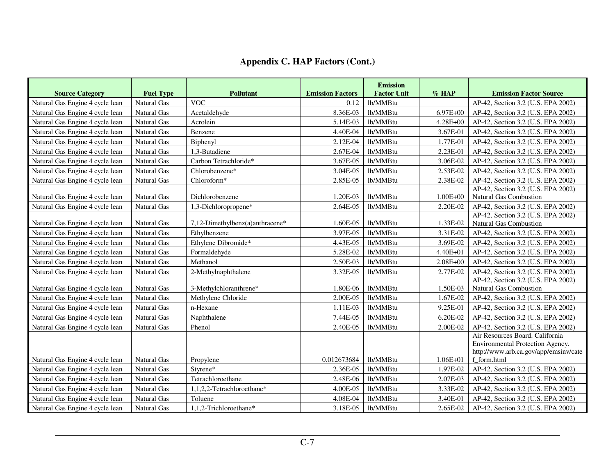| <b>Source Category</b>          | <b>Fuel Type</b>   | <b>Pollutant</b>                | <b>Emission Factors</b> | <b>Emission</b><br><b>Factor Unit</b> | $%$ HAP      | <b>Emission Factor Source</b>                                                                                               |
|---------------------------------|--------------------|---------------------------------|-------------------------|---------------------------------------|--------------|-----------------------------------------------------------------------------------------------------------------------------|
| Natural Gas Engine 4 cycle lean | <b>Natural Gas</b> | <b>VOC</b>                      | 0.12                    | lb/MMBtu                              |              | AP-42, Section 3.2 (U.S. EPA 2002)                                                                                          |
| Natural Gas Engine 4 cycle lean | Natural Gas        | Acetaldehyde                    | 8.36E-03                | lb/MMBtu                              | $6.97E + 00$ | AP-42, Section 3.2 (U.S. EPA 2002)                                                                                          |
| Natural Gas Engine 4 cycle lean | Natural Gas        | Acrolein                        | 5.14E-03                | lb/MMBtu                              | 4.28E+00     | AP-42, Section 3.2 (U.S. EPA 2002)                                                                                          |
| Natural Gas Engine 4 cycle lean | <b>Natural Gas</b> | Benzene                         | 4.40E-04                | lb/MMBtu                              | 3.67E-01     | AP-42, Section 3.2 (U.S. EPA 2002)                                                                                          |
| Natural Gas Engine 4 cycle lean | Natural Gas        | Biphenyl                        | 2.12E-04                | lb/MMBtu                              | 1.77E-01     | AP-42, Section 3.2 (U.S. EPA 2002)                                                                                          |
| Natural Gas Engine 4 cycle lean | Natural Gas        | 1,3-Butadiene                   | 2.67E-04                | lb/MMBtu                              | 2.23E-01     | AP-42, Section 3.2 (U.S. EPA 2002)                                                                                          |
| Natural Gas Engine 4 cycle lean | <b>Natural Gas</b> | Carbon Tetrachloride*           | 3.67E-05                | lb/MMBtu                              | 3.06E-02     | AP-42, Section 3.2 (U.S. EPA 2002)                                                                                          |
| Natural Gas Engine 4 cycle lean | <b>Natural Gas</b> | Chlorobenzene*                  | 3.04E-05                | lb/MMBtu                              | 2.53E-02     | AP-42, Section 3.2 (U.S. EPA 2002)                                                                                          |
| Natural Gas Engine 4 cycle lean | Natural Gas        | Chloroform*                     | 2.85E-05                | lb/MMBtu                              | 2.38E-02     | AP-42, Section 3.2 (U.S. EPA 2002)                                                                                          |
|                                 |                    |                                 |                         |                                       |              | AP-42, Section 3.2 (U.S. EPA 2002)                                                                                          |
| Natural Gas Engine 4 cycle lean | <b>Natural Gas</b> | Dichlorobenzene                 | 1.20E-03                | lb/MMBtu                              | $1.00E + 00$ | Natural Gas Combustion                                                                                                      |
| Natural Gas Engine 4 cycle lean | <b>Natural Gas</b> | 1,3-Dichloropropene*            | 2.64E-05                | lb/MMBtu                              | 2.20E-02     | AP-42, Section 3.2 (U.S. EPA 2002)                                                                                          |
| Natural Gas Engine 4 cycle lean | <b>Natural Gas</b> | 7.12-Dimethylbenz(a)anthracene* | 1.60E-05                | lb/MMBtu                              | 1.33E-02     | AP-42, Section 3.2 (U.S. EPA 2002)<br>Natural Gas Combustion                                                                |
| Natural Gas Engine 4 cycle lean | <b>Natural Gas</b> | Ethylbenzene                    | 3.97E-05                | lb/MMBtu                              | 3.31E-02     | AP-42, Section 3.2 (U.S. EPA 2002)                                                                                          |
| Natural Gas Engine 4 cycle lean | <b>Natural Gas</b> | Ethylene Dibromide*             | 4.43E-05                | lb/MMBtu                              | 3.69E-02     | AP-42, Section 3.2 (U.S. EPA 2002)                                                                                          |
| Natural Gas Engine 4 cycle lean | Natural Gas        | Formaldehyde                    | 5.28E-02                | lb/MMBtu                              | 4.40E+01     | AP-42, Section 3.2 (U.S. EPA 2002)                                                                                          |
| Natural Gas Engine 4 cycle lean | <b>Natural Gas</b> | Methanol                        | 2.50E-03                | lb/MMBtu                              | $2.08E + 00$ | AP-42, Section 3.2 (U.S. EPA 2002)                                                                                          |
| Natural Gas Engine 4 cycle lean | Natural Gas        | 2-Methylnaphthalene             | 3.32E-05                | lb/MMBtu                              | 2.77E-02     | AP-42, Section 3.2 (U.S. EPA 2002)                                                                                          |
|                                 |                    |                                 |                         |                                       |              | AP-42, Section 3.2 (U.S. EPA 2002)                                                                                          |
| Natural Gas Engine 4 cycle lean | <b>Natural Gas</b> | 3-Methylchloranthrene*          | 1.80E-06                | lb/MMBtu                              | 1.50E-03     | Natural Gas Combustion                                                                                                      |
| Natural Gas Engine 4 cycle lean | <b>Natural Gas</b> | Methylene Chloride              | 2.00E-05                | lb/MMBtu                              | 1.67E-02     | AP-42, Section 3.2 (U.S. EPA 2002)                                                                                          |
| Natural Gas Engine 4 cycle lean | <b>Natural Gas</b> | n-Hexane                        | 1.11E-03                | lb/MMBtu                              | 9.25E-01     | AP-42, Section 3.2 (U.S. EPA 2002)                                                                                          |
| Natural Gas Engine 4 cycle lean | <b>Natural Gas</b> | Naphthalene                     | 7.44E-05                | lb/MMBtu                              | 6.20E-02     | AP-42, Section 3.2 (U.S. EPA 2002)                                                                                          |
| Natural Gas Engine 4 cycle lean | Natural Gas        | Phenol                          | 2.40E-05                | lb/MMBtu                              | 2.00E-02     | AP-42, Section 3.2 (U.S. EPA 2002)                                                                                          |
| Natural Gas Engine 4 cycle lean | <b>Natural Gas</b> | Propylene                       | 0.012673684             | lb/MMBtu                              | $1.06E + 01$ | Air Resources Board. California<br>Environmental Protection Agency.<br>http://www.arb.ca.gov/app/emsinv/cate<br>f form.html |
| Natural Gas Engine 4 cycle lean | Natural Gas        | Styrene*                        | 2.36E-05                | lb/MMBtu                              | 1.97E-02     | AP-42, Section 3.2 (U.S. EPA 2002)                                                                                          |
| Natural Gas Engine 4 cycle lean | Natural Gas        | Tetrachloroethane               | 2.48E-06                | lb/MMBtu                              | 2.07E-03     | AP-42, Section 3.2 (U.S. EPA 2002)                                                                                          |
| Natural Gas Engine 4 cycle lean | <b>Natural Gas</b> | 1,1,2,2-Tetrachloroethane*      | 4.00E-05                | lb/MMBtu                              | 3.33E-02     | AP-42, Section 3.2 (U.S. EPA 2002)                                                                                          |
| Natural Gas Engine 4 cycle lean | Natural Gas        | Toluene                         | 4.08E-04                | lb/MMBtu                              | 3.40E-01     | AP-42, Section 3.2 (U.S. EPA 2002)                                                                                          |
| Natural Gas Engine 4 cycle lean | Natural Gas        | 1,1,2-Trichloroethane*          | 3.18E-05                | lb/MMBtu                              | 2.65E-02     | AP-42, Section 3.2 (U.S. EPA 2002)                                                                                          |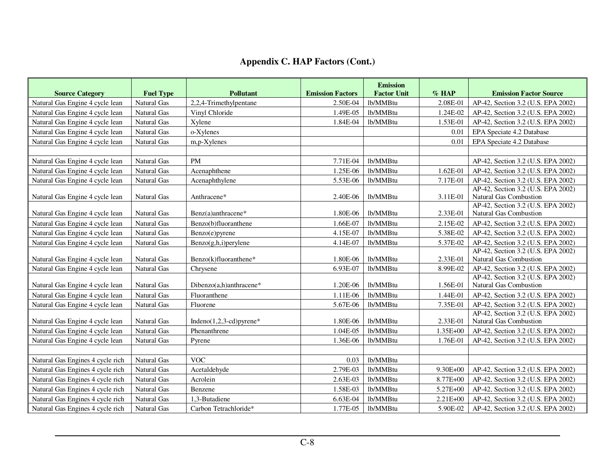| <b>Source Category</b>           | <b>Fuel Type</b>   | <b>Pollutant</b>             | <b>Emission Factors</b> | <b>Emission</b><br><b>Factor Unit</b> | $%$ HAP      | <b>Emission Factor Source</b>                                       |
|----------------------------------|--------------------|------------------------------|-------------------------|---------------------------------------|--------------|---------------------------------------------------------------------|
| Natural Gas Engine 4 cycle lean  | <b>Natural Gas</b> | 2,2,4-Trimethylpentane       | 2.50E-04                | lb/MMBtu                              | 2.08E-01     | AP-42, Section 3.2 (U.S. EPA 2002)                                  |
| Natural Gas Engine 4 cycle lean  | <b>Natural Gas</b> | Vinyl Chloride               | 1.49E-05                | lb/MMBtu                              | 1.24E-02     | AP-42, Section 3.2 (U.S. EPA 2002)                                  |
| Natural Gas Engine 4 cycle lean  | Natural Gas        | Xylene                       | 1.84E-04                | lb/MMBtu                              | 1.53E-01     | AP-42, Section 3.2 (U.S. EPA 2002)                                  |
| Natural Gas Engine 4 cycle lean  | <b>Natural Gas</b> | o-Xylenes                    |                         |                                       | 0.01         | EPA Speciate 4.2 Database                                           |
| Natural Gas Engine 4 cycle lean  | <b>Natural Gas</b> | m,p-Xylenes                  |                         |                                       | 0.01         | EPA Speciate 4.2 Database                                           |
|                                  |                    |                              |                         |                                       |              |                                                                     |
| Natural Gas Engine 4 cycle lean  | <b>Natural Gas</b> | PM                           | 7.71E-04                | lb/MMBtu                              |              | AP-42, Section 3.2 (U.S. EPA 2002)                                  |
| Natural Gas Engine 4 cycle lean  | <b>Natural Gas</b> | Acenaphthene                 | 1.25E-06                | lb/MMBtu                              | 1.62E-01     | AP-42, Section 3.2 (U.S. EPA 2002)                                  |
| Natural Gas Engine 4 cycle lean  | Natural Gas        | Acenaphthylene               | 5.53E-06                | lb/MMBtu                              | 7.17E-01     | AP-42, Section 3.2 (U.S. EPA 2002)                                  |
|                                  |                    |                              |                         |                                       |              | AP-42, Section 3.2 (U.S. EPA 2002)                                  |
| Natural Gas Engine 4 cycle lean  | Natural Gas        | Anthracene*                  | 2.40E-06                | lb/MMBtu                              | 3.11E-01     | Natural Gas Combustion                                              |
| Natural Gas Engine 4 cycle lean  | Natural Gas        | Benz(a)anthracene*           | 1.80E-06                | lb/MMBtu                              | 2.33E-01     | AP-42, Section 3.2 (U.S. EPA 2002)<br>Natural Gas Combustion        |
| Natural Gas Engine 4 cycle lean  | <b>Natural Gas</b> | Benzo(b)fluoranthene         | 1.66E-07                | lb/MMBtu                              | 2.15E-02     | AP-42, Section 3.2 (U.S. EPA 2002)                                  |
| Natural Gas Engine 4 cycle lean  | <b>Natural Gas</b> | Benzo(e)pyrene               | 4.15E-07                | lb/MMBtu                              | 5.38E-02     | AP-42, Section 3.2 (U.S. EPA 2002)                                  |
| Natural Gas Engine 4 cycle lean  | <b>Natural Gas</b> | $Benzo(g,h,i)$ per ylene     | 4.14E-07                | lb/MMBtu                              | 5.37E-02     | AP-42, Section 3.2 (U.S. EPA 2002)                                  |
| Natural Gas Engine 4 cycle lean  | <b>Natural Gas</b> | Benzo(k)fluoranthene*        | 1.80E-06                | lb/MMBtu                              | 2.33E-01     | AP-42, Section 3.2 (U.S. EPA 2002)<br>Natural Gas Combustion        |
| Natural Gas Engine 4 cycle lean  | Natural Gas        |                              | 6.93E-07                | lb/MMBtu                              | 8.99E-02     | AP-42, Section 3.2 (U.S. EPA 2002)                                  |
|                                  |                    | Chrysene                     |                         |                                       |              | AP-42, Section 3.2 (U.S. EPA 2002)                                  |
| Natural Gas Engine 4 cycle lean  | <b>Natural Gas</b> | Dibenzo(a,h)anthracene*      | 1.20E-06                | lb/MMBtu                              | 1.56E-01     | <b>Natural Gas Combustion</b>                                       |
| Natural Gas Engine 4 cycle lean  | Natural Gas        | Fluoranthene                 | 1.11E-06                | lb/MMBtu                              | 1.44E-01     | AP-42, Section 3.2 (U.S. EPA 2002)                                  |
| Natural Gas Engine 4 cycle lean  | Natural Gas        | Fluorene                     | 5.67E-06                | lb/MMBtu                              | 7.35E-01     | AP-42, Section 3.2 (U.S. EPA 2002)                                  |
| Natural Gas Engine 4 cycle lean  | Natural Gas        | Indeno $(1,2,3$ -cd) pyrene* | 1.80E-06                | lb/MMBtu                              | 2.33E-01     | AP-42, Section 3.2 (U.S. EPA 2002)<br><b>Natural Gas Combustion</b> |
| Natural Gas Engine 4 cycle lean  | <b>Natural Gas</b> | Phenanthrene                 | 1.04E-05                | lb/MMBtu                              | 1.35E+00     | AP-42, Section 3.2 (U.S. EPA 2002)                                  |
| Natural Gas Engine 4 cycle lean  | Natural Gas        | Pyrene                       | 1.36E-06                | lb/MMBtu                              | 1.76E-01     | AP-42, Section 3.2 (U.S. EPA 2002)                                  |
|                                  |                    |                              |                         |                                       |              |                                                                     |
| Natural Gas Engines 4 cycle rich | Natural Gas        | <b>VOC</b>                   | 0.03                    | lb/MMBtu                              |              |                                                                     |
| Natural Gas Engines 4 cycle rich | Natural Gas        | Acetaldehyde                 | 2.79E-03                | lb/MMBtu                              | $9.30E + 00$ | AP-42, Section 3.2 (U.S. EPA 2002)                                  |
| Natural Gas Engines 4 cycle rich | <b>Natural Gas</b> | Acrolein                     | 2.63E-03                | lb/MMBtu                              | 8.77E+00     | AP-42, Section 3.2 (U.S. EPA 2002)                                  |
| Natural Gas Engines 4 cycle rich | Natural Gas        | Benzene                      | 1.58E-03                | lb/MMBtu                              | 5.27E+00     | AP-42, Section 3.2 (U.S. EPA 2002)                                  |
| Natural Gas Engines 4 cycle rich | Natural Gas        | 1.3-Butadiene                | 6.63E-04                | lb/MMBtu                              | $2.21E + 00$ | AP-42, Section 3.2 (U.S. EPA 2002)                                  |
| Natural Gas Engines 4 cycle rich | Natural Gas        | Carbon Tetrachloride*        | 1.77E-05                | lb/MMBtu                              | 5.90E-02     | AP-42, Section 3.2 (U.S. EPA 2002)                                  |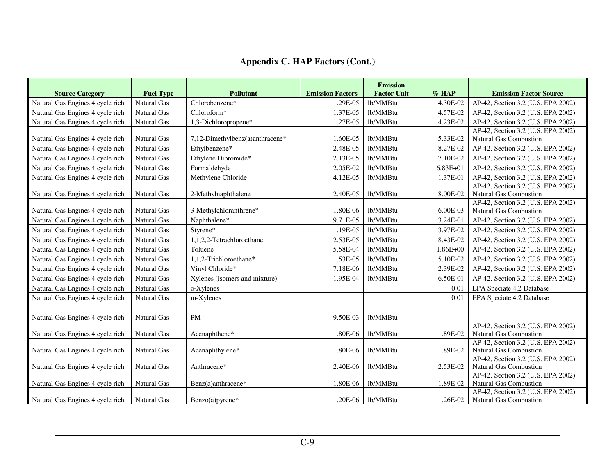|                                                            |                                        | <b>Pollutant</b>                | <b>Emission Factors</b> | <b>Emission</b><br><b>Factor Unit</b> | $%$ HAP      | <b>Emission Factor Source</b>                                            |
|------------------------------------------------------------|----------------------------------------|---------------------------------|-------------------------|---------------------------------------|--------------|--------------------------------------------------------------------------|
| <b>Source Category</b><br>Natural Gas Engines 4 cycle rich | <b>Fuel Type</b><br><b>Natural Gas</b> | Chlorobenzene*                  | 1.29E-05                | lb/MMBtu                              | 4.30E-02     | AP-42, Section 3.2 (U.S. EPA 2002)                                       |
| Natural Gas Engines 4 cycle rich                           | <b>Natural Gas</b>                     | Chloroform*                     | 1.37E-05                | lb/MMBtu                              | 4.57E-02     | AP-42, Section 3.2 (U.S. EPA 2002)                                       |
|                                                            |                                        |                                 |                         |                                       |              |                                                                          |
| Natural Gas Engines 4 cycle rich                           | <b>Natural Gas</b>                     | 1,3-Dichloropropene*            | 1.27E-05                | lb/MMBtu                              | 4.23E-02     | AP-42, Section 3.2 (U.S. EPA 2002)<br>AP-42, Section 3.2 (U.S. EPA 2002) |
| Natural Gas Engines 4 cycle rich                           | Natural Gas                            | 7,12-Dimethylbenz(a)anthracene* | 1.60E-05                | lb/MMBtu                              | 5.33E-02     | Natural Gas Combustion                                                   |
| Natural Gas Engines 4 cycle rich                           | <b>Natural Gas</b>                     | Ethylbenzene*                   | 2.48E-05                | lb/MMBtu                              | 8.27E-02     | AP-42, Section 3.2 (U.S. EPA 2002)                                       |
| Natural Gas Engines 4 cycle rich                           | Natural Gas                            | Ethylene Dibromide*             | 2.13E-05                | lb/MMBtu                              | 7.10E-02     | AP-42, Section 3.2 (U.S. EPA 2002)                                       |
| Natural Gas Engines 4 cycle rich                           | Natural Gas                            | Formaldehyde                    | 2.05E-02                | lb/MMBtu                              | $6.83E + 01$ | AP-42, Section 3.2 (U.S. EPA 2002)                                       |
| Natural Gas Engines 4 cycle rich                           | Natural Gas                            | Methylene Chloride              | 4.12E-05                | lb/MMBtu                              | 1.37E-01     | AP-42, Section 3.2 (U.S. EPA 2002)                                       |
|                                                            |                                        |                                 |                         |                                       |              | AP-42, Section 3.2 (U.S. EPA 2002)                                       |
| Natural Gas Engines 4 cycle rich                           | Natural Gas                            | 2-Methylnaphthalene             | 2.40E-05                | lb/MMBtu                              | 8.00E-02     | Natural Gas Combustion                                                   |
|                                                            |                                        |                                 |                         |                                       |              | AP-42, Section 3.2 (U.S. EPA 2002)                                       |
| Natural Gas Engines 4 cycle rich                           | <b>Natural Gas</b>                     | 3-Methylchloranthrene*          | 1.80E-06                | lb/MMBtu                              | 6.00E-03     | Natural Gas Combustion                                                   |
| Natural Gas Engines 4 cycle rich                           | <b>Natural Gas</b>                     | Naphthalene*                    | 9.71E-05                | lb/MMBtu                              | 3.24E-01     | AP-42, Section 3.2 (U.S. EPA 2002)                                       |
| Natural Gas Engines 4 cycle rich                           | Natural Gas                            | Styrene*                        | 1.19E-05                | lb/MMBtu                              | 3.97E-02     | AP-42, Section 3.2 (U.S. EPA 2002)                                       |
| Natural Gas Engines 4 cycle rich                           | <b>Natural Gas</b>                     | 1,1,2,2-Tetrachloroethane       | 2.53E-05                | lb/MMBtu                              | 8.43E-02     | AP-42, Section 3.2 (U.S. EPA 2002)                                       |
| Natural Gas Engines 4 cycle rich                           | Natural Gas                            | Toluene                         | 5.58E-04                | lb/MMBtu                              | 1.86E+00     | AP-42, Section 3.2 (U.S. EPA 2002)                                       |
| Natural Gas Engines 4 cycle rich                           | Natural Gas                            | 1,1,2-Trichloroethane*          | 1.53E-05                | lb/MMBtu                              | 5.10E-02     | AP-42, Section 3.2 (U.S. EPA 2002)                                       |
| Natural Gas Engines 4 cycle rich                           | Natural Gas                            | Vinyl Chloride*                 | 7.18E-06                | lb/MMBtu                              | 2.39E-02     | AP-42, Section 3.2 (U.S. EPA 2002)                                       |
| Natural Gas Engines 4 cycle rich                           | <b>Natural Gas</b>                     | Xylenes (isomers and mixture)   | 1.95E-04                | lb/MMBtu                              | 6.50E-01     | AP-42, Section 3.2 (U.S. EPA 2002)                                       |
| Natural Gas Engines 4 cycle rich                           | <b>Natural Gas</b>                     | o-Xylenes                       |                         |                                       | 0.01         | EPA Speciate 4.2 Database                                                |
| Natural Gas Engines 4 cycle rich                           | <b>Natural Gas</b>                     | m-Xylenes                       |                         |                                       | 0.01         | EPA Speciate 4.2 Database                                                |
|                                                            |                                        |                                 |                         |                                       |              |                                                                          |
| Natural Gas Engines 4 cycle rich                           | Natural Gas                            | <b>PM</b>                       | 9.50E-03                | lb/MMBtu                              |              |                                                                          |
|                                                            |                                        |                                 |                         |                                       |              | AP-42, Section 3.2 (U.S. EPA 2002)                                       |
| Natural Gas Engines 4 cycle rich                           | Natural Gas                            | Acenaphthene*                   | 1.80E-06                | lb/MMBtu                              | 1.89E-02     | Natural Gas Combustion                                                   |
|                                                            |                                        |                                 |                         |                                       |              | AP-42, Section 3.2 (U.S. EPA 2002)                                       |
| Natural Gas Engines 4 cycle rich                           | Natural Gas                            | Acenaphthylene*                 | 1.80E-06                | lb/MMBtu                              | 1.89E-02     | <b>Natural Gas Combustion</b>                                            |
|                                                            |                                        |                                 |                         | lb/MMBtu                              |              | AP-42, Section 3.2 (U.S. EPA 2002)                                       |
| Natural Gas Engines 4 cycle rich                           | Natural Gas                            | Anthracene*                     | 2.40E-06                |                                       | 2.53E-02     | Natural Gas Combustion<br>AP-42, Section 3.2 (U.S. EPA 2002)             |
| Natural Gas Engines 4 cycle rich                           | Natural Gas                            | Benz(a)anthracene*              | 1.80E-06                | lb/MMBtu                              | 1.89E-02     | <b>Natural Gas Combustion</b>                                            |
|                                                            |                                        |                                 |                         |                                       |              | AP-42, Section 3.2 (U.S. EPA 2002)                                       |
| Natural Gas Engines 4 cycle rich                           | <b>Natural Gas</b>                     | Benzo(a)pyrene*                 | 1.20E-06                | lb/MMBtu                              | 1.26E-02     | Natural Gas Combustion                                                   |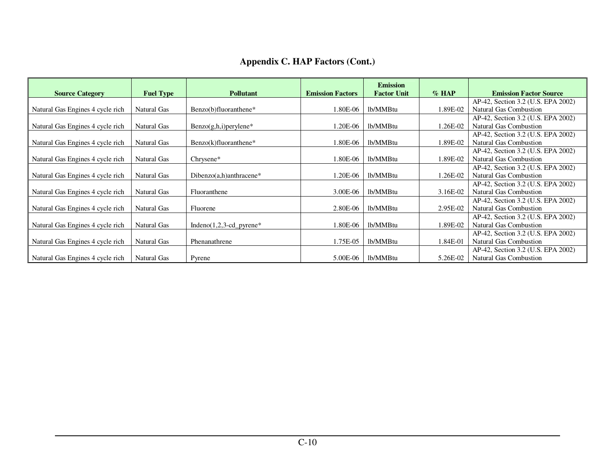| <b>Source Category</b>           | <b>Fuel Type</b> | <b>Pollutant</b>            | <b>Emission Factors</b> | <b>Emission</b><br><b>Factor Unit</b> | $\%$ HAP | <b>Emission Factor Source</b>      |
|----------------------------------|------------------|-----------------------------|-------------------------|---------------------------------------|----------|------------------------------------|
|                                  |                  |                             |                         |                                       |          | AP-42, Section 3.2 (U.S. EPA 2002) |
| Natural Gas Engines 4 cycle rich | Natural Gas      | Benzo(b)fluoranthene*       | .80E-06                 | lb/MMBtu                              | 1.89E-02 | Natural Gas Combustion             |
|                                  |                  |                             |                         |                                       |          | AP-42, Section 3.2 (U.S. EPA 2002) |
| Natural Gas Engines 4 cycle rich | Natural Gas      | $Benzo(g,h,i)$ per ylene*   | .20E-06                 | lb/MMBtu                              | 1.26E-02 | Natural Gas Combustion             |
|                                  |                  |                             |                         |                                       |          | AP-42, Section 3.2 (U.S. EPA 2002) |
| Natural Gas Engines 4 cycle rich | Natural Gas      | $Benzo(k)fluoranthene*$     | .80E-06                 | lb/MMBtu                              | 1.89E-02 | Natural Gas Combustion             |
|                                  |                  |                             |                         |                                       |          | AP-42, Section 3.2 (U.S. EPA 2002) |
| Natural Gas Engines 4 cycle rich | Natural Gas      | $Chrysene*$                 | .80E-06                 | lb/MMBtu                              | 1.89E-02 | Natural Gas Combustion             |
|                                  |                  |                             |                         |                                       |          | AP-42, Section 3.2 (U.S. EPA 2002) |
| Natural Gas Engines 4 cycle rich | Natural Gas      | Dibenzo $(a,h)$ anthracene* | .20E-06                 | lb/MMBtu                              | 1.26E-02 | Natural Gas Combustion             |
|                                  |                  |                             |                         |                                       |          | AP-42, Section 3.2 (U.S. EPA 2002) |
| Natural Gas Engines 4 cycle rich | Natural Gas      | Fluoranthene                | 3.00E-06                | lb/MMBtu                              | 3.16E-02 | Natural Gas Combustion             |
|                                  |                  |                             |                         |                                       |          | AP-42, Section 3.2 (U.S. EPA 2002) |
| Natural Gas Engines 4 cycle rich | Natural Gas      | Fluorene                    | 2.80E-06                | lb/MMBtu                              | 2.95E-02 | Natural Gas Combustion             |
|                                  |                  |                             |                         |                                       |          | AP-42, Section 3.2 (U.S. EPA 2002) |
| Natural Gas Engines 4 cycle rich | Natural Gas      | Indeno $(1,2,3$ -cd_pyrene* | .80E-06                 | lb/MMBtu                              | 1.89E-02 | Natural Gas Combustion             |
|                                  |                  |                             |                         |                                       |          | AP-42, Section 3.2 (U.S. EPA 2002) |
| Natural Gas Engines 4 cycle rich | Natural Gas      | Phenanathrene               | 1.75E-05                | lb/MMBtu                              | 1.84E-01 | Natural Gas Combustion             |
|                                  |                  |                             |                         |                                       |          | AP-42, Section 3.2 (U.S. EPA 2002) |
| Natural Gas Engines 4 cycle rich | Natural Gas      | Pyrene                      | 5.00E-06                | lb/MMBtu                              | 5.26E-02 | Natural Gas Combustion             |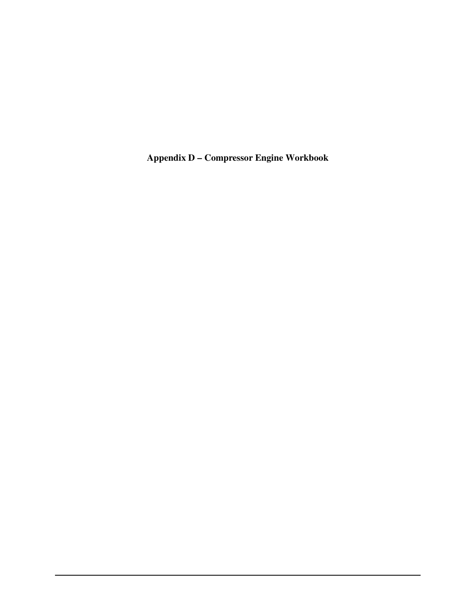**Appendix D – Compressor Engine Workbook**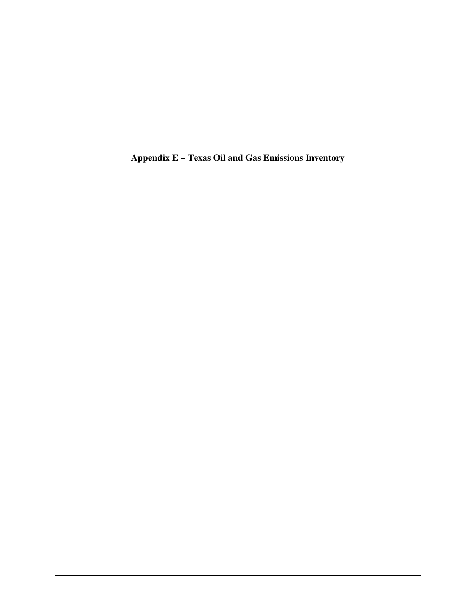**Appendix E – Texas Oil and Gas Emissions Inventory**